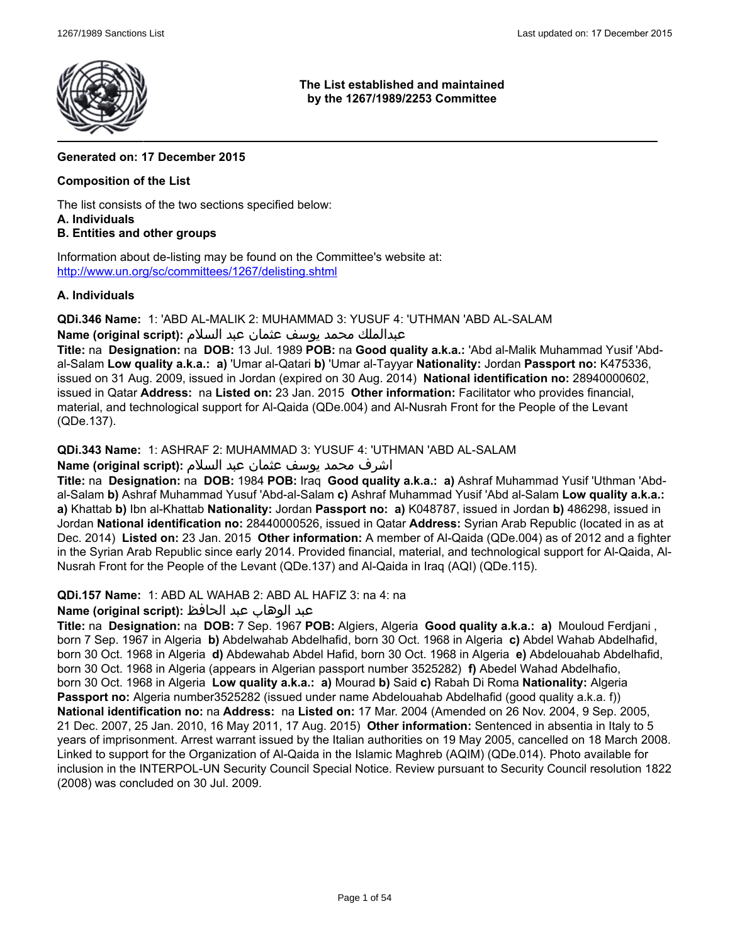

**The List established and maintained by the 1267/1989/2253 Committee**

# **Generated on: 17 December 2015**

# **Composition of the List**

The list consists of the two sections specified below: **A. Individuals**

### **B. Entities and other groups**

Information about de-listing may be found on the Committee's website at: [http://www.un.org/sc/committees/1267/delisting.shtml]($delist-un)

### **A. Individuals**

**QDi.346 Name:** 1: 'ABD AL-MALIK 2: MUHAMMAD 3: YUSUF 4: 'UTHMAN 'ABD AL-SALAM

عبدالملك محمد يوسف عثمان عبد السلام **:(script original (Name**

**Title:** na **Designation:** na **DOB:** 13 Jul. 1989 **POB:** na **Good quality a.k.a.:** 'Abd al-Malik Muhammad Yusif 'Abdal-Salam **Low quality a.k.a.: a)** 'Umar al-Qatari **b)** 'Umar al-Tayyar **Nationality:** Jordan **Passport no:** K475336, issued on 31 Aug. 2009, issued in Jordan (expired on 30 Aug. 2014) **National identification no:** 28940000602, issued in Qatar **Address:** na **Listed on:** 23 Jan. 2015 **Other information:** Facilitator who provides financial, material, and technological support for Al-Qaida (QDe.004) and Al-Nusrah Front for the People of the Levant (QDe.137).

**QDi.343 Name:** 1: ASHRAF 2: MUHAMMAD 3: YUSUF 4: 'UTHMAN 'ABD AL-SALAM

# اشرف محمد يوسف عثمان عبد السلام **:(script original (Name**

**Title:** na **Designation:** na **DOB:** 1984 **POB:** Iraq **Good quality a.k.a.: a)** Ashraf Muhammad Yusif 'Uthman 'Abdal-Salam **b)** Ashraf Muhammad Yusuf 'Abd-al-Salam **c)** Ashraf Muhammad Yusif 'Abd al-Salam **Low quality a.k.a.: a)** Khattab **b)** Ibn al-Khattab **Nationality:** Jordan **Passport no: a)** K048787, issued in Jordan **b)** 486298, issued in Jordan **National identification no:** 28440000526, issued in Qatar **Address:** Syrian Arab Republic (located in as at Dec. 2014) **Listed on:** 23 Jan. 2015 **Other information:** A member of Al-Qaida (QDe.004) as of 2012 and a fighter in the Syrian Arab Republic since early 2014. Provided financial, material, and technological support for Al-Qaida, Al-Nusrah Front for the People of the Levant (QDe.137) and Al-Qaida in Iraq (AQI) (QDe.115).

**QDi.157 Name:** 1: ABD AL WAHAB 2: ABD AL HAFIZ 3: na 4: na

# عبد الوهاب عبد الحافظ **:(script original (Name**

**Title:** na **Designation:** na **DOB:** 7 Sep. 1967 **POB:** Algiers, Algeria **Good quality a.k.a.: a)** Mouloud Ferdjani , born 7 Sep. 1967 in Algeria **b)** Abdelwahab Abdelhafid, born 30 Oct. 1968 in Algeria **c)** Abdel Wahab Abdelhafid, born 30 Oct. 1968 in Algeria **d)** Abdewahab Abdel Hafid, born 30 Oct. 1968 in Algeria **e)** Abdelouahab Abdelhafid, born 30 Oct. 1968 in Algeria (appears in Algerian passport number 3525282) **f)** Abedel Wahad Abdelhafio, born 30 Oct. 1968 in Algeria **Low quality a.k.a.: a)** Mourad **b)** Said **c)** Rabah Di Roma **Nationality:** Algeria **Passport no:** Algeria number3525282 (issued under name Abdelouahab Abdelhafid (good quality a.k.a. f)) **National identification no:** na **Address:** na **Listed on:** 17 Mar. 2004 (Amended on 26 Nov. 2004, 9 Sep. 2005, 21 Dec. 2007, 25 Jan. 2010, 16 May 2011, 17 Aug. 2015) **Other information:** Sentenced in absentia in Italy to 5 years of imprisonment. Arrest warrant issued by the Italian authorities on 19 May 2005, cancelled on 18 March 2008. Linked to support for the Organization of Al-Qaida in the Islamic Maghreb (AQIM) (QDe.014). Photo available for inclusion in the INTERPOL-UN Security Council Special Notice. Review pursuant to Security Council resolution 1822 (2008) was concluded on 30 Jul. 2009.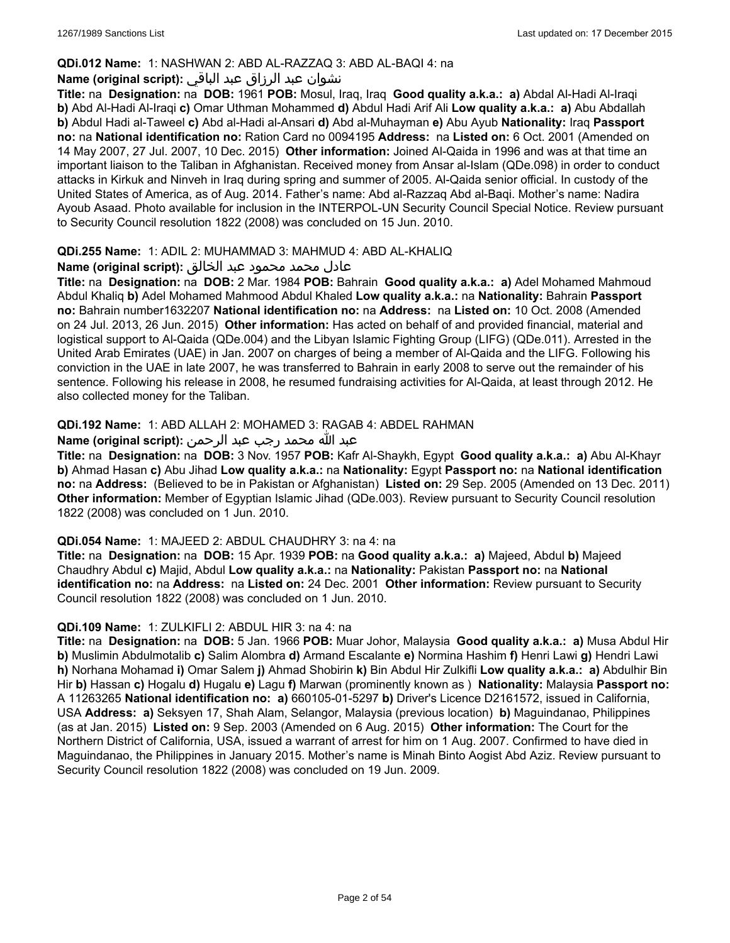### **QDi.012 Name:** 1: NASHWAN 2: ABD AL-RAZZAQ 3: ABD AL-BAQI 4: na

# نشوان عبد الرزاق عبد الباقي **:(script original (Name**

**Title:** na **Designation:** na **DOB:** 1961 **POB:** Mosul, Iraq, Iraq **Good quality a.k.a.: a)** Abdal Al-Hadi Al-Iraqi **b)** Abd Al-Hadi Al-Iraqi **c)** Omar Uthman Mohammed **d)** Abdul Hadi Arif Ali **Low quality a.k.a.: a)** Abu Abdallah **b)** Abdul Hadi al-Taweel **c)** Abd al-Hadi al-Ansari **d)** Abd al-Muhayman **e)** Abu Ayub **Nationality:** Iraq **Passport no:** na **National identification no:** Ration Card no 0094195 **Address:** na **Listed on:** 6 Oct. 2001 (Amended on 14 May 2007, 27 Jul. 2007, 10 Dec. 2015) **Other information:** Joined Al-Qaida in 1996 and was at that time an important liaison to the Taliban in Afghanistan. Received money from Ansar al-Islam (QDe.098) in order to conduct attacks in Kirkuk and Ninveh in Iraq during spring and summer of 2005. Al-Qaida senior official. In custody of the United States of America, as of Aug. 2014. Father's name: Abd al-Razzaq Abd al-Baqi. Mother's name: Nadira Ayoub Asaad. Photo available for inclusion in the INTERPOL-UN Security Council Special Notice. Review pursuant to Security Council resolution 1822 (2008) was concluded on 15 Jun. 2010.

### **QDi.255 Name:** 1: ADIL 2: MUHAMMAD 3: MAHMUD 4: ABD AL-KHALIQ

### عادل محمد محمود عبد الخالق **:(script original (Name**

**Title:** na **Designation:** na **DOB:** 2 Mar. 1984 **POB:** Bahrain **Good quality a.k.a.: a)** Adel Mohamed Mahmoud Abdul Khaliq **b)** Adel Mohamed Mahmood Abdul Khaled **Low quality a.k.a.:** na **Nationality:** Bahrain **Passport no:** Bahrain number1632207 **National identification no:** na **Address:** na **Listed on:** 10 Oct. 2008 (Amended on 24 Jul. 2013, 26 Jun. 2015) **Other information:** Has acted on behalf of and provided financial, material and logistical support to Al-Qaida (QDe.004) and the Libyan Islamic Fighting Group (LIFG) (QDe.011). Arrested in the United Arab Emirates (UAE) in Jan. 2007 on charges of being a member of Al-Qaida and the LIFG. Following his conviction in the UAE in late 2007, he was transferred to Bahrain in early 2008 to serve out the remainder of his sentence. Following his release in 2008, he resumed fundraising activities for Al-Qaida, at least through 2012. He also collected money for the Taliban.

### **QDi.192 Name:** 1: ABD ALLAH 2: MOHAMED 3: RAGAB 4: ABDEL RAHMAN

### عبد الله محمد رجب عبد الرحمن **:(script original (Name**

**Title:** na **Designation:** na **DOB:** 3 Nov. 1957 **POB:** Kafr Al-Shaykh, Egypt **Good quality a.k.a.: a)** Abu Al-Khayr **b)** Ahmad Hasan **c)** Abu Jihad **Low quality a.k.a.:** na **Nationality:** Egypt **Passport no:** na **National identification no:** na **Address:** (Believed to be in Pakistan or Afghanistan) **Listed on:** 29 Sep. 2005 (Amended on 13 Dec. 2011) **Other information:** Member of Egyptian Islamic Jihad (QDe.003). Review pursuant to Security Council resolution 1822 (2008) was concluded on 1 Jun. 2010.

#### **QDi.054 Name:** 1: MAJEED 2: ABDUL CHAUDHRY 3: na 4: na

**Title:** na **Designation:** na **DOB:** 15 Apr. 1939 **POB:** na **Good quality a.k.a.: a)** Majeed, Abdul **b)** Majeed Chaudhry Abdul **c)** Majid, Abdul **Low quality a.k.a.:** na **Nationality:** Pakistan **Passport no:** na **National identification no:** na **Address:** na **Listed on:** 24 Dec. 2001 **Other information:** Review pursuant to Security Council resolution 1822 (2008) was concluded on 1 Jun. 2010.

#### **QDi.109 Name:** 1: ZULKIFLI 2: ABDUL HIR 3: na 4: na

**Title:** na **Designation:** na **DOB:** 5 Jan. 1966 **POB:** Muar Johor, Malaysia **Good quality a.k.a.: a)** Musa Abdul Hir **b)** Muslimin Abdulmotalib **c)** Salim Alombra **d)** Armand Escalante **e)** Normina Hashim **f)** Henri Lawi **g)** Hendri Lawi **h)** Norhana Mohamad **i)** Omar Salem **j)** Ahmad Shobirin **k)** Bin Abdul Hir Zulkifli **Low quality a.k.a.: a)** Abdulhir Bin Hir **b)** Hassan **c)** Hogalu **d)** Hugalu **e)** Lagu **f)** Marwan (prominently known as ) **Nationality:** Malaysia **Passport no:** A 11263265 **National identification no: a)** 660105-01-5297 **b)** Driver's Licence D2161572, issued in California, USA **Address: a)** Seksyen 17, Shah Alam, Selangor, Malaysia (previous location) **b)** Maguindanao, Philippines (as at Jan. 2015) **Listed on:** 9 Sep. 2003 (Amended on 6 Aug. 2015) **Other information:** The Court for the Northern District of California, USA, issued a warrant of arrest for him on 1 Aug. 2007. Confirmed to have died in Maguindanao, the Philippines in January 2015. Mother's name is Minah Binto Aogist Abd Aziz. Review pursuant to Security Council resolution 1822 (2008) was concluded on 19 Jun. 2009.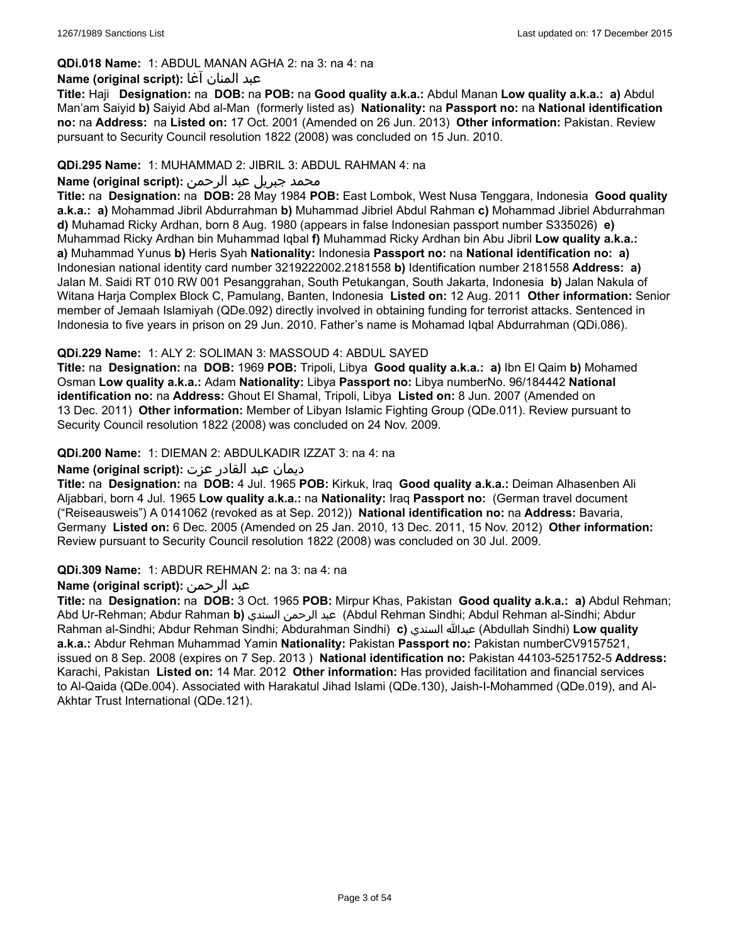# **QDi.018 Name:** 1: ABDUL MANAN AGHA 2: na 3: na 4: na

### عبد المنان آغا **:(script original (Name**

**Title:** Haji **Designation:** na **DOB:** na **POB:** na **Good quality a.k.a.:** Abdul Manan **Low quality a.k.a.: a)** Abdul Man'am Saiyid **b)** Saiyid Abd al-Man (formerly listed as) **Nationality:** na **Passport no:** na **National identification no:** na **Address:** na **Listed on:** 17 Oct. 2001 (Amended on 26 Jun. 2013) **Other information:** Pakistan. Review pursuant to Security Council resolution 1822 (2008) was concluded on 15 Jun. 2010.

### **QDi.295 Name:** 1: MUHAMMAD 2: JIBRIL 3: ABDUL RAHMAN 4: na

# محمد جبريل عبد الرحمن **:Name (original script**)

**Title:** na **Designation:** na **DOB:** 28 May 1984 **POB:** East Lombok, West Nusa Tenggara, Indonesia **Good quality a.k.a.: a)** Mohammad Jibril Abdurrahman **b)** Muhammad Jibriel Abdul Rahman **c)** Mohammad Jibriel Abdurrahman **d)** Muhamad Ricky Ardhan, born 8 Aug. 1980 (appears in false Indonesian passport number S335026) **e)** Muhammad Ricky Ardhan bin Muhammad Iqbal **f)** Muhammad Ricky Ardhan bin Abu Jibril **Low quality a.k.a.: a)** Muhammad Yunus **b)** Heris Syah **Nationality:** Indonesia **Passport no:** na **National identification no: a)** Indonesian national identity card number 3219222002.2181558 **b)** Identification number 2181558 **Address: a)** Jalan M. Saidi RT 010 RW 001 Pesanggrahan, South Petukangan, South Jakarta, Indonesia **b)** Jalan Nakula of Witana Harja Complex Block C, Pamulang, Banten, Indonesia **Listed on:** 12 Aug. 2011 **Other information:** Senior member of Jemaah Islamiyah (QDe.092) directly involved in obtaining funding for terrorist attacks. Sentenced in Indonesia to five years in prison on 29 Jun. 2010. Father's name is Mohamad Iqbal Abdurrahman (QDi.086).

### **QDi.229 Name:** 1: ALY 2: SOLIMAN 3: MASSOUD 4: ABDUL SAYED

**Title:** na **Designation:** na **DOB:** 1969 **POB:** Tripoli, Libya **Good quality a.k.a.: a)** Ibn El Qaim **b)** Mohamed Osman **Low quality a.k.a.:** Adam **Nationality:** Libya **Passport no:** Libya numberNo. 96/184442 **National identification no:** na **Address:** Ghout El Shamal, Tripoli, Libya **Listed on:** 8 Jun. 2007 (Amended on 13 Dec. 2011) **Other information:** Member of Libyan Islamic Fighting Group (QDe.011). Review pursuant to Security Council resolution 1822 (2008) was concluded on 24 Nov. 2009.

### **QDi.200 Name:** 1: DIEMAN 2: ABDULKADIR IZZAT 3: na 4: na

#### ديمان عبد القادر عزت **:(script original (Name**

**Title:** na **Designation:** na **DOB:** 4 Jul. 1965 **POB:** Kirkuk, Iraq **Good quality a.k.a.:** Deiman Alhasenben Ali Aljabbari, born 4 Jul. 1965 **Low quality a.k.a.:** na **Nationality:** Iraq **Passport no:** (German travel document ("Reiseausweis") A 0141062 (revoked as at Sep. 2012)) **National identification no:** na **Address:** Bavaria, Germany **Listed on:** 6 Dec. 2005 (Amended on 25 Jan. 2010, 13 Dec. 2011, 15 Nov. 2012) **Other information:** Review pursuant to Security Council resolution 1822 (2008) was concluded on 30 Jul. 2009.

#### **QDi.309 Name:** 1: ABDUR REHMAN 2: na 3: na 4: na

#### **Name (original script):** الرحمن عبد

**Title:** na **Designation:** na **DOB:** 3 Oct. 1965 **POB:** Mirpur Khas, Pakistan **Good quality a.k.a.: a)** Abdul Rehman; Abd Ur-Rehman; Abdur Rahman **b)** السندي الرحمن عبد) Abdul Rehman Sindhi; Abdul Rehman al-Sindhi; Abdur Rahman al-Sindhi; Abdur Rehman Sindhi; Abdurahman Sindhi) **c)** السندي عبدالله) Abdullah Sindhi) **Low quality a.k.a.:** Abdur Rehman Muhammad Yamin **Nationality:** Pakistan **Passport no:** Pakistan numberCV9157521, issued on 8 Sep. 2008 (expires on 7 Sep. 2013 ) **National identification no:** Pakistan 44103-5251752-5 **Address:** Karachi, Pakistan **Listed on:** 14 Mar. 2012 **Other information:** Has provided facilitation and financial services to Al-Qaida (QDe.004). Associated with Harakatul Jihad Islami (QDe.130), Jaish-I-Mohammed (QDe.019), and Al-Akhtar Trust International (QDe.121).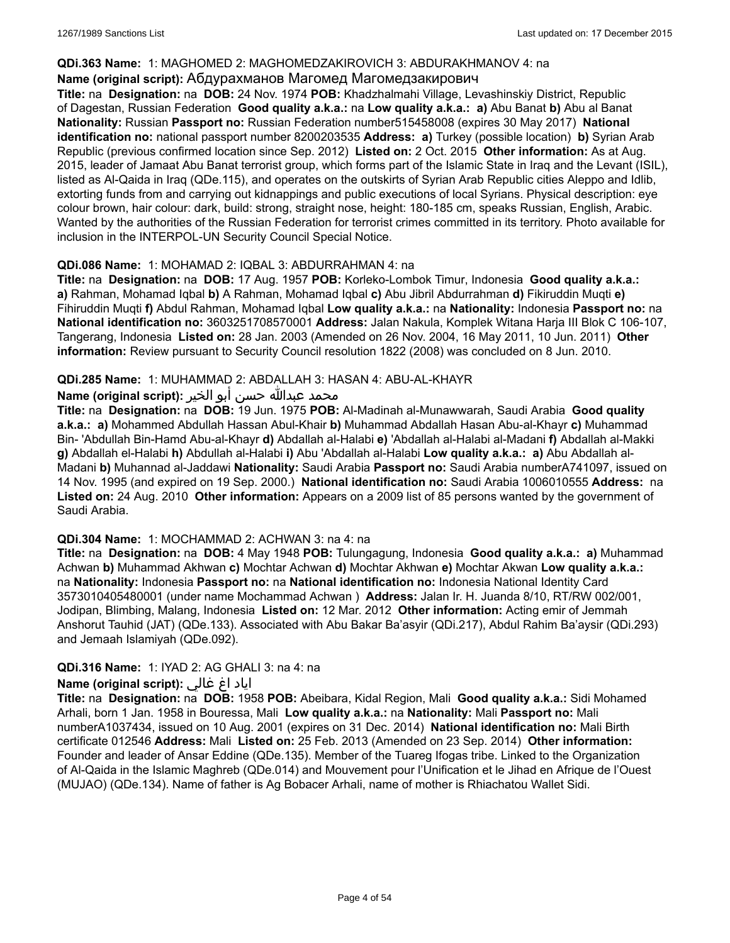# **QDi.363 Name:** 1: MAGHOMED 2: MAGHOMEDZAKIROVICH 3: ABDURAKHMANOV 4: na

### **Name (original script):** Абдурахманов Магомед Магомедзакирович

**Title:** na **Designation:** na **DOB:** 24 Nov. 1974 **POB:** Khadzhalmahi Village, Levashinskiy District, Republic of Dagestan, Russian Federation **Good quality a.k.a.:** na **Low quality a.k.a.: a)** Abu Banat **b)** Abu al Banat **Nationality:** Russian **Passport no:** Russian Federation number515458008 (expires 30 May 2017) **National identification no:** national passport number 8200203535 **Address: a)** Turkey (possible location) **b)** Syrian Arab Republic (previous confirmed location since Sep. 2012) **Listed on:** 2 Oct. 2015 **Other information:** As at Aug. 2015, leader of Jamaat Abu Banat terrorist group, which forms part of the Islamic State in Iraq and the Levant (ISIL), listed as Al-Qaida in Iraq (QDe.115), and operates on the outskirts of Syrian Arab Republic cities Aleppo and Idlib, extorting funds from and carrying out kidnappings and public executions of local Syrians. Physical description: eye colour brown, hair colour: dark, build: strong, straight nose, height: 180-185 cm, speaks Russian, English, Arabic. Wanted by the authorities of the Russian Federation for terrorist crimes committed in its territory. Photo available for inclusion in the INTERPOL-UN Security Council Special Notice.

### **QDi.086 Name:** 1: MOHAMAD 2: IQBAL 3: ABDURRAHMAN 4: na

**Title:** na **Designation:** na **DOB:** 17 Aug. 1957 **POB:** Korleko-Lombok Timur, Indonesia **Good quality a.k.a.: a)** Rahman, Mohamad Iqbal **b)** A Rahman, Mohamad Iqbal **c)** Abu Jibril Abdurrahman **d)** Fikiruddin Muqti **e)** Fihiruddin Muqti **f)** Abdul Rahman, Mohamad Iqbal **Low quality a.k.a.:** na **Nationality:** Indonesia **Passport no:** na **National identification no:** 3603251708570001 **Address:** Jalan Nakula, Komplek Witana Harja III Blok C 106-107, Tangerang, Indonesia **Listed on:** 28 Jan. 2003 (Amended on 26 Nov. 2004, 16 May 2011, 10 Jun. 2011) **Other information:** Review pursuant to Security Council resolution 1822 (2008) was concluded on 8 Jun. 2010.

### **QDi.285 Name:** 1: MUHAMMAD 2: ABDALLAH 3: HASAN 4: ABU-AL-KHAYR

# محمد عبدالله حسن أبو الخير :**(Name (original script**

**Title:** na **Designation:** na **DOB:** 19 Jun. 1975 **POB:** Al-Madinah al-Munawwarah, Saudi Arabia **Good quality a.k.a.: a)** Mohammed Abdullah Hassan Abul-Khair **b)** Muhammad Abdallah Hasan Abu-al-Khayr **c)** Muhammad Bin- 'Abdullah Bin-Hamd Abu-al-Khayr **d)** Abdallah al-Halabi **e)** 'Abdallah al-Halabi al-Madani **f)** Abdallah al-Makki **g)** Abdallah el-Halabi **h)** Abdullah al-Halabi **i)** Abu 'Abdallah al-Halabi **Low quality a.k.a.: a)** Abu Abdallah al-Madani **b)** Muhannad al-Jaddawi **Nationality:** Saudi Arabia **Passport no:** Saudi Arabia numberA741097, issued on 14 Nov. 1995 (and expired on 19 Sep. 2000.) **National identification no:** Saudi Arabia 1006010555 **Address:** na **Listed on:** 24 Aug. 2010 **Other information:** Appears on a 2009 list of 85 persons wanted by the government of Saudi Arabia.

#### **QDi.304 Name:** 1: MOCHAMMAD 2: ACHWAN 3: na 4: na

**Title:** na **Designation:** na **DOB:** 4 May 1948 **POB:** Tulungagung, Indonesia **Good quality a.k.a.: a)** Muhammad Achwan **b)** Muhammad Akhwan **c)** Mochtar Achwan **d)** Mochtar Akhwan **e)** Mochtar Akwan **Low quality a.k.a.:** na **Nationality:** Indonesia **Passport no:** na **National identification no:** Indonesia National Identity Card 3573010405480001 (under name Mochammad Achwan ) **Address:** Jalan Ir. H. Juanda 8/10, RT/RW 002/001, Jodipan, Blimbing, Malang, Indonesia **Listed on:** 12 Mar. 2012 **Other information:** Acting emir of Jemmah Anshorut Tauhid (JAT) (QDe.133). Associated with Abu Bakar Ba'asyir (QDi.217), Abdul Rahim Ba'aysir (QDi.293) and Jemaah Islamiyah (QDe.092).

# **QDi.316 Name:** 1: IYAD 2: AG GHALI 3: na 4: na

# اياد اغ غالي **:(script original (Name**

**Title:** na **Designation:** na **DOB:** 1958 **POB:** Abeibara, Kidal Region, Mali **Good quality a.k.a.:** Sidi Mohamed Arhali, born 1 Jan. 1958 in Bouressa, Mali **Low quality a.k.a.:** na **Nationality:** Mali **Passport no:** Mali numberA1037434, issued on 10 Aug. 2001 (expires on 31 Dec. 2014) **National identification no:** Mali Birth certificate 012546 **Address:** Mali **Listed on:** 25 Feb. 2013 (Amended on 23 Sep. 2014) **Other information:** Founder and leader of Ansar Eddine (QDe.135). Member of the Tuareg Ifogas tribe. Linked to the Organization of Al-Qaida in the Islamic Maghreb (QDe.014) and Mouvement pour l'Unification et le Jihad en Afrique de l'Ouest (MUJAO) (QDe.134). Name of father is Ag Bobacer Arhali, name of mother is Rhiachatou Wallet Sidi.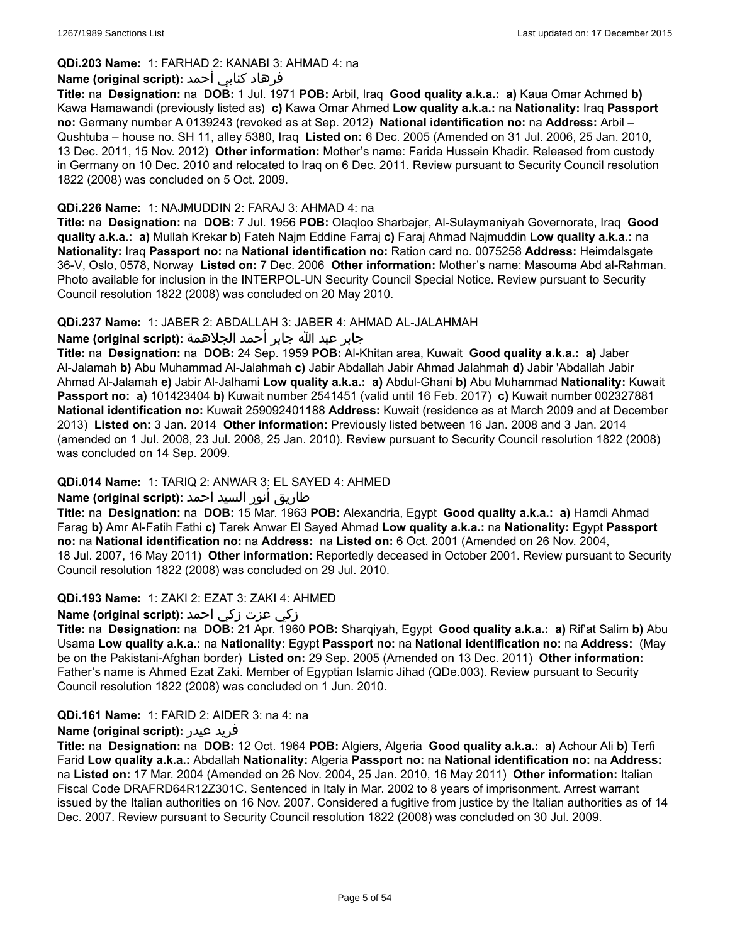# **QDi.203 Name:** 1: FARHAD 2: KANABI 3: AHMAD 4: na

# فرهاد كنابي أحمد **:Name (original script**)

**Title:** na **Designation:** na **DOB:** 1 Jul. 1971 **POB:** Arbil, Iraq **Good quality a.k.a.: a)** Kaua Omar Achmed **b)** Kawa Hamawandi (previously listed as) **c)** Kawa Omar Ahmed **Low quality a.k.a.:** na **Nationality:** Iraq **Passport no:** Germany number A 0139243 (revoked as at Sep. 2012) **National identification no:** na **Address:** Arbil – Qushtuba – house no. SH 11, alley 5380, Iraq **Listed on:** 6 Dec. 2005 (Amended on 31 Jul. 2006, 25 Jan. 2010, 13 Dec. 2011, 15 Nov. 2012) **Other information:** Mother's name: Farida Hussein Khadir. Released from custody in Germany on 10 Dec. 2010 and relocated to Iraq on 6 Dec. 2011. Review pursuant to Security Council resolution 1822 (2008) was concluded on 5 Oct. 2009.

### **QDi.226 Name:** 1: NAJMUDDIN 2: FARAJ 3: AHMAD 4: na

**Title:** na **Designation:** na **DOB:** 7 Jul. 1956 **POB:** Olaqloo Sharbajer, Al-Sulaymaniyah Governorate, Iraq **Good quality a.k.a.: a)** Mullah Krekar **b)** Fateh Najm Eddine Farraj **c)** Faraj Ahmad Najmuddin **Low quality a.k.a.:** na **Nationality:** Iraq **Passport no:** na **National identification no:** Ration card no. 0075258 **Address:** Heimdalsgate 36-V, Oslo, 0578, Norway **Listed on:** 7 Dec. 2006 **Other information:** Mother's name: Masouma Abd al-Rahman. Photo available for inclusion in the INTERPOL-UN Security Council Special Notice. Review pursuant to Security Council resolution 1822 (2008) was concluded on 20 May 2010.

### **QDi.237 Name:** 1: JABER 2: ABDALLAH 3: JABER 4: AHMAD AL-JALAHMAH

# جابر عبد الله جابر أحمد الجلاهمة **:(script original (Name**

**Title:** na **Designation:** na **DOB:** 24 Sep. 1959 **POB:** Al-Khitan area, Kuwait **Good quality a.k.a.: a)** Jaber Al-Jalamah **b)** Abu Muhammad Al-Jalahmah **c)** Jabir Abdallah Jabir Ahmad Jalahmah **d)** Jabir 'Abdallah Jabir Ahmad Al-Jalamah **e)** Jabir Al-Jalhami **Low quality a.k.a.: a)** Abdul-Ghani **b)** Abu Muhammad **Nationality:** Kuwait **Passport no: a)** 101423404 **b)** Kuwait number 2541451 (valid until 16 Feb. 2017) **c)** Kuwait number 002327881 **National identification no:** Kuwait 259092401188 **Address:** Kuwait (residence as at March 2009 and at December 2013) **Listed on:** 3 Jan. 2014 **Other information:** Previously listed between 16 Jan. 2008 and 3 Jan. 2014 (amended on 1 Jul. 2008, 23 Jul. 2008, 25 Jan. 2010). Review pursuant to Security Council resolution 1822 (2008) was concluded on 14 Sep. 2009.

# **QDi.014 Name:** 1: TARIQ 2: ANWAR 3: EL SAYED 4: AHMED

# طاريق أنور السيد احمد **:Name (original script**)

**Title:** na **Designation:** na **DOB:** 15 Mar. 1963 **POB:** Alexandria, Egypt **Good quality a.k.a.: a)** Hamdi Ahmad Farag **b)** Amr Al-Fatih Fathi **c)** Tarek Anwar El Sayed Ahmad **Low quality a.k.a.:** na **Nationality:** Egypt **Passport no:** na **National identification no:** na **Address:** na **Listed on:** 6 Oct. 2001 (Amended on 26 Nov. 2004, 18 Jul. 2007, 16 May 2011) **Other information:** Reportedly deceased in October 2001. Review pursuant to Security Council resolution 1822 (2008) was concluded on 29 Jul. 2010.

#### **QDi.193 Name:** 1: ZAKI 2: EZAT 3: ZAKI 4: AHMED

# زكي عزت زكي احمد **:(script original (Name**

**Title:** na **Designation:** na **DOB:** 21 Apr. 1960 **POB:** Sharqiyah, Egypt **Good quality a.k.a.: a)** Rif'at Salim **b)** Abu Usama **Low quality a.k.a.:** na **Nationality:** Egypt **Passport no:** na **National identification no:** na **Address:** (May be on the Pakistani-Afghan border) **Listed on:** 29 Sep. 2005 (Amended on 13 Dec. 2011) **Other information:** Father's name is Ahmed Ezat Zaki. Member of Egyptian Islamic Jihad (QDe.003). Review pursuant to Security Council resolution 1822 (2008) was concluded on 1 Jun. 2010.

#### **QDi.161 Name:** 1: FARID 2: AIDER 3: na 4: na

#### **Name (original script):** عيدر فريد

**Title:** na **Designation:** na **DOB:** 12 Oct. 1964 **POB:** Algiers, Algeria **Good quality a.k.a.: a)** Achour Ali **b)** Terfi Farid **Low quality a.k.a.:** Abdallah **Nationality:** Algeria **Passport no:** na **National identification no:** na **Address:**  na **Listed on:** 17 Mar. 2004 (Amended on 26 Nov. 2004, 25 Jan. 2010, 16 May 2011) **Other information:** Italian Fiscal Code DRAFRD64R12Z301C. Sentenced in Italy in Mar. 2002 to 8 years of imprisonment. Arrest warrant issued by the Italian authorities on 16 Nov. 2007. Considered a fugitive from justice by the Italian authorities as of 14 Dec. 2007. Review pursuant to Security Council resolution 1822 (2008) was concluded on 30 Jul. 2009.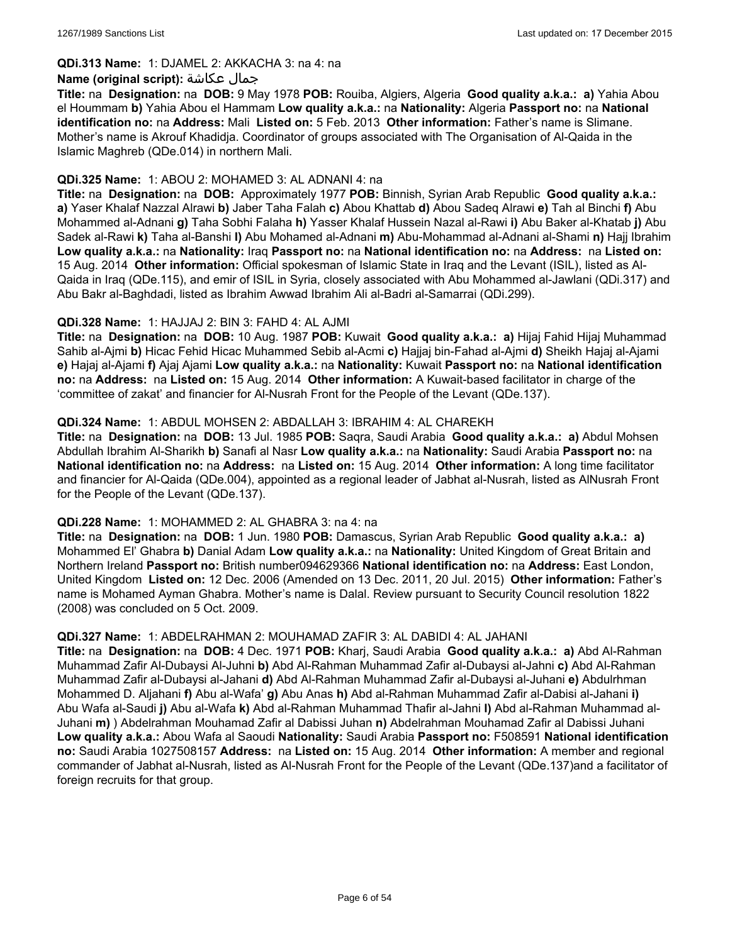#### **QDi.313 Name:** 1: DJAMEL 2: AKKACHA 3: na 4: na

#### **Name (original script):** عكاشة جمال

**Title:** na **Designation:** na **DOB:** 9 May 1978 **POB:** Rouiba, Algiers, Algeria **Good quality a.k.a.: a)** Yahia Abou el Hoummam **b)** Yahia Abou el Hammam **Low quality a.k.a.:** na **Nationality:** Algeria **Passport no:** na **National identification no:** na **Address:** Mali **Listed on:** 5 Feb. 2013 **Other information:** Father's name is Slimane. Mother's name is Akrouf Khadidja. Coordinator of groups associated with The Organisation of Al-Qaida in the Islamic Maghreb (QDe.014) in northern Mali.

### **QDi.325 Name:** 1: ABOU 2: MOHAMED 3: AL ADNANI 4: na

**Title:** na **Designation:** na **DOB:** Approximately 1977 **POB:** Binnish, Syrian Arab Republic **Good quality a.k.a.: a)** Yaser Khalaf Nazzal Alrawi **b)** Jaber Taha Falah **c)** Abou Khattab **d)** Abou Sadeq Alrawi **e)** Tah al Binchi **f)** Abu Mohammed al-Adnani **g)** Taha Sobhi Falaha **h)** Yasser Khalaf Hussein Nazal al-Rawi **i)** Abu Baker al-Khatab **j)** Abu Sadek al-Rawi **k)** Taha al-Banshi **l)** Abu Mohamed al-Adnani **m)** Abu-Mohammad al-Adnani al-Shami **n)** Hajj Ibrahim **Low quality a.k.a.:** na **Nationality:** Iraq **Passport no:** na **National identification no:** na **Address:** na **Listed on:** 15 Aug. 2014 **Other information:** Official spokesman of Islamic State in Iraq and the Levant (ISIL), listed as Al-Qaida in Iraq (QDe.115), and emir of ISIL in Syria, closely associated with Abu Mohammed al-Jawlani (QDi.317) and Abu Bakr al-Baghdadi, listed as Ibrahim Awwad Ibrahim Ali al-Badri al-Samarrai (QDi.299).

### **QDi.328 Name:** 1: HAJJAJ 2: BIN 3: FAHD 4: AL AJMI

**Title:** na **Designation:** na **DOB:** 10 Aug. 1987 **POB:** Kuwait **Good quality a.k.a.: a)** Hijaj Fahid Hijaj Muhammad Sahib al-Ajmi **b)** Hicac Fehid Hicac Muhammed Sebib al-Acmi **c)** Hajjaj bin-Fahad al-Ajmi **d)** Sheikh Hajaj al-Ajami **e)** Hajaj al-Ajami **f)** Ajaj Ajami **Low quality a.k.a.:** na **Nationality:** Kuwait **Passport no:** na **National identification no:** na **Address:** na **Listed on:** 15 Aug. 2014 **Other information:** A Kuwait-based facilitator in charge of the 'committee of zakat' and financier for Al-Nusrah Front for the People of the Levant (QDe.137).

### **QDi.324 Name:** 1: ABDUL MOHSEN 2: ABDALLAH 3: IBRAHIM 4: AL CHAREKH

**Title:** na **Designation:** na **DOB:** 13 Jul. 1985 **POB:** Saqra, Saudi Arabia **Good quality a.k.a.: a)** Abdul Mohsen Abdullah Ibrahim Al-Sharikh **b)** Sanafi al Nasr **Low quality a.k.a.:** na **Nationality:** Saudi Arabia **Passport no:** na **National identification no:** na **Address:** na **Listed on:** 15 Aug. 2014 **Other information:** A long time facilitator and financier for Al-Qaida (QDe.004), appointed as a regional leader of Jabhat al-Nusrah, listed as AlNusrah Front for the People of the Levant (QDe.137).

#### **QDi.228 Name:** 1: MOHAMMED 2: AL GHABRA 3: na 4: na

**Title:** na **Designation:** na **DOB:** 1 Jun. 1980 **POB:** Damascus, Syrian Arab Republic **Good quality a.k.a.: a)** Mohammed El' Ghabra **b)** Danial Adam **Low quality a.k.a.:** na **Nationality:** United Kingdom of Great Britain and Northern Ireland **Passport no:** British number094629366 **National identification no:** na **Address:** East London, United Kingdom **Listed on:** 12 Dec. 2006 (Amended on 13 Dec. 2011, 20 Jul. 2015) **Other information:** Father's name is Mohamed Ayman Ghabra. Mother's name is Dalal. Review pursuant to Security Council resolution 1822 (2008) was concluded on 5 Oct. 2009.

#### **QDi.327 Name:** 1: ABDELRAHMAN 2: MOUHAMAD ZAFIR 3: AL DABIDI 4: AL JAHANI

**Title:** na **Designation:** na **DOB:** 4 Dec. 1971 **POB:** Kharj, Saudi Arabia **Good quality a.k.a.: a)** Abd Al-Rahman Muhammad Zafir Al-Dubaysi Al-Juhni **b)** Abd Al-Rahman Muhammad Zafir al-Dubaysi al-Jahni **c)** Abd Al-Rahman Muhammad Zafir al-Dubaysi al-Jahani **d)** Abd Al-Rahman Muhammad Zafir al-Dubaysi al-Juhani **e)** Abdulrhman Mohammed D. Aljahani **f)** Abu al-Wafa' **g)** Abu Anas **h)** Abd al-Rahman Muhammad Zafir al-Dabisi al-Jahani **i)** Abu Wafa al-Saudi **j)** Abu al-Wafa **k)** Abd al-Rahman Muhammad Thafir al-Jahni **l)** Abd al-Rahman Muhammad al-Juhani **m)** ) Abdelrahman Mouhamad Zafir al Dabissi Juhan **n)** Abdelrahman Mouhamad Zafir al Dabissi Juhani **Low quality a.k.a.:** Abou Wafa al Saoudi **Nationality:** Saudi Arabia **Passport no:** F508591 **National identification no:** Saudi Arabia 1027508157 **Address:** na **Listed on:** 15 Aug. 2014 **Other information:** A member and regional commander of Jabhat al-Nusrah, listed as Al-Nusrah Front for the People of the Levant (QDe.137)and a facilitator of foreign recruits for that group.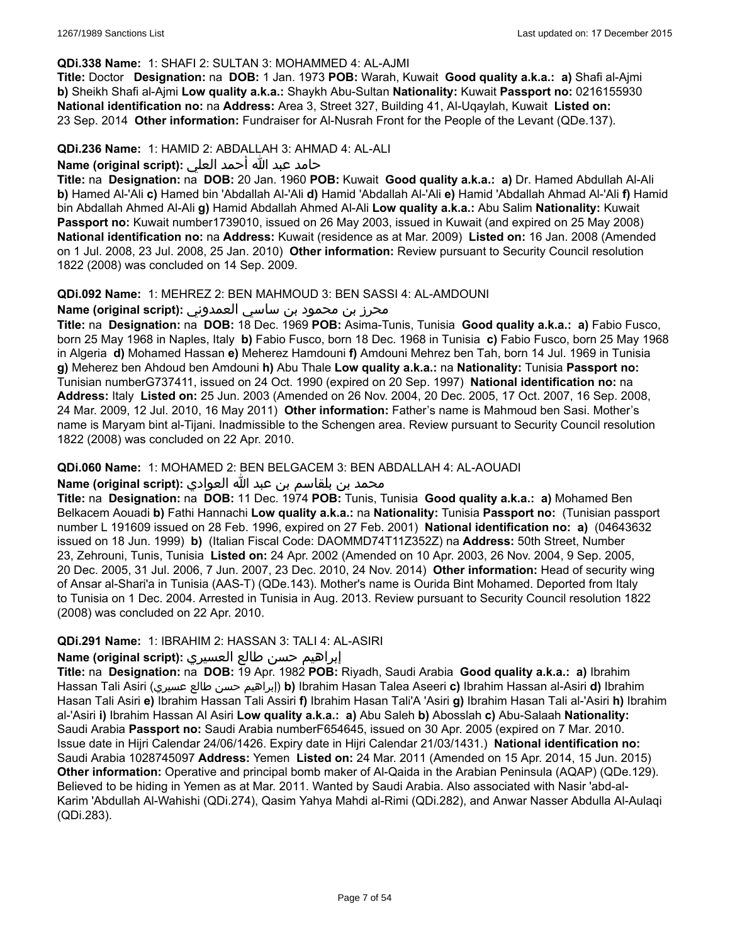### **QDi.338 Name:** 1: SHAFI 2: SULTAN 3: MOHAMMED 4: AL-AJMI

**Title:** Doctor **Designation:** na **DOB:** 1 Jan. 1973 **POB:** Warah, Kuwait **Good quality a.k.a.: a)** Shafi al-Ajmi **b)** Sheikh Shafi al-Ajmi **Low quality a.k.a.:** Shaykh Abu-Sultan **Nationality:** Kuwait **Passport no:** 0216155930 **National identification no:** na **Address:** Area 3, Street 327, Building 41, Al-Uqaylah, Kuwait **Listed on:** 23 Sep. 2014 **Other information:** Fundraiser for Al-Nusrah Front for the People of the Levant (QDe.137).

### **QDi.236 Name:** 1: HAMID 2: ABDALLAH 3: AHMAD 4: AL-ALI

### حامد عبد الله أحمد العلي : Name (original script)

**Title:** na **Designation:** na **DOB:** 20 Jan. 1960 **POB:** Kuwait **Good quality a.k.a.: a)** Dr. Hamed Abdullah Al-Ali **b)** Hamed Al-'Ali **c)** Hamed bin 'Abdallah Al-'Ali **d)** Hamid 'Abdallah Al-'Ali **e)** Hamid 'Abdallah Ahmad Al-'Ali **f)** Hamid bin Abdallah Ahmed Al-Ali **g)** Hamid Abdallah Ahmed Al-Ali **Low quality a.k.a.:** Abu Salim **Nationality:** Kuwait **Passport no:** Kuwait number1739010, issued on 26 May 2003, issued in Kuwait (and expired on 25 May 2008) **National identification no:** na **Address:** Kuwait (residence as at Mar. 2009) **Listed on:** 16 Jan. 2008 (Amended on 1 Jul. 2008, 23 Jul. 2008, 25 Jan. 2010) **Other information:** Review pursuant to Security Council resolution 1822 (2008) was concluded on 14 Sep. 2009.

### **QDi.092 Name:** 1: MEHREZ 2: BEN MAHMOUD 3: BEN SASSI 4: AL-AMDOUNI

### محرز بن محمود بن ساسي العمدوني :Name (original script)

**Title:** na **Designation:** na **DOB:** 18 Dec. 1969 **POB:** Asima-Tunis, Tunisia **Good quality a.k.a.: a)** Fabio Fusco, born 25 May 1968 in Naples, Italy **b)** Fabio Fusco, born 18 Dec. 1968 in Tunisia **c)** Fabio Fusco, born 25 May 1968 in Algeria **d)** Mohamed Hassan **e)** Meherez Hamdouni **f)** Amdouni Mehrez ben Tah, born 14 Jul. 1969 in Tunisia **g)** Meherez ben Ahdoud ben Amdouni **h)** Abu Thale **Low quality a.k.a.:** na **Nationality:** Tunisia **Passport no:** Tunisian numberG737411, issued on 24 Oct. 1990 (expired on 20 Sep. 1997) **National identification no:** na **Address:** Italy **Listed on:** 25 Jun. 2003 (Amended on 26 Nov. 2004, 20 Dec. 2005, 17 Oct. 2007, 16 Sep. 2008, 24 Mar. 2009, 12 Jul. 2010, 16 May 2011) **Other information:** Father's name is Mahmoud ben Sasi. Mother's name is Maryam bint al-Tijani. Inadmissible to the Schengen area. Review pursuant to Security Council resolution 1822 (2008) was concluded on 22 Apr. 2010.

### **QDi.060 Name:** 1: MOHAMED 2: BEN BELGACEM 3: BEN ABDALLAH 4: AL-AOUADI

# محمد بن بلقاسم بن عبد الله العوادي **:Name (original script**)

**Title:** na **Designation:** na **DOB:** 11 Dec. 1974 **POB:** Tunis, Tunisia **Good quality a.k.a.: a)** Mohamed Ben Belkacem Aouadi **b)** Fathi Hannachi **Low quality a.k.a.:** na **Nationality:** Tunisia **Passport no:** (Tunisian passport number L 191609 issued on 28 Feb. 1996, expired on 27 Feb. 2001) **National identification no: a)** (04643632 issued on 18 Jun. 1999) **b)** (Italian Fiscal Code: DAOMMD74T11Z352Z) na **Address:** 50th Street, Number 23, Zehrouni, Tunis, Tunisia **Listed on:** 24 Apr. 2002 (Amended on 10 Apr. 2003, 26 Nov. 2004, 9 Sep. 2005, 20 Dec. 2005, 31 Jul. 2006, 7 Jun. 2007, 23 Dec. 2010, 24 Nov. 2014) **Other information:** Head of security wing of Ansar al-Shari'a in Tunisia (AAS-T) (QDe.143). Mother's name is Ourida Bint Mohamed. Deported from Italy to Tunisia on 1 Dec. 2004. Arrested in Tunisia in Aug. 2013. Review pursuant to Security Council resolution 1822 (2008) was concluded on 22 Apr. 2010.

# **QDi.291 Name:** 1: IBRAHIM 2: HASSAN 3: TALI 4: AL-ASIRI

#### إبراهيم حسن طالع العسيري **:(script original (Name**

**Title:** na **Designation:** na **DOB:** 19 Apr. 1982 **POB:** Riyadh, Saudi Arabia **Good quality a.k.a.: a)** Ibrahim Hassan Tali Asiri (عسيري طالع حسن إبراهيم(**b)** Ibrahim Hasan Talea Aseeri **c)** Ibrahim Hassan al-Asiri **d)** Ibrahim Hasan Tali Asiri **e)** Ibrahim Hassan Tali Assiri **f)** Ibrahim Hasan Tali'A 'Asiri **g)** Ibrahim Hasan Tali al-'Asiri **h)** Ibrahim al-'Asiri **i)** Ibrahim Hassan Al Asiri **Low quality a.k.a.: a)** Abu Saleh **b)** Abosslah **c)** Abu-Salaah **Nationality:** Saudi Arabia **Passport no:** Saudi Arabia numberF654645, issued on 30 Apr. 2005 (expired on 7 Mar. 2010. Issue date in Hijri Calendar 24/06/1426. Expiry date in Hijri Calendar 21/03/1431.) **National identification no:** Saudi Arabia 1028745097 **Address:** Yemen **Listed on:** 24 Mar. 2011 (Amended on 15 Apr. 2014, 15 Jun. 2015) **Other information:** Operative and principal bomb maker of Al-Qaida in the Arabian Peninsula (AQAP) (QDe.129). Believed to be hiding in Yemen as at Mar. 2011. Wanted by Saudi Arabia. Also associated with Nasir 'abd-al-Karim 'Abdullah Al-Wahishi (QDi.274), Qasim Yahya Mahdi al-Rimi (QDi.282), and Anwar Nasser Abdulla Al-Aulaqi (QDi.283).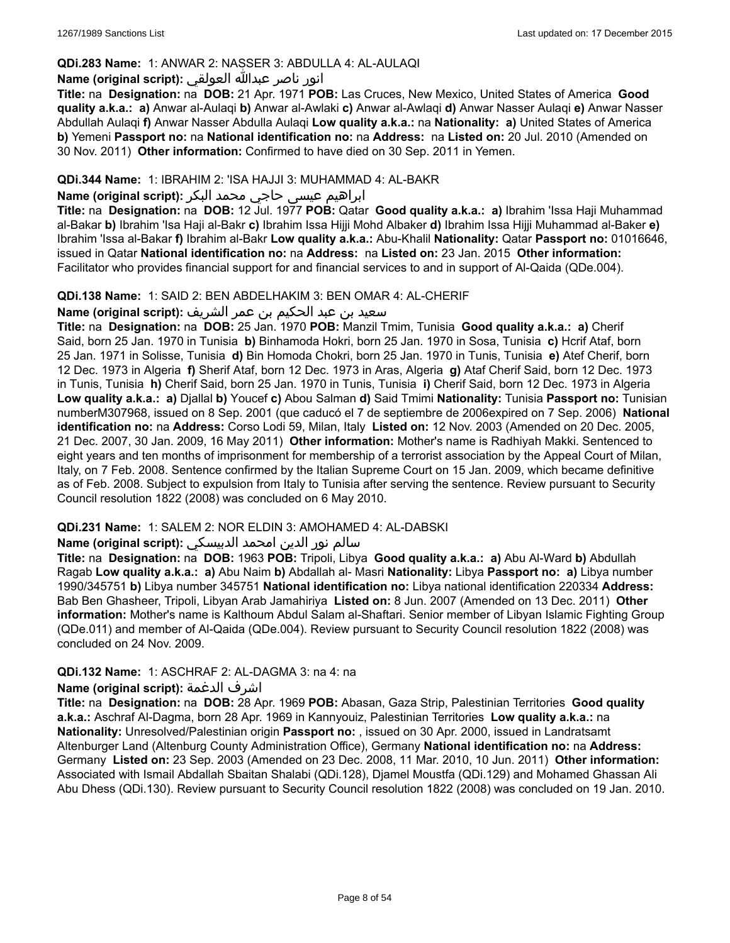# **QDi.283 Name:** 1: ANWAR 2: NASSER 3: ABDULLA 4: AL-AULAQI

# انور ناصر عبدالله العولقي **:(script original (Name**

**Title:** na **Designation:** na **DOB:** 21 Apr. 1971 **POB:** Las Cruces, New Mexico, United States of America **Good quality a.k.a.: a)** Anwar al-Aulaqi **b)** Anwar al-Awlaki **c)** Anwar al-Awlaqi **d)** Anwar Nasser Aulaqi **e)** Anwar Nasser Abdullah Aulaqi **f)** Anwar Nasser Abdulla Aulaqi **Low quality a.k.a.:** na **Nationality: a)** United States of America **b)** Yemeni **Passport no:** na **National identification no:** na **Address:** na **Listed on:** 20 Jul. 2010 (Amended on 30 Nov. 2011) **Other information:** Confirmed to have died on 30 Sep. 2011 in Yemen.

### **QDi.344 Name:** 1: IBRAHIM 2: 'ISA HAJJI 3: MUHAMMAD 4: AL-BAKR

# ابراهیم عیسی حاجي محمد البکر **:(script original (Name**

**Title:** na **Designation:** na **DOB:** 12 Jul. 1977 **POB:** Qatar **Good quality a.k.a.: a)** Ibrahim 'Issa Haji Muhammad al-Bakar **b)** Ibrahim 'Isa Haji al-Bakr **c)** Ibrahim Issa Hijji Mohd Albaker **d)** Ibrahim Issa Hijji Muhammad al-Baker **e)** Ibrahim 'Issa al-Bakar **f)** Ibrahim al-Bakr **Low quality a.k.a.:** Abu-Khalil **Nationality:** Qatar **Passport no:** 01016646, issued in Qatar **National identification no:** na **Address:** na **Listed on:** 23 Jan. 2015 **Other information:** Facilitator who provides financial support for and financial services to and in support of Al-Qaida (QDe.004).

### **QDi.138 Name:** 1: SAID 2: BEN ABDELHAKIM 3: BEN OMAR 4: AL-CHERIF

سعيد بن عبد الحكيم بن عمر الشريف **:(script original (Name**

**Title:** na **Designation:** na **DOB:** 25 Jan. 1970 **POB:** Manzil Tmim, Tunisia **Good quality a.k.a.: a)** Cherif Said, born 25 Jan. 1970 in Tunisia **b)** Binhamoda Hokri, born 25 Jan. 1970 in Sosa, Tunisia **c)** Hcrif Ataf, born 25 Jan. 1971 in Solisse, Tunisia **d)** Bin Homoda Chokri, born 25 Jan. 1970 in Tunis, Tunisia **e)** Atef Cherif, born 12 Dec. 1973 in Algeria **f)** Sherif Ataf, born 12 Dec. 1973 in Aras, Algeria **g)** Ataf Cherif Said, born 12 Dec. 1973 in Tunis, Tunisia **h)** Cherif Said, born 25 Jan. 1970 in Tunis, Tunisia **i)** Cherif Said, born 12 Dec. 1973 in Algeria **Low quality a.k.a.: a)** Djallal **b)** Youcef **c)** Abou Salman **d)** Said Tmimi **Nationality:** Tunisia **Passport no:** Tunisian numberM307968, issued on 8 Sep. 2001 (que caducó el 7 de septiembre de 2006expired on 7 Sep. 2006) **National identification no:** na **Address:** Corso Lodi 59, Milan, Italy **Listed on:** 12 Nov. 2003 (Amended on 20 Dec. 2005, 21 Dec. 2007, 30 Jan. 2009, 16 May 2011) **Other information:** Mother's name is Radhiyah Makki. Sentenced to eight years and ten months of imprisonment for membership of a terrorist association by the Appeal Court of Milan, Italy, on 7 Feb. 2008. Sentence confirmed by the Italian Supreme Court on 15 Jan. 2009, which became definitive as of Feb. 2008. Subject to expulsion from Italy to Tunisia after serving the sentence. Review pursuant to Security Council resolution 1822 (2008) was concluded on 6 May 2010.

# **QDi.231 Name:** 1: SALEM 2: NOR ELDIN 3: AMOHAMED 4: AL-DABSKI

# سالم نور الدين امحمد الدبيسكي **:(script original (Name**

**Title:** na **Designation:** na **DOB:** 1963 **POB:** Tripoli, Libya **Good quality a.k.a.: a)** Abu Al-Ward **b)** Abdullah Ragab **Low quality a.k.a.: a)** Abu Naim **b)** Abdallah al- Masri **Nationality:** Libya **Passport no: a)** Libya number 1990/345751 **b)** Libya number 345751 **National identification no:** Libya national identification 220334 **Address:** Bab Ben Ghasheer, Tripoli, Libyan Arab Jamahiriya **Listed on:** 8 Jun. 2007 (Amended on 13 Dec. 2011) **Other information:** Mother's name is Kalthoum Abdul Salam al-Shaftari. Senior member of Libyan Islamic Fighting Group (QDe.011) and member of Al-Qaida (QDe.004). Review pursuant to Security Council resolution 1822 (2008) was concluded on 24 Nov. 2009.

#### **QDi.132 Name:** 1: ASCHRAF 2: AL-DAGMA 3: na 4: na

#### **Name (original script):** الدغمة اشرف

**Title:** na **Designation:** na **DOB:** 28 Apr. 1969 **POB:** Abasan, Gaza Strip, Palestinian Territories **Good quality a.k.a.:** Aschraf Al-Dagma, born 28 Apr. 1969 in Kannyouiz, Palestinian Territories **Low quality a.k.a.:** na **Nationality:** Unresolved/Palestinian origin **Passport no:** , issued on 30 Apr. 2000, issued in Landratsamt Altenburger Land (Altenburg County Administration Office), Germany **National identification no:** na **Address:** Germany **Listed on:** 23 Sep. 2003 (Amended on 23 Dec. 2008, 11 Mar. 2010, 10 Jun. 2011) **Other information:** Associated with Ismail Abdallah Sbaitan Shalabi (QDi.128), Djamel Moustfa (QDi.129) and Mohamed Ghassan Ali Abu Dhess (QDi.130). Review pursuant to Security Council resolution 1822 (2008) was concluded on 19 Jan. 2010.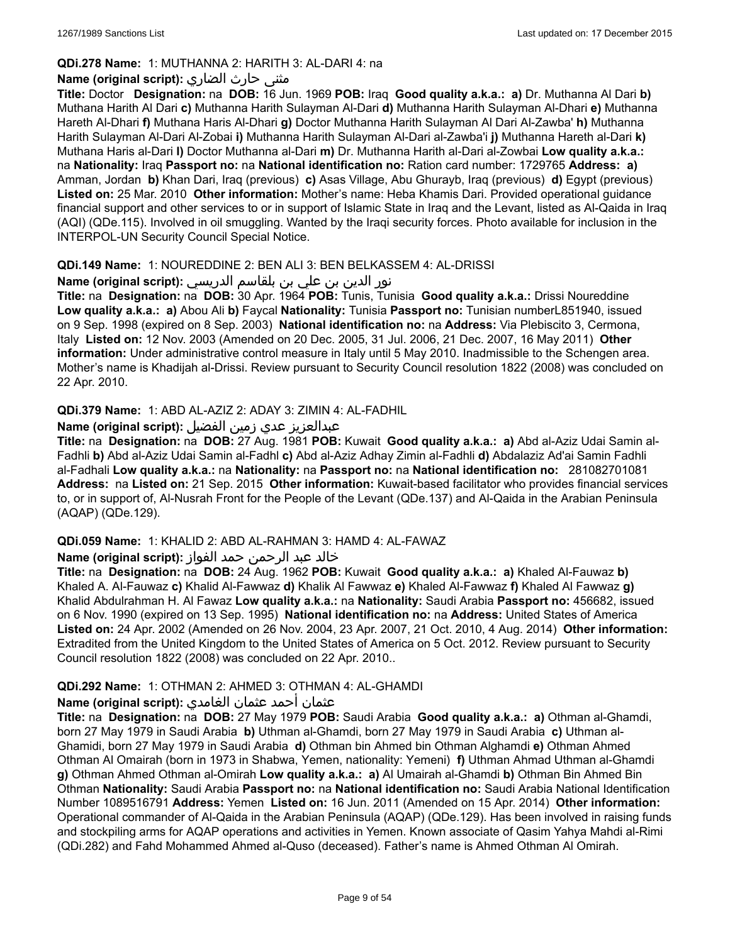# **QDi.278 Name:** 1: MUTHANNA 2: HARITH 3: AL-DARI 4: na

# مثنى حارث الضاري **:Name (original script**)

**Title:** Doctor **Designation:** na **DOB:** 16 Jun. 1969 **POB:** Iraq **Good quality a.k.a.: a)** Dr. Muthanna Al Dari **b)** Muthana Harith Al Dari **c)** Muthanna Harith Sulayman Al-Dari **d)** Muthanna Harith Sulayman Al-Dhari **e)** Muthanna Hareth Al-Dhari **f)** Muthana Haris Al-Dhari **g)** Doctor Muthanna Harith Sulayman Al Dari Al-Zawba' **h)** Muthanna Harith Sulayman Al-Dari Al-Zobai **i)** Muthanna Harith Sulayman Al-Dari al-Zawba'i **j)** Muthanna Hareth al-Dari **k)** Muthana Haris al-Dari **l)** Doctor Muthanna al-Dari **m)** Dr. Muthanna Harith al-Dari al-Zowbai **Low quality a.k.a.:** na **Nationality:** Iraq **Passport no:** na **National identification no:** Ration card number: 1729765 **Address: a)** Amman, Jordan **b)** Khan Dari, Iraq (previous) **c)** Asas Village, Abu Ghurayb, Iraq (previous) **d)** Egypt (previous) **Listed on:** 25 Mar. 2010 **Other information:** Mother's name: Heba Khamis Dari. Provided operational guidance financial support and other services to or in support of Islamic State in Iraq and the Levant, listed as Al-Qaida in Iraq (AQI) (QDe.115). Involved in oil smuggling. Wanted by the Iraqi security forces. Photo available for inclusion in the INTERPOL-UN Security Council Special Notice.

# **QDi.149 Name:** 1: NOUREDDINE 2: BEN ALI 3: BEN BELKASSEM 4: AL-DRISSI

نور الدين بن علي بن بلقاسم الدريسي :(Name (original script

**Title:** na **Designation:** na **DOB:** 30 Apr. 1964 **POB:** Tunis, Tunisia **Good quality a.k.a.:** Drissi Noureddine **Low quality a.k.a.: a)** Abou Ali **b)** Faycal **Nationality:** Tunisia **Passport no:** Tunisian numberL851940, issued on 9 Sep. 1998 (expired on 8 Sep. 2003) **National identification no:** na **Address:** Via Plebiscito 3, Cermona, Italy **Listed on:** 12 Nov. 2003 (Amended on 20 Dec. 2005, 31 Jul. 2006, 21 Dec. 2007, 16 May 2011) **Other information:** Under administrative control measure in Italy until 5 May 2010. Inadmissible to the Schengen area. Mother's name is Khadijah al-Drissi. Review pursuant to Security Council resolution 1822 (2008) was concluded on 22 Apr. 2010.

# **QDi.379 Name:** 1: ABD AL-AZIZ 2: ADAY 3: ZIMIN 4: AL-FADHIL

# عبدالعزیز عدي زمین الفضیل **:(script original (Name**

**Title:** na **Designation:** na **DOB:** 27 Aug. 1981 **POB:** Kuwait **Good quality a.k.a.: a)** Abd al-Aziz Udai Samin al-Fadhli **b)** Abd al-Aziz Udai Samin al-Fadhl **c)** Abd al-Aziz Adhay Zimin al-Fadhli **d)** Abdalaziz Ad'ai Samin Fadhli al-Fadhali **Low quality a.k.a.:** na **Nationality:** na **Passport no:** na **National identification no:** 281082701081 **Address:** na **Listed on:** 21 Sep. 2015 **Other information:** Kuwait-based facilitator who provides financial services to, or in support of, Al-Nusrah Front for the People of the Levant (QDe.137) and Al-Qaida in the Arabian Peninsula (AQAP) (QDe.129).

# **QDi.059 Name:** 1: KHALID 2: ABD AL-RAHMAN 3: HAMD 4: AL-FAWAZ

# خالد عبد الرحمن حمد الفواز **:(script original (Name**

**Title:** na **Designation:** na **DOB:** 24 Aug. 1962 **POB:** Kuwait **Good quality a.k.a.: a)** Khaled Al-Fauwaz **b)** Khaled A. Al-Fauwaz **c)** Khalid Al-Fawwaz **d)** Khalik Al Fawwaz **e)** Khaled Al-Fawwaz **f)** Khaled Al Fawwaz **g)** Khalid Abdulrahman H. Al Fawaz **Low quality a.k.a.:** na **Nationality:** Saudi Arabia **Passport no:** 456682, issued on 6 Nov. 1990 (expired on 13 Sep. 1995) **National identification no:** na **Address:** United States of America **Listed on:** 24 Apr. 2002 (Amended on 26 Nov. 2004, 23 Apr. 2007, 21 Oct. 2010, 4 Aug. 2014) **Other information:** Extradited from the United Kingdom to the United States of America on 5 Oct. 2012. Review pursuant to Security Council resolution 1822 (2008) was concluded on 22 Apr. 2010..

# **QDi.292 Name:** 1: OTHMAN 2: AHMED 3: OTHMAN 4: AL-GHAMDI

# عثمان أحمد عثمان الغامدي **:(script original (Name**

**Title:** na **Designation:** na **DOB:** 27 May 1979 **POB:** Saudi Arabia **Good quality a.k.a.: a)** Othman al-Ghamdi, born 27 May 1979 in Saudi Arabia **b)** Uthman al-Ghamdi, born 27 May 1979 in Saudi Arabia **c)** Uthman al-Ghamidi, born 27 May 1979 in Saudi Arabia **d)** Othman bin Ahmed bin Othman Alghamdi **e)** Othman Ahmed Othman Al Omairah (born in 1973 in Shabwa, Yemen, nationality: Yemeni) **f)** Uthman Ahmad Uthman al-Ghamdi **g)** Othman Ahmed Othman al-Omirah **Low quality a.k.a.: a)** Al Umairah al-Ghamdi **b)** Othman Bin Ahmed Bin Othman **Nationality:** Saudi Arabia **Passport no:** na **National identification no:** Saudi Arabia National Identification Number 1089516791 **Address:** Yemen **Listed on:** 16 Jun. 2011 (Amended on 15 Apr. 2014) **Other information:** Operational commander of Al-Qaida in the Arabian Peninsula (AQAP) (QDe.129). Has been involved in raising funds and stockpiling arms for AQAP operations and activities in Yemen. Known associate of Qasim Yahya Mahdi al-Rimi (QDi.282) and Fahd Mohammed Ahmed al-Quso (deceased). Father's name is Ahmed Othman Al Omirah.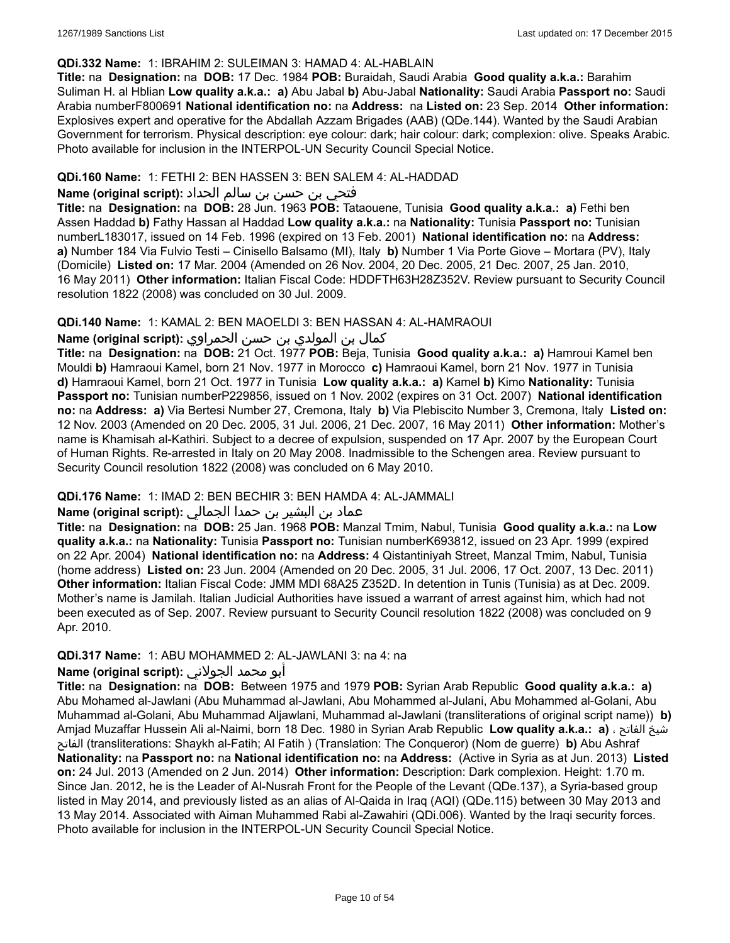### **QDi.332 Name:** 1: IBRAHIM 2: SULEIMAN 3: HAMAD 4: AL-HABLAIN

**Title:** na **Designation:** na **DOB:** 17 Dec. 1984 **POB:** Buraidah, Saudi Arabia **Good quality a.k.a.:** Barahim Suliman H. al Hblian **Low quality a.k.a.: a)** Abu Jabal **b)** Abu-Jabal **Nationality:** Saudi Arabia **Passport no:** Saudi Arabia numberF800691 **National identification no:** na **Address:** na **Listed on:** 23 Sep. 2014 **Other information:** Explosives expert and operative for the Abdallah Azzam Brigades (AAB) (QDe.144). Wanted by the Saudi Arabian Government for terrorism. Physical description: eye colour: dark; hair colour: dark; complexion: olive. Speaks Arabic. Photo available for inclusion in the INTERPOL-UN Security Council Special Notice.

### **QDi.160 Name:** 1: FETHI 2: BEN HASSEN 3: BEN SALEM 4: AL-HADDAD

### فتحي بن حسن بن سالم الحداد **:(script original (Name**

**Title:** na **Designation:** na **DOB:** 28 Jun. 1963 **POB:** Tataouene, Tunisia **Good quality a.k.a.: a)** Fethi ben Assen Haddad **b)** Fathy Hassan al Haddad **Low quality a.k.a.:** na **Nationality:** Tunisia **Passport no:** Tunisian numberL183017, issued on 14 Feb. 1996 (expired on 13 Feb. 2001) **National identification no:** na **Address: a)** Number 184 Via Fulvio Testi – Cinisello Balsamo (MI), Italy **b)** Number 1 Via Porte Giove – Mortara (PV), Italy (Domicile) **Listed on:** 17 Mar. 2004 (Amended on 26 Nov. 2004, 20 Dec. 2005, 21 Dec. 2007, 25 Jan. 2010, 16 May 2011) **Other information:** Italian Fiscal Code: HDDFTH63H28Z352V. Review pursuant to Security Council resolution 1822 (2008) was concluded on 30 Jul. 2009.

# **QDi.140 Name:** 1: KAMAL 2: BEN MAOELDI 3: BEN HASSAN 4: AL-HAMRAOUI

# كمال بن المولدي بن حسن الحمراوي :**Name (original script**)

**Title:** na **Designation:** na **DOB:** 21 Oct. 1977 **POB:** Beja, Tunisia **Good quality a.k.a.: a)** Hamroui Kamel ben Mouldi **b)** Hamraoui Kamel, born 21 Nov. 1977 in Morocco **c)** Hamraoui Kamel, born 21 Nov. 1977 in Tunisia **d)** Hamraoui Kamel, born 21 Oct. 1977 in Tunisia **Low quality a.k.a.: a)** Kamel **b)** Kimo **Nationality:** Tunisia **Passport no:** Tunisian numberP229856, issued on 1 Nov. 2002 (expires on 31 Oct. 2007) **National identification no:** na **Address: a)** Via Bertesi Number 27, Cremona, Italy **b)** Via Plebiscito Number 3, Cremona, Italy **Listed on:** 12 Nov. 2003 (Amended on 20 Dec. 2005, 31 Jul. 2006, 21 Dec. 2007, 16 May 2011) **Other information:** Mother's name is Khamisah al-Kathiri. Subject to a decree of expulsion, suspended on 17 Apr. 2007 by the European Court of Human Rights. Re-arrested in Italy on 20 May 2008. Inadmissible to the Schengen area. Review pursuant to Security Council resolution 1822 (2008) was concluded on 6 May 2010.

# **QDi.176 Name:** 1: IMAD 2: BEN BECHIR 3: BEN HAMDA 4: AL-JAMMALI

# عماد بن البشير بن حمدا الجمالي **:(script original (Name**

**Title:** na **Designation:** na **DOB:** 25 Jan. 1968 **POB:** Manzal Tmim, Nabul, Tunisia **Good quality a.k.a.:** na **Low quality a.k.a.:** na **Nationality:** Tunisia **Passport no:** Tunisian numberK693812, issued on 23 Apr. 1999 (expired on 22 Apr. 2004) **National identification no:** na **Address:** 4 Qistantiniyah Street, Manzal Tmim, Nabul, Tunisia (home address) **Listed on:** 23 Jun. 2004 (Amended on 20 Dec. 2005, 31 Jul. 2006, 17 Oct. 2007, 13 Dec. 2011) **Other information:** Italian Fiscal Code: JMM MDI 68A25 Z352D. In detention in Tunis (Tunisia) as at Dec. 2009. Mother's name is Jamilah. Italian Judicial Authorities have issued a warrant of arrest against him, which had not been executed as of Sep. 2007. Review pursuant to Security Council resolution 1822 (2008) was concluded on 9 Apr. 2010.

# **QDi.317 Name:** 1: ABU MOHAMMED 2: AL-JAWLANI 3: na 4: na

# أبو محمد الجولاني **:(script original (Name**

**Title:** na **Designation:** na **DOB:** Between 1975 and 1979 **POB:** Syrian Arab Republic **Good quality a.k.a.: a)** Abu Mohamed al-Jawlani (Abu Muhammad al-Jawlani, Abu Mohammed al-Julani, Abu Mohammed al-Golani, Abu Muhammad al-Golani, Abu Muhammad Aljawlani, Muhammad al-Jawlani (transliterations of original script name)) **b)** Amjad Muzaffar Hussein Ali al-Naimi, born 18 Dec. 1980 in Syrian Arab Republic **Low quality a.k.a.: a)** ، الفاتح شيخ الفاتح) transliterations: Shaykh al-Fatih; Al Fatih ) (Translation: The Conqueror) (Nom de guerre) **b)** Abu Ashraf **Nationality:** na **Passport no:** na **National identification no:** na **Address:** (Active in Syria as at Jun. 2013) **Listed on:** 24 Jul. 2013 (Amended on 2 Jun. 2014) **Other information:** Description: Dark complexion. Height: 1.70 m. Since Jan. 2012, he is the Leader of Al-Nusrah Front for the People of the Levant (QDe.137), a Syria-based group listed in May 2014, and previously listed as an alias of Al-Qaida in Iraq (AQI) (QDe.115) between 30 May 2013 and 13 May 2014. Associated with Aiman Muhammed Rabi al-Zawahiri (QDi.006). Wanted by the Iraqi security forces. Photo available for inclusion in the INTERPOL-UN Security Council Special Notice.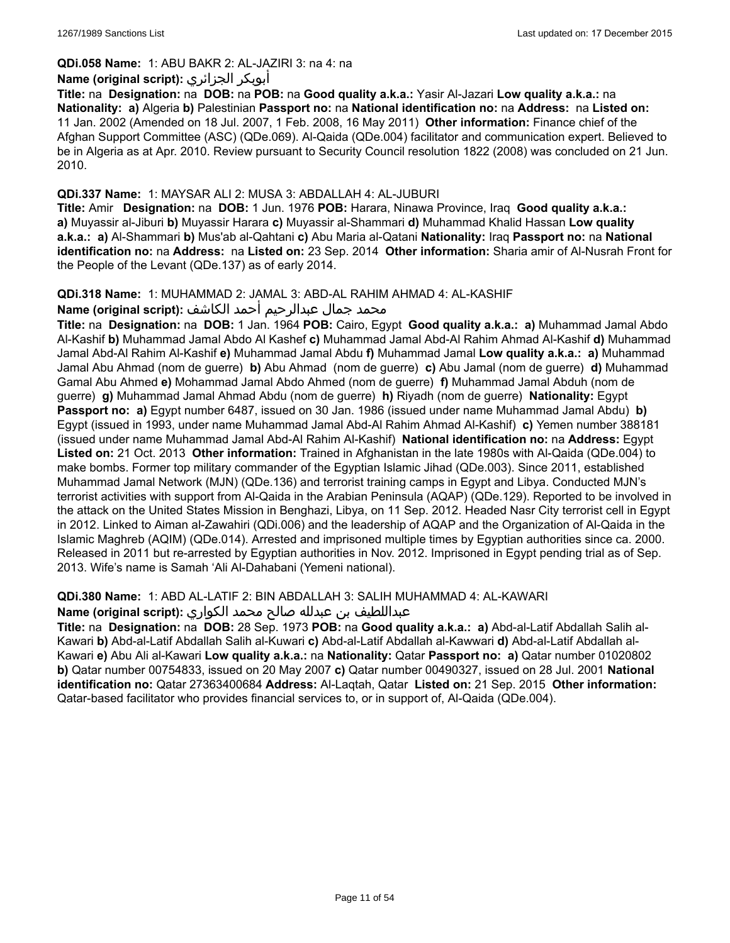# **QDi.058 Name:** 1: ABU BAKR 2: AL-JAZIRI 3: na 4: na

# **Name (original script):** الجزائري أبوبكر

**Title:** na **Designation:** na **DOB:** na **POB:** na **Good quality a.k.a.:** Yasir Al-Jazari **Low quality a.k.a.:** na **Nationality: a)** Algeria **b)** Palestinian **Passport no:** na **National identification no:** na **Address:** na **Listed on:** 11 Jan. 2002 (Amended on 18 Jul. 2007, 1 Feb. 2008, 16 May 2011) **Other information:** Finance chief of the Afghan Support Committee (ASC) (QDe.069). Al-Qaida (QDe.004) facilitator and communication expert. Believed to be in Algeria as at Apr. 2010. Review pursuant to Security Council resolution 1822 (2008) was concluded on 21 Jun. 2010.

# **QDi.337 Name:** 1: MAYSAR ALI 2: MUSA 3: ABDALLAH 4: AL-JUBURI

**Title:** Amir **Designation:** na **DOB:** 1 Jun. 1976 **POB:** Harara, Ninawa Province, Iraq **Good quality a.k.a.: a)** Muyassir al-Jiburi **b)** Muyassir Harara **c)** Muyassir al-Shammari **d)** Muhammad Khalid Hassan **Low quality a.k.a.: a)** Al-Shammari **b)** Mus'ab al-Qahtani **c)** Abu Maria al-Qatani **Nationality:** Iraq **Passport no:** na **National identification no:** na **Address:** na **Listed on:** 23 Sep. 2014 **Other information:** Sharia amir of Al-Nusrah Front for the People of the Levant (QDe.137) as of early 2014.

### **QDi.318 Name:** 1: MUHAMMAD 2: JAMAL 3: ABD-AL RAHIM AHMAD 4: AL-KASHIF

محمد جمال عبدالرحيم أحمد الكاشف **:Name (original script**)

**Title:** na **Designation:** na **DOB:** 1 Jan. 1964 **POB:** Cairo, Egypt **Good quality a.k.a.: a)** Muhammad Jamal Abdo Al-Kashif **b)** Muhammad Jamal Abdo Al Kashef **c)** Muhammad Jamal Abd-Al Rahim Ahmad Al-Kashif **d)** Muhammad Jamal Abd-Al Rahim Al-Kashif **e)** Muhammad Jamal Abdu **f)** Muhammad Jamal **Low quality a.k.a.: a)** Muhammad Jamal Abu Ahmad (nom de guerre) **b)** Abu Ahmad (nom de guerre) **c)** Abu Jamal (nom de guerre) **d)** Muhammad Gamal Abu Ahmed **e)** Mohammad Jamal Abdo Ahmed (nom de guerre) **f)** Muhammad Jamal Abduh (nom de guerre) **g)** Muhammad Jamal Ahmad Abdu (nom de guerre) **h)** Riyadh (nom de guerre) **Nationality:** Egypt **Passport no: a)** Egypt number 6487, issued on 30 Jan. 1986 (issued under name Muhammad Jamal Abdu) **b)** Egypt (issued in 1993, under name Muhammad Jamal Abd-Al Rahim Ahmad Al-Kashif) **c)** Yemen number 388181 (issued under name Muhammad Jamal Abd-Al Rahim Al-Kashif) **National identification no:** na **Address:** Egypt **Listed on:** 21 Oct. 2013 **Other information:** Trained in Afghanistan in the late 1980s with Al-Qaida (QDe.004) to make bombs. Former top military commander of the Egyptian Islamic Jihad (QDe.003). Since 2011, established Muhammad Jamal Network (MJN) (QDe.136) and terrorist training camps in Egypt and Libya. Conducted MJN's terrorist activities with support from Al-Qaida in the Arabian Peninsula (AQAP) (QDe.129). Reported to be involved in the attack on the United States Mission in Benghazi, Libya, on 11 Sep. 2012. Headed Nasr City terrorist cell in Egypt in 2012. Linked to Aiman al-Zawahiri (QDi.006) and the leadership of AQAP and the Organization of Al-Qaida in the Islamic Maghreb (AQIM) (QDe.014). Arrested and imprisoned multiple times by Egyptian authorities since ca. 2000. Released in 2011 but re-arrested by Egyptian authorities in Nov. 2012. Imprisoned in Egypt pending trial as of Sep. 2013. Wife's name is Samah 'Ali Al-Dahabani (Yemeni national).

**QDi.380 Name:** 1: ABD AL-LATIF 2: BIN ABDALLAH 3: SALIH MUHAMMAD 4: AL-KAWARI

# عبداللطیف بن عبدلله صالح محمد الكواري **:(script original (Name**

**Title:** na **Designation:** na **DOB:** 28 Sep. 1973 **POB:** na **Good quality a.k.a.: a)** Abd-al-Latif Abdallah Salih al-Kawari **b)** Abd-al-Latif Abdallah Salih al-Kuwari **c)** Abd-al-Latif Abdallah al-Kawwari **d)** Abd-al-Latif Abdallah al-Kawari **e)** Abu Ali al-Kawari **Low quality a.k.a.:** na **Nationality:** Qatar **Passport no: a)** Qatar number 01020802 **b)** Qatar number 00754833, issued on 20 May 2007 **c)** Qatar number 00490327, issued on 28 Jul. 2001 **National identification no:** Qatar 27363400684 **Address:** Al-Laqtah, Qatar **Listed on:** 21 Sep. 2015 **Other information:** Qatar-based facilitator who provides financial services to, or in support of, Al-Qaida (QDe.004).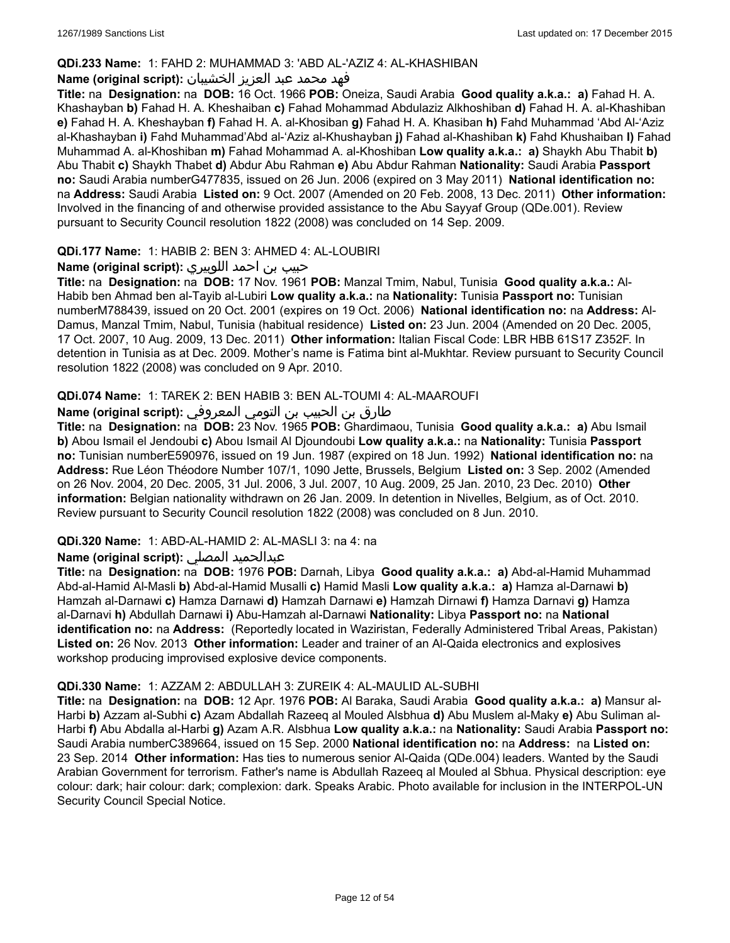### **QDi.233 Name:** 1: FAHD 2: MUHAMMAD 3: 'ABD AL-'AZIZ 4: AL-KHASHIBAN

### فهد محمد عبد العزيز الخشيبان **:(script original (Name**

**Title:** na **Designation:** na **DOB:** 16 Oct. 1966 **POB:** Oneiza, Saudi Arabia **Good quality a.k.a.: a)** Fahad H. A. Khashayban **b)** Fahad H. A. Kheshaiban **c)** Fahad Mohammad Abdulaziz Alkhoshiban **d)** Fahad H. A. al-Khashiban **e)** Fahad H. A. Kheshayban **f)** Fahad H. A. al-Khosiban **g)** Fahad H. A. Khasiban **h)** Fahd Muhammad 'Abd Al-'Aziz al-Khashayban **i)** Fahd Muhammad'Abd al-'Aziz al-Khushayban **j)** Fahad al-Khashiban **k)** Fahd Khushaiban **l)** Fahad Muhammad A. al-Khoshiban **m)** Fahad Mohammad A. al-Khoshiban **Low quality a.k.a.: a)** Shaykh Abu Thabit **b)** Abu Thabit **c)** Shaykh Thabet **d)** Abdur Abu Rahman **e)** Abu Abdur Rahman **Nationality:** Saudi Arabia **Passport no:** Saudi Arabia numberG477835, issued on 26 Jun. 2006 (expired on 3 May 2011) **National identification no:** na **Address:** Saudi Arabia **Listed on:** 9 Oct. 2007 (Amended on 20 Feb. 2008, 13 Dec. 2011) **Other information:** Involved in the financing of and otherwise provided assistance to the Abu Sayyaf Group (QDe.001). Review pursuant to Security Council resolution 1822 (2008) was concluded on 14 Sep. 2009.

### **QDi.177 Name:** 1: HABIB 2: BEN 3: AHMED 4: AL-LOUBIRI

### حبيب بن احمد اللوبيري **:(script original (Name**

**Title:** na **Designation:** na **DOB:** 17 Nov. 1961 **POB:** Manzal Tmim, Nabul, Tunisia **Good quality a.k.a.:** Al-Habib ben Ahmad ben al-Tayib al-Lubiri **Low quality a.k.a.:** na **Nationality:** Tunisia **Passport no:** Tunisian numberM788439, issued on 20 Oct. 2001 (expires on 19 Oct. 2006) **National identification no:** na **Address:** Al-Damus, Manzal Tmim, Nabul, Tunisia (habitual residence) **Listed on:** 23 Jun. 2004 (Amended on 20 Dec. 2005, 17 Oct. 2007, 10 Aug. 2009, 13 Dec. 2011) **Other information:** Italian Fiscal Code: LBR HBB 61S17 Z352F. In detention in Tunisia as at Dec. 2009. Mother's name is Fatima bint al-Mukhtar. Review pursuant to Security Council resolution 1822 (2008) was concluded on 9 Apr. 2010.

### **QDi.074 Name:** 1: TAREK 2: BEN HABIB 3: BEN AL-TOUMI 4: AL-MAAROUFI

طارق بن الحبيب بن التومي المعروفي **:(script original (Name**

**Title:** na **Designation:** na **DOB:** 23 Nov. 1965 **POB:** Ghardimaou, Tunisia **Good quality a.k.a.: a)** Abu Ismail **b)** Abou Ismail el Jendoubi **c)** Abou Ismail Al Djoundoubi **Low quality a.k.a.:** na **Nationality:** Tunisia **Passport no:** Tunisian numberE590976, issued on 19 Jun. 1987 (expired on 18 Jun. 1992) **National identification no:** na **Address:** Rue Léon Théodore Number 107/1, 1090 Jette, Brussels, Belgium **Listed on:** 3 Sep. 2002 (Amended on 26 Nov. 2004, 20 Dec. 2005, 31 Jul. 2006, 3 Jul. 2007, 10 Aug. 2009, 25 Jan. 2010, 23 Dec. 2010) **Other information:** Belgian nationality withdrawn on 26 Jan. 2009. In detention in Nivelles, Belgium, as of Oct. 2010. Review pursuant to Security Council resolution 1822 (2008) was concluded on 8 Jun. 2010.

#### **QDi.320 Name:** 1: ABD-AL-HAMID 2: AL-MASLI 3: na 4: na

#### **Name (original script):** المصلي عبدالحميد

**Title:** na **Designation:** na **DOB:** 1976 **POB:** Darnah, Libya **Good quality a.k.a.: a)** Abd-al-Hamid Muhammad Abd-al-Hamid Al-Masli **b)** Abd-al-Hamid Musalli **c)** Hamid Masli **Low quality a.k.a.: a)** Hamza al-Darnawi **b)** Hamzah al-Darnawi **c)** Hamza Darnawi **d)** Hamzah Darnawi **e)** Hamzah Dirnawi **f)** Hamza Darnavi **g)** Hamza al-Darnavi **h)** Abdullah Darnawi **i)** Abu-Hamzah al-Darnawi **Nationality:** Libya **Passport no:** na **National identification no:** na **Address:** (Reportedly located in Waziristan, Federally Administered Tribal Areas, Pakistan) **Listed on:** 26 Nov. 2013 **Other information:** Leader and trainer of an Al-Qaida electronics and explosives workshop producing improvised explosive device components.

#### **QDi.330 Name:** 1: AZZAM 2: ABDULLAH 3: ZUREIK 4: AL-MAULID AL-SUBHI

**Title:** na **Designation:** na **DOB:** 12 Apr. 1976 **POB:** Al Baraka, Saudi Arabia **Good quality a.k.a.: a)** Mansur al-Harbi **b)** Azzam al-Subhi **c)** Azam Abdallah Razeeq al Mouled Alsbhua **d)** Abu Muslem al-Maky **e)** Abu Suliman al-Harbi **f)** Abu Abdalla al-Harbi **g)** Azam A.R. Alsbhua **Low quality a.k.a.:** na **Nationality:** Saudi Arabia **Passport no:** Saudi Arabia numberC389664, issued on 15 Sep. 2000 **National identification no:** na **Address:** na **Listed on:** 23 Sep. 2014 **Other information:** Has ties to numerous senior Al-Qaida (QDe.004) leaders. Wanted by the Saudi Arabian Government for terrorism. Father's name is Abdullah Razeeq al Mouled al Sbhua. Physical description: eye colour: dark; hair colour: dark; complexion: dark. Speaks Arabic. Photo available for inclusion in the INTERPOL-UN Security Council Special Notice.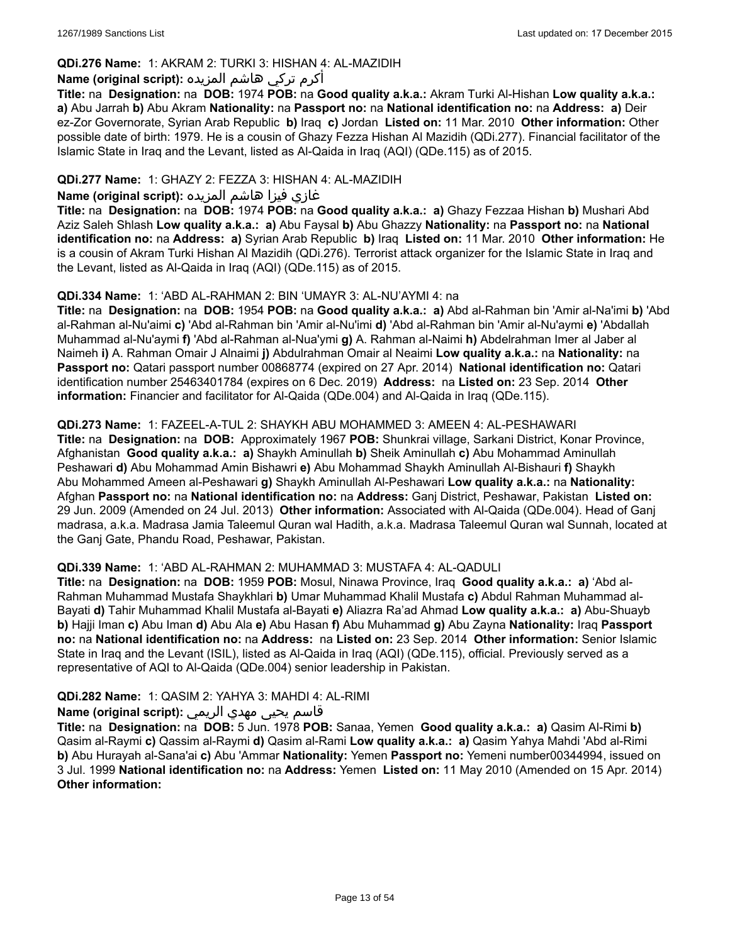# **QDi.276 Name:** 1: AKRAM 2: TURKI 3: HISHAN 4: AL-MAZIDIH

# أكرم تركي هاشم المزيده **:(script original (Name**

**Title:** na **Designation:** na **DOB:** 1974 **POB:** na **Good quality a.k.a.:** Akram Turki Al-Hishan **Low quality a.k.a.: a)** Abu Jarrah **b)** Abu Akram **Nationality:** na **Passport no:** na **National identification no:** na **Address: a)** Deir ez-Zor Governorate, Syrian Arab Republic **b)** Iraq **c)** Jordan **Listed on:** 11 Mar. 2010 **Other information:** Other possible date of birth: 1979. He is a cousin of Ghazy Fezza Hishan Al Mazidih (QDi.277). Financial facilitator of the Islamic State in Iraq and the Levant, listed as Al-Qaida in Iraq (AQI) (QDe.115) as of 2015.

# **QDi.277 Name:** 1: GHAZY 2: FEZZA 3: HISHAN 4: AL-MAZIDIH

# غازي فيزا هاشم المزيده **:Name (original script**)

**Title:** na **Designation:** na **DOB:** 1974 **POB:** na **Good quality a.k.a.: a)** Ghazy Fezzaa Hishan **b)** Mushari Abd Aziz Saleh Shlash **Low quality a.k.a.: a)** Abu Faysal **b)** Abu Ghazzy **Nationality:** na **Passport no:** na **National identification no:** na **Address: a)** Syrian Arab Republic **b)** Iraq **Listed on:** 11 Mar. 2010 **Other information:** He is a cousin of Akram Turki Hishan Al Mazidih (QDi.276). Terrorist attack organizer for the Islamic State in Iraq and the Levant, listed as Al-Qaida in Iraq (AQI) (QDe.115) as of 2015.

# **QDi.334 Name:** 1: 'ABD AL-RAHMAN 2: BIN 'UMAYR 3: AL-NU'AYMI 4: na

**Title:** na **Designation:** na **DOB:** 1954 **POB:** na **Good quality a.k.a.: a)** Abd al-Rahman bin 'Amir al-Na'imi **b)** 'Abd al-Rahman al-Nu'aimi **c)** 'Abd al-Rahman bin 'Amir al-Nu'imi **d)** 'Abd al-Rahman bin 'Amir al-Nu'aymi **e)** 'Abdallah Muhammad al-Nu'aymi **f)** 'Abd al-Rahman al-Nua'ymi **g)** A. Rahman al-Naimi **h)** Abdelrahman Imer al Jaber al Naimeh **i)** A. Rahman Omair J Alnaimi **j)** Abdulrahman Omair al Neaimi **Low quality a.k.a.:** na **Nationality:** na **Passport no:** Qatari passport number 00868774 (expired on 27 Apr. 2014) **National identification no:** Qatari identification number 25463401784 (expires on 6 Dec. 2019) **Address:** na **Listed on:** 23 Sep. 2014 **Other information:** Financier and facilitator for Al-Qaida (QDe.004) and Al-Qaida in Iraq (QDe.115).

# **QDi.273 Name:** 1: FAZEEL-A-TUL 2: SHAYKH ABU MOHAMMED 3: AMEEN 4: AL-PESHAWARI

**Title:** na **Designation:** na **DOB:** Approximately 1967 **POB:** Shunkrai village, Sarkani District, Konar Province, Afghanistan **Good quality a.k.a.: a)** Shaykh Aminullah **b)** Sheik Aminullah **c)** Abu Mohammad Aminullah Peshawari **d)** Abu Mohammad Amin Bishawri **e)** Abu Mohammad Shaykh Aminullah Al-Bishauri **f)** Shaykh Abu Mohammed Ameen al-Peshawari **g)** Shaykh Aminullah Al-Peshawari **Low quality a.k.a.:** na **Nationality:** Afghan **Passport no:** na **National identification no:** na **Address:** Ganj District, Peshawar, Pakistan **Listed on:** 29 Jun. 2009 (Amended on 24 Jul. 2013) **Other information:** Associated with Al-Qaida (QDe.004). Head of Ganj madrasa, a.k.a. Madrasa Jamia Taleemul Quran wal Hadith, a.k.a. Madrasa Taleemul Quran wal Sunnah, located at the Ganj Gate, Phandu Road, Peshawar, Pakistan.

# **QDi.339 Name:** 1: 'ABD AL-RAHMAN 2: MUHAMMAD 3: MUSTAFA 4: AL-QADULI

**Title:** na **Designation:** na **DOB:** 1959 **POB:** Mosul, Ninawa Province, Iraq **Good quality a.k.a.: a)** 'Abd al-Rahman Muhammad Mustafa Shaykhlari **b)** Umar Muhammad Khalil Mustafa **c)** Abdul Rahman Muhammad al-Bayati **d)** Tahir Muhammad Khalil Mustafa al-Bayati **e)** Aliazra Ra'ad Ahmad **Low quality a.k.a.: a)** Abu-Shuayb **b)** Hajji Iman **c)** Abu Iman **d)** Abu Ala **e)** Abu Hasan **f)** Abu Muhammad **g)** Abu Zayna **Nationality:** Iraq **Passport no:** na **National identification no:** na **Address:** na **Listed on:** 23 Sep. 2014 **Other information:** Senior Islamic State in Iraq and the Levant (ISIL), listed as Al-Qaida in Iraq (AQI) (QDe.115), official. Previously served as a representative of AQI to Al-Qaida (QDe.004) senior leadership in Pakistan.

# **QDi.282 Name:** 1: QASIM 2: YAHYA 3: MAHDI 4: AL-RIMI

# قاسم يحيى مهدي الريمي **:(script original (Name**

**Title:** na **Designation:** na **DOB:** 5 Jun. 1978 **POB:** Sanaa, Yemen **Good quality a.k.a.: a)** Qasim Al-Rimi **b)** Qasim al-Raymi **c)** Qassim al-Raymi **d)** Qasim al-Rami **Low quality a.k.a.: a)** Qasim Yahya Mahdi 'Abd al-Rimi **b)** Abu Hurayah al-Sana'ai **c)** Abu 'Ammar **Nationality:** Yemen **Passport no:** Yemeni number00344994, issued on 3 Jul. 1999 **National identification no:** na **Address:** Yemen **Listed on:** 11 May 2010 (Amended on 15 Apr. 2014) **Other information:**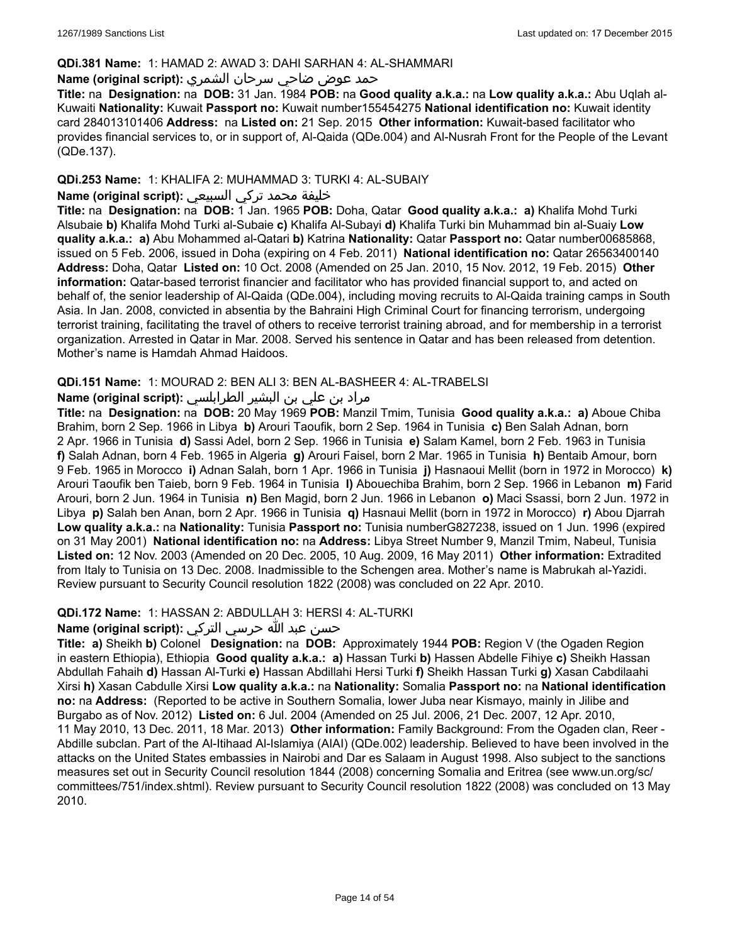### **QDi.381 Name:** 1: HAMAD 2: AWAD 3: DAHI SARHAN 4: AL-SHAMMARI

# حمد عوض ضاحي سرحان الشمري **:(script original (Name**

**Title:** na **Designation:** na **DOB:** 31 Jan. 1984 **POB:** na **Good quality a.k.a.:** na **Low quality a.k.a.:** Abu Uqlah al-Kuwaiti **Nationality:** Kuwait **Passport no:** Kuwait number155454275 **National identification no:** Kuwait identity card 284013101406 **Address:** na **Listed on:** 21 Sep. 2015 **Other information:** Kuwait-based facilitator who provides financial services to, or in support of, Al-Qaida (QDe.004) and Al-Nusrah Front for the People of the Levant (QDe.137).

# **QDi.253 Name:** 1: KHALIFA 2: MUHAMMAD 3: TURKI 4: AL-SUBAIY

# خليفة محمد تركي السبيعي **:(script original (Name**

**Title:** na **Designation:** na **DOB:** 1 Jan. 1965 **POB:** Doha, Qatar **Good quality a.k.a.: a)** Khalifa Mohd Turki Alsubaie **b)** Khalifa Mohd Turki al-Subaie **c)** Khalifa Al-Subayi **d)** Khalifa Turki bin Muhammad bin al-Suaiy **Low quality a.k.a.: a)** Abu Mohammed al-Qatari **b)** Katrina **Nationality:** Qatar **Passport no:** Qatar number00685868, issued on 5 Feb. 2006, issued in Doha (expiring on 4 Feb. 2011) **National identification no:** Qatar 26563400140 **Address:** Doha, Qatar **Listed on:** 10 Oct. 2008 (Amended on 25 Jan. 2010, 15 Nov. 2012, 19 Feb. 2015) **Other information:** Qatar-based terrorist financier and facilitator who has provided financial support to, and acted on behalf of, the senior leadership of Al-Qaida (QDe.004), including moving recruits to Al-Qaida training camps in South Asia. In Jan. 2008, convicted in absentia by the Bahraini High Criminal Court for financing terrorism, undergoing terrorist training, facilitating the travel of others to receive terrorist training abroad, and for membership in a terrorist organization. Arrested in Qatar in Mar. 2008. Served his sentence in Qatar and has been released from detention. Mother's name is Hamdah Ahmad Haidoos.

### **QDi.151 Name:** 1: MOURAD 2: BEN ALI 3: BEN AL-BASHEER 4: AL-TRABELSI

# مراد بن علي بن البشير الطرابلسي **:Name (original script**)

**Title:** na **Designation:** na **DOB:** 20 May 1969 **POB:** Manzil Tmim, Tunisia **Good quality a.k.a.: a)** Aboue Chiba Brahim, born 2 Sep. 1966 in Libya **b)** Arouri Taoufik, born 2 Sep. 1964 in Tunisia **c)** Ben Salah Adnan, born 2 Apr. 1966 in Tunisia **d)** Sassi Adel, born 2 Sep. 1966 in Tunisia **e)** Salam Kamel, born 2 Feb. 1963 in Tunisia **f)** Salah Adnan, born 4 Feb. 1965 in Algeria **g)** Arouri Faisel, born 2 Mar. 1965 in Tunisia **h)** Bentaib Amour, born 9 Feb. 1965 in Morocco **i)** Adnan Salah, born 1 Apr. 1966 in Tunisia **j)** Hasnaoui Mellit (born in 1972 in Morocco) **k)** Arouri Taoufik ben Taieb, born 9 Feb. 1964 in Tunisia **l)** Abouechiba Brahim, born 2 Sep. 1966 in Lebanon **m)** Farid Arouri, born 2 Jun. 1964 in Tunisia **n)** Ben Magid, born 2 Jun. 1966 in Lebanon **o)** Maci Ssassi, born 2 Jun. 1972 in Libya **p)** Salah ben Anan, born 2 Apr. 1966 in Tunisia **q)** Hasnaui Mellit (born in 1972 in Morocco) **r)** Abou Djarrah **Low quality a.k.a.:** na **Nationality:** Tunisia **Passport no:** Tunisia numberG827238, issued on 1 Jun. 1996 (expired on 31 May 2001) **National identification no:** na **Address:** Libya Street Number 9, Manzil Tmim, Nabeul, Tunisia **Listed on:** 12 Nov. 2003 (Amended on 20 Dec. 2005, 10 Aug. 2009, 16 May 2011) **Other information:** Extradited from Italy to Tunisia on 13 Dec. 2008. Inadmissible to the Schengen area. Mother's name is Mabrukah al-Yazidi. Review pursuant to Security Council resolution 1822 (2008) was concluded on 22 Apr. 2010.

# **QDi.172 Name:** 1: HASSAN 2: ABDULLAH 3: HERSI 4: AL-TURKI

# حسن عبد الله حرسي التركي **:(script original (Name**

**Title: a)** Sheikh **b)** Colonel **Designation:** na **DOB:** Approximately 1944 **POB:** Region V (the Ogaden Region in eastern Ethiopia), Ethiopia **Good quality a.k.a.: a)** Hassan Turki **b)** Hassen Abdelle Fihiye **c)** Sheikh Hassan Abdullah Fahaih **d)** Hassan Al-Turki **e)** Hassan Abdillahi Hersi Turki **f)** Sheikh Hassan Turki **g)** Xasan Cabdilaahi Xirsi **h)** Xasan Cabdulle Xirsi **Low quality a.k.a.:** na **Nationality:** Somalia **Passport no:** na **National identification no:** na **Address:** (Reported to be active in Southern Somalia, lower Juba near Kismayo, mainly in Jilibe and Burgabo as of Nov. 2012) **Listed on:** 6 Jul. 2004 (Amended on 25 Jul. 2006, 21 Dec. 2007, 12 Apr. 2010, 11 May 2010, 13 Dec. 2011, 18 Mar. 2013) **Other information:** Family Background: From the Ogaden clan, Reer - Abdille subclan. Part of the Al-Itihaad Al-Islamiya (AIAI) (QDe.002) leadership. Believed to have been involved in the attacks on the United States embassies in Nairobi and Dar es Salaam in August 1998. Also subject to the sanctions measures set out in Security Council resolution 1844 (2008) concerning Somalia and Eritrea (see www.un.org/sc/ committees/751/index.shtml). Review pursuant to Security Council resolution 1822 (2008) was concluded on 13 May 2010.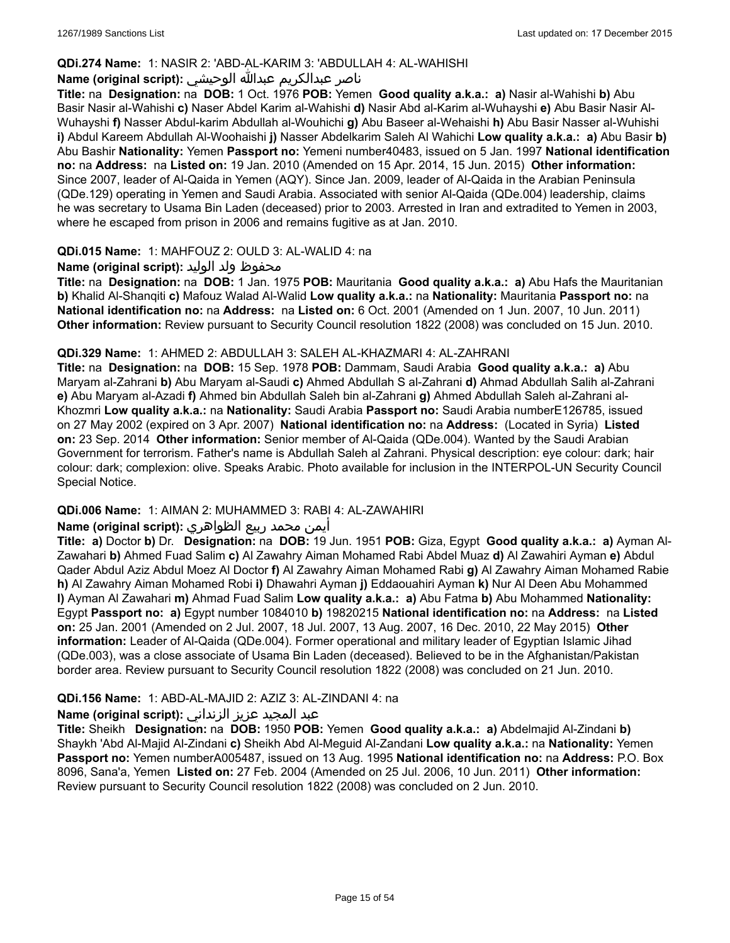### **QDi.274 Name:** 1: NASIR 2: 'ABD-AL-KARIM 3: 'ABDULLAH 4: AL-WAHISHI

# ناصر عبدالكريم عبدالله الوحيشي **:(script original (Name**

**Title:** na **Designation:** na **DOB:** 1 Oct. 1976 **POB:** Yemen **Good quality a.k.a.: a)** Nasir al-Wahishi **b)** Abu Basir Nasir al-Wahishi **c)** Naser Abdel Karim al-Wahishi **d)** Nasir Abd al-Karim al-Wuhayshi **e)** Abu Basir Nasir Al-Wuhayshi **f)** Nasser Abdul-karim Abdullah al-Wouhichi **g)** Abu Baseer al-Wehaishi **h)** Abu Basir Nasser al-Wuhishi **i)** Abdul Kareem Abdullah Al-Woohaishi **j)** Nasser Abdelkarim Saleh Al Wahichi **Low quality a.k.a.: a)** Abu Basir **b)** Abu Bashir **Nationality:** Yemen **Passport no:** Yemeni number40483, issued on 5 Jan. 1997 **National identification no:** na **Address:** na **Listed on:** 19 Jan. 2010 (Amended on 15 Apr. 2014, 15 Jun. 2015) **Other information:** Since 2007, leader of Al-Qaida in Yemen (AQY). Since Jan. 2009, leader of Al-Qaida in the Arabian Peninsula (QDe.129) operating in Yemen and Saudi Arabia. Associated with senior Al-Qaida (QDe.004) leadership, claims he was secretary to Usama Bin Laden (deceased) prior to 2003. Arrested in Iran and extradited to Yemen in 2003, where he escaped from prison in 2006 and remains fugitive as at Jan. 2010.

# **QDi.015 Name:** 1: MAHFOUZ 2: OULD 3: AL-WALID 4: na

### محفوظ ولد الوليد **:(script original (Name**

**Title:** na **Designation:** na **DOB:** 1 Jan. 1975 **POB:** Mauritania **Good quality a.k.a.: a)** Abu Hafs the Mauritanian **b)** Khalid Al-Shanqiti **c)** Mafouz Walad Al-Walid **Low quality a.k.a.:** na **Nationality:** Mauritania **Passport no:** na **National identification no:** na **Address:** na **Listed on:** 6 Oct. 2001 (Amended on 1 Jun. 2007, 10 Jun. 2011) **Other information:** Review pursuant to Security Council resolution 1822 (2008) was concluded on 15 Jun. 2010.

#### **QDi.329 Name:** 1: AHMED 2: ABDULLAH 3: SALEH AL-KHAZMARI 4: AL-ZAHRANI

**Title:** na **Designation:** na **DOB:** 15 Sep. 1978 **POB:** Dammam, Saudi Arabia **Good quality a.k.a.: a)** Abu Maryam al-Zahrani **b)** Abu Maryam al-Saudi **c)** Ahmed Abdullah S al-Zahrani **d)** Ahmad Abdullah Salih al-Zahrani **e)** Abu Maryam al-Azadi **f)** Ahmed bin Abdullah Saleh bin al-Zahrani **g)** Ahmed Abdullah Saleh al-Zahrani al-Khozmri **Low quality a.k.a.:** na **Nationality:** Saudi Arabia **Passport no:** Saudi Arabia numberE126785, issued on 27 May 2002 (expired on 3 Apr. 2007) **National identification no:** na **Address:** (Located in Syria) **Listed on:** 23 Sep. 2014 **Other information:** Senior member of Al-Qaida (QDe.004). Wanted by the Saudi Arabian Government for terrorism. Father's name is Abdullah Saleh al Zahrani. Physical description: eye colour: dark; hair colour: dark; complexion: olive. Speaks Arabic. Photo available for inclusion in the INTERPOL-UN Security Council Special Notice.

#### **QDi.006 Name:** 1: AIMAN 2: MUHAMMED 3: RABI 4: AL-ZAWAHIRI

# أيمن محمد ربيع الظواهري **:(script original (Name**

**Title: a)** Doctor **b)** Dr. **Designation:** na **DOB:** 19 Jun. 1951 **POB:** Giza, Egypt **Good quality a.k.a.: a)** Ayman Al-Zawahari **b)** Ahmed Fuad Salim **c)** Al Zawahry Aiman Mohamed Rabi Abdel Muaz **d)** Al Zawahiri Ayman **e)** Abdul Qader Abdul Aziz Abdul Moez Al Doctor **f)** Al Zawahry Aiman Mohamed Rabi **g)** Al Zawahry Aiman Mohamed Rabie **h)** Al Zawahry Aiman Mohamed Robi **i)** Dhawahri Ayman **j)** Eddaouahiri Ayman **k)** Nur Al Deen Abu Mohammed **l)** Ayman Al Zawahari **m)** Ahmad Fuad Salim **Low quality a.k.a.: a)** Abu Fatma **b)** Abu Mohammed **Nationality:** Egypt **Passport no: a)** Egypt number 1084010 **b)** 19820215 **National identification no:** na **Address:** na **Listed on:** 25 Jan. 2001 (Amended on 2 Jul. 2007, 18 Jul. 2007, 13 Aug. 2007, 16 Dec. 2010, 22 May 2015) **Other information:** Leader of Al-Qaida (QDe.004). Former operational and military leader of Egyptian Islamic Jihad (QDe.003), was a close associate of Usama Bin Laden (deceased). Believed to be in the Afghanistan/Pakistan border area. Review pursuant to Security Council resolution 1822 (2008) was concluded on 21 Jun. 2010.

# **QDi.156 Name:** 1: ABD-AL-MAJID 2: AZIZ 3: AL-ZINDANI 4: na

# عبد المجيد عزيز الزنداني **:(script original (Name**

**Title:** Sheikh **Designation:** na **DOB:** 1950 **POB:** Yemen **Good quality a.k.a.: a)** Abdelmajid Al-Zindani **b)** Shaykh 'Abd Al-Majid Al-Zindani **c)** Sheikh Abd Al-Meguid Al-Zandani **Low quality a.k.a.:** na **Nationality:** Yemen **Passport no:** Yemen numberA005487, issued on 13 Aug. 1995 **National identification no:** na **Address:** P.O. Box 8096, Sana'a, Yemen **Listed on:** 27 Feb. 2004 (Amended on 25 Jul. 2006, 10 Jun. 2011) **Other information:** Review pursuant to Security Council resolution 1822 (2008) was concluded on 2 Jun. 2010.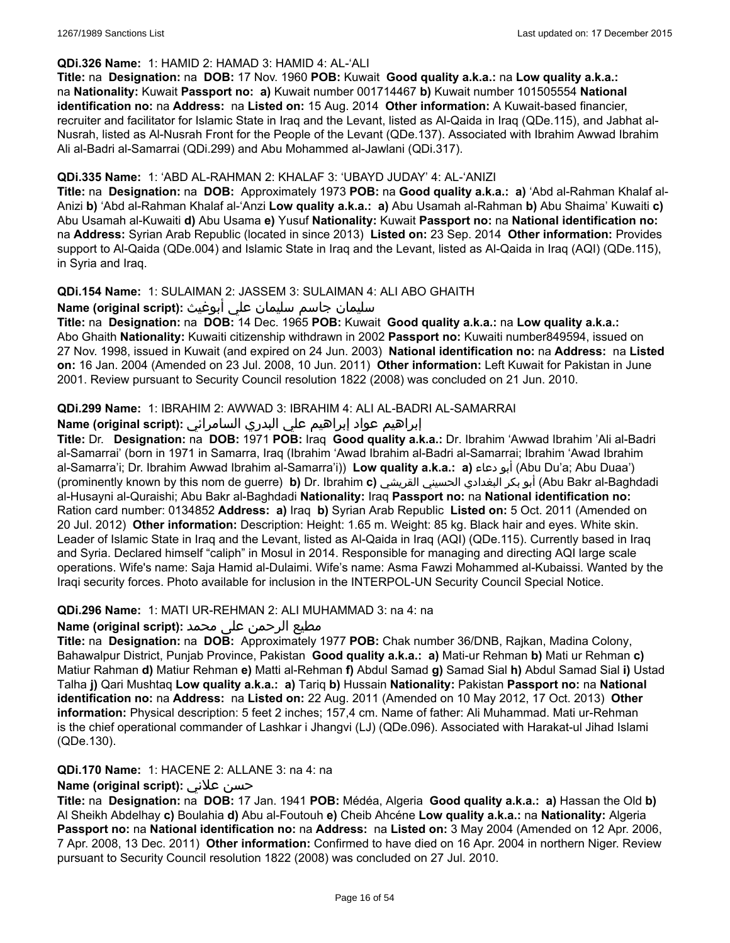### **QDi.326 Name:** 1: HAMID 2: HAMAD 3: HAMID 4: AL-'ALI

**Title:** na **Designation:** na **DOB:** 17 Nov. 1960 **POB:** Kuwait **Good quality a.k.a.:** na **Low quality a.k.a.:** na **Nationality:** Kuwait **Passport no: a)** Kuwait number 001714467 **b)** Kuwait number 101505554 **National identification no:** na **Address:** na **Listed on:** 15 Aug. 2014 **Other information:** A Kuwait-based financier, recruiter and facilitator for Islamic State in Iraq and the Levant, listed as Al-Qaida in Iraq (QDe.115), and Jabhat al-Nusrah, listed as Al-Nusrah Front for the People of the Levant (QDe.137). Associated with Ibrahim Awwad Ibrahim Ali al-Badri al-Samarrai (QDi.299) and Abu Mohammed al-Jawlani (QDi.317).

### **QDi.335 Name:** 1: 'ABD AL-RAHMAN 2: KHALAF 3: 'UBAYD JUDAY' 4: AL-'ANIZI

**Title:** na **Designation:** na **DOB:** Approximately 1973 **POB:** na **Good quality a.k.a.: a)** 'Abd al-Rahman Khalaf al-Anizi **b)** 'Abd al-Rahman Khalaf al-'Anzi **Low quality a.k.a.: a)** Abu Usamah al-Rahman **b)** Abu Shaima' Kuwaiti **c)** Abu Usamah al-Kuwaiti **d)** Abu Usama **e)** Yusuf **Nationality:** Kuwait **Passport no:** na **National identification no:** na **Address:** Syrian Arab Republic (located in since 2013) **Listed on:** 23 Sep. 2014 **Other information:** Provides support to Al-Qaida (QDe.004) and Islamic State in Iraq and the Levant, listed as Al-Qaida in Iraq (AQI) (QDe.115), in Syria and Iraq.

# **QDi.154 Name:** 1: SULAIMAN 2: JASSEM 3: SULAIMAN 4: ALI ABO GHAITH

# سليمان جاسم سليمان علي أبوغيث **:(script original (Name**

**Title:** na **Designation:** na **DOB:** 14 Dec. 1965 **POB:** Kuwait **Good quality a.k.a.:** na **Low quality a.k.a.:** Abo Ghaith **Nationality:** Kuwaiti citizenship withdrawn in 2002 **Passport no:** Kuwaiti number849594, issued on 27 Nov. 1998, issued in Kuwait (and expired on 24 Jun. 2003) **National identification no:** na **Address:** na **Listed on:** 16 Jan. 2004 (Amended on 23 Jul. 2008, 10 Jun. 2011) **Other information:** Left Kuwait for Pakistan in June 2001. Review pursuant to Security Council resolution 1822 (2008) was concluded on 21 Jun. 2010.

### **QDi.299 Name:** 1: IBRAHIM 2: AWWAD 3: IBRAHIM 4: ALI AL-BADRI AL-SAMARRAI

### إبراهيم عواد إبراهيم علي البدري السامرائي :(Name (original script

**Title:** Dr. **Designation:** na **DOB:** 1971 **POB:** Iraq **Good quality a.k.a.:** Dr. Ibrahim 'Awwad Ibrahim 'Ali al-Badri al-Samarrai' (born in 1971 in Samarra, Iraq (Ibrahim 'Awad Ibrahim al-Badri al-Samarrai; Ibrahim 'Awad Ibrahim al-Samarra'i; Dr. Ibrahim Awwad Ibrahim al-Samarra'i)) **Low quality a.k.a.: a)** دعاء أبو) Abu Du'a; Abu Duaa') (prominently known by this nom de guerre) **b)** Dr. Ibrahim **c)** القريشي الحسيني البغدادي بكر أبو) Abu Bakr al-Baghdadi al-Husayni al-Quraishi; Abu Bakr al-Baghdadi **Nationality:** Iraq **Passport no:** na **National identification no:** Ration card number: 0134852 **Address: a)** Iraq **b)** Syrian Arab Republic **Listed on:** 5 Oct. 2011 (Amended on 20 Jul. 2012) **Other information:** Description: Height: 1.65 m. Weight: 85 kg. Black hair and eyes. White skin. Leader of Islamic State in Iraq and the Levant, listed as Al-Qaida in Iraq (AQI) (QDe.115). Currently based in Iraq and Syria. Declared himself "caliph" in Mosul in 2014. Responsible for managing and directing AQI large scale operations. Wife's name: Saja Hamid al-Dulaimi. Wife's name: Asma Fawzi Mohammed al-Kubaissi. Wanted by the Iraqi security forces. Photo available for inclusion in the INTERPOL-UN Security Council Special Notice.

#### **QDi.296 Name:** 1: MATI UR-REHMAN 2: ALI MUHAMMAD 3: na 4: na

# مطیع الرحمن علی محمد **:Name (original script**)

**Title:** na **Designation:** na **DOB:** Approximately 1977 **POB:** Chak number 36/DNB, Rajkan, Madina Colony, Bahawalpur District, Punjab Province, Pakistan **Good quality a.k.a.: a)** Mati-ur Rehman **b)** Mati ur Rehman **c)** Matiur Rahman **d)** Matiur Rehman **e)** Matti al-Rehman **f)** Abdul Samad **g)** Samad Sial **h)** Abdul Samad Sial **i)** Ustad Talha **j)** Qari Mushtaq **Low quality a.k.a.: a)** Tariq **b)** Hussain **Nationality:** Pakistan **Passport no:** na **National identification no:** na **Address:** na **Listed on:** 22 Aug. 2011 (Amended on 10 May 2012, 17 Oct. 2013) **Other information:** Physical description: 5 feet 2 inches; 157,4 cm. Name of father: Ali Muhammad. Mati ur-Rehman is the chief operational commander of Lashkar i Jhangvi (LJ) (QDe.096). Associated with Harakat-ul Jihad Islami (QDe.130).

# **QDi.170 Name:** 1: HACENE 2: ALLANE 3: na 4: na

# **Name (original script):** علاني حسن

**Title:** na **Designation:** na **DOB:** 17 Jan. 1941 **POB:** Médéa, Algeria **Good quality a.k.a.: a)** Hassan the Old **b)** Al Sheikh Abdelhay **c)** Boulahia **d)** Abu al-Foutouh **e)** Cheib Ahcéne **Low quality a.k.a.:** na **Nationality:** Algeria **Passport no:** na **National identification no:** na **Address:** na **Listed on:** 3 May 2004 (Amended on 12 Apr. 2006, 7 Apr. 2008, 13 Dec. 2011) **Other information:** Confirmed to have died on 16 Apr. 2004 in northern Niger. Review pursuant to Security Council resolution 1822 (2008) was concluded on 27 Jul. 2010.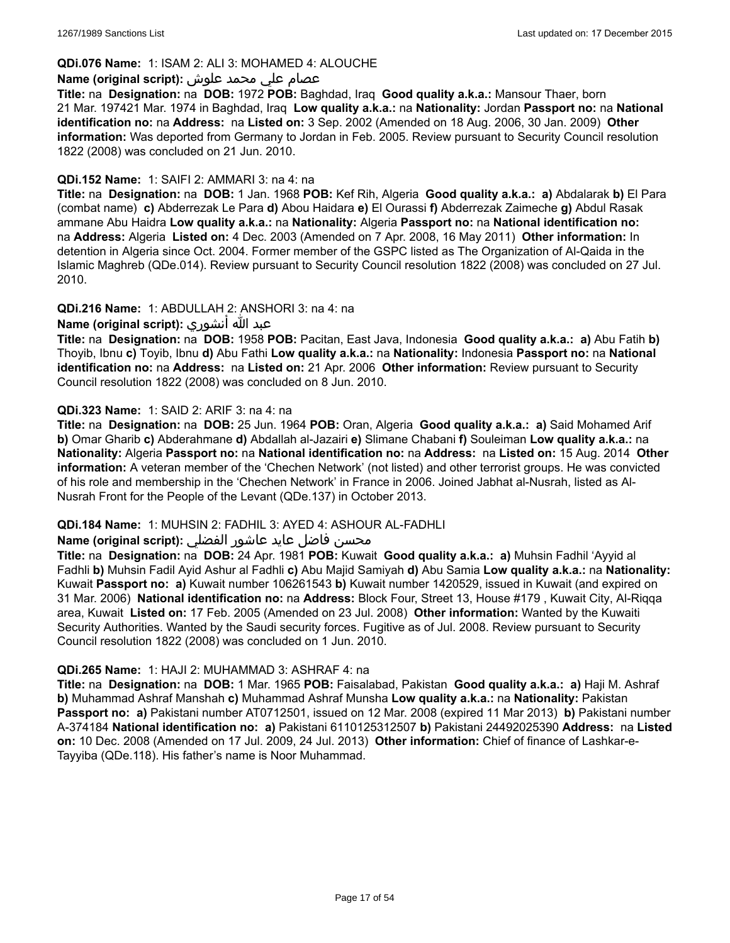### **QDi.076 Name:** 1: ISAM 2: ALI 3: MOHAMED 4: ALOUCHE

### عصام علي محمد علوش **:(script original (Name**

**Title:** na **Designation:** na **DOB:** 1972 **POB:** Baghdad, Iraq **Good quality a.k.a.:** Mansour Thaer, born 21 Mar. 197421 Mar. 1974 in Baghdad, Iraq **Low quality a.k.a.:** na **Nationality:** Jordan **Passport no:** na **National identification no:** na **Address:** na **Listed on:** 3 Sep. 2002 (Amended on 18 Aug. 2006, 30 Jan. 2009) **Other information:** Was deported from Germany to Jordan in Feb. 2005. Review pursuant to Security Council resolution 1822 (2008) was concluded on 21 Jun. 2010.

### **QDi.152 Name:** 1: SAIFI 2: AMMARI 3: na 4: na

**Title:** na **Designation:** na **DOB:** 1 Jan. 1968 **POB:** Kef Rih, Algeria **Good quality a.k.a.: a)** Abdalarak **b)** El Para (combat name) **c)** Abderrezak Le Para **d)** Abou Haidara **e)** El Ourassi **f)** Abderrezak Zaimeche **g)** Abdul Rasak ammane Abu Haidra **Low quality a.k.a.:** na **Nationality:** Algeria **Passport no:** na **National identification no:** na **Address:** Algeria **Listed on:** 4 Dec. 2003 (Amended on 7 Apr. 2008, 16 May 2011) **Other information:** In detention in Algeria since Oct. 2004. Former member of the GSPC listed as The Organization of Al-Qaida in the Islamic Maghreb (QDe.014). Review pursuant to Security Council resolution 1822 (2008) was concluded on 27 Jul. 2010.

### **QDi.216 Name:** 1: ABDULLAH 2: ANSHORI 3: na 4: na

# عبد الله أنشوري **:(script original (Name**

**Title:** na **Designation:** na **DOB:** 1958 **POB:** Pacitan, East Java, Indonesia **Good quality a.k.a.: a)** Abu Fatih **b)** Thoyib, Ibnu **c)** Toyib, Ibnu **d)** Abu Fathi **Low quality a.k.a.:** na **Nationality:** Indonesia **Passport no:** na **National identification no:** na **Address:** na **Listed on:** 21 Apr. 2006 **Other information:** Review pursuant to Security Council resolution 1822 (2008) was concluded on 8 Jun. 2010.

### **QDi.323 Name:** 1: SAID 2: ARIF 3: na 4: na

**Title:** na **Designation:** na **DOB:** 25 Jun. 1964 **POB:** Oran, Algeria **Good quality a.k.a.: a)** Said Mohamed Arif **b)** Omar Gharib **c)** Abderahmane **d)** Abdallah al-Jazairi **e)** Slimane Chabani **f)** Souleiman **Low quality a.k.a.:** na **Nationality:** Algeria **Passport no:** na **National identification no:** na **Address:** na **Listed on:** 15 Aug. 2014 **Other information:** A veteran member of the 'Chechen Network' (not listed) and other terrorist groups. He was convicted of his role and membership in the 'Chechen Network' in France in 2006. Joined Jabhat al-Nusrah, listed as Al-Nusrah Front for the People of the Levant (QDe.137) in October 2013.

#### **QDi.184 Name:** 1: MUHSIN 2: FADHIL 3: AYED 4: ASHOUR AL-FADHLI

# محسن فاضل عايد عاشور الفضلي :**Name (original script**)

**Title:** na **Designation:** na **DOB:** 24 Apr. 1981 **POB:** Kuwait **Good quality a.k.a.: a)** Muhsin Fadhil 'Ayyid al Fadhli **b)** Muhsin Fadil Ayid Ashur al Fadhli **c)** Abu Majid Samiyah **d)** Abu Samia **Low quality a.k.a.:** na **Nationality:** Kuwait **Passport no: a)** Kuwait number 106261543 **b)** Kuwait number 1420529, issued in Kuwait (and expired on 31 Mar. 2006) **National identification no:** na **Address:** Block Four, Street 13, House #179 , Kuwait City, Al-Riqqa area, Kuwait **Listed on:** 17 Feb. 2005 (Amended on 23 Jul. 2008) **Other information:** Wanted by the Kuwaiti Security Authorities. Wanted by the Saudi security forces. Fugitive as of Jul. 2008. Review pursuant to Security Council resolution 1822 (2008) was concluded on 1 Jun. 2010.

#### **QDi.265 Name:** 1: HAJI 2: MUHAMMAD 3: ASHRAF 4: na

**Title:** na **Designation:** na **DOB:** 1 Mar. 1965 **POB:** Faisalabad, Pakistan **Good quality a.k.a.: a)** Haji M. Ashraf **b)** Muhammad Ashraf Manshah **c)** Muhammad Ashraf Munsha **Low quality a.k.a.:** na **Nationality:** Pakistan **Passport no: a)** Pakistani number AT0712501, issued on 12 Mar. 2008 (expired 11 Mar 2013) **b)** Pakistani number A-374184 **National identification no: a)** Pakistani 6110125312507 **b)** Pakistani 24492025390 **Address:** na **Listed on:** 10 Dec. 2008 (Amended on 17 Jul. 2009, 24 Jul. 2013) **Other information:** Chief of finance of Lashkar-e-Tayyiba (QDe.118). His father's name is Noor Muhammad.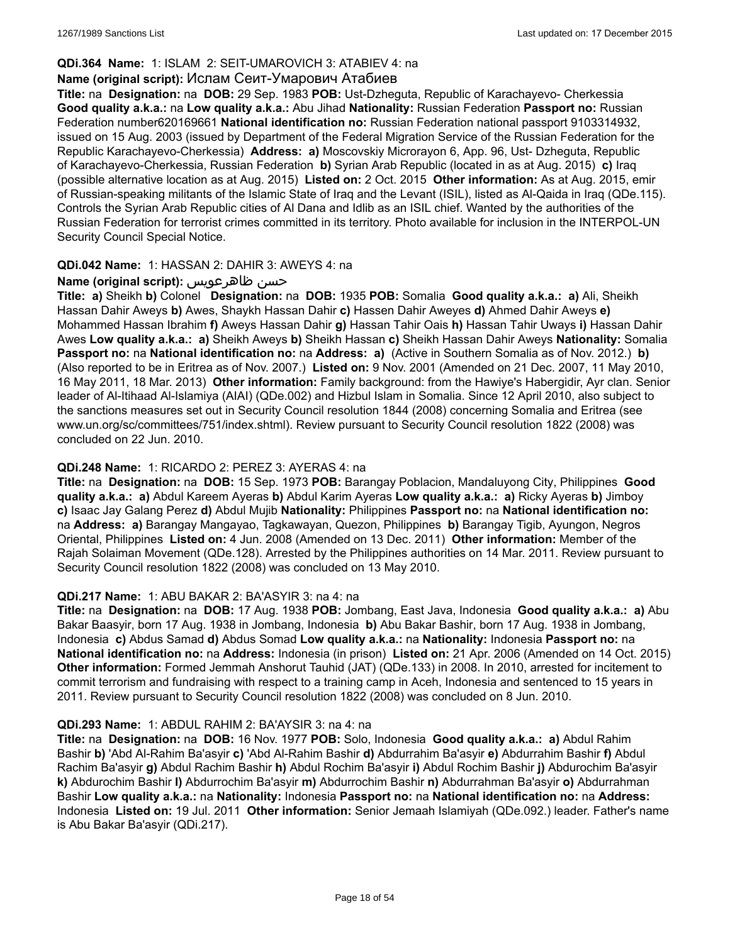# **QDi.364 Name:** 1: ISLAM 2: SEIT-UMAROVICH 3: ATABIEV 4: na

# **Name (original script):** Ислам Сеит-Умарович Атабиев

**Title:** na **Designation:** na **DOB:** 29 Sep. 1983 **POB:** Ust-Dzheguta, Republic of Karachayevo- Cherkessia **Good quality a.k.a.:** na **Low quality a.k.a.:** Abu Jihad **Nationality:** Russian Federation **Passport no:** Russian Federation number620169661 **National identification no:** Russian Federation national passport 9103314932, issued on 15 Aug. 2003 (issued by Department of the Federal Migration Service of the Russian Federation for the Republic Karachayevo-Cherkessia) **Address: a)** Moscovskiy Microrayon 6, App. 96, Ust- Dzheguta, Republic of Karachayevo-Cherkessia, Russian Federation **b)** Syrian Arab Republic (located in as at Aug. 2015) **c)** Iraq (possible alternative location as at Aug. 2015) **Listed on:** 2 Oct. 2015 **Other information:** As at Aug. 2015, emir of Russian-speaking militants of the Islamic State of Iraq and the Levant (ISIL), listed as Al-Qaida in Iraq (QDe.115). Controls the Syrian Arab Republic cities of Al Dana and Idlib as an ISIL chief. Wanted by the authorities of the Russian Federation for terrorist crimes committed in its territory. Photo available for inclusion in the INTERPOL-UN Security Council Special Notice.

### **QDi.042 Name:** 1: HASSAN 2: DAHIR 3: AWEYS 4: na

# **Name (original script):** ظاهرعويس حسن

**Title: a)** Sheikh **b)** Colonel **Designation:** na **DOB:** 1935 **POB:** Somalia **Good quality a.k.a.: a)** Ali, Sheikh Hassan Dahir Aweys **b)** Awes, Shaykh Hassan Dahir **c)** Hassen Dahir Aweyes **d)** Ahmed Dahir Aweys **e)** Mohammed Hassan Ibrahim **f)** Aweys Hassan Dahir **g)** Hassan Tahir Oais **h)** Hassan Tahir Uways **i)** Hassan Dahir Awes **Low quality a.k.a.: a)** Sheikh Aweys **b)** Sheikh Hassan **c)** Sheikh Hassan Dahir Aweys **Nationality:** Somalia **Passport no:** na **National identification no:** na **Address: a)** (Active in Southern Somalia as of Nov. 2012.) **b)**  (Also reported to be in Eritrea as of Nov. 2007.) **Listed on:** 9 Nov. 2001 (Amended on 21 Dec. 2007, 11 May 2010, 16 May 2011, 18 Mar. 2013) **Other information:** Family background: from the Hawiye's Habergidir, Ayr clan. Senior leader of Al-Itihaad Al-Islamiya (AIAI) (QDe.002) and Hizbul Islam in Somalia. Since 12 April 2010, also subject to the sanctions measures set out in Security Council resolution 1844 (2008) concerning Somalia and Eritrea (see www.un.org/sc/committees/751/index.shtml). Review pursuant to Security Council resolution 1822 (2008) was concluded on 22 Jun. 2010.

#### **QDi.248 Name:** 1: RICARDO 2: PEREZ 3: AYERAS 4: na

**Title:** na **Designation:** na **DOB:** 15 Sep. 1973 **POB:** Barangay Poblacion, Mandaluyong City, Philippines **Good quality a.k.a.: a)** Abdul Kareem Ayeras **b)** Abdul Karim Ayeras **Low quality a.k.a.: a)** Ricky Ayeras **b)** Jimboy **c)** Isaac Jay Galang Perez **d)** Abdul Mujib **Nationality:** Philippines **Passport no:** na **National identification no:** na **Address: a)** Barangay Mangayao, Tagkawayan, Quezon, Philippines **b)** Barangay Tigib, Ayungon, Negros Oriental, Philippines **Listed on:** 4 Jun. 2008 (Amended on 13 Dec. 2011) **Other information:** Member of the Rajah Solaiman Movement (QDe.128). Arrested by the Philippines authorities on 14 Mar. 2011. Review pursuant to Security Council resolution 1822 (2008) was concluded on 13 May 2010.

#### **QDi.217 Name:** 1: ABU BAKAR 2: BA'ASYIR 3: na 4: na

**Title:** na **Designation:** na **DOB:** 17 Aug. 1938 **POB:** Jombang, East Java, Indonesia **Good quality a.k.a.: a)** Abu Bakar Baasyir, born 17 Aug. 1938 in Jombang, Indonesia **b)** Abu Bakar Bashir, born 17 Aug. 1938 in Jombang, Indonesia **c)** Abdus Samad **d)** Abdus Somad **Low quality a.k.a.:** na **Nationality:** Indonesia **Passport no:** na **National identification no:** na **Address:** Indonesia (in prison) **Listed on:** 21 Apr. 2006 (Amended on 14 Oct. 2015) **Other information:** Formed Jemmah Anshorut Tauhid (JAT) (QDe.133) in 2008. In 2010, arrested for incitement to commit terrorism and fundraising with respect to a training camp in Aceh, Indonesia and sentenced to 15 years in 2011. Review pursuant to Security Council resolution 1822 (2008) was concluded on 8 Jun. 2010.

#### **QDi.293 Name:** 1: ABDUL RAHIM 2: BA'AYSIR 3: na 4: na

**Title:** na **Designation:** na **DOB:** 16 Nov. 1977 **POB:** Solo, Indonesia **Good quality a.k.a.: a)** Abdul Rahim Bashir **b)** 'Abd Al-Rahim Ba'asyir **c)** 'Abd Al-Rahim Bashir **d)** Abdurrahim Ba'asyir **e)** Abdurrahim Bashir **f)** Abdul Rachim Ba'asyir **g)** Abdul Rachim Bashir **h)** Abdul Rochim Ba'asyir **i)** Abdul Rochim Bashir **j)** Abdurochim Ba'asyir **k)** Abdurochim Bashir **l)** Abdurrochim Ba'asyir **m)** Abdurrochim Bashir **n)** Abdurrahman Ba'asyir **o)** Abdurrahman Bashir **Low quality a.k.a.:** na **Nationality:** Indonesia **Passport no:** na **National identification no:** na **Address:** Indonesia **Listed on:** 19 Jul. 2011 **Other information:** Senior Jemaah Islamiyah (QDe.092.) leader. Father's name is Abu Bakar Ba'asyir (QDi.217).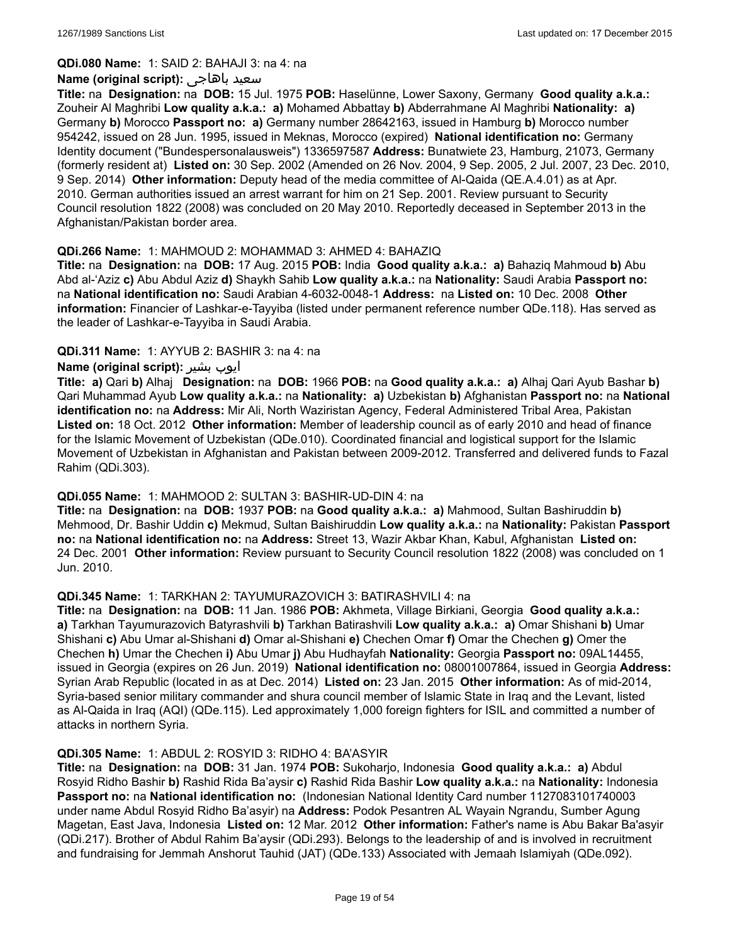### **QDi.080 Name:** 1: SAID 2: BAHAJI 3: na 4: na

#### **Name (original script):** باهاجى سعيد

**Title:** na **Designation:** na **DOB:** 15 Jul. 1975 **POB:** Haselünne, Lower Saxony, Germany **Good quality a.k.a.:** Zouheir Al Maghribi **Low quality a.k.a.: a)** Mohamed Abbattay **b)** Abderrahmane Al Maghribi **Nationality: a)** Germany **b)** Morocco **Passport no: a)** Germany number 28642163, issued in Hamburg **b)** Morocco number 954242, issued on 28 Jun. 1995, issued in Meknas, Morocco (expired) **National identification no:** Germany Identity document ("Bundespersonalausweis") 1336597587 **Address:** Bunatwiete 23, Hamburg, 21073, Germany (formerly resident at) **Listed on:** 30 Sep. 2002 (Amended on 26 Nov. 2004, 9 Sep. 2005, 2 Jul. 2007, 23 Dec. 2010, 9 Sep. 2014) **Other information:** Deputy head of the media committee of Al-Qaida (QE.A.4.01) as at Apr. 2010. German authorities issued an arrest warrant for him on 21 Sep. 2001. Review pursuant to Security Council resolution 1822 (2008) was concluded on 20 May 2010. Reportedly deceased in September 2013 in the Afghanistan/Pakistan border area.

### **QDi.266 Name:** 1: MAHMOUD 2: MOHAMMAD 3: AHMED 4: BAHAZIQ

**Title:** na **Designation:** na **DOB:** 17 Aug. 2015 **POB:** India **Good quality a.k.a.: a)** Bahaziq Mahmoud **b)** Abu Abd al-'Aziz **c)** Abu Abdul Aziz **d)** Shaykh Sahib **Low quality a.k.a.:** na **Nationality:** Saudi Arabia **Passport no:** na **National identification no:** Saudi Arabian 4-6032-0048-1 **Address:** na **Listed on:** 10 Dec. 2008 **Other information:** Financier of Lashkar-e-Tayyiba (listed under permanent reference number QDe.118). Has served as the leader of Lashkar-e-Tayyiba in Saudi Arabia.

### **QDi.311 Name:** 1: AYYUB 2: BASHIR 3: na 4: na

# **Name (original script):** بشیر ایوب

**Title: a)** Qari **b)** Alhaj **Designation:** na **DOB:** 1966 **POB:** na **Good quality a.k.a.: a)** Alhaj Qari Ayub Bashar **b)** Qari Muhammad Ayub **Low quality a.k.a.:** na **Nationality: a)** Uzbekistan **b)** Afghanistan **Passport no:** na **National identification no:** na **Address:** Mir Ali, North Waziristan Agency, Federal Administered Tribal Area, Pakistan **Listed on:** 18 Oct. 2012 **Other information:** Member of leadership council as of early 2010 and head of finance for the Islamic Movement of Uzbekistan (QDe.010). Coordinated financial and logistical support for the Islamic Movement of Uzbekistan in Afghanistan and Pakistan between 2009-2012. Transferred and delivered funds to Fazal Rahim (QDi.303).

# **QDi.055 Name:** 1: MAHMOOD 2: SULTAN 3: BASHIR-UD-DIN 4: na

**Title:** na **Designation:** na **DOB:** 1937 **POB:** na **Good quality a.k.a.: a)** Mahmood, Sultan Bashiruddin **b)** Mehmood, Dr. Bashir Uddin **c)** Mekmud, Sultan Baishiruddin **Low quality a.k.a.:** na **Nationality:** Pakistan **Passport no:** na **National identification no:** na **Address:** Street 13, Wazir Akbar Khan, Kabul, Afghanistan **Listed on:** 24 Dec. 2001 **Other information:** Review pursuant to Security Council resolution 1822 (2008) was concluded on 1 Jun. 2010.

# **QDi.345 Name:** 1: TARKHAN 2: TAYUMURAZOVICH 3: BATIRASHVILI 4: na

**Title:** na **Designation:** na **DOB:** 11 Jan. 1986 **POB:** Akhmeta, Village Birkiani, Georgia **Good quality a.k.a.: a)** Tarkhan Tayumurazovich Batyrashvili **b)** Tarkhan Batirashvili **Low quality a.k.a.: a)** Omar Shishani **b)** Umar Shishani **c)** Abu Umar al-Shishani **d)** Omar al-Shishani **e)** Chechen Omar **f)** Omar the Chechen **g)** Omer the Chechen **h)** Umar the Chechen **i)** Abu Umar **j)** Abu Hudhayfah **Nationality:** Georgia **Passport no:** 09AL14455, issued in Georgia (expires on 26 Jun. 2019) **National identification no:** 08001007864, issued in Georgia **Address:** Syrian Arab Republic (located in as at Dec. 2014) **Listed on:** 23 Jan. 2015 **Other information:** As of mid-2014, Syria-based senior military commander and shura council member of Islamic State in Iraq and the Levant, listed as Al-Qaida in Iraq (AQI) (QDe.115). Led approximately 1,000 foreign fighters for ISIL and committed a number of attacks in northern Syria.

# **QDi.305 Name:** 1: ABDUL 2: ROSYID 3: RIDHO 4: BA'ASYIR

**Title:** na **Designation:** na **DOB:** 31 Jan. 1974 **POB:** Sukoharjo, Indonesia **Good quality a.k.a.: a)** Abdul Rosyid Ridho Bashir **b)** Rashid Rida Ba'aysir **c)** Rashid Rida Bashir **Low quality a.k.a.:** na **Nationality:** Indonesia **Passport no:** na **National identification no:** (Indonesian National Identity Card number 1127083101740003 under name Abdul Rosyid Ridho Ba'asyir) na **Address:** Podok Pesantren AL Wayain Ngrandu, Sumber Agung Magetan, East Java, Indonesia **Listed on:** 12 Mar. 2012 **Other information:** Father's name is Abu Bakar Ba'asyir (QDi.217). Brother of Abdul Rahim Ba'aysir (QDi.293). Belongs to the leadership of and is involved in recruitment and fundraising for Jemmah Anshorut Tauhid (JAT) (QDe.133) Associated with Jemaah Islamiyah (QDe.092).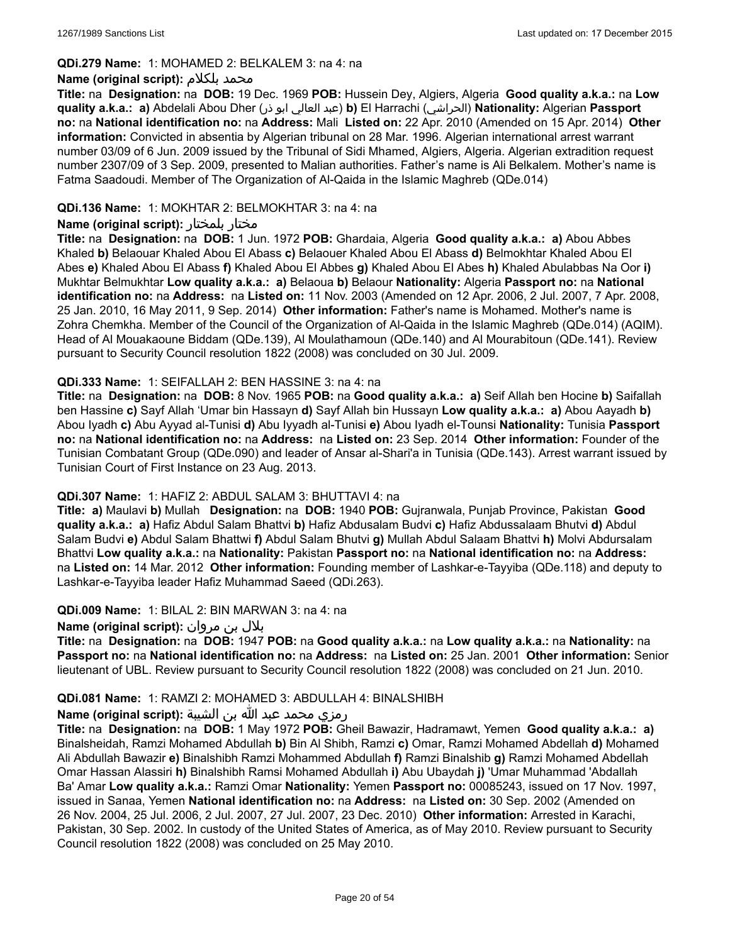#### **QDi.279 Name:** 1: MOHAMED 2: BELKALEM 3: na 4: na

### **Name (original script):** بلكلام محمد

**Title:** na **Designation:** na **DOB:** 19 Dec. 1969 **POB:** Hussein Dey, Algiers, Algeria **Good quality a.k.a.:** na **Low quality a.k.a.: a)** Abdelali Abou Dher (ذر ابو العالي عبد(**b)** El Harrachi (الحراشي(**Nationality:** Algerian **Passport no:** na **National identification no:** na **Address:** Mali **Listed on:** 22 Apr. 2010 (Amended on 15 Apr. 2014) **Other information:** Convicted in absentia by Algerian tribunal on 28 Mar. 1996. Algerian international arrest warrant number 03/09 of 6 Jun. 2009 issued by the Tribunal of Sidi Mhamed, Algiers, Algeria. Algerian extradition request number 2307/09 of 3 Sep. 2009, presented to Malian authorities. Father's name is Ali Belkalem. Mother's name is Fatma Saadoudi. Member of The Organization of Al-Qaida in the Islamic Maghreb (QDe.014)

### **QDi.136 Name:** 1: MOKHTAR 2: BELMOKHTAR 3: na 4: na

### **Name (original script):** بلمختار مختار

**Title:** na **Designation:** na **DOB:** 1 Jun. 1972 **POB:** Ghardaia, Algeria **Good quality a.k.a.: a)** Abou Abbes Khaled **b)** Belaouar Khaled Abou El Abass **c)** Belaouer Khaled Abou El Abass **d)** Belmokhtar Khaled Abou El Abes **e)** Khaled Abou El Abass **f)** Khaled Abou El Abbes **g)** Khaled Abou El Abes **h)** Khaled Abulabbas Na Oor **i)** Mukhtar Belmukhtar **Low quality a.k.a.: a)** Belaoua **b)** Belaour **Nationality:** Algeria **Passport no:** na **National identification no:** na **Address:** na **Listed on:** 11 Nov. 2003 (Amended on 12 Apr. 2006, 2 Jul. 2007, 7 Apr. 2008, 25 Jan. 2010, 16 May 2011, 9 Sep. 2014) **Other information:** Father's name is Mohamed. Mother's name is Zohra Chemkha. Member of the Council of the Organization of Al-Qaida in the Islamic Maghreb (QDe.014) (AQIM). Head of Al Mouakaoune Biddam (QDe.139), Al Moulathamoun (QDe.140) and Al Mourabitoun (QDe.141). Review pursuant to Security Council resolution 1822 (2008) was concluded on 30 Jul. 2009.

### **QDi.333 Name:** 1: SEIFALLAH 2: BEN HASSINE 3: na 4: na

**Title:** na **Designation:** na **DOB:** 8 Nov. 1965 **POB:** na **Good quality a.k.a.: a)** Seif Allah ben Hocine **b)** Saifallah ben Hassine **c)** Sayf Allah 'Umar bin Hassayn **d)** Sayf Allah bin Hussayn **Low quality a.k.a.: a)** Abou Aayadh **b)** Abou Iyadh **c)** Abu Ayyad al-Tunisi **d)** Abu Iyyadh al-Tunisi **e)** Abou Iyadh el-Tounsi **Nationality:** Tunisia **Passport no:** na **National identification no:** na **Address:** na **Listed on:** 23 Sep. 2014 **Other information:** Founder of the Tunisian Combatant Group (QDe.090) and leader of Ansar al-Shari'a in Tunisia (QDe.143). Arrest warrant issued by Tunisian Court of First Instance on 23 Aug. 2013.

#### **QDi.307 Name:** 1: HAFIZ 2: ABDUL SALAM 3: BHUTTAVI 4: na

**Title: a)** Maulavi **b)** Mullah **Designation:** na **DOB:** 1940 **POB:** Gujranwala, Punjab Province, Pakistan **Good quality a.k.a.: a)** Hafiz Abdul Salam Bhattvi **b)** Hafiz Abdusalam Budvi **c)** Hafiz Abdussalaam Bhutvi **d)** Abdul Salam Budvi **e)** Abdul Salam Bhattwi **f)** Abdul Salam Bhutvi **g)** Mullah Abdul Salaam Bhattvi **h)** Molvi Abdursalam Bhattvi **Low quality a.k.a.:** na **Nationality:** Pakistan **Passport no:** na **National identification no:** na **Address:**  na **Listed on:** 14 Mar. 2012 **Other information:** Founding member of Lashkar-e-Tayyiba (QDe.118) and deputy to Lashkar-e-Tayyiba leader Hafiz Muhammad Saeed (QDi.263).

#### **QDi.009 Name:** 1: BILAL 2: BIN MARWAN 3: na 4: na

بلال بن مروان **:(script original (Name**

**Title:** na **Designation:** na **DOB:** 1947 **POB:** na **Good quality a.k.a.:** na **Low quality a.k.a.:** na **Nationality:** na **Passport no:** na **National identification no:** na **Address:** na **Listed on:** 25 Jan. 2001 **Other information:** Senior lieutenant of UBL. Review pursuant to Security Council resolution 1822 (2008) was concluded on 21 Jun. 2010.

# **QDi.081 Name:** 1: RAMZI 2: MOHAMED 3: ABDULLAH 4: BINALSHIBH

### رمزي محمد عبد الله بن الشيبة **:(script original (Name**

**Title:** na **Designation:** na **DOB:** 1 May 1972 **POB:** Gheil Bawazir, Hadramawt, Yemen **Good quality a.k.a.: a)** Binalsheidah, Ramzi Mohamed Abdullah **b)** Bin Al Shibh, Ramzi **c)** Omar, Ramzi Mohamed Abdellah **d)** Mohamed Ali Abdullah Bawazir **e)** Binalshibh Ramzi Mohammed Abdullah **f)** Ramzi Binalshib **g)** Ramzi Mohamed Abdellah Omar Hassan Alassiri **h)** Binalshibh Ramsi Mohamed Abdullah **i)** Abu Ubaydah **j)** 'Umar Muhammad 'Abdallah Ba' Amar **Low quality a.k.a.:** Ramzi Omar **Nationality:** Yemen **Passport no:** 00085243, issued on 17 Nov. 1997, issued in Sanaa, Yemen **National identification no:** na **Address:** na **Listed on:** 30 Sep. 2002 (Amended on 26 Nov. 2004, 25 Jul. 2006, 2 Jul. 2007, 27 Jul. 2007, 23 Dec. 2010) **Other information:** Arrested in Karachi, Pakistan, 30 Sep. 2002. In custody of the United States of America, as of May 2010. Review pursuant to Security Council resolution 1822 (2008) was concluded on 25 May 2010.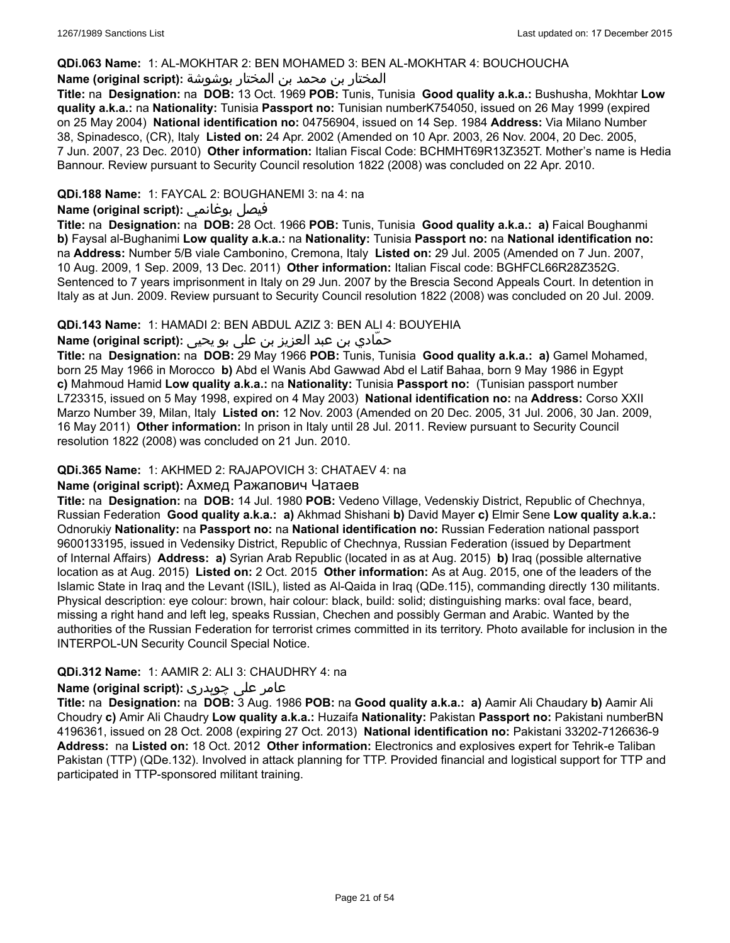### **QDi.063 Name:** 1: AL-MOKHTAR 2: BEN MOHAMED 3: BEN AL-MOKHTAR 4: BOUCHOUCHA

# المختار بن محمد بن المختار بوشوشة **:(script original (Name**

**Title:** na **Designation:** na **DOB:** 13 Oct. 1969 **POB:** Tunis, Tunisia **Good quality a.k.a.:** Bushusha, Mokhtar **Low quality a.k.a.:** na **Nationality:** Tunisia **Passport no:** Tunisian numberK754050, issued on 26 May 1999 (expired on 25 May 2004) **National identification no:** 04756904, issued on 14 Sep. 1984 **Address:** Via Milano Number 38, Spinadesco, (CR), Italy **Listed on:** 24 Apr. 2002 (Amended on 10 Apr. 2003, 26 Nov. 2004, 20 Dec. 2005, 7 Jun. 2007, 23 Dec. 2010) **Other information:** Italian Fiscal Code: BCHMHT69R13Z352T. Mother's name is Hedia Bannour. Review pursuant to Security Council resolution 1822 (2008) was concluded on 22 Apr. 2010.

# **QDi.188 Name:** 1: FAYCAL 2: BOUGHANEMI 3: na 4: na

### **Name (original script):** بوغانمي فيصل

**Title:** na **Designation:** na **DOB:** 28 Oct. 1966 **POB:** Tunis, Tunisia **Good quality a.k.a.: a)** Faical Boughanmi **b)** Faysal al-Bughanimi **Low quality a.k.a.:** na **Nationality:** Tunisia **Passport no:** na **National identification no:** na **Address:** Number 5/B viale Cambonino, Cremona, Italy **Listed on:** 29 Jul. 2005 (Amended on 7 Jun. 2007, 10 Aug. 2009, 1 Sep. 2009, 13 Dec. 2011) **Other information:** Italian Fiscal code: BGHFCL66R28Z352G. Sentenced to 7 years imprisonment in Italy on 29 Jun. 2007 by the Brescia Second Appeals Court. In detention in Italy as at Jun. 2009. Review pursuant to Security Council resolution 1822 (2008) was concluded on 20 Jul. 2009.

### **QDi.143 Name:** 1: HAMADI 2: BEN ABDUL AZIZ 3: BEN ALI 4: BOUYEHIA

# حمّادي بن عبد العزيز بن على بو يحيى **:(script original (Name**

**Title:** na **Designation:** na **DOB:** 29 May 1966 **POB:** Tunis, Tunisia **Good quality a.k.a.: a)** Gamel Mohamed, born 25 May 1966 in Morocco **b)** Abd el Wanis Abd Gawwad Abd el Latif Bahaa, born 9 May 1986 in Egypt **c)** Mahmoud Hamid **Low quality a.k.a.:** na **Nationality:** Tunisia **Passport no:** (Tunisian passport number L723315, issued on 5 May 1998, expired on 4 May 2003) **National identification no:** na **Address:** Corso XXII Marzo Number 39, Milan, Italy **Listed on:** 12 Nov. 2003 (Amended on 20 Dec. 2005, 31 Jul. 2006, 30 Jan. 2009, 16 May 2011) **Other information:** In prison in Italy until 28 Jul. 2011. Review pursuant to Security Council resolution 1822 (2008) was concluded on 21 Jun. 2010.

#### **QDi.365 Name:** 1: AKHMED 2: RAJAPOVICH 3: CHATAEV 4: na

#### **Name (original script):** Ахмед Ражапович Чатаев

**Title:** na **Designation:** na **DOB:** 14 Jul. 1980 **POB:** Vedeno Village, Vedenskiy District, Republic of Chechnya, Russian Federation **Good quality a.k.a.: a)** Akhmad Shishani **b)** David Mayer **c)** Elmir Sene **Low quality a.k.a.:** Odnorukiy **Nationality:** na **Passport no:** na **National identification no:** Russian Federation national passport 9600133195, issued in Vedensiky District, Republic of Chechnya, Russian Federation (issued by Department of Internal Affairs) **Address: a)** Syrian Arab Republic (located in as at Aug. 2015) **b)** Iraq (possible alternative location as at Aug. 2015) **Listed on:** 2 Oct. 2015 **Other information:** As at Aug. 2015, one of the leaders of the Islamic State in Iraq and the Levant (ISIL), listed as Al-Qaida in Iraq (QDe.115), commanding directly 130 militants. Physical description: eye colour: brown, hair colour: black, build: solid; distinguishing marks: oval face, beard, missing a right hand and left leg, speaks Russian, Chechen and possibly German and Arabic. Wanted by the authorities of the Russian Federation for terrorist crimes committed in its territory. Photo available for inclusion in the INTERPOL-UN Security Council Special Notice.

# **QDi.312 Name:** 1: AAMIR 2: ALI 3: CHAUDHRY 4: na

# عامر علی چوہدری **:(script original (Name**

**Title:** na **Designation:** na **DOB:** 3 Aug. 1986 **POB:** na **Good quality a.k.a.: a)** Aamir Ali Chaudary **b)** Aamir Ali Choudry **c)** Amir Ali Chaudry **Low quality a.k.a.:** Huzaifa **Nationality:** Pakistan **Passport no:** Pakistani numberBN 4196361, issued on 28 Oct. 2008 (expiring 27 Oct. 2013) **National identification no:** Pakistani 33202-7126636-9 **Address:** na **Listed on:** 18 Oct. 2012 **Other information:** Electronics and explosives expert for Tehrik-e Taliban Pakistan (TTP) (QDe.132). Involved in attack planning for TTP. Provided financial and logistical support for TTP and participated in TTP-sponsored militant training.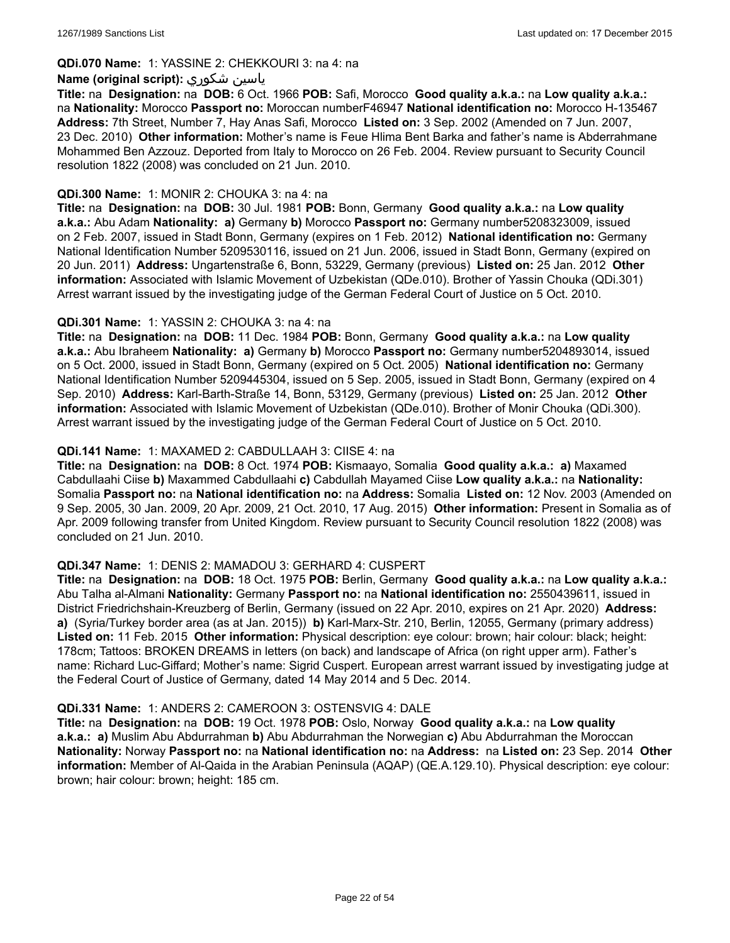#### **QDi.070 Name:** 1: YASSINE 2: CHEKKOURI 3: na 4: na

#### **Name (original script):** شكوري ياسين

**Title:** na **Designation:** na **DOB:** 6 Oct. 1966 **POB:** Safi, Morocco **Good quality a.k.a.:** na **Low quality a.k.a.:** na **Nationality:** Morocco **Passport no:** Moroccan numberF46947 **National identification no:** Morocco H-135467 **Address:** 7th Street, Number 7, Hay Anas Safi, Morocco **Listed on:** 3 Sep. 2002 (Amended on 7 Jun. 2007, 23 Dec. 2010) **Other information:** Mother's name is Feue Hlima Bent Barka and father's name is Abderrahmane Mohammed Ben Azzouz. Deported from Italy to Morocco on 26 Feb. 2004. Review pursuant to Security Council resolution 1822 (2008) was concluded on 21 Jun. 2010.

#### **QDi.300 Name:** 1: MONIR 2: CHOUKA 3: na 4: na

**Title:** na **Designation:** na **DOB:** 30 Jul. 1981 **POB:** Bonn, Germany **Good quality a.k.a.:** na **Low quality a.k.a.:** Abu Adam **Nationality: a)** Germany **b)** Morocco **Passport no:** Germany number5208323009, issued on 2 Feb. 2007, issued in Stadt Bonn, Germany (expires on 1 Feb. 2012) **National identification no:** Germany National Identification Number 5209530116, issued on 21 Jun. 2006, issued in Stadt Bonn, Germany (expired on 20 Jun. 2011) **Address:** Ungartenstraße 6, Bonn, 53229, Germany (previous) **Listed on:** 25 Jan. 2012 **Other information:** Associated with Islamic Movement of Uzbekistan (QDe.010). Brother of Yassin Chouka (QDi.301) Arrest warrant issued by the investigating judge of the German Federal Court of Justice on 5 Oct. 2010.

### **QDi.301 Name:** 1: YASSIN 2: CHOUKA 3: na 4: na

**Title:** na **Designation:** na **DOB:** 11 Dec. 1984 **POB:** Bonn, Germany **Good quality a.k.a.:** na **Low quality a.k.a.:** Abu Ibraheem **Nationality: a)** Germany **b)** Morocco **Passport no:** Germany number5204893014, issued on 5 Oct. 2000, issued in Stadt Bonn, Germany (expired on 5 Oct. 2005) **National identification no:** Germany National Identification Number 5209445304, issued on 5 Sep. 2005, issued in Stadt Bonn, Germany (expired on 4 Sep. 2010) **Address:** Karl-Barth-Straße 14, Bonn, 53129, Germany (previous) **Listed on:** 25 Jan. 2012 **Other information:** Associated with Islamic Movement of Uzbekistan (QDe.010). Brother of Monir Chouka (QDi.300). Arrest warrant issued by the investigating judge of the German Federal Court of Justice on 5 Oct. 2010.

### **QDi.141 Name:** 1: MAXAMED 2: CABDULLAAH 3: CIISE 4: na

**Title:** na **Designation:** na **DOB:** 8 Oct. 1974 **POB:** Kismaayo, Somalia **Good quality a.k.a.: a)** Maxamed Cabdullaahi Ciise **b)** Maxammed Cabdullaahi **c)** Cabdullah Mayamed Ciise **Low quality a.k.a.:** na **Nationality:** Somalia **Passport no:** na **National identification no:** na **Address:** Somalia **Listed on:** 12 Nov. 2003 (Amended on 9 Sep. 2005, 30 Jan. 2009, 20 Apr. 2009, 21 Oct. 2010, 17 Aug. 2015) **Other information:** Present in Somalia as of Apr. 2009 following transfer from United Kingdom. Review pursuant to Security Council resolution 1822 (2008) was concluded on 21 Jun. 2010.

#### **QDi.347 Name:** 1: DENIS 2: MAMADOU 3: GERHARD 4: CUSPERT

**Title:** na **Designation:** na **DOB:** 18 Oct. 1975 **POB:** Berlin, Germany **Good quality a.k.a.:** na **Low quality a.k.a.:** Abu Talha al-Almani **Nationality:** Germany **Passport no:** na **National identification no:** 2550439611, issued in District Friedrichshain-Kreuzberg of Berlin, Germany (issued on 22 Apr. 2010, expires on 21 Apr. 2020) **Address: a)** (Syria/Turkey border area (as at Jan. 2015)) **b)** Karl-Marx-Str. 210, Berlin, 12055, Germany (primary address) **Listed on:** 11 Feb. 2015 **Other information:** Physical description: eye colour: brown; hair colour: black; height: 178cm; Tattoos: BROKEN DREAMS in letters (on back) and landscape of Africa (on right upper arm). Father's name: Richard Luc-Giffard; Mother's name: Sigrid Cuspert. European arrest warrant issued by investigating judge at the Federal Court of Justice of Germany, dated 14 May 2014 and 5 Dec. 2014.

#### **QDi.331 Name:** 1: ANDERS 2: CAMEROON 3: OSTENSVIG 4: DALE

**Title:** na **Designation:** na **DOB:** 19 Oct. 1978 **POB:** Oslo, Norway **Good quality a.k.a.:** na **Low quality a.k.a.: a)** Muslim Abu Abdurrahman **b)** Abu Abdurrahman the Norwegian **c)** Abu Abdurrahman the Moroccan **Nationality:** Norway **Passport no:** na **National identification no:** na **Address:** na **Listed on:** 23 Sep. 2014 **Other information:** Member of Al-Qaida in the Arabian Peninsula (AQAP) (QE.A.129.10). Physical description: eye colour: brown; hair colour: brown; height: 185 cm.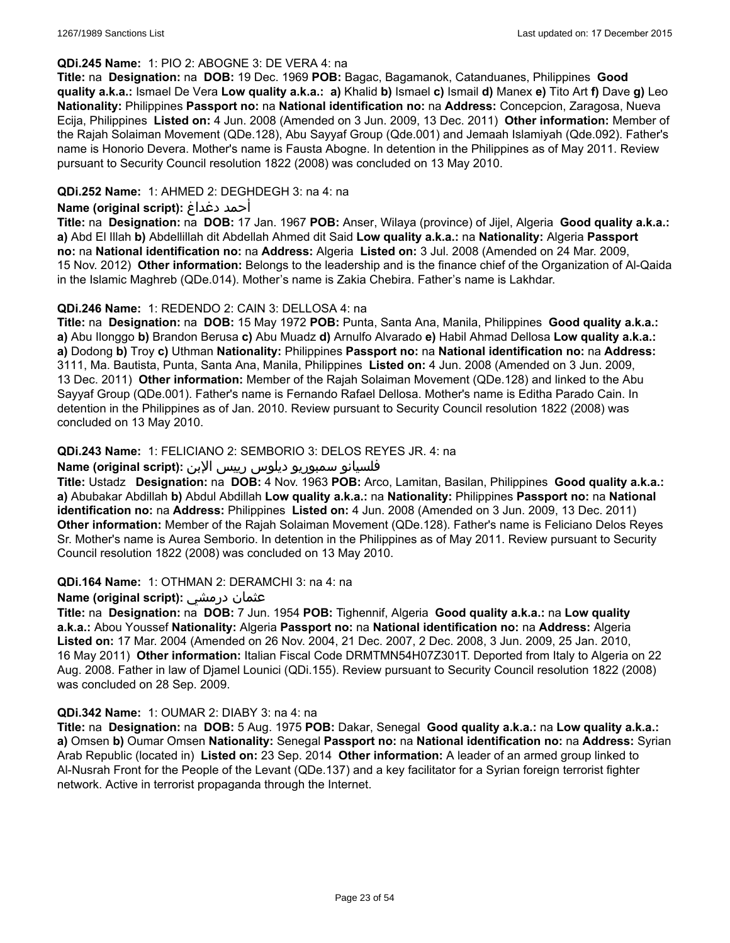### **QDi.245 Name:** 1: PIO 2: ABOGNE 3: DE VERA 4: na

**Title:** na **Designation:** na **DOB:** 19 Dec. 1969 **POB:** Bagac, Bagamanok, Catanduanes, Philippines **Good quality a.k.a.:** Ismael De Vera **Low quality a.k.a.: a)** Khalid **b)** Ismael **c)** Ismail **d)** Manex **e)** Tito Art **f)** Dave **g)** Leo **Nationality:** Philippines **Passport no:** na **National identification no:** na **Address:** Concepcion, Zaragosa, Nueva Ecija, Philippines **Listed on:** 4 Jun. 2008 (Amended on 3 Jun. 2009, 13 Dec. 2011) **Other information:** Member of the Rajah Solaiman Movement (QDe.128), Abu Sayyaf Group (Qde.001) and Jemaah Islamiyah (Qde.092). Father's name is Honorio Devera. Mother's name is Fausta Abogne. In detention in the Philippines as of May 2011. Review pursuant to Security Council resolution 1822 (2008) was concluded on 13 May 2010.

### **QDi.252 Name:** 1: AHMED 2: DEGHDEGH 3: na 4: na

### **Name (original script):** دغداغ أحمد

**Title:** na **Designation:** na **DOB:** 17 Jan. 1967 **POB:** Anser, Wilaya (province) of Jijel, Algeria **Good quality a.k.a.: a)** Abd El Illah **b)** Abdellillah dit Abdellah Ahmed dit Said **Low quality a.k.a.:** na **Nationality:** Algeria **Passport no:** na **National identification no:** na **Address:** Algeria **Listed on:** 3 Jul. 2008 (Amended on 24 Mar. 2009, 15 Nov. 2012) **Other information:** Belongs to the leadership and is the finance chief of the Organization of Al-Qaida in the Islamic Maghreb (QDe.014). Mother's name is Zakia Chebira. Father's name is Lakhdar.

### **QDi.246 Name:** 1: REDENDO 2: CAIN 3: DELLOSA 4: na

**Title:** na **Designation:** na **DOB:** 15 May 1972 **POB:** Punta, Santa Ana, Manila, Philippines **Good quality a.k.a.: a)** Abu Ilonggo **b)** Brandon Berusa **c)** Abu Muadz **d)** Arnulfo Alvarado **e)** Habil Ahmad Dellosa **Low quality a.k.a.: a)** Dodong **b)** Troy **c)** Uthman **Nationality:** Philippines **Passport no:** na **National identification no:** na **Address:** 3111, Ma. Bautista, Punta, Santa Ana, Manila, Philippines **Listed on:** 4 Jun. 2008 (Amended on 3 Jun. 2009, 13 Dec. 2011) **Other information:** Member of the Rajah Solaiman Movement (QDe.128) and linked to the Abu Sayyaf Group (QDe.001). Father's name is Fernando Rafael Dellosa. Mother's name is Editha Parado Cain. In detention in the Philippines as of Jan. 2010. Review pursuant to Security Council resolution 1822 (2008) was concluded on 13 May 2010.

### **QDi.243 Name:** 1: FELICIANO 2: SEMBORIO 3: DELOS REYES JR. 4: na

### فلسيانو سمبوريو ديلوس رييس الإبن **:(script original (Name**

**Title:** Ustadz **Designation:** na **DOB:** 4 Nov. 1963 **POB:** Arco, Lamitan, Basilan, Philippines **Good quality a.k.a.: a)** Abubakar Abdillah **b)** Abdul Abdillah **Low quality a.k.a.:** na **Nationality:** Philippines **Passport no:** na **National identification no:** na **Address:** Philippines **Listed on:** 4 Jun. 2008 (Amended on 3 Jun. 2009, 13 Dec. 2011) **Other information:** Member of the Rajah Solaiman Movement (QDe.128). Father's name is Feliciano Delos Reyes Sr. Mother's name is Aurea Semborio. In detention in the Philippines as of May 2011. Review pursuant to Security Council resolution 1822 (2008) was concluded on 13 May 2010.

#### **QDi.164 Name:** 1: OTHMAN 2: DERAMCHI 3: na 4: na

# **Name (original script):** درمشي عثمان

**Title:** na **Designation:** na **DOB:** 7 Jun. 1954 **POB:** Tighennif, Algeria **Good quality a.k.a.:** na **Low quality a.k.a.:** Abou Youssef **Nationality:** Algeria **Passport no:** na **National identification no:** na **Address:** Algeria **Listed on:** 17 Mar. 2004 (Amended on 26 Nov. 2004, 21 Dec. 2007, 2 Dec. 2008, 3 Jun. 2009, 25 Jan. 2010, 16 May 2011) **Other information:** Italian Fiscal Code DRMTMN54H07Z301T. Deported from Italy to Algeria on 22 Aug. 2008. Father in law of Djamel Lounici (QDi.155). Review pursuant to Security Council resolution 1822 (2008) was concluded on 28 Sep. 2009.

#### **QDi.342 Name:** 1: OUMAR 2: DIABY 3: na 4: na

**Title:** na **Designation:** na **DOB:** 5 Aug. 1975 **POB:** Dakar, Senegal **Good quality a.k.a.:** na **Low quality a.k.a.: a)** Omsen **b)** Oumar Omsen **Nationality:** Senegal **Passport no:** na **National identification no:** na **Address:** Syrian Arab Republic (located in) **Listed on:** 23 Sep. 2014 **Other information:** A leader of an armed group linked to Al-Nusrah Front for the People of the Levant (QDe.137) and a key facilitator for a Syrian foreign terrorist fighter network. Active in terrorist propaganda through the Internet.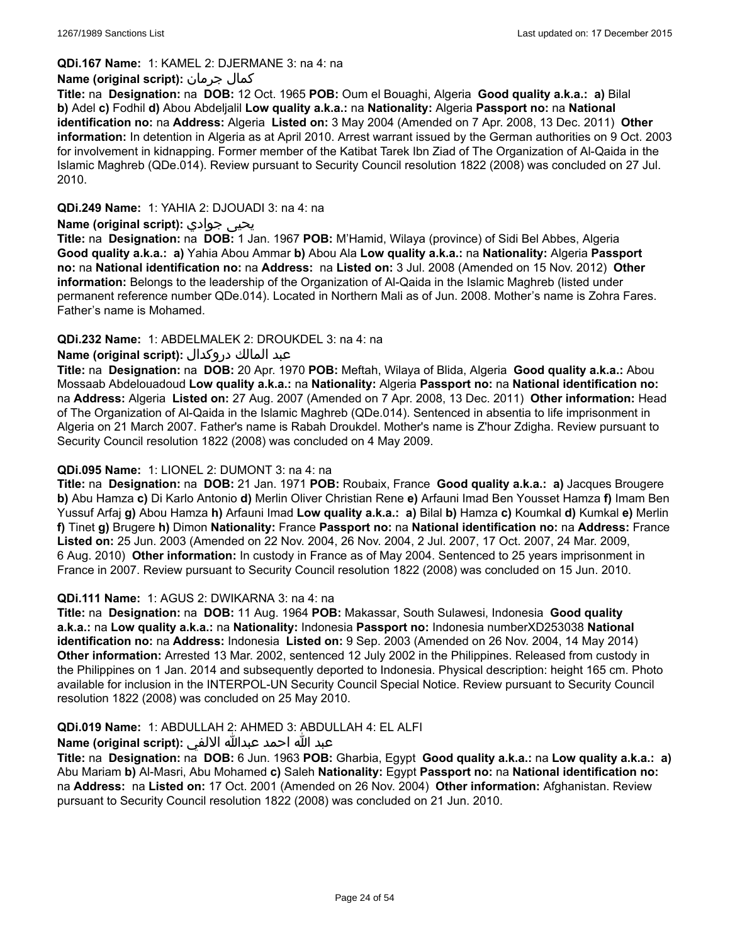### **QDi.167 Name:** 1: KAMEL 2: DJERMANE 3: na 4: na

### **Name (original script):** جرمان كمال

**Title:** na **Designation:** na **DOB:** 12 Oct. 1965 **POB:** Oum el Bouaghi, Algeria **Good quality a.k.a.: a)** Bilal **b)** Adel **c)** Fodhil **d)** Abou Abdeljalil **Low quality a.k.a.:** na **Nationality:** Algeria **Passport no:** na **National identification no:** na **Address:** Algeria **Listed on:** 3 May 2004 (Amended on 7 Apr. 2008, 13 Dec. 2011) **Other information:** In detention in Algeria as at April 2010. Arrest warrant issued by the German authorities on 9 Oct. 2003 for involvement in kidnapping. Former member of the Katibat Tarek Ibn Ziad of The Organization of Al-Qaida in the Islamic Maghreb (QDe.014). Review pursuant to Security Council resolution 1822 (2008) was concluded on 27 Jul. 2010.

### **QDi.249 Name:** 1: YAHIA 2: DJOUADI 3: na 4: na

### **Name (original script):** جوادي يحيى

**Title:** na **Designation:** na **DOB:** 1 Jan. 1967 **POB:** M'Hamid, Wilaya (province) of Sidi Bel Abbes, Algeria **Good quality a.k.a.: a)** Yahia Abou Ammar **b)** Abou Ala **Low quality a.k.a.:** na **Nationality:** Algeria **Passport no:** na **National identification no:** na **Address:** na **Listed on:** 3 Jul. 2008 (Amended on 15 Nov. 2012) **Other information:** Belongs to the leadership of the Organization of Al-Qaida in the Islamic Maghreb (listed under permanent reference number QDe.014). Located in Northern Mali as of Jun. 2008. Mother's name is Zohra Fares. Father's name is Mohamed.

### **QDi.232 Name:** 1: ABDELMALEK 2: DROUKDEL 3: na 4: na

# عبد المالك دروكدال **:(script original (Name**

**Title:** na **Designation:** na **DOB:** 20 Apr. 1970 **POB:** Meftah, Wilaya of Blida, Algeria **Good quality a.k.a.:** Abou Mossaab Abdelouadoud **Low quality a.k.a.:** na **Nationality:** Algeria **Passport no:** na **National identification no:** na **Address:** Algeria **Listed on:** 27 Aug. 2007 (Amended on 7 Apr. 2008, 13 Dec. 2011) **Other information:** Head of The Organization of Al-Qaida in the Islamic Maghreb (QDe.014). Sentenced in absentia to life imprisonment in Algeria on 21 March 2007. Father's name is Rabah Droukdel. Mother's name is Z'hour Zdigha. Review pursuant to Security Council resolution 1822 (2008) was concluded on 4 May 2009.

#### **QDi.095 Name:** 1: LIONEL 2: DUMONT 3: na 4: na

**Title:** na **Designation:** na **DOB:** 21 Jan. 1971 **POB:** Roubaix, France **Good quality a.k.a.: a)** Jacques Brougere **b)** Abu Hamza **c)** Di Karlo Antonio **d)** Merlin Oliver Christian Rene **e)** Arfauni Imad Ben Yousset Hamza **f)** Imam Ben Yussuf Arfaj **g)** Abou Hamza **h)** Arfauni Imad **Low quality a.k.a.: a)** Bilal **b)** Hamza **c)** Koumkal **d)** Kumkal **e)** Merlin **f)** Tinet **g)** Brugere **h)** Dimon **Nationality:** France **Passport no:** na **National identification no:** na **Address:** France **Listed on:** 25 Jun. 2003 (Amended on 22 Nov. 2004, 26 Nov. 2004, 2 Jul. 2007, 17 Oct. 2007, 24 Mar. 2009, 6 Aug. 2010) **Other information:** In custody in France as of May 2004. Sentenced to 25 years imprisonment in France in 2007. Review pursuant to Security Council resolution 1822 (2008) was concluded on 15 Jun. 2010.

#### **QDi.111 Name:** 1: AGUS 2: DWIKARNA 3: na 4: na

**Title:** na **Designation:** na **DOB:** 11 Aug. 1964 **POB:** Makassar, South Sulawesi, Indonesia **Good quality a.k.a.:** na **Low quality a.k.a.:** na **Nationality:** Indonesia **Passport no:** Indonesia numberXD253038 **National identification no:** na **Address:** Indonesia **Listed on:** 9 Sep. 2003 (Amended on 26 Nov. 2004, 14 May 2014) **Other information:** Arrested 13 Mar. 2002, sentenced 12 July 2002 in the Philippines. Released from custody in the Philippines on 1 Jan. 2014 and subsequently deported to Indonesia. Physical description: height 165 cm. Photo available for inclusion in the INTERPOL-UN Security Council Special Notice. Review pursuant to Security Council resolution 1822 (2008) was concluded on 25 May 2010.

# **QDi.019 Name:** 1: ABDULLAH 2: AHMED 3: ABDULLAH 4: EL ALFI

# عبد الله احمد عبدالله الالفي **:(script original (Name**

**Title:** na **Designation:** na **DOB:** 6 Jun. 1963 **POB:** Gharbia, Egypt **Good quality a.k.a.:** na **Low quality a.k.a.: a)** Abu Mariam **b)** Al-Masri, Abu Mohamed **c)** Saleh **Nationality:** Egypt **Passport no:** na **National identification no:** na **Address:** na **Listed on:** 17 Oct. 2001 (Amended on 26 Nov. 2004) **Other information:** Afghanistan. Review pursuant to Security Council resolution 1822 (2008) was concluded on 21 Jun. 2010.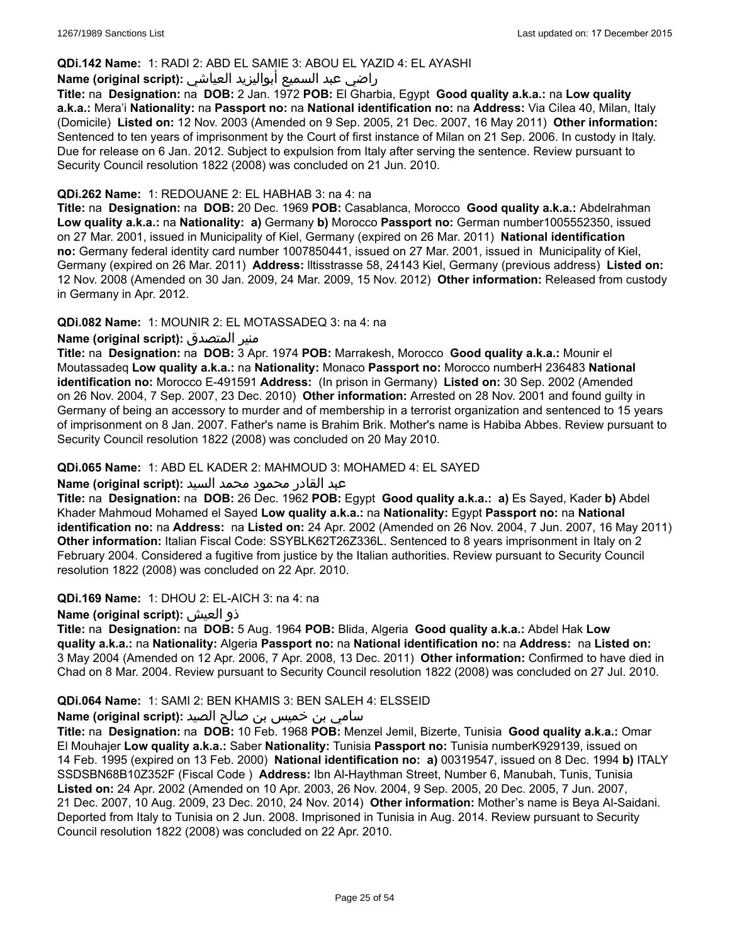### **QDi.142 Name:** 1: RADI 2: ABD EL SAMIE 3: ABOU EL YAZID 4: EL AYASHI

# راضي عبد السميع أبواليزيد العياشي **:(script original (Name**

**Title:** na **Designation:** na **DOB:** 2 Jan. 1972 **POB:** El Gharbia, Egypt **Good quality a.k.a.:** na **Low quality a.k.a.:** Mera'i **Nationality:** na **Passport no:** na **National identification no:** na **Address:** Via Cilea 40, Milan, Italy (Domicile) **Listed on:** 12 Nov. 2003 (Amended on 9 Sep. 2005, 21 Dec. 2007, 16 May 2011) **Other information:** Sentenced to ten years of imprisonment by the Court of first instance of Milan on 21 Sep. 2006. In custody in Italy. Due for release on 6 Jan. 2012. Subject to expulsion from Italy after serving the sentence. Review pursuant to Security Council resolution 1822 (2008) was concluded on 21 Jun. 2010.

#### **QDi.262 Name:** 1: REDOUANE 2: EL HABHAB 3: na 4: na

**Title:** na **Designation:** na **DOB:** 20 Dec. 1969 **POB:** Casablanca, Morocco **Good quality a.k.a.:** Abdelrahman **Low quality a.k.a.:** na **Nationality: a)** Germany **b)** Morocco **Passport no:** German number1005552350, issued on 27 Mar. 2001, issued in Municipality of Kiel, Germany (expired on 26 Mar. 2011) **National identification no:** Germany federal identity card number 1007850441, issued on 27 Mar. 2001, issued in Municipality of Kiel, Germany (expired on 26 Mar. 2011) **Address:** lltisstrasse 58, 24143 Kiel, Germany (previous address) **Listed on:** 12 Nov. 2008 (Amended on 30 Jan. 2009, 24 Mar. 2009, 15 Nov. 2012) **Other information:** Released from custody in Germany in Apr. 2012.

### **QDi.082 Name:** 1: MOUNIR 2: EL MOTASSADEQ 3: na 4: na

### **Name (original script):** المتصدق منير

**Title:** na **Designation:** na **DOB:** 3 Apr. 1974 **POB:** Marrakesh, Morocco **Good quality a.k.a.:** Mounir el Moutassadeq **Low quality a.k.a.:** na **Nationality:** Monaco **Passport no:** Morocco numberH 236483 **National identification no:** Morocco E-491591 **Address:** (In prison in Germany) **Listed on:** 30 Sep. 2002 (Amended on 26 Nov. 2004, 7 Sep. 2007, 23 Dec. 2010) **Other information:** Arrested on 28 Nov. 2001 and found guilty in Germany of being an accessory to murder and of membership in a terrorist organization and sentenced to 15 years of imprisonment on 8 Jan. 2007. Father's name is Brahim Brik. Mother's name is Habiba Abbes. Review pursuant to Security Council resolution 1822 (2008) was concluded on 20 May 2010.

#### **QDi.065 Name:** 1: ABD EL KADER 2: MAHMOUD 3: MOHAMED 4: EL SAYED

#### عبد القادر محمود محمد السيد **:(script original (Name**

**Title:** na **Designation:** na **DOB:** 26 Dec. 1962 **POB:** Egypt **Good quality a.k.a.: a)** Es Sayed, Kader **b)** Abdel Khader Mahmoud Mohamed el Sayed **Low quality a.k.a.:** na **Nationality:** Egypt **Passport no:** na **National identification no:** na **Address:** na **Listed on:** 24 Apr. 2002 (Amended on 26 Nov. 2004, 7 Jun. 2007, 16 May 2011) **Other information:** Italian Fiscal Code: SSYBLK62T26Z336L. Sentenced to 8 years imprisonment in Italy on 2 February 2004. Considered a fugitive from justice by the Italian authorities. Review pursuant to Security Council resolution 1822 (2008) was concluded on 22 Apr. 2010.

#### **QDi.169 Name:** 1: DHOU 2: EL-AICH 3: na 4: na

#### **Name (original script):** العيش ذو

**Title:** na **Designation:** na **DOB:** 5 Aug. 1964 **POB:** Blida, Algeria **Good quality a.k.a.:** Abdel Hak **Low quality a.k.a.:** na **Nationality:** Algeria **Passport no:** na **National identification no:** na **Address:** na **Listed on:** 3 May 2004 (Amended on 12 Apr. 2006, 7 Apr. 2008, 13 Dec. 2011) **Other information:** Confirmed to have died in Chad on 8 Mar. 2004. Review pursuant to Security Council resolution 1822 (2008) was concluded on 27 Jul. 2010.

# **QDi.064 Name:** 1: SAMI 2: BEN KHAMIS 3: BEN SALEH 4: ELSSEID

# سامي بن خميس بن صالح الصيد **:(script original (Name**

**Title:** na **Designation:** na **DOB:** 10 Feb. 1968 **POB:** Menzel Jemil, Bizerte, Tunisia **Good quality a.k.a.:** Omar El Mouhajer **Low quality a.k.a.:** Saber **Nationality:** Tunisia **Passport no:** Tunisia numberK929139, issued on 14 Feb. 1995 (expired on 13 Feb. 2000) **National identification no: a)** 00319547, issued on 8 Dec. 1994 **b)** ITALY SSDSBN68B10Z352F (Fiscal Code ) **Address:** Ibn Al-Haythman Street, Number 6, Manubah, Tunis, Tunisia **Listed on:** 24 Apr. 2002 (Amended on 10 Apr. 2003, 26 Nov. 2004, 9 Sep. 2005, 20 Dec. 2005, 7 Jun. 2007, 21 Dec. 2007, 10 Aug. 2009, 23 Dec. 2010, 24 Nov. 2014) **Other information:** Mother's name is Beya Al-Saidani. Deported from Italy to Tunisia on 2 Jun. 2008. Imprisoned in Tunisia in Aug. 2014. Review pursuant to Security Council resolution 1822 (2008) was concluded on 22 Apr. 2010.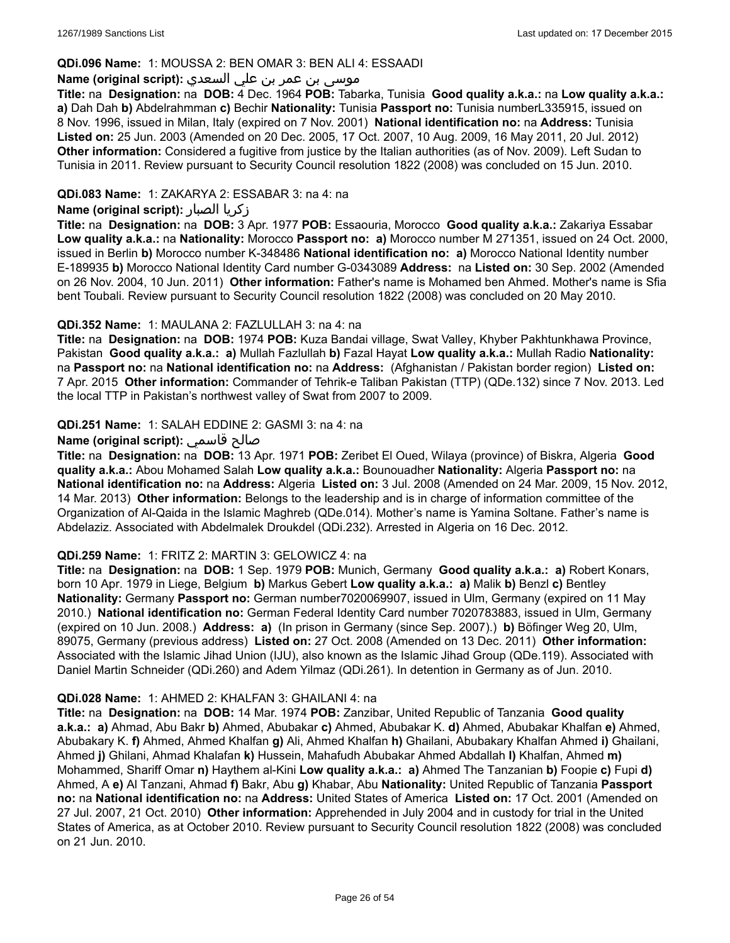### **QDi.096 Name:** 1: MOUSSA 2: BEN OMAR 3: BEN ALI 4: ESSAADI

# موسى بن عمر بن علي السعدي **:Name (original script**

**Title:** na **Designation:** na **DOB:** 4 Dec. 1964 **POB:** Tabarka, Tunisia **Good quality a.k.a.:** na **Low quality a.k.a.: a)** Dah Dah **b)** Abdelrahmman **c)** Bechir **Nationality:** Tunisia **Passport no:** Tunisia numberL335915, issued on 8 Nov. 1996, issued in Milan, Italy (expired on 7 Nov. 2001) **National identification no:** na **Address:** Tunisia **Listed on:** 25 Jun. 2003 (Amended on 20 Dec. 2005, 17 Oct. 2007, 10 Aug. 2009, 16 May 2011, 20 Jul. 2012) **Other information:** Considered a fugitive from justice by the Italian authorities (as of Nov. 2009). Left Sudan to Tunisia in 2011. Review pursuant to Security Council resolution 1822 (2008) was concluded on 15 Jun. 2010.

# **QDi.083 Name:** 1: ZAKARYA 2: ESSABAR 3: na 4: na

### **Name (original script):** الصبار زكريا

**Title:** na **Designation:** na **DOB:** 3 Apr. 1977 **POB:** Essaouria, Morocco **Good quality a.k.a.:** Zakariya Essabar **Low quality a.k.a.:** na **Nationality:** Morocco **Passport no: a)** Morocco number M 271351, issued on 24 Oct. 2000, issued in Berlin **b)** Morocco number K-348486 **National identification no: a)** Morocco National Identity number E-189935 **b)** Morocco National Identity Card number G-0343089 **Address:** na **Listed on:** 30 Sep. 2002 (Amended on 26 Nov. 2004, 10 Jun. 2011) **Other information:** Father's name is Mohamed ben Ahmed. Mother's name is Sfia bent Toubali. Review pursuant to Security Council resolution 1822 (2008) was concluded on 20 May 2010.

### **QDi.352 Name:** 1: MAULANA 2: FAZLULLAH 3: na 4: na

**Title:** na **Designation:** na **DOB:** 1974 **POB:** Kuza Bandai village, Swat Valley, Khyber Pakhtunkhawa Province, Pakistan **Good quality a.k.a.: a)** Mullah Fazlullah **b)** Fazal Hayat **Low quality a.k.a.:** Mullah Radio **Nationality:** na **Passport no:** na **National identification no:** na **Address:** (Afghanistan / Pakistan border region) **Listed on:** 7 Apr. 2015 **Other information:** Commander of Tehrik-e Taliban Pakistan (TTP) (QDe.132) since 7 Nov. 2013. Led the local TTP in Pakistan's northwest valley of Swat from 2007 to 2009.

### **QDi.251 Name:** 1: SALAH EDDINE 2: GASMI 3: na 4: na

### **Name (original script):** قاسمي صالح

**Title:** na **Designation:** na **DOB:** 13 Apr. 1971 **POB:** Zeribet El Oued, Wilaya (province) of Biskra, Algeria **Good quality a.k.a.:** Abou Mohamed Salah **Low quality a.k.a.:** Bounouadher **Nationality:** Algeria **Passport no:** na **National identification no:** na **Address:** Algeria **Listed on:** 3 Jul. 2008 (Amended on 24 Mar. 2009, 15 Nov. 2012, 14 Mar. 2013) **Other information:** Belongs to the leadership and is in charge of information committee of the Organization of Al-Qaida in the Islamic Maghreb (QDe.014). Mother's name is Yamina Soltane. Father's name is Abdelaziz. Associated with Abdelmalek Droukdel (QDi.232). Arrested in Algeria on 16 Dec. 2012.

#### **QDi.259 Name:** 1: FRITZ 2: MARTIN 3: GELOWICZ 4: na

**Title:** na **Designation:** na **DOB:** 1 Sep. 1979 **POB:** Munich, Germany **Good quality a.k.a.: a)** Robert Konars, born 10 Apr. 1979 in Liege, Belgium **b)** Markus Gebert **Low quality a.k.a.: a)** Malik **b)** Benzl **c)** Bentley **Nationality:** Germany **Passport no:** German number7020069907, issued in Ulm, Germany (expired on 11 May 2010.) **National identification no:** German Federal Identity Card number 7020783883, issued in Ulm, Germany (expired on 10 Jun. 2008.) **Address: a)** (In prison in Germany (since Sep. 2007).) **b)** Böfinger Weg 20, Ulm, 89075, Germany (previous address) **Listed on:** 27 Oct. 2008 (Amended on 13 Dec. 2011) **Other information:** Associated with the Islamic Jihad Union (IJU), also known as the Islamic Jihad Group (QDe.119). Associated with Daniel Martin Schneider (QDi.260) and Adem Yilmaz (QDi.261). In detention in Germany as of Jun. 2010.

#### **QDi.028 Name:** 1: AHMED 2: KHALFAN 3: GHAILANI 4: na

**Title:** na **Designation:** na **DOB:** 14 Mar. 1974 **POB:** Zanzibar, United Republic of Tanzania **Good quality a.k.a.: a)** Ahmad, Abu Bakr **b)** Ahmed, Abubakar **c)** Ahmed, Abubakar K. **d)** Ahmed, Abubakar Khalfan **e)** Ahmed, Abubakary K. **f)** Ahmed, Ahmed Khalfan **g)** Ali, Ahmed Khalfan **h)** Ghailani, Abubakary Khalfan Ahmed **i)** Ghailani, Ahmed **j)** Ghilani, Ahmad Khalafan **k)** Hussein, Mahafudh Abubakar Ahmed Abdallah **l)** Khalfan, Ahmed **m)** Mohammed, Shariff Omar **n)** Haythem al-Kini **Low quality a.k.a.: a)** Ahmed The Tanzanian **b)** Foopie **c)** Fupi **d)** Ahmed, A **e)** Al Tanzani, Ahmad **f)** Bakr, Abu **g)** Khabar, Abu **Nationality:** United Republic of Tanzania **Passport no:** na **National identification no:** na **Address:** United States of America **Listed on:** 17 Oct. 2001 (Amended on 27 Jul. 2007, 21 Oct. 2010) **Other information:** Apprehended in July 2004 and in custody for trial in the United States of America, as at October 2010. Review pursuant to Security Council resolution 1822 (2008) was concluded on 21 Jun. 2010.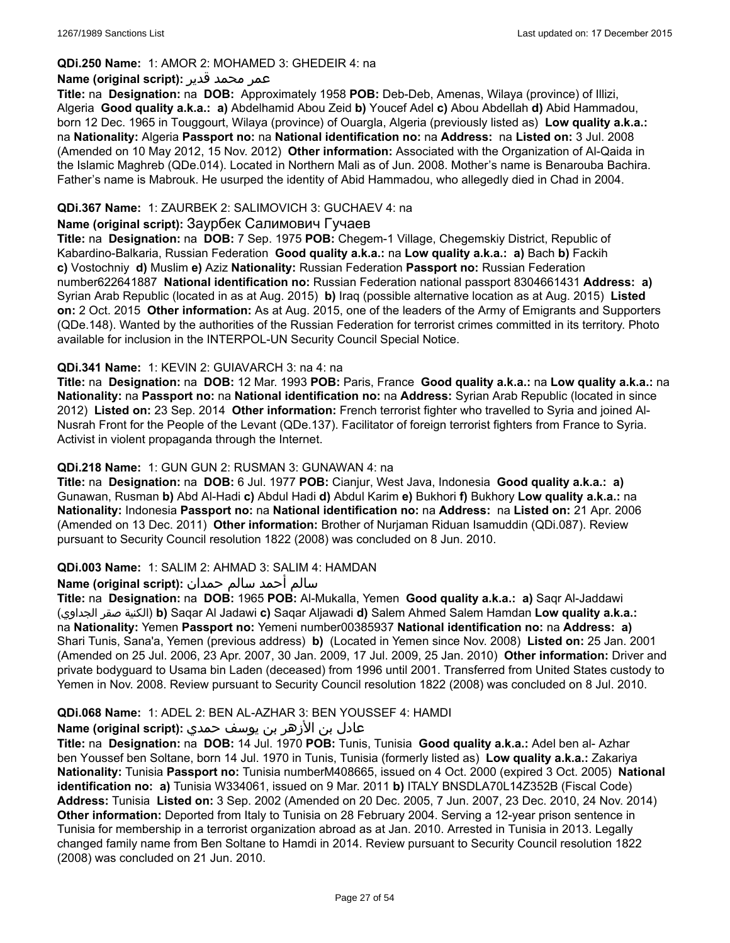### **QDi.250 Name:** 1: AMOR 2: MOHAMED 3: GHEDEIR 4: na

### عمر محمد قدير **:(script original (Name**

**Title:** na **Designation:** na **DOB:** Approximately 1958 **POB:** Deb-Deb, Amenas, Wilaya (province) of Illizi, Algeria **Good quality a.k.a.: a)** Abdelhamid Abou Zeid **b)** Youcef Adel **c)** Abou Abdellah **d)** Abid Hammadou, born 12 Dec. 1965 in Touggourt, Wilaya (province) of Ouargla, Algeria (previously listed as) **Low quality a.k.a.:** na **Nationality:** Algeria **Passport no:** na **National identification no:** na **Address:** na **Listed on:** 3 Jul. 2008 (Amended on 10 May 2012, 15 Nov. 2012) **Other information:** Associated with the Organization of Al-Qaida in the Islamic Maghreb (QDe.014). Located in Northern Mali as of Jun. 2008. Mother's name is Benarouba Bachira. Father's name is Mabrouk. He usurped the identity of Abid Hammadou, who allegedly died in Chad in 2004.

# **QDi.367 Name:** 1: ZAURBEK 2: SALIMOVICH 3: GUCHAEV 4: na

### **Name (original script):** Заурбек Салимович Гучаев

**Title:** na **Designation:** na **DOB:** 7 Sep. 1975 **POB:** Chegem-1 Village, Chegemskiy District, Republic of Kabardino-Balkaria, Russian Federation **Good quality a.k.a.:** na **Low quality a.k.a.: a)** Bach **b)** Fackih **c)** Vostochniy **d)** Muslim **e)** Aziz **Nationality:** Russian Federation **Passport no:** Russian Federation number622641887 **National identification no:** Russian Federation national passport 8304661431 **Address: a)** Syrian Arab Republic (located in as at Aug. 2015) **b)** Iraq (possible alternative location as at Aug. 2015) **Listed on:** 2 Oct. 2015 **Other information:** As at Aug. 2015, one of the leaders of the Army of Emigrants and Supporters (QDe.148). Wanted by the authorities of the Russian Federation for terrorist crimes committed in its territory. Photo available for inclusion in the INTERPOL-UN Security Council Special Notice.

### **QDi.341 Name:** 1: KEVIN 2: GUIAVARCH 3: na 4: na

**Title:** na **Designation:** na **DOB:** 12 Mar. 1993 **POB:** Paris, France **Good quality a.k.a.:** na **Low quality a.k.a.:** na **Nationality:** na **Passport no:** na **National identification no:** na **Address:** Syrian Arab Republic (located in since 2012) **Listed on:** 23 Sep. 2014 **Other information:** French terrorist fighter who travelled to Syria and joined Al-Nusrah Front for the People of the Levant (QDe.137). Facilitator of foreign terrorist fighters from France to Syria. Activist in violent propaganda through the Internet.

### **QDi.218 Name:** 1: GUN GUN 2: RUSMAN 3: GUNAWAN 4: na

**Title:** na **Designation:** na **DOB:** 6 Jul. 1977 **POB:** Cianjur, West Java, Indonesia **Good quality a.k.a.: a)** Gunawan, Rusman **b)** Abd Al-Hadi **c)** Abdul Hadi **d)** Abdul Karim **e)** Bukhori **f)** Bukhory **Low quality a.k.a.:** na **Nationality:** Indonesia **Passport no:** na **National identification no:** na **Address:** na **Listed on:** 21 Apr. 2006 (Amended on 13 Dec. 2011) **Other information:** Brother of Nurjaman Riduan Isamuddin (QDi.087). Review pursuant to Security Council resolution 1822 (2008) was concluded on 8 Jun. 2010.

#### **QDi.003 Name:** 1: SALIM 2: AHMAD 3: SALIM 4: HAMDAN

### سالم أحمد سالم حمدان **:(script original (Name**

**Title:** na **Designation:** na **DOB:** 1965 **POB:** Al-Mukalla, Yemen **Good quality a.k.a.: a)** Saqr Al-Jaddawi (الجداوي صقر الكنية(**b)** Saqar Al Jadawi **c)** Saqar Aljawadi **d)** Salem Ahmed Salem Hamdan **Low quality a.k.a.:** na **Nationality:** Yemen **Passport no:** Yemeni number00385937 **National identification no:** na **Address: a)** Shari Tunis, Sana'a, Yemen (previous address) **b)** (Located in Yemen since Nov. 2008) **Listed on:** 25 Jan. 2001 (Amended on 25 Jul. 2006, 23 Apr. 2007, 30 Jan. 2009, 17 Jul. 2009, 25 Jan. 2010) **Other information:** Driver and private bodyguard to Usama bin Laden (deceased) from 1996 until 2001. Transferred from United States custody to Yemen in Nov. 2008. Review pursuant to Security Council resolution 1822 (2008) was concluded on 8 Jul. 2010.

#### **QDi.068 Name:** 1: ADEL 2: BEN AL-AZHAR 3: BEN YOUSSEF 4: HAMDI

# عادل بن الأزهر بن يوسف حمدي **:(script original (Name**

**Title:** na **Designation:** na **DOB:** 14 Jul. 1970 **POB:** Tunis, Tunisia **Good quality a.k.a.:** Adel ben al- Azhar ben Youssef ben Soltane, born 14 Jul. 1970 in Tunis, Tunisia (formerly listed as) **Low quality a.k.a.:** Zakariya **Nationality:** Tunisia **Passport no:** Tunisia numberM408665, issued on 4 Oct. 2000 (expired 3 Oct. 2005) **National identification no: a)** Tunisia W334061, issued on 9 Mar. 2011 **b)** ITALY BNSDLA70L14Z352B (Fiscal Code) **Address:** Tunisia **Listed on:** 3 Sep. 2002 (Amended on 20 Dec. 2005, 7 Jun. 2007, 23 Dec. 2010, 24 Nov. 2014) **Other information:** Deported from Italy to Tunisia on 28 February 2004. Serving a 12-year prison sentence in Tunisia for membership in a terrorist organization abroad as at Jan. 2010. Arrested in Tunisia in 2013. Legally changed family name from Ben Soltane to Hamdi in 2014. Review pursuant to Security Council resolution 1822 (2008) was concluded on 21 Jun. 2010.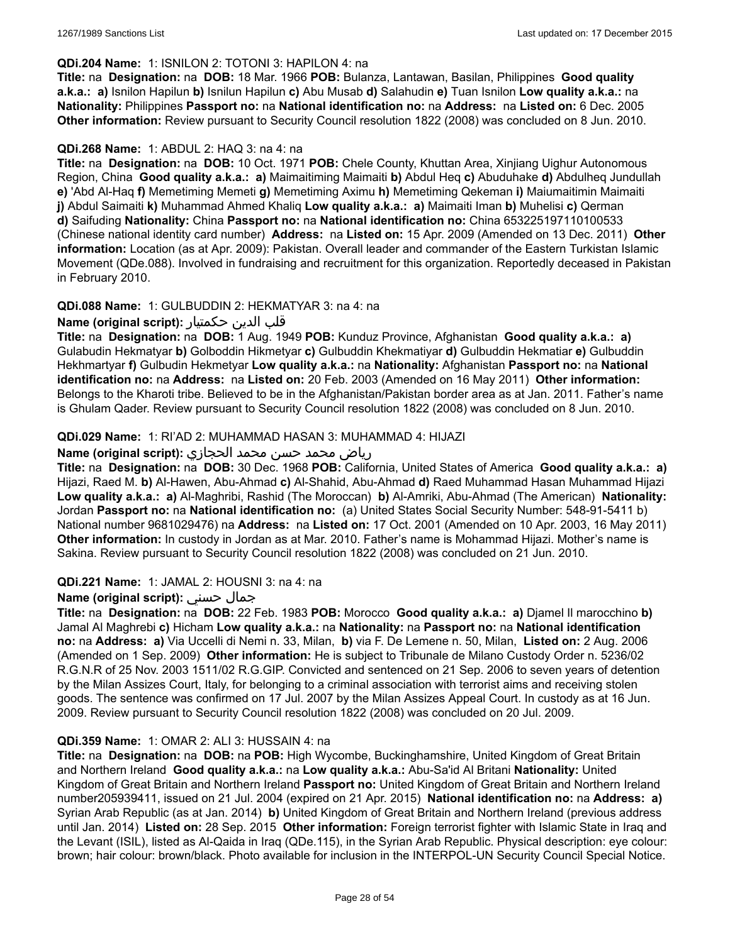#### **QDi.204 Name:** 1: ISNILON 2: TOTONI 3: HAPILON 4: na

**Title:** na **Designation:** na **DOB:** 18 Mar. 1966 **POB:** Bulanza, Lantawan, Basilan, Philippines **Good quality a.k.a.: a)** Isnilon Hapilun **b)** Isnilun Hapilun **c)** Abu Musab **d)** Salahudin **e)** Tuan Isnilon **Low quality a.k.a.:** na **Nationality:** Philippines **Passport no:** na **National identification no:** na **Address:** na **Listed on:** 6 Dec. 2005 **Other information:** Review pursuant to Security Council resolution 1822 (2008) was concluded on 8 Jun. 2010.

### **QDi.268 Name:** 1: ABDUL 2: HAQ 3: na 4: na

**Title:** na **Designation:** na **DOB:** 10 Oct. 1971 **POB:** Chele County, Khuttan Area, Xinjiang Uighur Autonomous Region, China **Good quality a.k.a.: a)** Maimaitiming Maimaiti **b)** Abdul Heq **c)** Abuduhake **d)** Abdulheq Jundullah **e)** 'Abd Al-Haq **f)** Memetiming Memeti **g)** Memetiming Aximu **h)** Memetiming Qekeman **i)** Maiumaitimin Maimaiti **j)** Abdul Saimaiti **k)** Muhammad Ahmed Khaliq **Low quality a.k.a.: a)** Maimaiti Iman **b)** Muhelisi **c)** Qerman **d)** Saifuding **Nationality:** China **Passport no:** na **National identification no:** China 653225197110100533 (Chinese national identity card number) **Address:** na **Listed on:** 15 Apr. 2009 (Amended on 13 Dec. 2011) **Other information:** Location (as at Apr. 2009): Pakistan. Overall leader and commander of the Eastern Turkistan Islamic Movement (QDe.088). Involved in fundraising and recruitment for this organization. Reportedly deceased in Pakistan in February 2010.

### **QDi.088 Name:** 1: GULBUDDIN 2: HEKMATYAR 3: na 4: na

### قلب الدين حكمتيار **:(script original (Name**

**Title:** na **Designation:** na **DOB:** 1 Aug. 1949 **POB:** Kunduz Province, Afghanistan **Good quality a.k.a.: a)** Gulabudin Hekmatyar **b)** Golboddin Hikmetyar **c)** Gulbuddin Khekmatiyar **d)** Gulbuddin Hekmatiar **e)** Gulbuddin Hekhmartyar **f)** Gulbudin Hekmetyar **Low quality a.k.a.:** na **Nationality:** Afghanistan **Passport no:** na **National identification no:** na **Address:** na **Listed on:** 20 Feb. 2003 (Amended on 16 May 2011) **Other information:** Belongs to the Kharoti tribe. Believed to be in the Afghanistan/Pakistan border area as at Jan. 2011. Father's name is Ghulam Qader. Review pursuant to Security Council resolution 1822 (2008) was concluded on 8 Jun. 2010.

### **QDi.029 Name:** 1: RI'AD 2: MUHAMMAD HASAN 3: MUHAMMAD 4: HIJAZI

# رياض محمد حسن محمد الحجازي **:(script original (Name**

**Title:** na **Designation:** na **DOB:** 30 Dec. 1968 **POB:** California, United States of America **Good quality a.k.a.: a)** Hijazi, Raed M. **b)** Al-Hawen, Abu-Ahmad **c)** Al-Shahid, Abu-Ahmad **d)** Raed Muhammad Hasan Muhammad Hijazi **Low quality a.k.a.: a)** Al-Maghribi, Rashid (The Moroccan) **b)** Al-Amriki, Abu-Ahmad (The American) **Nationality:** Jordan **Passport no:** na **National identification no:** (a) United States Social Security Number: 548-91-5411 b) National number 9681029476) na **Address:** na **Listed on:** 17 Oct. 2001 (Amended on 10 Apr. 2003, 16 May 2011) **Other information:** In custody in Jordan as at Mar. 2010. Father's name is Mohammad Hijazi. Mother's name is Sakina. Review pursuant to Security Council resolution 1822 (2008) was concluded on 21 Jun. 2010.

# **QDi.221 Name:** 1: JAMAL 2: HOUSNI 3: na 4: na

# **Name (original script):** حسني جمال

**Title:** na **Designation:** na **DOB:** 22 Feb. 1983 **POB:** Morocco **Good quality a.k.a.: a)** Djamel Il marocchino **b)** Jamal Al Maghrebi **c)** Hicham **Low quality a.k.a.:** na **Nationality:** na **Passport no:** na **National identification no:** na **Address: a)** Via Uccelli di Nemi n. 33, Milan, **b)** via F. De Lemene n. 50, Milan, **Listed on:** 2 Aug. 2006 (Amended on 1 Sep. 2009) **Other information:** He is subject to Tribunale de Milano Custody Order n. 5236/02 R.G.N.R of 25 Nov. 2003 1511/02 R.G.GIP. Convicted and sentenced on 21 Sep. 2006 to seven years of detention by the Milan Assizes Court, Italy, for belonging to a criminal association with terrorist aims and receiving stolen goods. The sentence was confirmed on 17 Jul. 2007 by the Milan Assizes Appeal Court. In custody as at 16 Jun. 2009. Review pursuant to Security Council resolution 1822 (2008) was concluded on 20 Jul. 2009.

#### **QDi.359 Name:** 1: OMAR 2: ALI 3: HUSSAIN 4: na

**Title:** na **Designation:** na **DOB:** na **POB:** High Wycombe, Buckinghamshire, United Kingdom of Great Britain and Northern Ireland **Good quality a.k.a.:** na **Low quality a.k.a.:** Abu-Sa'id Al Britani **Nationality:** United Kingdom of Great Britain and Northern Ireland **Passport no:** United Kingdom of Great Britain and Northern Ireland number205939411, issued on 21 Jul. 2004 (expired on 21 Apr. 2015) **National identification no:** na **Address: a)** Syrian Arab Republic (as at Jan. 2014) **b)** United Kingdom of Great Britain and Northern Ireland (previous address until Jan. 2014) **Listed on:** 28 Sep. 2015 **Other information:** Foreign terrorist fighter with Islamic State in Iraq and the Levant (ISIL), listed as Al-Qaida in Iraq (QDe.115), in the Syrian Arab Republic. Physical description: eye colour: brown; hair colour: brown/black. Photo available for inclusion in the INTERPOL-UN Security Council Special Notice.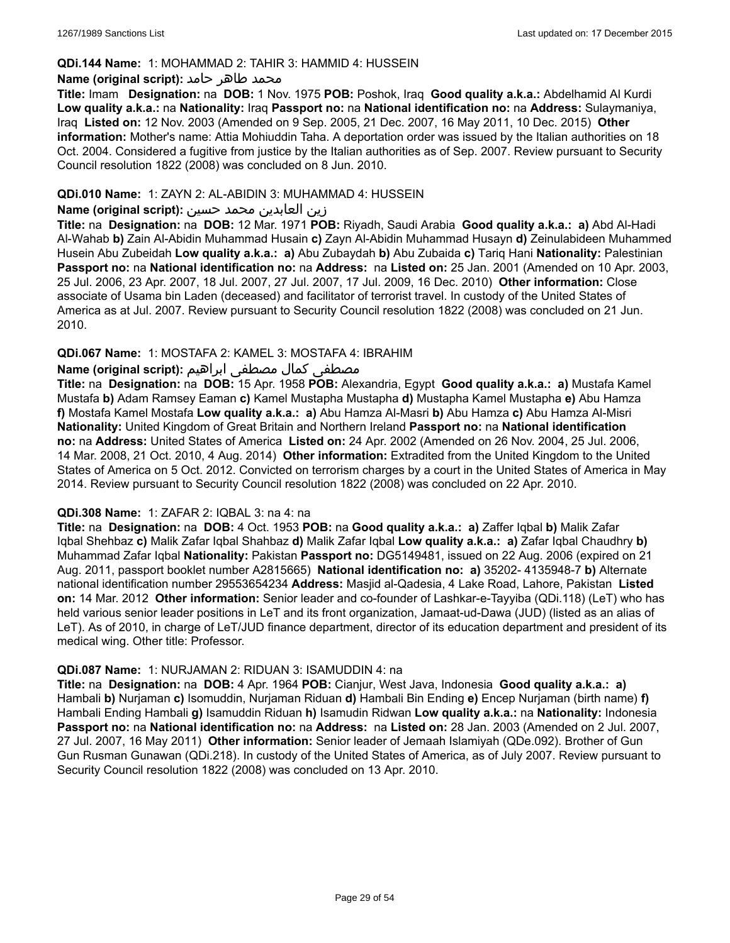### **QDi.144 Name:** 1: MOHAMMAD 2: TAHIR 3: HAMMID 4: HUSSEIN

#### **محمد طاهر حامد :(Name (original script**

**Title:** Imam **Designation:** na **DOB:** 1 Nov. 1975 **POB:** Poshok, Iraq **Good quality a.k.a.:** Abdelhamid Al Kurdi **Low quality a.k.a.:** na **Nationality:** Iraq **Passport no:** na **National identification no:** na **Address:** Sulaymaniya, Iraq **Listed on:** 12 Nov. 2003 (Amended on 9 Sep. 2005, 21 Dec. 2007, 16 May 2011, 10 Dec. 2015) **Other information:** Mother's name: Attia Mohiuddin Taha. A deportation order was issued by the Italian authorities on 18 Oct. 2004. Considered a fugitive from justice by the Italian authorities as of Sep. 2007. Review pursuant to Security Council resolution 1822 (2008) was concluded on 8 Jun. 2010.

#### **QDi.010 Name:** 1: ZAYN 2: AL-ABIDIN 3: MUHAMMAD 4: HUSSEIN

# زين العابدين محمد حسين **:(script original (Name**

**Title:** na **Designation:** na **DOB:** 12 Mar. 1971 **POB:** Riyadh, Saudi Arabia **Good quality a.k.a.: a)** Abd Al-Hadi Al-Wahab **b)** Zain Al-Abidin Muhammad Husain **c)** Zayn Al-Abidin Muhammad Husayn **d)** Zeinulabideen Muhammed Husein Abu Zubeidah **Low quality a.k.a.: a)** Abu Zubaydah **b)** Abu Zubaida **c)** Tariq Hani **Nationality:** Palestinian **Passport no:** na **National identification no:** na **Address:** na **Listed on:** 25 Jan. 2001 (Amended on 10 Apr. 2003, 25 Jul. 2006, 23 Apr. 2007, 18 Jul. 2007, 27 Jul. 2007, 17 Jul. 2009, 16 Dec. 2010) **Other information:** Close associate of Usama bin Laden (deceased) and facilitator of terrorist travel. In custody of the United States of America as at Jul. 2007. Review pursuant to Security Council resolution 1822 (2008) was concluded on 21 Jun. 2010.

# **QDi.067 Name:** 1: MOSTAFA 2: KAMEL 3: MOSTAFA 4: IBRAHIM

### مصطفى كمال مصطفى ابراهيم **:Name (original script**)

**Title:** na **Designation:** na **DOB:** 15 Apr. 1958 **POB:** Alexandria, Egypt **Good quality a.k.a.: a)** Mustafa Kamel Mustafa **b)** Adam Ramsey Eaman **c)** Kamel Mustapha Mustapha **d)** Mustapha Kamel Mustapha **e)** Abu Hamza **f)** Mostafa Kamel Mostafa **Low quality a.k.a.: a)** Abu Hamza Al-Masri **b)** Abu Hamza **c)** Abu Hamza Al-Misri **Nationality:** United Kingdom of Great Britain and Northern Ireland **Passport no:** na **National identification no:** na **Address:** United States of America **Listed on:** 24 Apr. 2002 (Amended on 26 Nov. 2004, 25 Jul. 2006, 14 Mar. 2008, 21 Oct. 2010, 4 Aug. 2014) **Other information:** Extradited from the United Kingdom to the United States of America on 5 Oct. 2012. Convicted on terrorism charges by a court in the United States of America in May 2014. Review pursuant to Security Council resolution 1822 (2008) was concluded on 22 Apr. 2010.

#### **QDi.308 Name:** 1: ZAFAR 2: IQBAL 3: na 4: na

**Title:** na **Designation:** na **DOB:** 4 Oct. 1953 **POB:** na **Good quality a.k.a.: a)** Zaffer Iqbal **b)** Malik Zafar Iqbal Shehbaz **c)** Malik Zafar Iqbal Shahbaz **d)** Malik Zafar Iqbal **Low quality a.k.a.: a)** Zafar Iqbal Chaudhry **b)** Muhammad Zafar Iqbal **Nationality:** Pakistan **Passport no:** DG5149481, issued on 22 Aug. 2006 (expired on 21 Aug. 2011, passport booklet number A2815665) **National identification no: a)** 35202- 4135948-7 **b)** Alternate national identification number 29553654234 **Address:** Masjid al-Qadesia, 4 Lake Road, Lahore, Pakistan **Listed on:** 14 Mar. 2012 **Other information:** Senior leader and co-founder of Lashkar-e-Tayyiba (QDi.118) (LeT) who has held various senior leader positions in LeT and its front organization, Jamaat-ud-Dawa (JUD) (listed as an alias of LeT). As of 2010, in charge of LeT/JUD finance department, director of its education department and president of its medical wing. Other title: Professor.

#### **QDi.087 Name:** 1: NURJAMAN 2: RIDUAN 3: ISAMUDDIN 4: na

**Title:** na **Designation:** na **DOB:** 4 Apr. 1964 **POB:** Cianjur, West Java, Indonesia **Good quality a.k.a.: a)** Hambali **b)** Nurjaman **c)** Isomuddin, Nurjaman Riduan **d)** Hambali Bin Ending **e)** Encep Nurjaman (birth name) **f)** Hambali Ending Hambali **g)** Isamuddin Riduan **h)** Isamudin Ridwan **Low quality a.k.a.:** na **Nationality:** Indonesia **Passport no:** na **National identification no:** na **Address:** na **Listed on:** 28 Jan. 2003 (Amended on 2 Jul. 2007, 27 Jul. 2007, 16 May 2011) **Other information:** Senior leader of Jemaah Islamiyah (QDe.092). Brother of Gun Gun Rusman Gunawan (QDi.218). In custody of the United States of America, as of July 2007. Review pursuant to Security Council resolution 1822 (2008) was concluded on 13 Apr. 2010.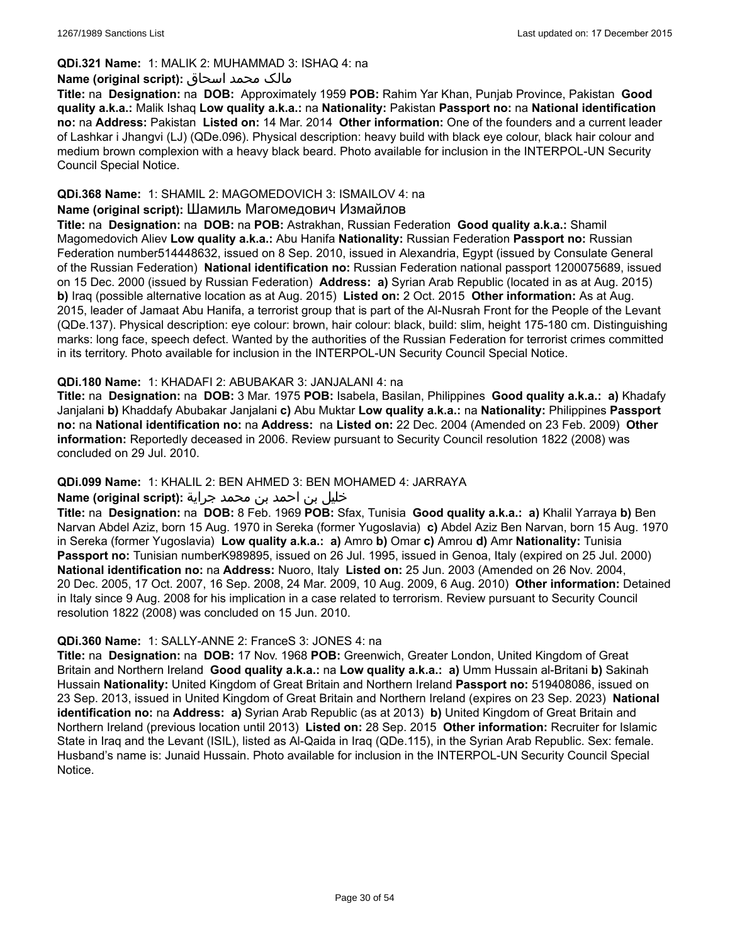# **QDi.321 Name:** 1: MALIK 2: MUHAMMAD 3: ISHAQ 4: na

### مالک محمد اسحاق :**Name (original script**)

**Title:** na **Designation:** na **DOB:** Approximately 1959 **POB:** Rahim Yar Khan, Punjab Province, Pakistan **Good quality a.k.a.:** Malik Ishaq **Low quality a.k.a.:** na **Nationality:** Pakistan **Passport no:** na **National identification no:** na **Address:** Pakistan **Listed on:** 14 Mar. 2014 **Other information:** One of the founders and a current leader of Lashkar i Jhangvi (LJ) (QDe.096). Physical description: heavy build with black eye colour, black hair colour and medium brown complexion with a heavy black beard. Photo available for inclusion in the INTERPOL-UN Security Council Special Notice.

### **QDi.368 Name:** 1: SHAMIL 2: MAGOMEDOVICH 3: ISMAILOV 4: na

# **Name (original script):** Шамиль Магомедович Измайлов

**Title:** na **Designation:** na **DOB:** na **POB:** Astrakhan, Russian Federation **Good quality a.k.a.:** Shamil Magomedovich Aliev **Low quality a.k.a.:** Abu Hanifa **Nationality:** Russian Federation **Passport no:** Russian Federation number514448632, issued on 8 Sep. 2010, issued in Alexandria, Egypt (issued by Consulate General of the Russian Federation) **National identification no:** Russian Federation national passport 1200075689, issued on 15 Dec. 2000 (issued by Russian Federation) **Address: a)** Syrian Arab Republic (located in as at Aug. 2015) **b)** Iraq (possible alternative location as at Aug. 2015) **Listed on:** 2 Oct. 2015 **Other information:** As at Aug. 2015, leader of Jamaat Abu Hanifa, a terrorist group that is part of the Al-Nusrah Front for the People of the Levant (QDe.137). Physical description: eye colour: brown, hair colour: black, build: slim, height 175-180 cm. Distinguishing marks: long face, speech defect. Wanted by the authorities of the Russian Federation for terrorist crimes committed in its territory. Photo available for inclusion in the INTERPOL-UN Security Council Special Notice.

### **QDi.180 Name:** 1: KHADAFI 2: ABUBAKAR 3: JANJALANI 4: na

**Title:** na **Designation:** na **DOB:** 3 Mar. 1975 **POB:** Isabela, Basilan, Philippines **Good quality a.k.a.: a)** Khadafy Janjalani **b)** Khaddafy Abubakar Janjalani **c)** Abu Muktar **Low quality a.k.a.:** na **Nationality:** Philippines **Passport no:** na **National identification no:** na **Address:** na **Listed on:** 22 Dec. 2004 (Amended on 23 Feb. 2009) **Other information:** Reportedly deceased in 2006. Review pursuant to Security Council resolution 1822 (2008) was concluded on 29 Jul. 2010.

# **QDi.099 Name:** 1: KHALIL 2: BEN AHMED 3: BEN MOHAMED 4: JARRAYA

# خليل بن احمد بن محمد جراية **:(script original (Name**

**Title:** na **Designation:** na **DOB:** 8 Feb. 1969 **POB:** Sfax, Tunisia **Good quality a.k.a.: a)** Khalil Yarraya **b)** Ben Narvan Abdel Aziz, born 15 Aug. 1970 in Sereka (former Yugoslavia) **c)** Abdel Aziz Ben Narvan, born 15 Aug. 1970 in Sereka (former Yugoslavia) **Low quality a.k.a.: a)** Amro **b)** Omar **c)** Amrou **d)** Amr **Nationality:** Tunisia **Passport no:** Tunisian numberK989895, issued on 26 Jul. 1995, issued in Genoa, Italy (expired on 25 Jul. 2000) **National identification no:** na **Address:** Nuoro, Italy **Listed on:** 25 Jun. 2003 (Amended on 26 Nov. 2004, 20 Dec. 2005, 17 Oct. 2007, 16 Sep. 2008, 24 Mar. 2009, 10 Aug. 2009, 6 Aug. 2010) **Other information:** Detained in Italy since 9 Aug. 2008 for his implication in a case related to terrorism. Review pursuant to Security Council resolution 1822 (2008) was concluded on 15 Jun. 2010.

#### **QDi.360 Name:** 1: SALLY-ANNE 2: FranceS 3: JONES 4: na

**Title:** na **Designation:** na **DOB:** 17 Nov. 1968 **POB:** Greenwich, Greater London, United Kingdom of Great Britain and Northern Ireland **Good quality a.k.a.:** na **Low quality a.k.a.: a)** Umm Hussain al-Britani **b)** Sakinah Hussain **Nationality:** United Kingdom of Great Britain and Northern Ireland **Passport no:** 519408086, issued on 23 Sep. 2013, issued in United Kingdom of Great Britain and Northern Ireland (expires on 23 Sep. 2023) **National identification no:** na **Address: a)** Syrian Arab Republic (as at 2013) **b)** United Kingdom of Great Britain and Northern Ireland (previous location until 2013) **Listed on:** 28 Sep. 2015 **Other information:** Recruiter for Islamic State in Iraq and the Levant (ISIL), listed as Al-Qaida in Iraq (QDe.115), in the Syrian Arab Republic. Sex: female. Husband's name is: Junaid Hussain. Photo available for inclusion in the INTERPOL-UN Security Council Special Notice.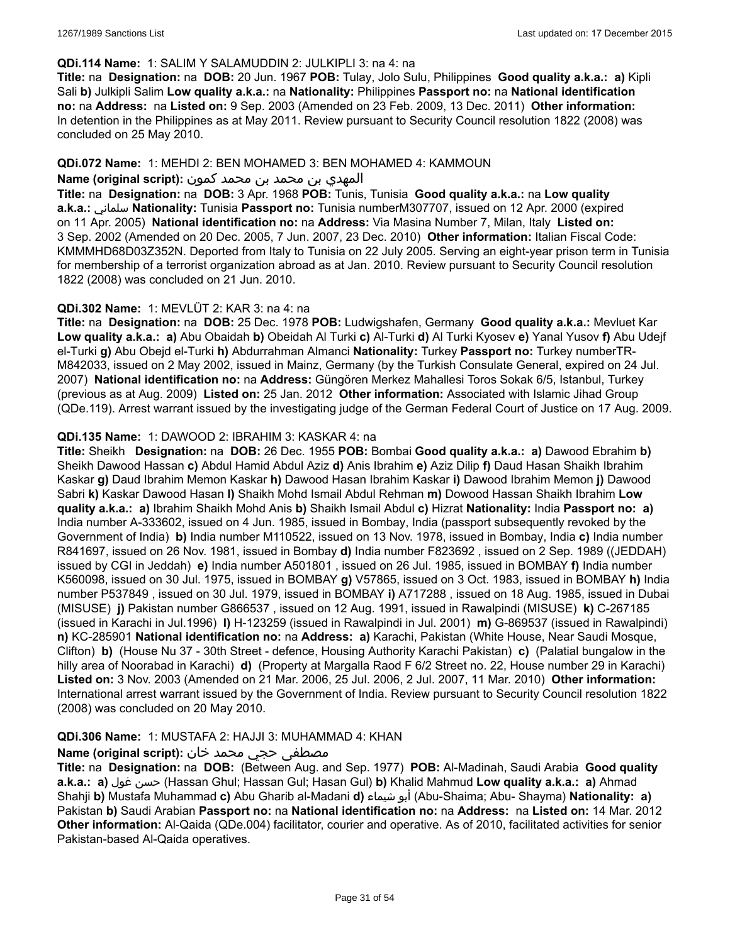### **QDi.114 Name:** 1: SALIM Y SALAMUDDIN 2: JULKIPLI 3: na 4: na

**Title:** na **Designation:** na **DOB:** 20 Jun. 1967 **POB:** Tulay, Jolo Sulu, Philippines **Good quality a.k.a.: a)** Kipli Sali **b)** Julkipli Salim **Low quality a.k.a.:** na **Nationality:** Philippines **Passport no:** na **National identification no:** na **Address:** na **Listed on:** 9 Sep. 2003 (Amended on 23 Feb. 2009, 13 Dec. 2011) **Other information:** In detention in the Philippines as at May 2011. Review pursuant to Security Council resolution 1822 (2008) was concluded on 25 May 2010.

### **QDi.072 Name:** 1: MEHDI 2: BEN MOHAMED 3: BEN MOHAMED 4: KAMMOUN

### المهدي بن محمد بن محمد كمون **:(script original (Name**

**Title:** na **Designation:** na **DOB:** 3 Apr. 1968 **POB:** Tunis, Tunisia **Good quality a.k.a.:** na **Low quality a.k.a.:** سلماني **Nationality:** Tunisia **Passport no:** Tunisia numberM307707, issued on 12 Apr. 2000 (expired on 11 Apr. 2005) **National identification no:** na **Address:** Via Masina Number 7, Milan, Italy **Listed on:** 3 Sep. 2002 (Amended on 20 Dec. 2005, 7 Jun. 2007, 23 Dec. 2010) **Other information:** Italian Fiscal Code: KMMMHD68D03Z352N. Deported from Italy to Tunisia on 22 July 2005. Serving an eight-year prison term in Tunisia for membership of a terrorist organization abroad as at Jan. 2010. Review pursuant to Security Council resolution 1822 (2008) was concluded on 21 Jun. 2010.

### **QDi.302 Name:** 1: MEVLÜT 2: KAR 3: na 4: na

**Title:** na **Designation:** na **DOB:** 25 Dec. 1978 **POB:** Ludwigshafen, Germany **Good quality a.k.a.:** Mevluet Kar **Low quality a.k.a.: a)** Abu Obaidah **b)** Obeidah Al Turki **c)** Al-Turki **d)** Al Turki Kyosev **e)** Yanal Yusov **f)** Abu Udejf el-Turki **g)** Abu Obejd el-Turki **h)** Abdurrahman Almanci **Nationality:** Turkey **Passport no:** Turkey numberTR-M842033, issued on 2 May 2002, issued in Mainz, Germany (by the Turkish Consulate General, expired on 24 Jul. 2007) **National identification no:** na **Address:** Güngören Merkez Mahallesi Toros Sokak 6/5, Istanbul, Turkey (previous as at Aug. 2009) **Listed on:** 25 Jan. 2012 **Other information:** Associated with Islamic Jihad Group (QDe.119). Arrest warrant issued by the investigating judge of the German Federal Court of Justice on 17 Aug. 2009.

### **QDi.135 Name:** 1: DAWOOD 2: IBRAHIM 3: KASKAR 4: na

**Title:** Sheikh **Designation:** na **DOB:** 26 Dec. 1955 **POB:** Bombai **Good quality a.k.a.: a)** Dawood Ebrahim **b)** Sheikh Dawood Hassan **c)** Abdul Hamid Abdul Aziz **d)** Anis Ibrahim **e)** Aziz Dilip **f)** Daud Hasan Shaikh Ibrahim Kaskar **g)** Daud Ibrahim Memon Kaskar **h)** Dawood Hasan Ibrahim Kaskar **i)** Dawood Ibrahim Memon **j)** Dawood Sabri **k)** Kaskar Dawood Hasan **l)** Shaikh Mohd Ismail Abdul Rehman **m)** Dowood Hassan Shaikh Ibrahim **Low quality a.k.a.: a)** Ibrahim Shaikh Mohd Anis **b)** Shaikh Ismail Abdul **c)** Hizrat **Nationality:** India **Passport no: a)** India number A-333602, issued on 4 Jun. 1985, issued in Bombay, India (passport subsequently revoked by the Government of India) **b)** India number M110522, issued on 13 Nov. 1978, issued in Bombay, India **c)** India number R841697, issued on 26 Nov. 1981, issued in Bombay **d)** India number F823692 , issued on 2 Sep. 1989 ((JEDDAH) issued by CGI in Jeddah) **e)** India number A501801 , issued on 26 Jul. 1985, issued in BOMBAY **f)** India number K560098, issued on 30 Jul. 1975, issued in BOMBAY **g)** V57865, issued on 3 Oct. 1983, issued in BOMBAY **h)** India number P537849 , issued on 30 Jul. 1979, issued in BOMBAY **i)** A717288 , issued on 18 Aug. 1985, issued in Dubai (MISUSE) **j)** Pakistan number G866537 , issued on 12 Aug. 1991, issued in Rawalpindi (MISUSE) **k)** C-267185 (issued in Karachi in Jul.1996) **l)** H-123259 (issued in Rawalpindi in Jul. 2001) **m)** G-869537 (issued in Rawalpindi) **n)** KC-285901 **National identification no:** na **Address: a)** Karachi, Pakistan (White House, Near Saudi Mosque, Clifton) **b)** (House Nu 37 - 30th Street - defence, Housing Authority Karachi Pakistan) **c)** (Palatial bungalow in the hilly area of Noorabad in Karachi) **d)** (Property at Margalla Raod F 6/2 Street no. 22, House number 29 in Karachi) **Listed on:** 3 Nov. 2003 (Amended on 21 Mar. 2006, 25 Jul. 2006, 2 Jul. 2007, 11 Mar. 2010) **Other information:** International arrest warrant issued by the Government of India. Review pursuant to Security Council resolution 1822 (2008) was concluded on 20 May 2010.

#### **QDi.306 Name:** 1: MUSTAFA 2: HAJJI 3: MUHAMMAD 4: KHAN

# مصطفى حجي محمد خان: **Name (original script):**

**Title:** na **Designation:** na **DOB:** (Between Aug. and Sep. 1977) **POB:** Al-Madinah, Saudi Arabia **Good quality a.k.a.: a)** غول حسن) Hassan Ghul; Hassan Gul; Hasan Gul) **b)** Khalid Mahmud **Low quality a.k.a.: a)** Ahmad Shahji **b)** Mustafa Muhammad **c)** Abu Gharib al-Madani **d)** شيماء أبو) Abu-Shaima; Abu- Shayma) **Nationality: a)** Pakistan **b)** Saudi Arabian **Passport no:** na **National identification no:** na **Address:** na **Listed on:** 14 Mar. 2012 **Other information:** Al-Qaida (QDe.004) facilitator, courier and operative. As of 2010, facilitated activities for senior Pakistan-based Al-Qaida operatives.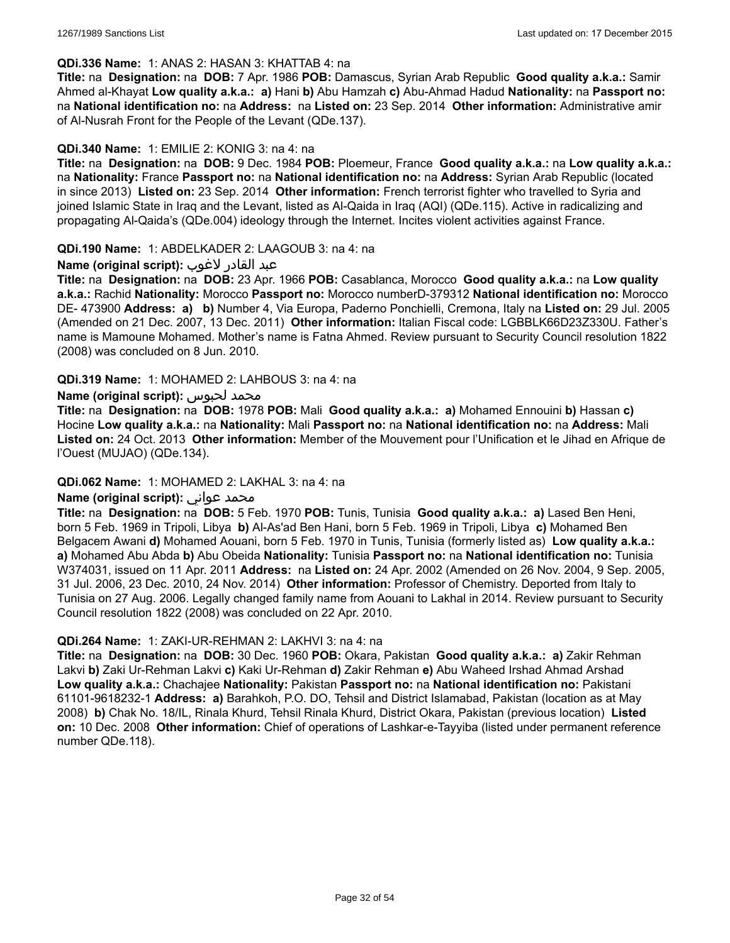#### **QDi.336 Name:** 1: ANAS 2: HASAN 3: KHATTAB 4: na

**Title:** na **Designation:** na **DOB:** 7 Apr. 1986 **POB:** Damascus, Syrian Arab Republic **Good quality a.k.a.:** Samir Ahmed al-Khayat **Low quality a.k.a.: a)** Hani **b)** Abu Hamzah **c)** Abu-Ahmad Hadud **Nationality:** na **Passport no:** na **National identification no:** na **Address:** na **Listed on:** 23 Sep. 2014 **Other information:** Administrative amir of Al-Nusrah Front for the People of the Levant (QDe.137).

#### **QDi.340 Name:** 1: EMILIE 2: KONIG 3: na 4: na

**Title:** na **Designation:** na **DOB:** 9 Dec. 1984 **POB:** Ploemeur, France **Good quality a.k.a.:** na **Low quality a.k.a.:** na **Nationality:** France **Passport no:** na **National identification no:** na **Address:** Syrian Arab Republic (located in since 2013) **Listed on:** 23 Sep. 2014 **Other information:** French terrorist fighter who travelled to Syria and joined Islamic State in Iraq and the Levant, listed as Al-Qaida in Iraq (AQI) (QDe.115). Active in radicalizing and propagating Al-Qaida's (QDe.004) ideology through the Internet. Incites violent activities against France.

**QDi.190 Name:** 1: ABDELKADER 2: LAAGOUB 3: na 4: na

### عبد القادر لاغوب **:(script original (Name**

**Title:** na **Designation:** na **DOB:** 23 Apr. 1966 **POB:** Casablanca, Morocco **Good quality a.k.a.:** na **Low quality a.k.a.:** Rachid **Nationality:** Morocco **Passport no:** Morocco numberD-379312 **National identification no:** Morocco DE- 473900 **Address: a) b)** Number 4, Via Europa, Paderno Ponchielli, Cremona, Italy na **Listed on:** 29 Jul. 2005 (Amended on 21 Dec. 2007, 13 Dec. 2011) **Other information:** Italian Fiscal code: LGBBLK66D23Z330U. Father's name is Mamoune Mohamed. Mother's name is Fatna Ahmed. Review pursuant to Security Council resolution 1822 (2008) was concluded on 8 Jun. 2010.

**QDi.319 Name:** 1: MOHAMED 2: LAHBOUS 3: na 4: na

### **Name (original script):** لحبوس محمد

**Title:** na **Designation:** na **DOB:** 1978 **POB:** Mali **Good quality a.k.a.: a)** Mohamed Ennouini **b)** Hassan **c)** Hocine **Low quality a.k.a.:** na **Nationality:** Mali **Passport no:** na **National identification no:** na **Address:** Mali **Listed on:** 24 Oct. 2013 **Other information:** Member of the Mouvement pour l'Unification et le Jihad en Afrique de l'Ouest (MUJAO) (QDe.134).

#### **QDi.062 Name:** 1: MOHAMED 2: LAKHAL 3: na 4: na

#### **Name (original script):** عواني محمد

**Title:** na **Designation:** na **DOB:** 5 Feb. 1970 **POB:** Tunis, Tunisia **Good quality a.k.a.: a)** Lased Ben Heni, born 5 Feb. 1969 in Tripoli, Libya **b)** Al-As'ad Ben Hani, born 5 Feb. 1969 in Tripoli, Libya **c)** Mohamed Ben Belgacem Awani **d)** Mohamed Aouani, born 5 Feb. 1970 in Tunis, Tunisia (formerly listed as) **Low quality a.k.a.: a)** Mohamed Abu Abda **b)** Abu Obeida **Nationality:** Tunisia **Passport no:** na **National identification no:** Tunisia W374031, issued on 11 Apr. 2011 **Address:** na **Listed on:** 24 Apr. 2002 (Amended on 26 Nov. 2004, 9 Sep. 2005, 31 Jul. 2006, 23 Dec. 2010, 24 Nov. 2014) **Other information:** Professor of Chemistry. Deported from Italy to Tunisia on 27 Aug. 2006. Legally changed family name from Aouani to Lakhal in 2014. Review pursuant to Security Council resolution 1822 (2008) was concluded on 22 Apr. 2010.

#### **QDi.264 Name:** 1: ZAKI-UR-REHMAN 2: LAKHVI 3: na 4: na

**Title:** na **Designation:** na **DOB:** 30 Dec. 1960 **POB:** Okara, Pakistan **Good quality a.k.a.: a)** Zakir Rehman Lakvi **b)** Zaki Ur-Rehman Lakvi **c)** Kaki Ur-Rehman **d)** Zakir Rehman **e)** Abu Waheed Irshad Ahmad Arshad **Low quality a.k.a.:** Chachajee **Nationality:** Pakistan **Passport no:** na **National identification no:** Pakistani 61101-9618232-1 **Address: a)** Barahkoh, P.O. DO, Tehsil and District Islamabad, Pakistan (location as at May 2008) **b)** Chak No. 18/IL, Rinala Khurd, Tehsil Rinala Khurd, District Okara, Pakistan (previous location) **Listed on:** 10 Dec. 2008 **Other information:** Chief of operations of Lashkar-e-Tayyiba (listed under permanent reference number QDe.118).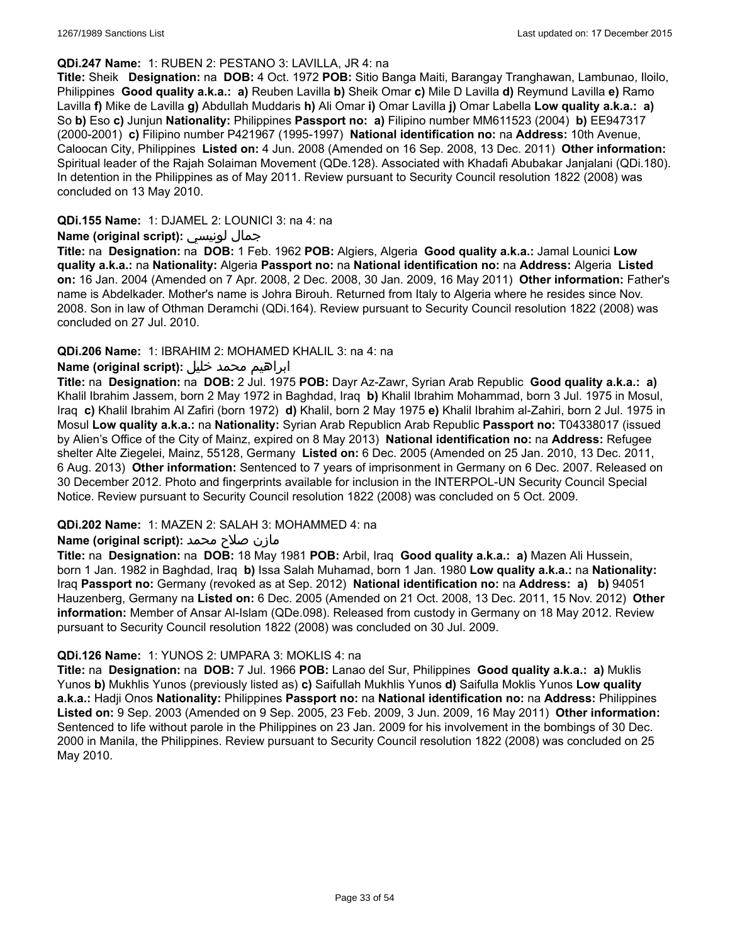### **QDi.247 Name:** 1: RUBEN 2: PESTANO 3: LAVILLA, JR 4: na

**Title:** Sheik **Designation:** na **DOB:** 4 Oct. 1972 **POB:** Sitio Banga Maiti, Barangay Tranghawan, Lambunao, Iloilo, Philippines **Good quality a.k.a.: a)** Reuben Lavilla **b)** Sheik Omar **c)** Mile D Lavilla **d)** Reymund Lavilla **e)** Ramo Lavilla **f)** Mike de Lavilla **g)** Abdullah Muddaris **h)** Ali Omar **i)** Omar Lavilla **j)** Omar Labella **Low quality a.k.a.: a)** So **b)** Eso **c)** Junjun **Nationality:** Philippines **Passport no: a)** Filipino number MM611523 (2004) **b)** EE947317 (2000-2001) **c)** Filipino number P421967 (1995-1997) **National identification no:** na **Address:** 10th Avenue, Caloocan City, Philippines **Listed on:** 4 Jun. 2008 (Amended on 16 Sep. 2008, 13 Dec. 2011) **Other information:** Spiritual leader of the Rajah Solaiman Movement (QDe.128). Associated with Khadafi Abubakar Janjalani (QDi.180). In detention in the Philippines as of May 2011. Review pursuant to Security Council resolution 1822 (2008) was concluded on 13 May 2010.

### **QDi.155 Name:** 1: DJAMEL 2: LOUNICI 3: na 4: na

### **Name (original script):** لونيسي جمال

**Title:** na **Designation:** na **DOB:** 1 Feb. 1962 **POB:** Algiers, Algeria **Good quality a.k.a.:** Jamal Lounici **Low quality a.k.a.:** na **Nationality:** Algeria **Passport no:** na **National identification no:** na **Address:** Algeria **Listed on:** 16 Jan. 2004 (Amended on 7 Apr. 2008, 2 Dec. 2008, 30 Jan. 2009, 16 May 2011) **Other information:** Father's name is Abdelkader. Mother's name is Johra Birouh. Returned from Italy to Algeria where he resides since Nov. 2008. Son in law of Othman Deramchi (QDi.164). Review pursuant to Security Council resolution 1822 (2008) was concluded on 27 Jul. 2010.

### **QDi.206 Name:** 1: IBRAHIM 2: MOHAMED KHALIL 3: na 4: na

# ابراهيم محمد خليل **:(script original (Name**

**Title:** na **Designation:** na **DOB:** 2 Jul. 1975 **POB:** Dayr Az-Zawr, Syrian Arab Republic **Good quality a.k.a.: a)** Khalil Ibrahim Jassem, born 2 May 1972 in Baghdad, Iraq **b)** Khalil Ibrahim Mohammad, born 3 Jul. 1975 in Mosul, Iraq **c)** Khalil Ibrahim Al Zafiri (born 1972) **d)** Khalil, born 2 May 1975 **e)** Khalil Ibrahim al-Zahiri, born 2 Jul. 1975 in Mosul **Low quality a.k.a.:** na **Nationality:** Syrian Arab Republicn Arab Republic **Passport no:** T04338017 (issued by Alien's Office of the City of Mainz, expired on 8 May 2013) **National identification no:** na **Address:** Refugee shelter Alte Ziegelei, Mainz, 55128, Germany **Listed on:** 6 Dec. 2005 (Amended on 25 Jan. 2010, 13 Dec. 2011, 6 Aug. 2013) **Other information:** Sentenced to 7 years of imprisonment in Germany on 6 Dec. 2007. Released on 30 December 2012. Photo and fingerprints available for inclusion in the INTERPOL-UN Security Council Special Notice. Review pursuant to Security Council resolution 1822 (2008) was concluded on 5 Oct. 2009.

#### **QDi.202 Name:** 1: MAZEN 2: SALAH 3: MOHAMMED 4: na

# مازن صلاح محمد **:**(Name (original script

**Title:** na **Designation:** na **DOB:** 18 May 1981 **POB:** Arbil, Iraq **Good quality a.k.a.: a)** Mazen Ali Hussein, born 1 Jan. 1982 in Baghdad, Iraq **b)** Issa Salah Muhamad, born 1 Jan. 1980 **Low quality a.k.a.:** na **Nationality:** Iraq **Passport no:** Germany (revoked as at Sep. 2012) **National identification no:** na **Address: a) b)** 94051 Hauzenberg, Germany na **Listed on:** 6 Dec. 2005 (Amended on 21 Oct. 2008, 13 Dec. 2011, 15 Nov. 2012) **Other information:** Member of Ansar Al-Islam (QDe.098). Released from custody in Germany on 18 May 2012. Review pursuant to Security Council resolution 1822 (2008) was concluded on 30 Jul. 2009.

#### **QDi.126 Name:** 1: YUNOS 2: UMPARA 3: MOKLIS 4: na

**Title:** na **Designation:** na **DOB:** 7 Jul. 1966 **POB:** Lanao del Sur, Philippines **Good quality a.k.a.: a)** Muklis Yunos **b)** Mukhlis Yunos (previously listed as) **c)** Saifullah Mukhlis Yunos **d)** Saifulla Moklis Yunos **Low quality a.k.a.:** Hadji Onos **Nationality:** Philippines **Passport no:** na **National identification no:** na **Address:** Philippines **Listed on:** 9 Sep. 2003 (Amended on 9 Sep. 2005, 23 Feb. 2009, 3 Jun. 2009, 16 May 2011) **Other information:** Sentenced to life without parole in the Philippines on 23 Jan. 2009 for his involvement in the bombings of 30 Dec. 2000 in Manila, the Philippines. Review pursuant to Security Council resolution 1822 (2008) was concluded on 25 May 2010.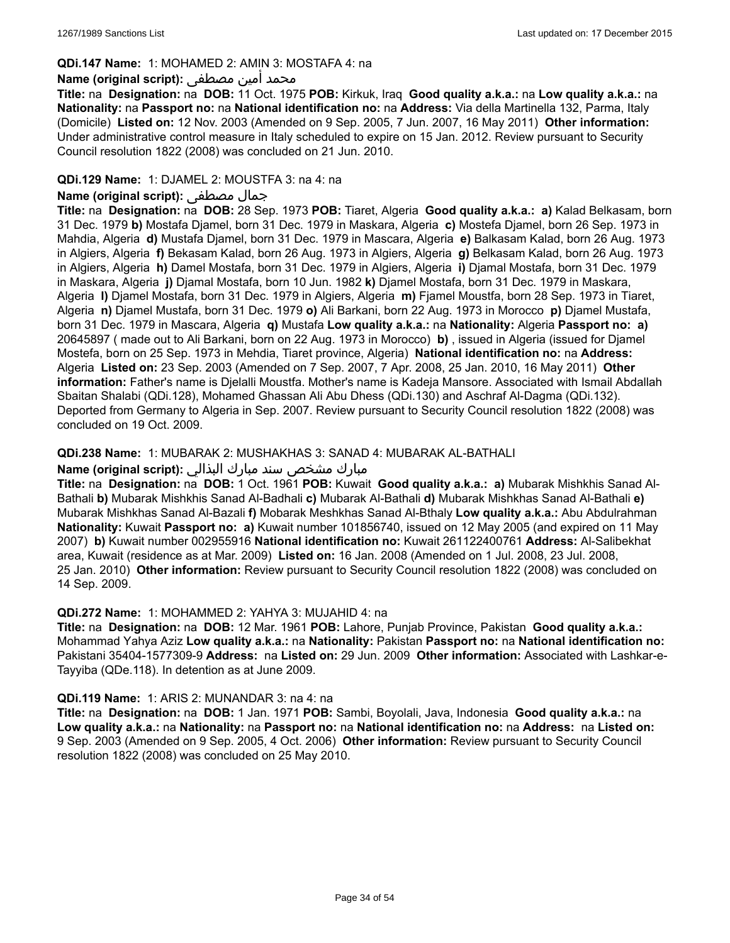### **QDi.147 Name:** 1: MOHAMED 2: AMIN 3: MOSTAFA 4: na

### محمد أمين مصطفى :**Name (original script**)

**Title:** na **Designation:** na **DOB:** 11 Oct. 1975 **POB:** Kirkuk, Iraq **Good quality a.k.a.:** na **Low quality a.k.a.:** na **Nationality:** na **Passport no:** na **National identification no:** na **Address:** Via della Martinella 132, Parma, Italy (Domicile) **Listed on:** 12 Nov. 2003 (Amended on 9 Sep. 2005, 7 Jun. 2007, 16 May 2011) **Other information:** Under administrative control measure in Italy scheduled to expire on 15 Jan. 2012. Review pursuant to Security Council resolution 1822 (2008) was concluded on 21 Jun. 2010.

### **QDi.129 Name:** 1: DJAMEL 2: MOUSTFA 3: na 4: na

#### **Name (original script):** مصطفى جمال

**Title:** na **Designation:** na **DOB:** 28 Sep. 1973 **POB:** Tiaret, Algeria **Good quality a.k.a.: a)** Kalad Belkasam, born 31 Dec. 1979 **b)** Mostafa Djamel, born 31 Dec. 1979 in Maskara, Algeria **c)** Mostefa Djamel, born 26 Sep. 1973 in Mahdia, Algeria **d)** Mustafa Djamel, born 31 Dec. 1979 in Mascara, Algeria **e)** Balkasam Kalad, born 26 Aug. 1973 in Algiers, Algeria **f)** Bekasam Kalad, born 26 Aug. 1973 in Algiers, Algeria **g)** Belkasam Kalad, born 26 Aug. 1973 in Algiers, Algeria **h)** Damel Mostafa, born 31 Dec. 1979 in Algiers, Algeria **i)** Djamal Mostafa, born 31 Dec. 1979 in Maskara, Algeria **j)** Djamal Mostafa, born 10 Jun. 1982 **k)** Djamel Mostafa, born 31 Dec. 1979 in Maskara, Algeria **l)** Djamel Mostafa, born 31 Dec. 1979 in Algiers, Algeria **m)** Fjamel Moustfa, born 28 Sep. 1973 in Tiaret, Algeria **n)** Djamel Mustafa, born 31 Dec. 1979 **o)** Ali Barkani, born 22 Aug. 1973 in Morocco **p)** Djamel Mustafa, born 31 Dec. 1979 in Mascara, Algeria **q)** Mustafa **Low quality a.k.a.:** na **Nationality:** Algeria **Passport no: a)** 20645897 ( made out to Ali Barkani, born on 22 Aug. 1973 in Morocco) **b)** , issued in Algeria (issued for Djamel Mostefa, born on 25 Sep. 1973 in Mehdia, Tiaret province, Algeria) **National identification no:** na **Address:** Algeria **Listed on:** 23 Sep. 2003 (Amended on 7 Sep. 2007, 7 Apr. 2008, 25 Jan. 2010, 16 May 2011) **Other information:** Father's name is Djelalli Moustfa. Mother's name is Kadeja Mansore. Associated with Ismail Abdallah Sbaitan Shalabi (QDi.128), Mohamed Ghassan Ali Abu Dhess (QDi.130) and Aschraf Al-Dagma (QDi.132). Deported from Germany to Algeria in Sep. 2007. Review pursuant to Security Council resolution 1822 (2008) was concluded on 19 Oct. 2009.

### **QDi.238 Name:** 1: MUBARAK 2: MUSHAKHAS 3: SANAD 4: MUBARAK AL-BATHALI

#### مبارك مشخص سند مبارك البذالي :**Name (original script)**

**Title:** na **Designation:** na **DOB:** 1 Oct. 1961 **POB:** Kuwait **Good quality a.k.a.: a)** Mubarak Mishkhis Sanad Al-Bathali **b)** Mubarak Mishkhis Sanad Al-Badhali **c)** Mubarak Al-Bathali **d)** Mubarak Mishkhas Sanad Al-Bathali **e)** Mubarak Mishkhas Sanad Al-Bazali **f)** Mobarak Meshkhas Sanad Al-Bthaly **Low quality a.k.a.:** Abu Abdulrahman **Nationality:** Kuwait **Passport no: a)** Kuwait number 101856740, issued on 12 May 2005 (and expired on 11 May 2007) **b)** Kuwait number 002955916 **National identification no:** Kuwait 261122400761 **Address:** Al-Salibekhat area, Kuwait (residence as at Mar. 2009) **Listed on:** 16 Jan. 2008 (Amended on 1 Jul. 2008, 23 Jul. 2008, 25 Jan. 2010) **Other information:** Review pursuant to Security Council resolution 1822 (2008) was concluded on 14 Sep. 2009.

#### **QDi.272 Name:** 1: MOHAMMED 2: YAHYA 3: MUJAHID 4: na

**Title:** na **Designation:** na **DOB:** 12 Mar. 1961 **POB:** Lahore, Punjab Province, Pakistan **Good quality a.k.a.:** Mohammad Yahya Aziz **Low quality a.k.a.:** na **Nationality:** Pakistan **Passport no:** na **National identification no:** Pakistani 35404-1577309-9 **Address:** na **Listed on:** 29 Jun. 2009 **Other information:** Associated with Lashkar-e-Tayyiba (QDe.118). In detention as at June 2009.

#### **QDi.119 Name:** 1: ARIS 2: MUNANDAR 3: na 4: na

**Title:** na **Designation:** na **DOB:** 1 Jan. 1971 **POB:** Sambi, Boyolali, Java, Indonesia **Good quality a.k.a.:** na **Low quality a.k.a.:** na **Nationality:** na **Passport no:** na **National identification no:** na **Address:** na **Listed on:** 9 Sep. 2003 (Amended on 9 Sep. 2005, 4 Oct. 2006) **Other information:** Review pursuant to Security Council resolution 1822 (2008) was concluded on 25 May 2010.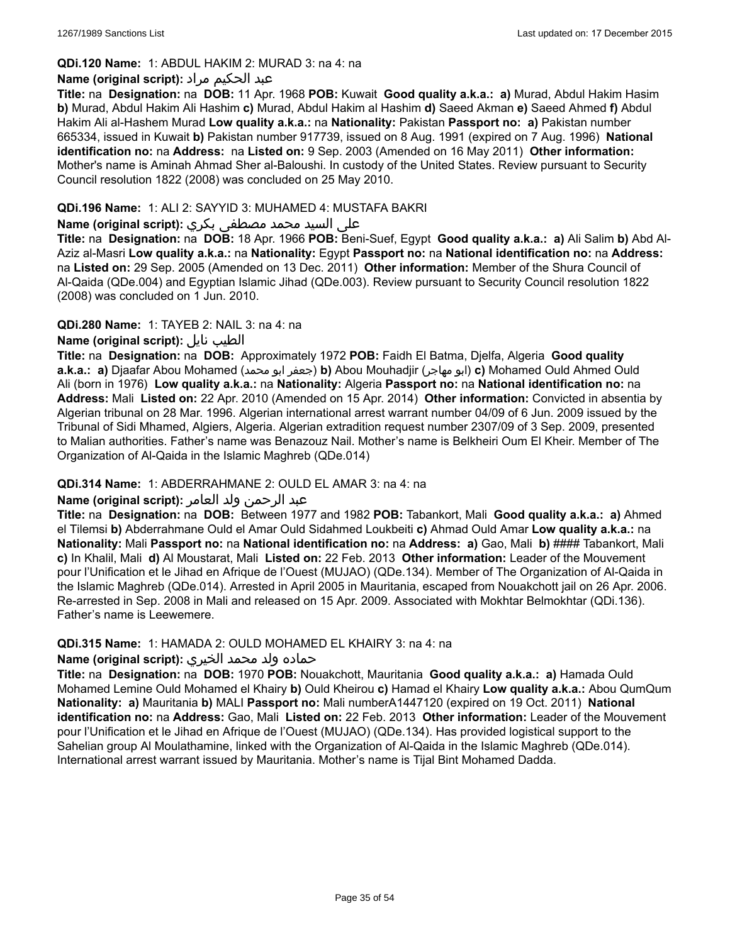# **QDi.120 Name:** 1: ABDUL HAKIM 2: MURAD 3: na 4: na

# عبد الحكيم مراد **:(script original (Name**

**Title:** na **Designation:** na **DOB:** 11 Apr. 1968 **POB:** Kuwait **Good quality a.k.a.: a)** Murad, Abdul Hakim Hasim **b)** Murad, Abdul Hakim Ali Hashim **c)** Murad, Abdul Hakim al Hashim **d)** Saeed Akman **e)** Saeed Ahmed **f)** Abdul Hakim Ali al-Hashem Murad **Low quality a.k.a.:** na **Nationality:** Pakistan **Passport no: a)** Pakistan number 665334, issued in Kuwait **b)** Pakistan number 917739, issued on 8 Aug. 1991 (expired on 7 Aug. 1996) **National identification no:** na **Address:** na **Listed on:** 9 Sep. 2003 (Amended on 16 May 2011) **Other information:** Mother's name is Aminah Ahmad Sher al-Baloushi. In custody of the United States. Review pursuant to Security Council resolution 1822 (2008) was concluded on 25 May 2010.

# **QDi.196 Name:** 1: ALI 2: SAYYID 3: MUHAMED 4: MUSTAFA BAKRI

# على السيد محمد مصطفى بكري **:(script original (Name**

**Title:** na **Designation:** na **DOB:** 18 Apr. 1966 **POB:** Beni-Suef, Egypt **Good quality a.k.a.: a)** Ali Salim **b)** Abd Al-Aziz al-Masri **Low quality a.k.a.:** na **Nationality:** Egypt **Passport no:** na **National identification no:** na **Address:**  na **Listed on:** 29 Sep. 2005 (Amended on 13 Dec. 2011) **Other information:** Member of the Shura Council of Al-Qaida (QDe.004) and Egyptian Islamic Jihad (QDe.003). Review pursuant to Security Council resolution 1822 (2008) was concluded on 1 Jun. 2010.

### **QDi.280 Name:** 1: TAYEB 2: NAIL 3: na 4: na

# **Name (original script):** نايل الطيب

**Title:** na **Designation:** na **DOB:** Approximately 1972 **POB:** Faidh El Batma, Djelfa, Algeria **Good quality a.k.a.: a)** Djaafar Abou Mohamed (محمد ابو جعفر(**b)** Abou Mouhadjir (مهاجر ابو(**c)** Mohamed Ould Ahmed Ould Ali (born in 1976) **Low quality a.k.a.:** na **Nationality:** Algeria **Passport no:** na **National identification no:** na **Address:** Mali **Listed on:** 22 Apr. 2010 (Amended on 15 Apr. 2014) **Other information:** Convicted in absentia by Algerian tribunal on 28 Mar. 1996. Algerian international arrest warrant number 04/09 of 6 Jun. 2009 issued by the Tribunal of Sidi Mhamed, Algiers, Algeria. Algerian extradition request number 2307/09 of 3 Sep. 2009, presented to Malian authorities. Father's name was Benazouz Nail. Mother's name is Belkheiri Oum El Kheir. Member of The Organization of Al-Qaida in the Islamic Maghreb (QDe.014)

# **QDi.314 Name:** 1: ABDERRAHMANE 2: OULD EL AMAR 3: na 4: na

# عبد الرحمن ولد العامر **:(script original (Name**

**Title:** na **Designation:** na **DOB:** Between 1977 and 1982 **POB:** Tabankort, Mali **Good quality a.k.a.: a)** Ahmed el Tilemsi **b)** Abderrahmane Ould el Amar Ould Sidahmed Loukbeiti **c)** Ahmad Ould Amar **Low quality a.k.a.:** na **Nationality:** Mali **Passport no:** na **National identification no:** na **Address: a)** Gao, Mali **b)** #### Tabankort, Mali **c)** In Khalil, Mali **d)** Al Moustarat, Mali **Listed on:** 22 Feb. 2013 **Other information:** Leader of the Mouvement pour l'Unification et le Jihad en Afrique de l'Ouest (MUJAO) (QDe.134). Member of The Organization of Al-Qaida in the Islamic Maghreb (QDe.014). Arrested in April 2005 in Mauritania, escaped from Nouakchott jail on 26 Apr. 2006. Re-arrested in Sep. 2008 in Mali and released on 15 Apr. 2009. Associated with Mokhtar Belmokhtar (QDi.136). Father's name is Leewemere.

#### **QDi.315 Name:** 1: HAMADA 2: OULD MOHAMED EL KHAIRY 3: na 4: na

# حماده ولد محمد الخيري **:(script original (Name**

**Title:** na **Designation:** na **DOB:** 1970 **POB:** Nouakchott, Mauritania **Good quality a.k.a.: a)** Hamada Ould Mohamed Lemine Ould Mohamed el Khairy **b)** Ould Kheirou **c)** Hamad el Khairy **Low quality a.k.a.:** Abou QumQum **Nationality: a)** Mauritania **b)** MALI **Passport no:** Mali numberA1447120 (expired on 19 Oct. 2011) **National identification no:** na **Address:** Gao, Mali **Listed on:** 22 Feb. 2013 **Other information:** Leader of the Mouvement pour l'Unification et le Jihad en Afrique de l'Ouest (MUJAO) (QDe.134). Has provided logistical support to the Sahelian group Al Moulathamine, linked with the Organization of Al-Qaida in the Islamic Maghreb (QDe.014). International arrest warrant issued by Mauritania. Mother's name is Tijal Bint Mohamed Dadda.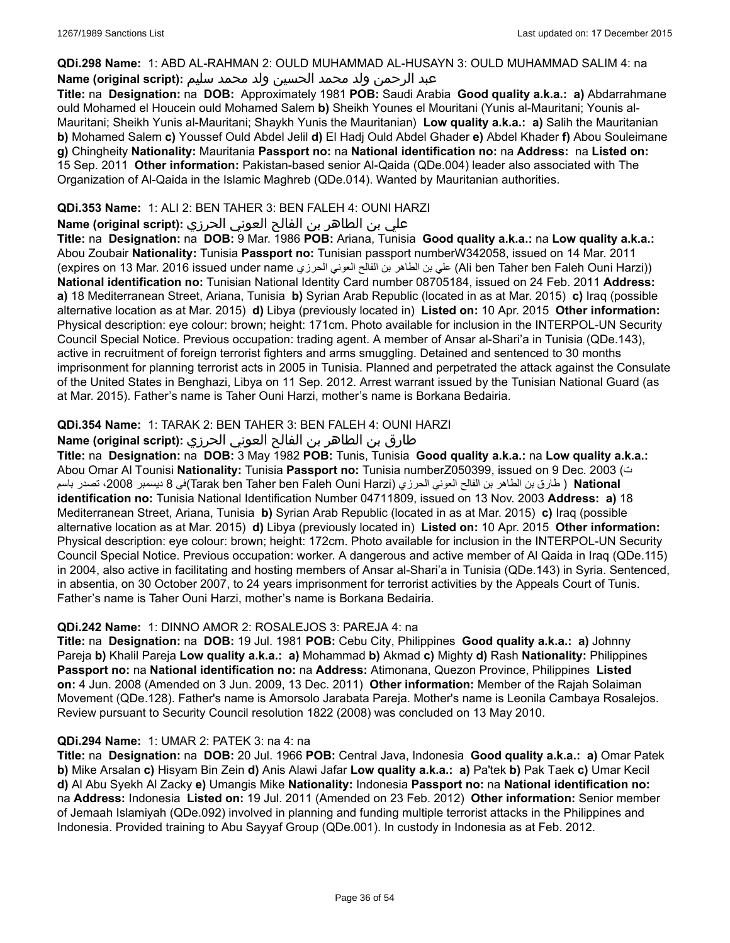### **QDi.298 Name:** 1: ABD AL-RAHMAN 2: OULD MUHAMMAD AL-HUSAYN 3: OULD MUHAMMAD SALIM 4: na

# عبد الرحمن ولد محمد الحسين ولد محمد سليم **:(script original (Name**

**Title:** na **Designation:** na **DOB:** Approximately 1981 **POB:** Saudi Arabia **Good quality a.k.a.: a)** Abdarrahmane ould Mohamed el Houcein ould Mohamed Salem **b)** Sheikh Younes el Mouritani (Yunis al-Mauritani; Younis al-Mauritani; Sheikh Yunis al-Mauritani; Shaykh Yunis the Mauritanian) **Low quality a.k.a.: a)** Salih the Mauritanian **b)** Mohamed Salem **c)** Youssef Ould Abdel Jelil **d)** El Hadj Ould Abdel Ghader **e)** Abdel Khader **f)** Abou Souleimane **g)** Chingheity **Nationality:** Mauritania **Passport no:** na **National identification no:** na **Address:** na **Listed on:** 15 Sep. 2011 **Other information:** Pakistan-based senior Al-Qaida (QDe.004) leader also associated with The Organization of Al-Qaida in the Islamic Maghreb (QDe.014). Wanted by Mauritanian authorities.

# **QDi.353 Name:** 1: ALI 2: BEN TAHER 3: BEN FALEH 4: OUNI HARZI

علي بن الطاھر بن الفالح العوني الحرزي **:(script original (Name**

**Title:** na **Designation:** na **DOB:** 9 Mar. 1986 **POB:** Ariana, Tunisia **Good quality a.k.a.:** na **Low quality a.k.a.:** Abou Zoubair **Nationality:** Tunisia **Passport no:** Tunisian passport numberW342058, issued on 14 Mar. 2011 (expires on 13 Mar. 2016 issued under name الحرزي العوني الفالح بن الطاھر بن علي) Ali ben Taher ben Faleh Ouni Harzi)) **National identification no:** Tunisian National Identity Card number 08705184, issued on 24 Feb. 2011 **Address: a)** 18 Mediterranean Street, Ariana, Tunisia **b)** Syrian Arab Republic (located in as at Mar. 2015) **c)** Iraq (possible alternative location as at Mar. 2015) **d)** Libya (previously located in) **Listed on:** 10 Apr. 2015 **Other information:** Physical description: eye colour: brown; height: 171cm. Photo available for inclusion in the INTERPOL-UN Security Council Special Notice. Previous occupation: trading agent. A member of Ansar al-Shari'a in Tunisia (QDe.143), active in recruitment of foreign terrorist fighters and arms smuggling. Detained and sentenced to 30 months imprisonment for planning terrorist acts in 2005 in Tunisia. Planned and perpetrated the attack against the Consulate of the United States in Benghazi, Libya on 11 Sep. 2012. Arrest warrant issued by the Tunisian National Guard (as at Mar. 2015). Father's name is Taher Ouni Harzi, mother's name is Borkana Bedairia.

# **QDi.354 Name:** 1: TARAK 2: BEN TAHER 3: BEN FALEH 4: OUNI HARZI

# طارق بن الطاھر بن الفالح العوني الحرزي **:(script original (Name**

**Title:** na **Designation:** na **DOB:** 3 May 1982 **POB:** Tunis, Tunisia **Good quality a.k.a.:** na **Low quality a.k.a.:** Abou Omar Al Tounisi **Nationality:** Tunisia **Passport no:** Tunisia numberZ050399, issued on 9 Dec. 2003 (ت **National** ) طارق بن الطاھر بن الفالح العوني الحرزي (Harzi Ouni Faleh ben Taher ben Tarak(في 8 دیسمبر ،2008 تصدر باسم **identification no:** Tunisia National Identification Number 04711809, issued on 13 Nov. 2003 **Address: a)** 18 Mediterranean Street, Ariana, Tunisia **b)** Syrian Arab Republic (located in as at Mar. 2015) **c)** Iraq (possible alternative location as at Mar. 2015) **d)** Libya (previously located in) **Listed on:** 10 Apr. 2015 **Other information:** Physical description: eye colour: brown; height: 172cm. Photo available for inclusion in the INTERPOL-UN Security Council Special Notice. Previous occupation: worker. A dangerous and active member of Al Qaida in Iraq (QDe.115) in 2004, also active in facilitating and hosting members of Ansar al-Shari'a in Tunisia (QDe.143) in Syria. Sentenced, in absentia, on 30 October 2007, to 24 years imprisonment for terrorist activities by the Appeals Court of Tunis. Father's name is Taher Ouni Harzi, mother's name is Borkana Bedairia.

# **QDi.242 Name:** 1: DINNO AMOR 2: ROSALEJOS 3: PAREJA 4: na

**Title:** na **Designation:** na **DOB:** 19 Jul. 1981 **POB:** Cebu City, Philippines **Good quality a.k.a.: a)** Johnny Pareja **b)** Khalil Pareja **Low quality a.k.a.: a)** Mohammad **b)** Akmad **c)** Mighty **d)** Rash **Nationality:** Philippines **Passport no:** na **National identification no:** na **Address:** Atimonana, Quezon Province, Philippines **Listed on:** 4 Jun. 2008 (Amended on 3 Jun. 2009, 13 Dec. 2011) **Other information:** Member of the Rajah Solaiman Movement (QDe.128). Father's name is Amorsolo Jarabata Pareja. Mother's name is Leonila Cambaya Rosalejos. Review pursuant to Security Council resolution 1822 (2008) was concluded on 13 May 2010.

# **QDi.294 Name:** 1: UMAR 2: PATEK 3: na 4: na

**Title:** na **Designation:** na **DOB:** 20 Jul. 1966 **POB:** Central Java, Indonesia **Good quality a.k.a.: a)** Omar Patek **b)** Mike Arsalan **c)** Hisyam Bin Zein **d)** Anis Alawi Jafar **Low quality a.k.a.: a)** Pa'tek **b)** Pak Taek **c)** Umar Kecil **d)** Al Abu Syekh Al Zacky **e)** Umangis Mike **Nationality:** Indonesia **Passport no:** na **National identification no:** na **Address:** Indonesia **Listed on:** 19 Jul. 2011 (Amended on 23 Feb. 2012) **Other information:** Senior member of Jemaah Islamiyah (QDe.092) involved in planning and funding multiple terrorist attacks in the Philippines and Indonesia. Provided training to Abu Sayyaf Group (QDe.001). In custody in Indonesia as at Feb. 2012.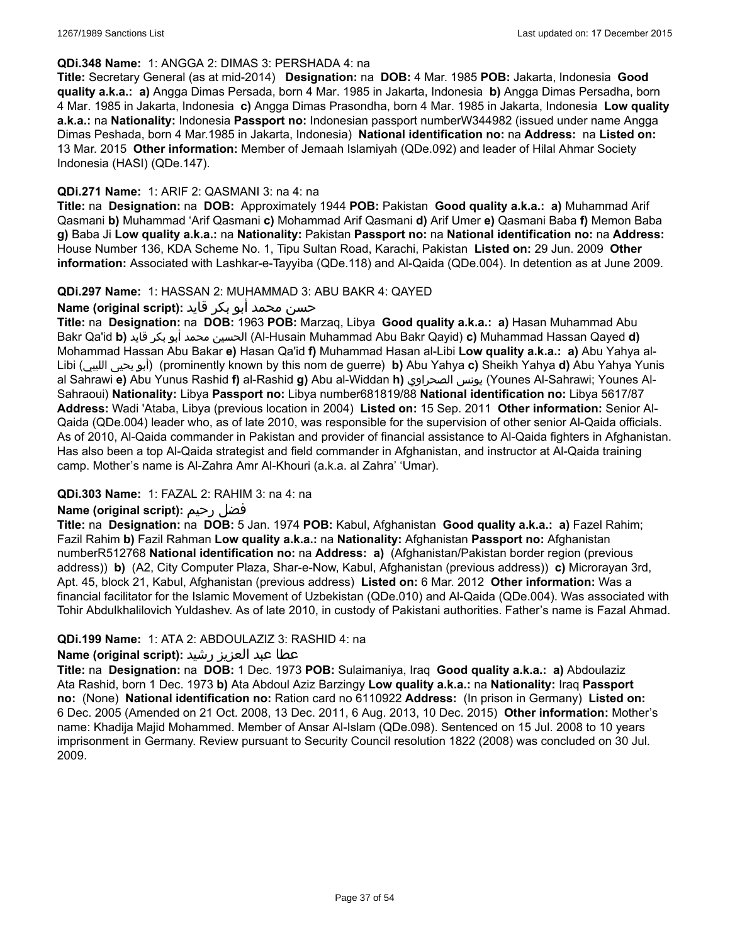#### **QDi.348 Name:** 1: ANGGA 2: DIMAS 3: PERSHADA 4: na

**Title:** Secretary General (as at mid-2014) **Designation:** na **DOB:** 4 Mar. 1985 **POB:** Jakarta, Indonesia **Good quality a.k.a.: a)** Angga Dimas Persada, born 4 Mar. 1985 in Jakarta, Indonesia **b)** Angga Dimas Persadha, born 4 Mar. 1985 in Jakarta, Indonesia **c)** Angga Dimas Prasondha, born 4 Mar. 1985 in Jakarta, Indonesia **Low quality a.k.a.:** na **Nationality:** Indonesia **Passport no:** Indonesian passport numberW344982 (issued under name Angga Dimas Peshada, born 4 Mar.1985 in Jakarta, Indonesia) **National identification no:** na **Address:** na **Listed on:** 13 Mar. 2015 **Other information:** Member of Jemaah Islamiyah (QDe.092) and leader of Hilal Ahmar Society Indonesia (HASI) (QDe.147).

### **QDi.271 Name:** 1: ARIF 2: QASMANI 3: na 4: na

**Title:** na **Designation:** na **DOB:** Approximately 1944 **POB:** Pakistan **Good quality a.k.a.: a)** Muhammad Arif Qasmani **b)** Muhammad 'Arif Qasmani **c)** Mohammad Arif Qasmani **d)** Arif Umer **e)** Qasmani Baba **f)** Memon Baba **g)** Baba Ji **Low quality a.k.a.:** na **Nationality:** Pakistan **Passport no:** na **National identification no:** na **Address:** House Number 136, KDA Scheme No. 1, Tipu Sultan Road, Karachi, Pakistan **Listed on:** 29 Jun. 2009 **Other information:** Associated with Lashkar-e-Tayyiba (QDe.118) and Al-Qaida (QDe.004). In detention as at June 2009.

### **QDi.297 Name:** 1: HASSAN 2: MUHAMMAD 3: ABU BAKR 4: QAYED

حسن محمد أبو بكر قايد **:(script original (Name**

**Title:** na **Designation:** na **DOB:** 1963 **POB:** Marzaq, Libya **Good quality a.k.a.: a)** Hasan Muhammad Abu Bakr Qa'id **b)** قايد بكر أبو محمد الحسين) Al-Husain Muhammad Abu Bakr Qayid) **c)** Muhammad Hassan Qayed **d)** Mohammad Hassan Abu Bakar **e)** Hasan Qa'id **f)** Muhammad Hasan al-Libi **Low quality a.k.a.: a)** Abu Yahya al-Libi (الليبي يحيى أبو) (prominently known by this nom de guerre) **b)** Abu Yahya **c)** Sheikh Yahya **d)** Abu Yahya Yunis al Sahrawi **e)** Abu Yunus Rashid **f)** al-Rashid **g)** Abu al-Widdan **h)** الصحراوي يونس) Younes Al-Sahrawi; Younes Al-Sahraoui) **Nationality:** Libya **Passport no:** Libya number681819/88 **National identification no:** Libya 5617/87 **Address:** Wadi 'Ataba, Libya (previous location in 2004) **Listed on:** 15 Sep. 2011 **Other information:** Senior Al-Qaida (QDe.004) leader who, as of late 2010, was responsible for the supervision of other senior Al-Qaida officials. As of 2010, Al-Qaida commander in Pakistan and provider of financial assistance to Al-Qaida fighters in Afghanistan. Has also been a top Al-Qaida strategist and field commander in Afghanistan, and instructor at Al-Qaida training camp. Mother's name is Al-Zahra Amr Al-Khouri (a.k.a. al Zahra' 'Umar).

# **QDi.303 Name:** 1: FAZAL 2: RAHIM 3: na 4: na

# **Name (original script):** رحيم فضل

**Title:** na **Designation:** na **DOB:** 5 Jan. 1974 **POB:** Kabul, Afghanistan **Good quality a.k.a.: a)** Fazel Rahim; Fazil Rahim **b)** Fazil Rahman **Low quality a.k.a.:** na **Nationality:** Afghanistan **Passport no:** Afghanistan numberR512768 **National identification no:** na **Address: a)** (Afghanistan/Pakistan border region (previous address)) **b)** (A2, City Computer Plaza, Shar-e-Now, Kabul, Afghanistan (previous address)) **c)** Microrayan 3rd, Apt. 45, block 21, Kabul, Afghanistan (previous address) **Listed on:** 6 Mar. 2012 **Other information:** Was a financial facilitator for the Islamic Movement of Uzbekistan (QDe.010) and Al-Qaida (QDe.004). Was associated with Tohir Abdulkhalilovich Yuldashev. As of late 2010, in custody of Pakistani authorities. Father's name is Fazal Ahmad.

#### **QDi.199 Name:** 1: ATA 2: ABDOULAZIZ 3: RASHID 4: na

# عطا عبد العزيز رشيد **:(script original (Name**

**Title:** na **Designation:** na **DOB:** 1 Dec. 1973 **POB:** Sulaimaniya, Iraq **Good quality a.k.a.: a)** Abdoulaziz Ata Rashid, born 1 Dec. 1973 **b)** Ata Abdoul Aziz Barzingy **Low quality a.k.a.:** na **Nationality:** Iraq **Passport no:** (None) **National identification no:** Ration card no 6110922 **Address:** (In prison in Germany) **Listed on:** 6 Dec. 2005 (Amended on 21 Oct. 2008, 13 Dec. 2011, 6 Aug. 2013, 10 Dec. 2015) **Other information:** Mother's name: Khadija Majid Mohammed. Member of Ansar Al-Islam (QDe.098). Sentenced on 15 Jul. 2008 to 10 years imprisonment in Germany. Review pursuant to Security Council resolution 1822 (2008) was concluded on 30 Jul. 2009.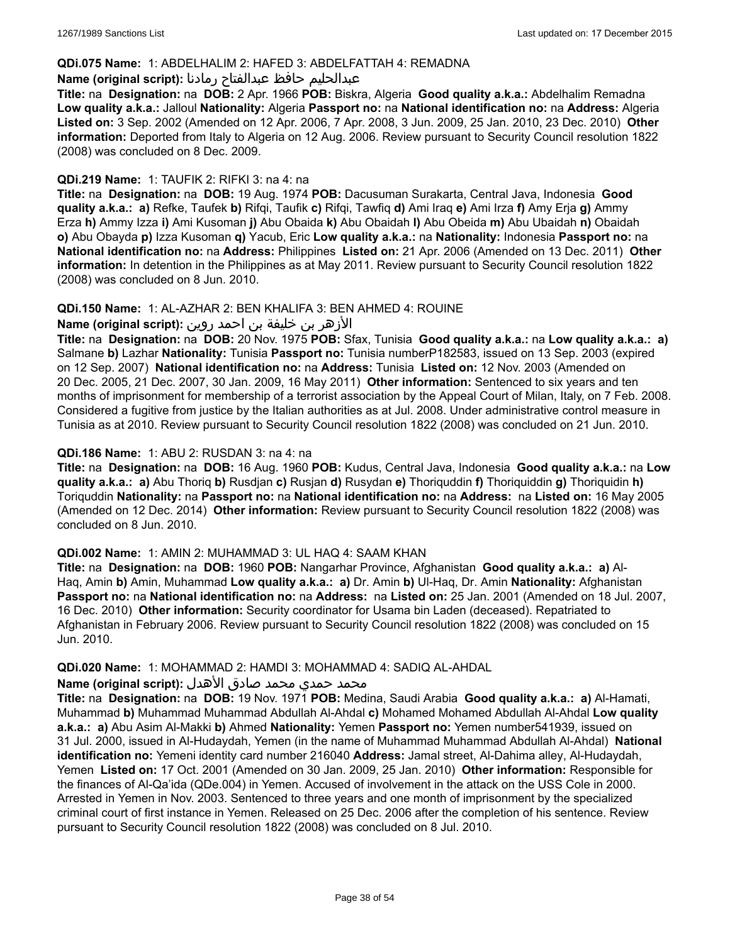### **QDi.075 Name:** 1: ABDELHALIM 2: HAFED 3: ABDELFATTAH 4: REMADNA

#### عبدالحليم حافظ عبدالفتاح رمادنا **:(script original (Name**

**Title:** na **Designation:** na **DOB:** 2 Apr. 1966 **POB:** Biskra, Algeria **Good quality a.k.a.:** Abdelhalim Remadna **Low quality a.k.a.:** Jalloul **Nationality:** Algeria **Passport no:** na **National identification no:** na **Address:** Algeria **Listed on:** 3 Sep. 2002 (Amended on 12 Apr. 2006, 7 Apr. 2008, 3 Jun. 2009, 25 Jan. 2010, 23 Dec. 2010) **Other information:** Deported from Italy to Algeria on 12 Aug. 2006. Review pursuant to Security Council resolution 1822 (2008) was concluded on 8 Dec. 2009.

### **QDi.219 Name:** 1: TAUFIK 2: RIFKI 3: na 4: na

**Title:** na **Designation:** na **DOB:** 19 Aug. 1974 **POB:** Dacusuman Surakarta, Central Java, Indonesia **Good quality a.k.a.: a)** Refke, Taufek **b)** Rifqi, Taufik **c)** Rifqi, Tawfiq **d)** Ami Iraq **e)** Ami Irza **f)** Amy Erja **g)** Ammy Erza **h)** Ammy Izza **i)** Ami Kusoman **j)** Abu Obaida **k)** Abu Obaidah **l)** Abu Obeida **m)** Abu Ubaidah **n)** Obaidah **o)** Abu Obayda **p)** Izza Kusoman **q)** Yacub, Eric **Low quality a.k.a.:** na **Nationality:** Indonesia **Passport no:** na **National identification no:** na **Address:** Philippines **Listed on:** 21 Apr. 2006 (Amended on 13 Dec. 2011) **Other information:** In detention in the Philippines as at May 2011. Review pursuant to Security Council resolution 1822 (2008) was concluded on 8 Jun. 2010.

### **QDi.150 Name:** 1: AL-AZHAR 2: BEN KHALIFA 3: BEN AHMED 4: ROUINE

الأزهر بن خليفة بن احمد روين **:(script original (Name**

**Title:** na **Designation:** na **DOB:** 20 Nov. 1975 **POB:** Sfax, Tunisia **Good quality a.k.a.:** na **Low quality a.k.a.: a)** Salmane **b)** Lazhar **Nationality:** Tunisia **Passport no:** Tunisia numberP182583, issued on 13 Sep. 2003 (expired on 12 Sep. 2007) **National identification no:** na **Address:** Tunisia **Listed on:** 12 Nov. 2003 (Amended on 20 Dec. 2005, 21 Dec. 2007, 30 Jan. 2009, 16 May 2011) **Other information:** Sentenced to six years and ten months of imprisonment for membership of a terrorist association by the Appeal Court of Milan, Italy, on 7 Feb. 2008. Considered a fugitive from justice by the Italian authorities as at Jul. 2008. Under administrative control measure in Tunisia as at 2010. Review pursuant to Security Council resolution 1822 (2008) was concluded on 21 Jun. 2010.

### **QDi.186 Name:** 1: ABU 2: RUSDAN 3: na 4: na

**Title:** na **Designation:** na **DOB:** 16 Aug. 1960 **POB:** Kudus, Central Java, Indonesia **Good quality a.k.a.:** na **Low quality a.k.a.: a)** Abu Thoriq **b)** Rusdjan **c)** Rusjan **d)** Rusydan **e)** Thoriquddin **f)** Thoriquiddin **g)** Thoriquidin **h)** Toriquddin **Nationality:** na **Passport no:** na **National identification no:** na **Address:** na **Listed on:** 16 May 2005 (Amended on 12 Dec. 2014) **Other information:** Review pursuant to Security Council resolution 1822 (2008) was concluded on 8 Jun. 2010.

# **QDi.002 Name:** 1: AMIN 2: MUHAMMAD 3: UL HAQ 4: SAAM KHAN

**Title:** na **Designation:** na **DOB:** 1960 **POB:** Nangarhar Province, Afghanistan **Good quality a.k.a.: a)** Al-Haq, Amin **b)** Amin, Muhammad **Low quality a.k.a.: a)** Dr. Amin **b)** Ul-Haq, Dr. Amin **Nationality:** Afghanistan **Passport no:** na **National identification no:** na **Address:** na **Listed on:** 25 Jan. 2001 (Amended on 18 Jul. 2007, 16 Dec. 2010) **Other information:** Security coordinator for Usama bin Laden (deceased). Repatriated to Afghanistan in February 2006. Review pursuant to Security Council resolution 1822 (2008) was concluded on 15 Jun. 2010.

# **QDi.020 Name:** 1: MOHAMMAD 2: HAMDI 3: MOHAMMAD 4: SADIQ AL-AHDAL

# محمد حمدي محمد صادق الأهدل **:Name (original script**)

**Title:** na **Designation:** na **DOB:** 19 Nov. 1971 **POB:** Medina, Saudi Arabia **Good quality a.k.a.: a)** Al-Hamati, Muhammad **b)** Muhammad Muhammad Abdullah Al-Ahdal **c)** Mohamed Mohamed Abdullah Al-Ahdal **Low quality a.k.a.: a)** Abu Asim Al-Makki **b)** Ahmed **Nationality:** Yemen **Passport no:** Yemen number541939, issued on 31 Jul. 2000, issued in Al-Hudaydah, Yemen (in the name of Muhammad Muhammad Abdullah Al-Ahdal) **National identification no:** Yemeni identity card number 216040 **Address:** Jamal street, Al-Dahima alley, Al-Hudaydah, Yemen **Listed on:** 17 Oct. 2001 (Amended on 30 Jan. 2009, 25 Jan. 2010) **Other information:** Responsible for the finances of Al-Qa'ida (QDe.004) in Yemen. Accused of involvement in the attack on the USS Cole in 2000. Arrested in Yemen in Nov. 2003. Sentenced to three years and one month of imprisonment by the specialized criminal court of first instance in Yemen. Released on 25 Dec. 2006 after the completion of his sentence. Review pursuant to Security Council resolution 1822 (2008) was concluded on 8 Jul. 2010.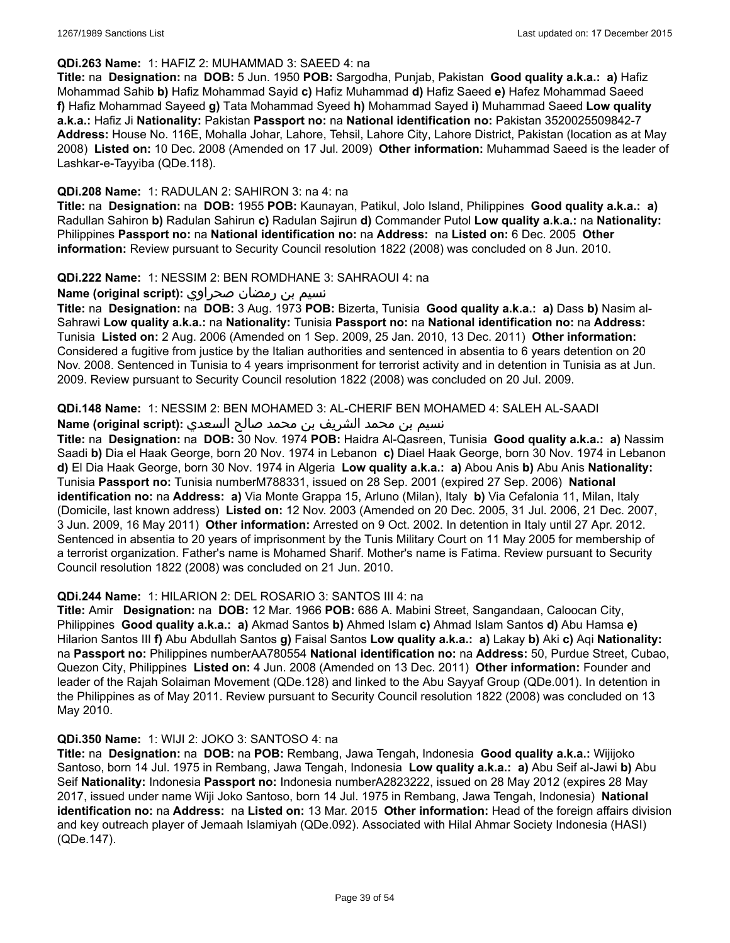#### **QDi.263 Name:** 1: HAFIZ 2: MUHAMMAD 3: SAEED 4: na

**Title:** na **Designation:** na **DOB:** 5 Jun. 1950 **POB:** Sargodha, Punjab, Pakistan **Good quality a.k.a.: a)** Hafiz Mohammad Sahib **b)** Hafiz Mohammad Sayid **c)** Hafiz Muhammad **d)** Hafiz Saeed **e)** Hafez Mohammad Saeed **f)** Hafiz Mohammad Sayeed **g)** Tata Mohammad Syeed **h)** Mohammad Sayed **i)** Muhammad Saeed **Low quality a.k.a.:** Hafiz Ji **Nationality:** Pakistan **Passport no:** na **National identification no:** Pakistan 3520025509842-7 **Address:** House No. 116E, Mohalla Johar, Lahore, Tehsil, Lahore City, Lahore District, Pakistan (location as at May 2008) **Listed on:** 10 Dec. 2008 (Amended on 17 Jul. 2009) **Other information:** Muhammad Saeed is the leader of Lashkar-e-Tayyiba (QDe.118).

#### **QDi.208 Name:** 1: RADULAN 2: SAHIRON 3: na 4: na

**Title:** na **Designation:** na **DOB:** 1955 **POB:** Kaunayan, Patikul, Jolo Island, Philippines **Good quality a.k.a.: a)** Radullan Sahiron **b)** Radulan Sahirun **c)** Radulan Sajirun **d)** Commander Putol **Low quality a.k.a.:** na **Nationality:** Philippines **Passport no:** na **National identification no:** na **Address:** na **Listed on:** 6 Dec. 2005 **Other information:** Review pursuant to Security Council resolution 1822 (2008) was concluded on 8 Jun. 2010.

#### **QDi.222 Name:** 1: NESSIM 2: BEN ROMDHANE 3: SAHRAOUI 4: na

نسيم بن رمضان صحراوي **:(script original (Name**

**Title:** na **Designation:** na **DOB:** 3 Aug. 1973 **POB:** Bizerta, Tunisia **Good quality a.k.a.: a)** Dass **b)** Nasim al-Sahrawi **Low quality a.k.a.:** na **Nationality:** Tunisia **Passport no:** na **National identification no:** na **Address:** Tunisia **Listed on:** 2 Aug. 2006 (Amended on 1 Sep. 2009, 25 Jan. 2010, 13 Dec. 2011) **Other information:** Considered a fugitive from justice by the Italian authorities and sentenced in absentia to 6 years detention on 20 Nov. 2008. Sentenced in Tunisia to 4 years imprisonment for terrorist activity and in detention in Tunisia as at Jun. 2009. Review pursuant to Security Council resolution 1822 (2008) was concluded on 20 Jul. 2009.

#### **QDi.148 Name:** 1: NESSIM 2: BEN MOHAMED 3: AL-CHERIF BEN MOHAMED 4: SALEH AL-SAADI

### نسيم بن محمد الشريف بن محمد صالح السعدي **:(script original (Name**

**Title:** na **Designation:** na **DOB:** 30 Nov. 1974 **POB:** Haidra Al-Qasreen, Tunisia **Good quality a.k.a.: a)** Nassim Saadi **b)** Dia el Haak George, born 20 Nov. 1974 in Lebanon **c)** Diael Haak George, born 30 Nov. 1974 in Lebanon **d)** El Dia Haak George, born 30 Nov. 1974 in Algeria **Low quality a.k.a.: a)** Abou Anis **b)** Abu Anis **Nationality:** Tunisia **Passport no:** Tunisia numberM788331, issued on 28 Sep. 2001 (expired 27 Sep. 2006) **National identification no:** na **Address: a)** Via Monte Grappa 15, Arluno (Milan), Italy **b)** Via Cefalonia 11, Milan, Italy (Domicile, last known address) **Listed on:** 12 Nov. 2003 (Amended on 20 Dec. 2005, 31 Jul. 2006, 21 Dec. 2007, 3 Jun. 2009, 16 May 2011) **Other information:** Arrested on 9 Oct. 2002. In detention in Italy until 27 Apr. 2012. Sentenced in absentia to 20 years of imprisonment by the Tunis Military Court on 11 May 2005 for membership of a terrorist organization. Father's name is Mohamed Sharif. Mother's name is Fatima. Review pursuant to Security Council resolution 1822 (2008) was concluded on 21 Jun. 2010.

#### **QDi.244 Name:** 1: HILARION 2: DEL ROSARIO 3: SANTOS III 4: na

**Title:** Amir **Designation:** na **DOB:** 12 Mar. 1966 **POB:** 686 A. Mabini Street, Sangandaan, Caloocan City, Philippines **Good quality a.k.a.: a)** Akmad Santos **b)** Ahmed Islam **c)** Ahmad Islam Santos **d)** Abu Hamsa **e)** Hilarion Santos III **f)** Abu Abdullah Santos **g)** Faisal Santos **Low quality a.k.a.: a)** Lakay **b)** Aki **c)** Aqi **Nationality:** na **Passport no:** Philippines numberAA780554 **National identification no:** na **Address:** 50, Purdue Street, Cubao, Quezon City, Philippines **Listed on:** 4 Jun. 2008 (Amended on 13 Dec. 2011) **Other information:** Founder and leader of the Rajah Solaiman Movement (QDe.128) and linked to the Abu Sayyaf Group (QDe.001). In detention in the Philippines as of May 2011. Review pursuant to Security Council resolution 1822 (2008) was concluded on 13 May 2010.

#### **QDi.350 Name:** 1: WIJI 2: JOKO 3: SANTOSO 4: na

**Title:** na **Designation:** na **DOB:** na **POB:** Rembang, Jawa Tengah, Indonesia **Good quality a.k.a.:** Wijijoko Santoso, born 14 Jul. 1975 in Rembang, Jawa Tengah, Indonesia **Low quality a.k.a.: a)** Abu Seif al-Jawi **b)** Abu Seif **Nationality:** Indonesia **Passport no:** Indonesia numberA2823222, issued on 28 May 2012 (expires 28 May 2017, issued under name Wiji Joko Santoso, born 14 Jul. 1975 in Rembang, Jawa Tengah, Indonesia) **National identification no:** na **Address:** na **Listed on:** 13 Mar. 2015 **Other information:** Head of the foreign affairs division and key outreach player of Jemaah Islamiyah (QDe.092). Associated with Hilal Ahmar Society Indonesia (HASI) (QDe.147).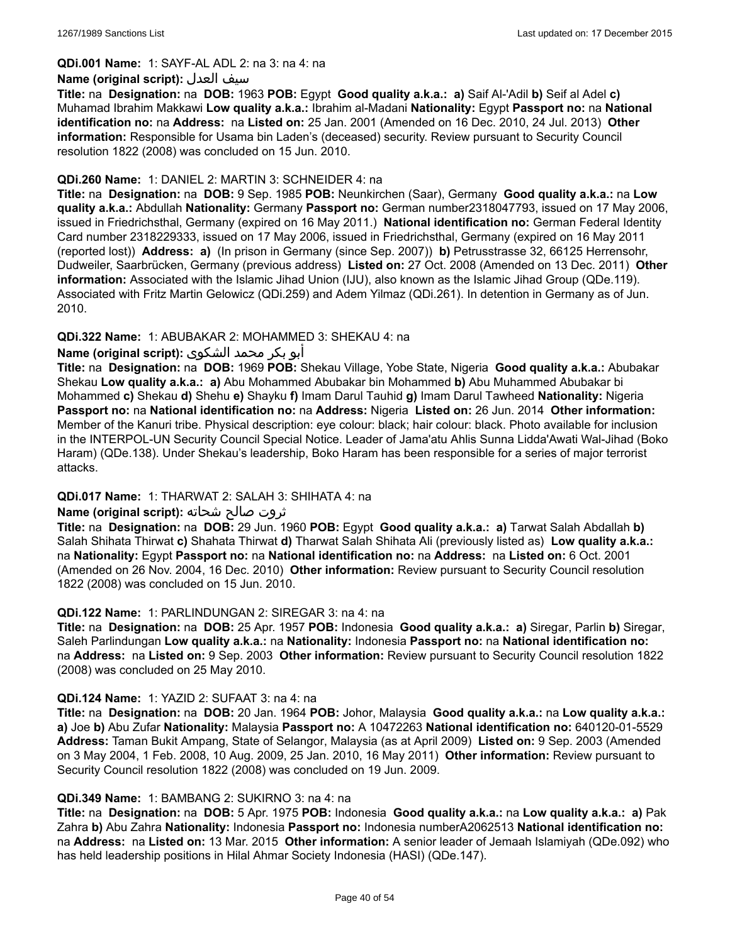#### **QDi.001 Name:** 1: SAYF-AL ADL 2: na 3: na 4: na

#### **Name (original script):** العدل سيف

**Title:** na **Designation:** na **DOB:** 1963 **POB:** Egypt **Good quality a.k.a.: a)** Saif Al-'Adil **b)** Seif al Adel **c)** Muhamad Ibrahim Makkawi **Low quality a.k.a.:** Ibrahim al-Madani **Nationality:** Egypt **Passport no:** na **National identification no:** na **Address:** na **Listed on:** 25 Jan. 2001 (Amended on 16 Dec. 2010, 24 Jul. 2013) **Other information:** Responsible for Usama bin Laden's (deceased) security. Review pursuant to Security Council resolution 1822 (2008) was concluded on 15 Jun. 2010.

### **QDi.260 Name:** 1: DANIEL 2: MARTIN 3: SCHNEIDER 4: na

**Title:** na **Designation:** na **DOB:** 9 Sep. 1985 **POB:** Neunkirchen (Saar), Germany **Good quality a.k.a.:** na **Low quality a.k.a.:** Abdullah **Nationality:** Germany **Passport no:** German number2318047793, issued on 17 May 2006, issued in Friedrichsthal, Germany (expired on 16 May 2011.) **National identification no:** German Federal Identity Card number 2318229333, issued on 17 May 2006, issued in Friedrichsthal, Germany (expired on 16 May 2011 (reported lost)) **Address: a)** (In prison in Germany (since Sep. 2007)) **b)** Petrusstrasse 32, 66125 Herrensohr, Dudweiler, Saarbrücken, Germany (previous address) **Listed on:** 27 Oct. 2008 (Amended on 13 Dec. 2011) **Other information:** Associated with the Islamic Jihad Union (IJU), also known as the Islamic Jihad Group (QDe.119). Associated with Fritz Martin Gelowicz (QDi.259) and Adem Yilmaz (QDi.261). In detention in Germany as of Jun. 2010.

# **QDi.322 Name:** 1: ABUBAKAR 2: MOHAMMED 3: SHEKAU 4: na

# أبو بكر محمد الشكوى **:(script original (Name**

**Title:** na **Designation:** na **DOB:** 1969 **POB:** Shekau Village, Yobe State, Nigeria **Good quality a.k.a.:** Abubakar Shekau **Low quality a.k.a.: a)** Abu Mohammed Abubakar bin Mohammed **b)** Abu Muhammed Abubakar bi Mohammed **c)** Shekau **d)** Shehu **e)** Shayku **f)** Imam Darul Tauhid **g)** Imam Darul Tawheed **Nationality:** Nigeria **Passport no:** na **National identification no:** na **Address:** Nigeria **Listed on:** 26 Jun. 2014 **Other information:** Member of the Kanuri tribe. Physical description: eye colour: black; hair colour: black. Photo available for inclusion in the INTERPOL-UN Security Council Special Notice. Leader of Jama'atu Ahlis Sunna Lidda'Awati Wal-Jihad (Boko Haram) (QDe.138). Under Shekau's leadership, Boko Haram has been responsible for a series of major terrorist attacks.

# **QDi.017 Name:** 1: THARWAT 2: SALAH 3: SHIHATA 4: na

# ثروت صالح شحاته **:(script original (Name**

**Title:** na **Designation:** na **DOB:** 29 Jun. 1960 **POB:** Egypt **Good quality a.k.a.: a)** Tarwat Salah Abdallah **b)** Salah Shihata Thirwat **c)** Shahata Thirwat **d)** Tharwat Salah Shihata Ali (previously listed as) **Low quality a.k.a.:** na **Nationality:** Egypt **Passport no:** na **National identification no:** na **Address:** na **Listed on:** 6 Oct. 2001 (Amended on 26 Nov. 2004, 16 Dec. 2010) **Other information:** Review pursuant to Security Council resolution 1822 (2008) was concluded on 15 Jun. 2010.

#### **QDi.122 Name:** 1: PARLINDUNGAN 2: SIREGAR 3: na 4: na

**Title:** na **Designation:** na **DOB:** 25 Apr. 1957 **POB:** Indonesia **Good quality a.k.a.: a)** Siregar, Parlin **b)** Siregar, Saleh Parlindungan **Low quality a.k.a.:** na **Nationality:** Indonesia **Passport no:** na **National identification no:** na **Address:** na **Listed on:** 9 Sep. 2003 **Other information:** Review pursuant to Security Council resolution 1822 (2008) was concluded on 25 May 2010.

#### **QDi.124 Name:** 1: YAZID 2: SUFAAT 3: na 4: na

**Title:** na **Designation:** na **DOB:** 20 Jan. 1964 **POB:** Johor, Malaysia **Good quality a.k.a.:** na **Low quality a.k.a.: a)** Joe **b)** Abu Zufar **Nationality:** Malaysia **Passport no:** A 10472263 **National identification no:** 640120-01-5529 **Address:** Taman Bukit Ampang, State of Selangor, Malaysia (as at April 2009) **Listed on:** 9 Sep. 2003 (Amended on 3 May 2004, 1 Feb. 2008, 10 Aug. 2009, 25 Jan. 2010, 16 May 2011) **Other information:** Review pursuant to Security Council resolution 1822 (2008) was concluded on 19 Jun. 2009.

#### **QDi.349 Name:** 1: BAMBANG 2: SUKIRNO 3: na 4: na

**Title:** na **Designation:** na **DOB:** 5 Apr. 1975 **POB:** Indonesia **Good quality a.k.a.:** na **Low quality a.k.a.: a)** Pak Zahra **b)** Abu Zahra **Nationality:** Indonesia **Passport no:** Indonesia numberA2062513 **National identification no:** na **Address:** na **Listed on:** 13 Mar. 2015 **Other information:** A senior leader of Jemaah Islamiyah (QDe.092) who has held leadership positions in Hilal Ahmar Society Indonesia (HASI) (QDe.147).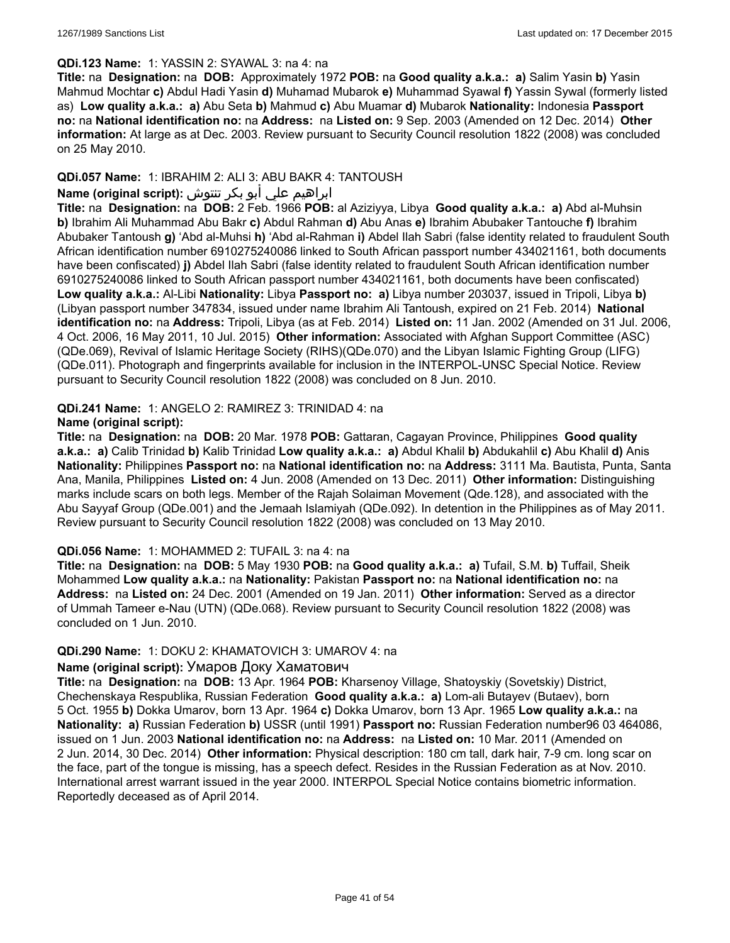### **QDi.123 Name:** 1: YASSIN 2: SYAWAL 3: na 4: na

**Title:** na **Designation:** na **DOB:** Approximately 1972 **POB:** na **Good quality a.k.a.: a)** Salim Yasin **b)** Yasin Mahmud Mochtar **c)** Abdul Hadi Yasin **d)** Muhamad Mubarok **e)** Muhammad Syawal **f)** Yassin Sywal (formerly listed as) **Low quality a.k.a.: a)** Abu Seta **b)** Mahmud **c)** Abu Muamar **d)** Mubarok **Nationality:** Indonesia **Passport no:** na **National identification no:** na **Address:** na **Listed on:** 9 Sep. 2003 (Amended on 12 Dec. 2014) **Other information:** At large as at Dec. 2003. Review pursuant to Security Council resolution 1822 (2008) was concluded on 25 May 2010.

# **QDi.057 Name:** 1: IBRAHIM 2: ALI 3: ABU BAKR 4: TANTOUSH

# ابراهيم علي أبو بكر تنتوش **:(script original (Name**

**Title:** na **Designation:** na **DOB:** 2 Feb. 1966 **POB:** al Aziziyya, Libya **Good quality a.k.a.: a)** Abd al-Muhsin **b)** Ibrahim Ali Muhammad Abu Bakr **c)** Abdul Rahman **d)** Abu Anas **e)** Ibrahim Abubaker Tantouche **f)** Ibrahim Abubaker Tantoush **g)** 'Abd al-Muhsi **h)** 'Abd al-Rahman **i)** Abdel Ilah Sabri (false identity related to fraudulent South African identification number 6910275240086 linked to South African passport number 434021161, both documents have been confiscated) **j)** Abdel Ilah Sabri (false identity related to fraudulent South African identification number 6910275240086 linked to South African passport number 434021161, both documents have been confiscated) **Low quality a.k.a.:** Al-Libi **Nationality:** Libya **Passport no: a)** Libya number 203037, issued in Tripoli, Libya **b)**  (Libyan passport number 347834, issued under name Ibrahim Ali Tantoush, expired on 21 Feb. 2014) **National identification no:** na **Address:** Tripoli, Libya (as at Feb. 2014) **Listed on:** 11 Jan. 2002 (Amended on 31 Jul. 2006, 4 Oct. 2006, 16 May 2011, 10 Jul. 2015) **Other information:** Associated with Afghan Support Committee (ASC) (QDe.069), Revival of Islamic Heritage Society (RIHS)(QDe.070) and the Libyan Islamic Fighting Group (LIFG) (QDe.011). Photograph and fingerprints available for inclusion in the INTERPOL-UNSC Special Notice. Review pursuant to Security Council resolution 1822 (2008) was concluded on 8 Jun. 2010.

#### **QDi.241 Name:** 1: ANGELO 2: RAMIREZ 3: TRINIDAD 4: na **Name (original script):**

**Title:** na **Designation:** na **DOB:** 20 Mar. 1978 **POB:** Gattaran, Cagayan Province, Philippines **Good quality a.k.a.: a)** Calib Trinidad **b)** Kalib Trinidad **Low quality a.k.a.: a)** Abdul Khalil **b)** Abdukahlil **c)** Abu Khalil **d)** Anis **Nationality:** Philippines **Passport no:** na **National identification no:** na **Address:** 3111 Ma. Bautista, Punta, Santa Ana, Manila, Philippines **Listed on:** 4 Jun. 2008 (Amended on 13 Dec. 2011) **Other information:** Distinguishing marks include scars on both legs. Member of the Rajah Solaiman Movement (Qde.128), and associated with the Abu Sayyaf Group (QDe.001) and the Jemaah Islamiyah (QDe.092). In detention in the Philippines as of May 2011. Review pursuant to Security Council resolution 1822 (2008) was concluded on 13 May 2010.

# **QDi.056 Name:** 1: MOHAMMED 2: TUFAIL 3: na 4: na

**Title:** na **Designation:** na **DOB:** 5 May 1930 **POB:** na **Good quality a.k.a.: a)** Tufail, S.M. **b)** Tuffail, Sheik Mohammed **Low quality a.k.a.:** na **Nationality:** Pakistan **Passport no:** na **National identification no:** na **Address:** na **Listed on:** 24 Dec. 2001 (Amended on 19 Jan. 2011) **Other information:** Served as a director of Ummah Tameer e-Nau (UTN) (QDe.068). Review pursuant to Security Council resolution 1822 (2008) was concluded on 1 Jun. 2010.

# **QDi.290 Name:** 1: DOKU 2: KHAMATOVICH 3: UMAROV 4: na

### **Name (original script):** Умаров Доку Хаматович

**Title:** na **Designation:** na **DOB:** 13 Apr. 1964 **POB:** Kharsenoy Village, Shatoyskiy (Sovetskiy) District, Chechenskaya Respublika, Russian Federation **Good quality a.k.a.: a)** Lom-ali Butayev (Butaev), born 5 Oct. 1955 **b)** Dokka Umarov, born 13 Apr. 1964 **c)** Dokka Umarov, born 13 Apr. 1965 **Low quality a.k.a.:** na **Nationality: a)** Russian Federation **b)** USSR (until 1991) **Passport no:** Russian Federation number96 03 464086, issued on 1 Jun. 2003 **National identification no:** na **Address:** na **Listed on:** 10 Mar. 2011 (Amended on 2 Jun. 2014, 30 Dec. 2014) **Other information:** Physical description: 180 cm tall, dark hair, 7-9 cm. long scar on the face, part of the tongue is missing, has a speech defect. Resides in the Russian Federation as at Nov. 2010. International arrest warrant issued in the year 2000. INTERPOL Special Notice contains biometric information. Reportedly deceased as of April 2014.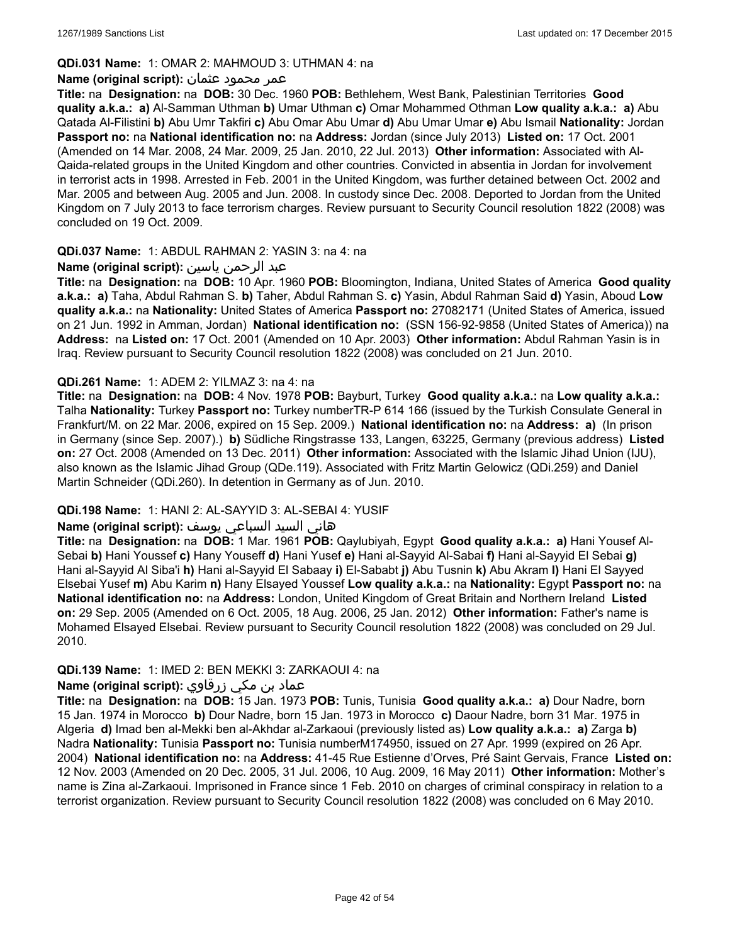### **QDi.031 Name:** 1: OMAR 2: MAHMOUD 3: UTHMAN 4: na

#### عمر محمود عثمان **:(script original (Name**

**Title:** na **Designation:** na **DOB:** 30 Dec. 1960 **POB:** Bethlehem, West Bank, Palestinian Territories **Good quality a.k.a.: a)** Al-Samman Uthman **b)** Umar Uthman **c)** Omar Mohammed Othman **Low quality a.k.a.: a)** Abu Qatada Al-Filistini **b)** Abu Umr Takfiri **c)** Abu Omar Abu Umar **d)** Abu Umar Umar **e)** Abu Ismail **Nationality:** Jordan **Passport no:** na **National identification no:** na **Address:** Jordan (since July 2013) **Listed on:** 17 Oct. 2001 (Amended on 14 Mar. 2008, 24 Mar. 2009, 25 Jan. 2010, 22 Jul. 2013) **Other information:** Associated with Al-Qaida-related groups in the United Kingdom and other countries. Convicted in absentia in Jordan for involvement in terrorist acts in 1998. Arrested in Feb. 2001 in the United Kingdom, was further detained between Oct. 2002 and Mar. 2005 and between Aug. 2005 and Jun. 2008. In custody since Dec. 2008. Deported to Jordan from the United Kingdom on 7 July 2013 to face terrorism charges. Review pursuant to Security Council resolution 1822 (2008) was concluded on 19 Oct. 2009.

### **QDi.037 Name:** 1: ABDUL RAHMAN 2: YASIN 3: na 4: na

# عبد الرحمن ياسين **:(script original (Name**

**Title:** na **Designation:** na **DOB:** 10 Apr. 1960 **POB:** Bloomington, Indiana, United States of America **Good quality a.k.a.: a)** Taha, Abdul Rahman S. **b)** Taher, Abdul Rahman S. **c)** Yasin, Abdul Rahman Said **d)** Yasin, Aboud **Low quality a.k.a.:** na **Nationality:** United States of America **Passport no:** 27082171 (United States of America, issued on 21 Jun. 1992 in Amman, Jordan) **National identification no:** (SSN 156-92-9858 (United States of America)) na **Address:** na **Listed on:** 17 Oct. 2001 (Amended on 10 Apr. 2003) **Other information:** Abdul Rahman Yasin is in Iraq. Review pursuant to Security Council resolution 1822 (2008) was concluded on 21 Jun. 2010.

### **QDi.261 Name:** 1: ADEM 2: YILMAZ 3: na 4: na

**Title:** na **Designation:** na **DOB:** 4 Nov. 1978 **POB:** Bayburt, Turkey **Good quality a.k.a.:** na **Low quality a.k.a.:** Talha **Nationality:** Turkey **Passport no:** Turkey numberTR-P 614 166 (issued by the Turkish Consulate General in Frankfurt/M. on 22 Mar. 2006, expired on 15 Sep. 2009.) **National identification no:** na **Address: a)** (In prison in Germany (since Sep. 2007).) **b)** Südliche Ringstrasse 133, Langen, 63225, Germany (previous address) **Listed on:** 27 Oct. 2008 (Amended on 13 Dec. 2011) **Other information:** Associated with the Islamic Jihad Union (IJU), also known as the Islamic Jihad Group (QDe.119). Associated with Fritz Martin Gelowicz (QDi.259) and Daniel Martin Schneider (QDi.260). In detention in Germany as of Jun. 2010.

# **QDi.198 Name:** 1: HANI 2: AL-SAYYID 3: AL-SEBAI 4: YUSIF

# هاني السيد السباعي يوسف **:(script original (Name**

**Title:** na **Designation:** na **DOB:** 1 Mar. 1961 **POB:** Qaylubiyah, Egypt **Good quality a.k.a.: a)** Hani Yousef Al-Sebai **b)** Hani Youssef **c)** Hany Youseff **d)** Hani Yusef **e)** Hani al-Sayyid Al-Sabai **f)** Hani al-Sayyid El Sebai **g)** Hani al-Sayyid Al Siba'i **h)** Hani al-Sayyid El Sabaay **i)** El-Sababt **j)** Abu Tusnin **k)** Abu Akram **l)** Hani El Sayyed Elsebai Yusef **m)** Abu Karim **n)** Hany Elsayed Youssef **Low quality a.k.a.:** na **Nationality:** Egypt **Passport no:** na **National identification no:** na **Address:** London, United Kingdom of Great Britain and Northern Ireland **Listed on:** 29 Sep. 2005 (Amended on 6 Oct. 2005, 18 Aug. 2006, 25 Jan. 2012) **Other information:** Father's name is Mohamed Elsayed Elsebai. Review pursuant to Security Council resolution 1822 (2008) was concluded on 29 Jul. 2010.

#### **QDi.139 Name:** 1: IMED 2: BEN MEKKI 3: ZARKAOUI 4: na

# عماد بن مكي زرقاوي **:(script original (Name**

**Title:** na **Designation:** na **DOB:** 15 Jan. 1973 **POB:** Tunis, Tunisia **Good quality a.k.a.: a)** Dour Nadre, born 15 Jan. 1974 in Morocco **b)** Dour Nadre, born 15 Jan. 1973 in Morocco **c)** Daour Nadre, born 31 Mar. 1975 in Algeria **d)** Imad ben al-Mekki ben al-Akhdar al-Zarkaoui (previously listed as) **Low quality a.k.a.: a)** Zarga **b)** Nadra **Nationality:** Tunisia **Passport no:** Tunisia numberM174950, issued on 27 Apr. 1999 (expired on 26 Apr. 2004) **National identification no:** na **Address:** 41-45 Rue Estienne d'Orves, Pré Saint Gervais, France **Listed on:** 12 Nov. 2003 (Amended on 20 Dec. 2005, 31 Jul. 2006, 10 Aug. 2009, 16 May 2011) **Other information:** Mother's name is Zina al-Zarkaoui. Imprisoned in France since 1 Feb. 2010 on charges of criminal conspiracy in relation to a terrorist organization. Review pursuant to Security Council resolution 1822 (2008) was concluded on 6 May 2010.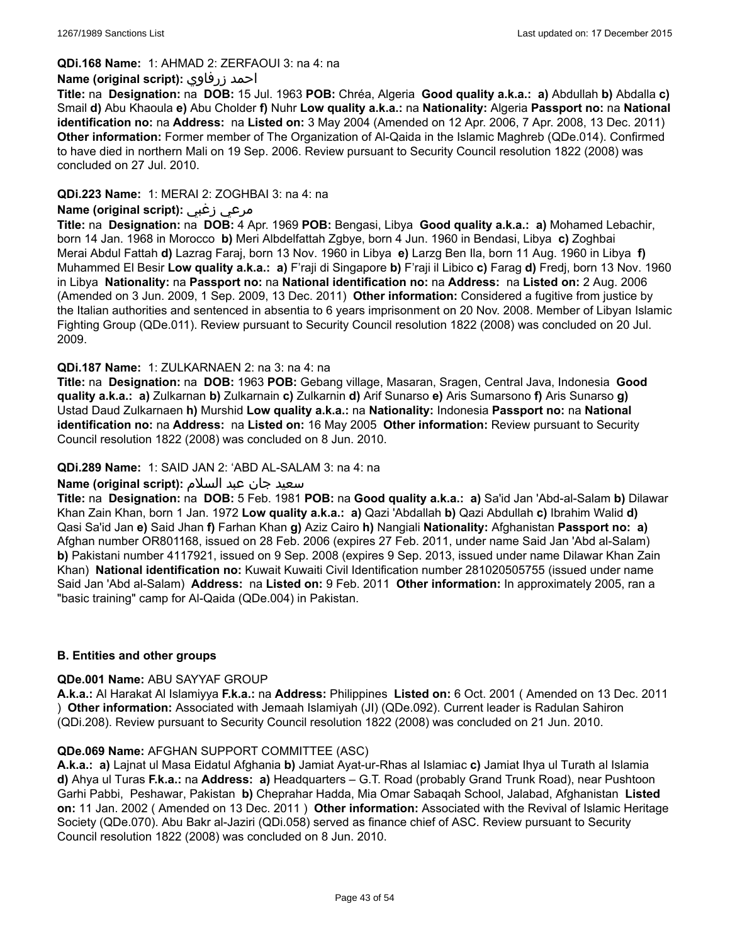### **QDi.168 Name:** 1: AHMAD 2: ZERFAOUI 3: na 4: na

### **Name (original script):** زرفاوي احمد

**Title:** na **Designation:** na **DOB:** 15 Jul. 1963 **POB:** Chréa, Algeria **Good quality a.k.a.: a)** Abdullah **b)** Abdalla **c)** Smail **d)** Abu Khaoula **e)** Abu Cholder **f)** Nuhr **Low quality a.k.a.:** na **Nationality:** Algeria **Passport no:** na **National identification no:** na **Address:** na **Listed on:** 3 May 2004 (Amended on 12 Apr. 2006, 7 Apr. 2008, 13 Dec. 2011) **Other information:** Former member of The Organization of Al-Qaida in the Islamic Maghreb (QDe.014). Confirmed to have died in northern Mali on 19 Sep. 2006. Review pursuant to Security Council resolution 1822 (2008) was concluded on 27 Jul. 2010.

### **QDi.223 Name:** 1: MERAI 2: ZOGHBAI 3: na 4: na

# **Name (original script):** زغبي مرعي

**Title:** na **Designation:** na **DOB:** 4 Apr. 1969 **POB:** Bengasi, Libya **Good quality a.k.a.: a)** Mohamed Lebachir, born 14 Jan. 1968 in Morocco **b)** Meri Albdelfattah Zgbye, born 4 Jun. 1960 in Bendasi, Libya **c)** Zoghbai Merai Abdul Fattah **d)** Lazrag Faraj, born 13 Nov. 1960 in Libya **e)** Larzg Ben Ila, born 11 Aug. 1960 in Libya **f)** Muhammed El Besir **Low quality a.k.a.: a)** F'raji di Singapore **b)** F'raji il Libico **c)** Farag **d)** Fredj, born 13 Nov. 1960 in Libya **Nationality:** na **Passport no:** na **National identification no:** na **Address:** na **Listed on:** 2 Aug. 2006 (Amended on 3 Jun. 2009, 1 Sep. 2009, 13 Dec. 2011) **Other information:** Considered a fugitive from justice by the Italian authorities and sentenced in absentia to 6 years imprisonment on 20 Nov. 2008. Member of Libyan Islamic Fighting Group (QDe.011). Review pursuant to Security Council resolution 1822 (2008) was concluded on 20 Jul. 2009.

### **QDi.187 Name:** 1: ZULKARNAEN 2: na 3: na 4: na

**Title:** na **Designation:** na **DOB:** 1963 **POB:** Gebang village, Masaran, Sragen, Central Java, Indonesia **Good quality a.k.a.: a)** Zulkarnan **b)** Zulkarnain **c)** Zulkarnin **d)** Arif Sunarso **e)** Aris Sumarsono **f)** Aris Sunarso **g)** Ustad Daud Zulkarnaen **h)** Murshid **Low quality a.k.a.:** na **Nationality:** Indonesia **Passport no:** na **National identification no:** na **Address:** na **Listed on:** 16 May 2005 **Other information:** Review pursuant to Security Council resolution 1822 (2008) was concluded on 8 Jun. 2010.

### **QDi.289 Name:** 1: SAID JAN 2: 'ABD AL-SALAM 3: na 4: na

#### سعید جان عبد السلام **:(script original (Name**

**Title:** na **Designation:** na **DOB:** 5 Feb. 1981 **POB:** na **Good quality a.k.a.: a)** Sa'id Jan 'Abd-al-Salam **b)** Dilawar Khan Zain Khan, born 1 Jan. 1972 **Low quality a.k.a.: a)** Qazi 'Abdallah **b)** Qazi Abdullah **c)** Ibrahim Walid **d)** Qasi Sa'id Jan **e)** Said Jhan **f)** Farhan Khan **g)** Aziz Cairo **h)** Nangiali **Nationality:** Afghanistan **Passport no: a)** Afghan number OR801168, issued on 28 Feb. 2006 (expires 27 Feb. 2011, under name Said Jan 'Abd al-Salam) **b)** Pakistani number 4117921, issued on 9 Sep. 2008 (expires 9 Sep. 2013, issued under name Dilawar Khan Zain Khan) **National identification no:** Kuwait Kuwaiti Civil Identification number 281020505755 (issued under name Said Jan 'Abd al-Salam) **Address:** na **Listed on:** 9 Feb. 2011 **Other information:** In approximately 2005, ran a "basic training" camp for Al-Qaida (QDe.004) in Pakistan.

# **B. Entities and other groups**

#### **QDe.001 Name:** ABU SAYYAF GROUP

**A.k.a.:** Al Harakat Al Islamiyya **F.k.a.:** na **Address:** Philippines **Listed on:** 6 Oct. 2001 ( Amended on 13 Dec. 2011 ) **Other information:** Associated with Jemaah Islamiyah (JI) (QDe.092). Current leader is Radulan Sahiron (QDi.208). Review pursuant to Security Council resolution 1822 (2008) was concluded on 21 Jun. 2010.

#### **QDe.069 Name:** AFGHAN SUPPORT COMMITTEE (ASC)

**A.k.a.: a)** Lajnat ul Masa Eidatul Afghania **b)** Jamiat Ayat-ur-Rhas al Islamiac **c)** Jamiat Ihya ul Turath al Islamia **d)** Ahya ul Turas **F.k.a.:** na **Address: a)** Headquarters – G.T. Road (probably Grand Trunk Road), near Pushtoon Garhi Pabbi, Peshawar, Pakistan **b)** Cheprahar Hadda, Mia Omar Sabaqah School, Jalabad, Afghanistan **Listed on:** 11 Jan. 2002 ( Amended on 13 Dec. 2011 ) **Other information:** Associated with the Revival of Islamic Heritage Society (QDe.070). Abu Bakr al-Jaziri (QDi.058) served as finance chief of ASC. Review pursuant to Security Council resolution 1822 (2008) was concluded on 8 Jun. 2010.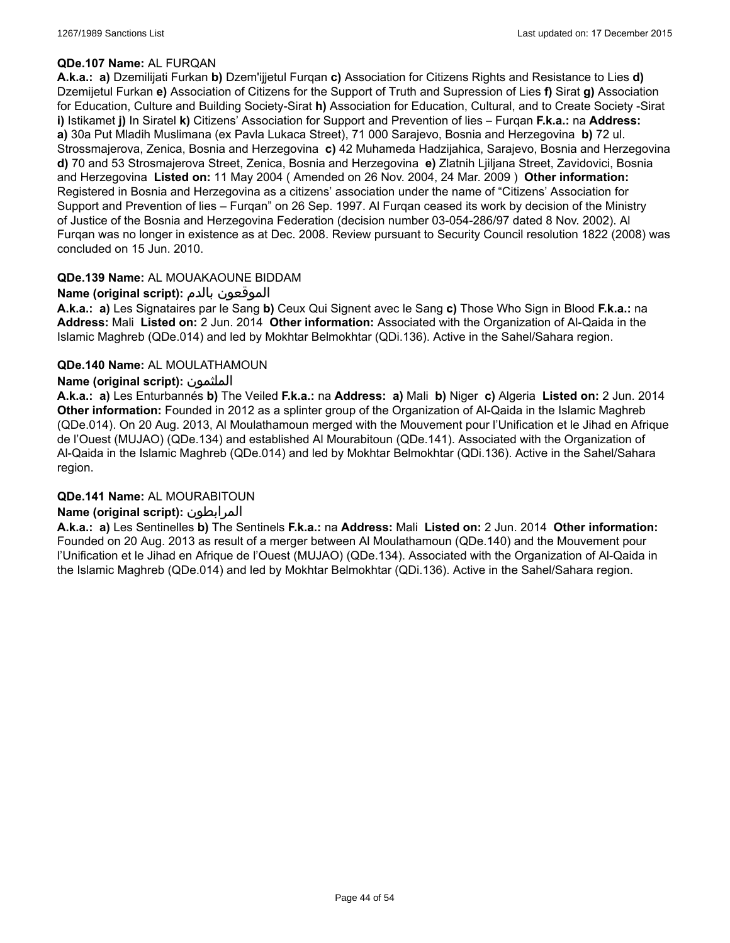### **QDe.107 Name:** AL FURQAN

**A.k.a.: a)** Dzemilijati Furkan **b)** Dzem'ijjetul Furqan **c)** Association for Citizens Rights and Resistance to Lies **d)** Dzemijetul Furkan **e)** Association of Citizens for the Support of Truth and Supression of Lies **f)** Sirat **g)** Association for Education, Culture and Building Society-Sirat **h)** Association for Education, Cultural, and to Create Society -Sirat **i)** Istikamet **j)** In Siratel **k)** Citizens' Association for Support and Prevention of lies – Furqan **F.k.a.:** na **Address: a)** 30a Put Mladih Muslimana (ex Pavla Lukaca Street), 71 000 Sarajevo, Bosnia and Herzegovina **b)** 72 ul. Strossmajerova, Zenica, Bosnia and Herzegovina **c)** 42 Muhameda Hadzijahica, Sarajevo, Bosnia and Herzegovina **d)** 70 and 53 Strosmajerova Street, Zenica, Bosnia and Herzegovina **e)** Zlatnih Ljiljana Street, Zavidovici, Bosnia and Herzegovina **Listed on:** 11 May 2004 ( Amended on 26 Nov. 2004, 24 Mar. 2009 ) **Other information:** Registered in Bosnia and Herzegovina as a citizens' association under the name of "Citizens' Association for Support and Prevention of lies – Furqan" on 26 Sep. 1997. Al Furqan ceased its work by decision of the Ministry of Justice of the Bosnia and Herzegovina Federation (decision number 03-054-286/97 dated 8 Nov. 2002). Al Furqan was no longer in existence as at Dec. 2008. Review pursuant to Security Council resolution 1822 (2008) was concluded on 15 Jun. 2010.

# **QDe.139 Name:** AL MOUAKAOUNE BIDDAM

# **Name (original script):** بالدم الموقعون

**A.k.a.: a)** Les Signataires par le Sang **b)** Ceux Qui Signent avec le Sang **c)** Those Who Sign in Blood **F.k.a.:** na **Address:** Mali **Listed on:** 2 Jun. 2014 **Other information:** Associated with the Organization of Al-Qaida in the Islamic Maghreb (QDe.014) and led by Mokhtar Belmokhtar (QDi.136). Active in the Sahel/Sahara region.

### **QDe.140 Name:** AL MOULATHAMOUN

### **Name (original script):** الملثمون

**A.k.a.: a)** Les Enturbannés **b)** The Veiled **F.k.a.:** na **Address: a)** Mali **b)** Niger **c)** Algeria **Listed on:** 2 Jun. 2014 **Other information:** Founded in 2012 as a splinter group of the Organization of Al-Qaida in the Islamic Maghreb (QDe.014). On 20 Aug. 2013, Al Moulathamoun merged with the Mouvement pour l'Unification et le Jihad en Afrique de l'Ouest (MUJAO) (QDe.134) and established Al Mourabitoun (QDe.141). Associated with the Organization of Al-Qaida in the Islamic Maghreb (QDe.014) and led by Mokhtar Belmokhtar (QDi.136). Active in the Sahel/Sahara region.

#### **QDe.141 Name:** AL MOURABITOUN

#### **Name (original script):** المرابطون

**A.k.a.: a)** Les Sentinelles **b)** The Sentinels **F.k.a.:** na **Address:** Mali **Listed on:** 2 Jun. 2014 **Other information:** Founded on 20 Aug. 2013 as result of a merger between Al Moulathamoun (QDe.140) and the Mouvement pour l'Unification et le Jihad en Afrique de l'Ouest (MUJAO) (QDe.134). Associated with the Organization of Al-Qaida in the Islamic Maghreb (QDe.014) and led by Mokhtar Belmokhtar (QDi.136). Active in the Sahel/Sahara region.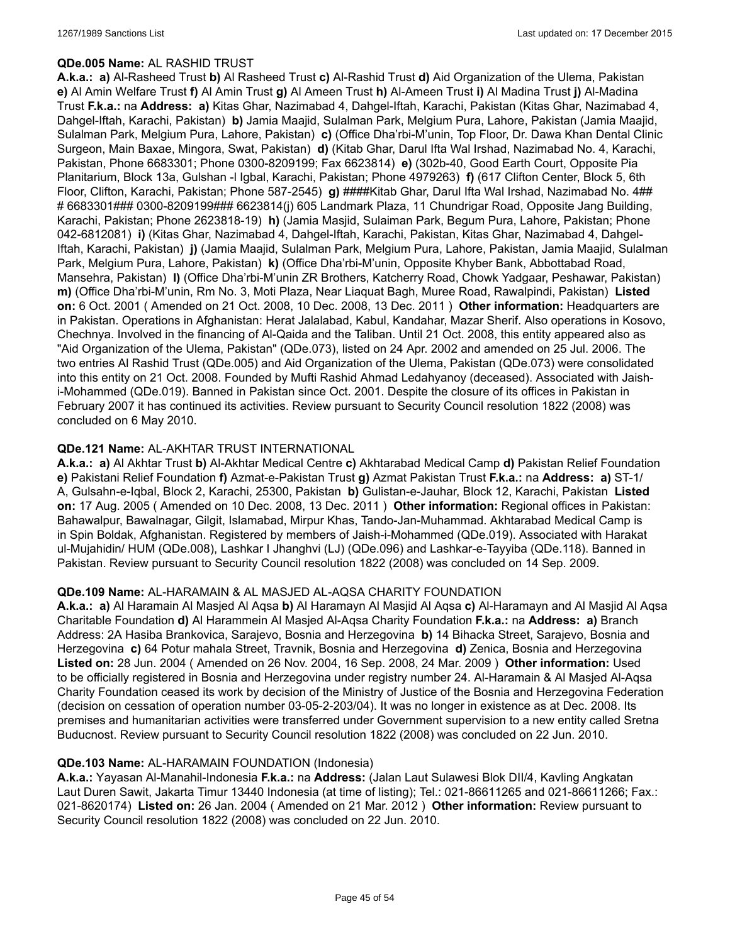### **QDe.005 Name:** AL RASHID TRUST

**A.k.a.: a)** Al-Rasheed Trust **b)** Al Rasheed Trust **c)** Al-Rashid Trust **d)** Aid Organization of the Ulema, Pakistan **e)** Al Amin Welfare Trust **f)** Al Amin Trust **g)** Al Ameen Trust **h)** Al-Ameen Trust **i)** Al Madina Trust **j)** Al-Madina Trust **F.k.a.:** na **Address: a)** Kitas Ghar, Nazimabad 4, Dahgel-Iftah, Karachi, Pakistan (Kitas Ghar, Nazimabad 4, Dahgel-Iftah, Karachi, Pakistan) **b)** Jamia Maajid, Sulalman Park, Melgium Pura, Lahore, Pakistan (Jamia Maajid, Sulalman Park, Melgium Pura, Lahore, Pakistan) **c)** (Office Dha'rbi-M'unin, Top Floor, Dr. Dawa Khan Dental Clinic Surgeon, Main Baxae, Mingora, Swat, Pakistan) **d)** (Kitab Ghar, Darul Ifta Wal Irshad, Nazimabad No. 4, Karachi, Pakistan, Phone 6683301; Phone 0300-8209199; Fax 6623814) **e)** (302b-40, Good Earth Court, Opposite Pia Planitarium, Block 13a, Gulshan -l Igbal, Karachi, Pakistan; Phone 4979263) **f)** (617 Clifton Center, Block 5, 6th Floor, Clifton, Karachi, Pakistan; Phone 587-2545) **g)** ####Kitab Ghar, Darul Ifta Wal Irshad, Nazimabad No. 4## # 6683301### 0300-8209199### 6623814(j) 605 Landmark Plaza, 11 Chundrigar Road, Opposite Jang Building, Karachi, Pakistan; Phone 2623818-19) **h)** (Jamia Masjid, Sulaiman Park, Begum Pura, Lahore, Pakistan; Phone 042-6812081) **i)** (Kitas Ghar, Nazimabad 4, Dahgel-Iftah, Karachi, Pakistan, Kitas Ghar, Nazimabad 4, Dahgel-Iftah, Karachi, Pakistan) **j)** (Jamia Maajid, Sulalman Park, Melgium Pura, Lahore, Pakistan, Jamia Maajid, Sulalman Park, Melgium Pura, Lahore, Pakistan) **k)** (Office Dha'rbi-M'unin, Opposite Khyber Bank, Abbottabad Road, Mansehra, Pakistan) **l)** (Office Dha'rbi-M'unin ZR Brothers, Katcherry Road, Chowk Yadgaar, Peshawar, Pakistan) **m)** (Office Dha'rbi-M'unin, Rm No. 3, Moti Plaza, Near Liaquat Bagh, Muree Road, Rawalpindi, Pakistan) **Listed on:** 6 Oct. 2001 ( Amended on 21 Oct. 2008, 10 Dec. 2008, 13 Dec. 2011 ) **Other information:** Headquarters are in Pakistan. Operations in Afghanistan: Herat Jalalabad, Kabul, Kandahar, Mazar Sherif. Also operations in Kosovo, Chechnya. Involved in the financing of Al-Qaida and the Taliban. Until 21 Oct. 2008, this entity appeared also as "Aid Organization of the Ulema, Pakistan" (QDe.073), listed on 24 Apr. 2002 and amended on 25 Jul. 2006. The two entries Al Rashid Trust (QDe.005) and Aid Organization of the Ulema, Pakistan (QDe.073) were consolidated into this entity on 21 Oct. 2008. Founded by Mufti Rashid Ahmad Ledahyanoy (deceased). Associated with Jaishi-Mohammed (QDe.019). Banned in Pakistan since Oct. 2001. Despite the closure of its offices in Pakistan in February 2007 it has continued its activities. Review pursuant to Security Council resolution 1822 (2008) was concluded on 6 May 2010.

### **QDe.121 Name:** AL-AKHTAR TRUST INTERNATIONAL

**A.k.a.: a)** Al Akhtar Trust **b)** Al-Akhtar Medical Centre **c)** Akhtarabad Medical Camp **d)** Pakistan Relief Foundation **e)** Pakistani Relief Foundation **f)** Azmat-e-Pakistan Trust **g)** Azmat Pakistan Trust **F.k.a.:** na **Address: a)** ST-1/ A, Gulsahn-e-Iqbal, Block 2, Karachi, 25300, Pakistan **b)** Gulistan-e-Jauhar, Block 12, Karachi, Pakistan **Listed on:** 17 Aug. 2005 ( Amended on 10 Dec. 2008, 13 Dec. 2011 ) **Other information:** Regional offices in Pakistan: Bahawalpur, Bawalnagar, Gilgit, Islamabad, Mirpur Khas, Tando-Jan-Muhammad. Akhtarabad Medical Camp is in Spin Boldak, Afghanistan. Registered by members of Jaish-i-Mohammed (QDe.019). Associated with Harakat ul-Mujahidin/ HUM (QDe.008), Lashkar I Jhanghvi (LJ) (QDe.096) and Lashkar-e-Tayyiba (QDe.118). Banned in Pakistan. Review pursuant to Security Council resolution 1822 (2008) was concluded on 14 Sep. 2009.

#### **QDe.109 Name:** AL-HARAMAIN & AL MASJED AL-AQSA CHARITY FOUNDATION

**A.k.a.: a)** Al Haramain Al Masjed Al Aqsa **b)** Al Haramayn Al Masjid Al Aqsa **c)** Al-Haramayn and Al Masjid Al Aqsa Charitable Foundation **d)** Al Harammein Al Masjed Al-Aqsa Charity Foundation **F.k.a.:** na **Address: a)** Branch Address: 2A Hasiba Brankovica, Sarajevo, Bosnia and Herzegovina **b)** 14 Bihacka Street, Sarajevo, Bosnia and Herzegovina **c)** 64 Potur mahala Street, Travnik, Bosnia and Herzegovina **d)** Zenica, Bosnia and Herzegovina **Listed on:** 28 Jun. 2004 ( Amended on 26 Nov. 2004, 16 Sep. 2008, 24 Mar. 2009 ) **Other information:** Used to be officially registered in Bosnia and Herzegovina under registry number 24. Al-Haramain & Al Masjed Al-Aqsa Charity Foundation ceased its work by decision of the Ministry of Justice of the Bosnia and Herzegovina Federation (decision on cessation of operation number 03-05-2-203/04). It was no longer in existence as at Dec. 2008. Its premises and humanitarian activities were transferred under Government supervision to a new entity called Sretna Buducnost. Review pursuant to Security Council resolution 1822 (2008) was concluded on 22 Jun. 2010.

#### **QDe.103 Name:** AL-HARAMAIN FOUNDATION (Indonesia)

**A.k.a.:** Yayasan Al-Manahil-Indonesia **F.k.a.:** na **Address:** (Jalan Laut Sulawesi Blok DII/4, Kavling Angkatan Laut Duren Sawit, Jakarta Timur 13440 Indonesia (at time of listing); Tel.: 021-86611265 and 021-86611266; Fax.: 021-8620174) **Listed on:** 26 Jan. 2004 ( Amended on 21 Mar. 2012 ) **Other information:** Review pursuant to Security Council resolution 1822 (2008) was concluded on 22 Jun. 2010.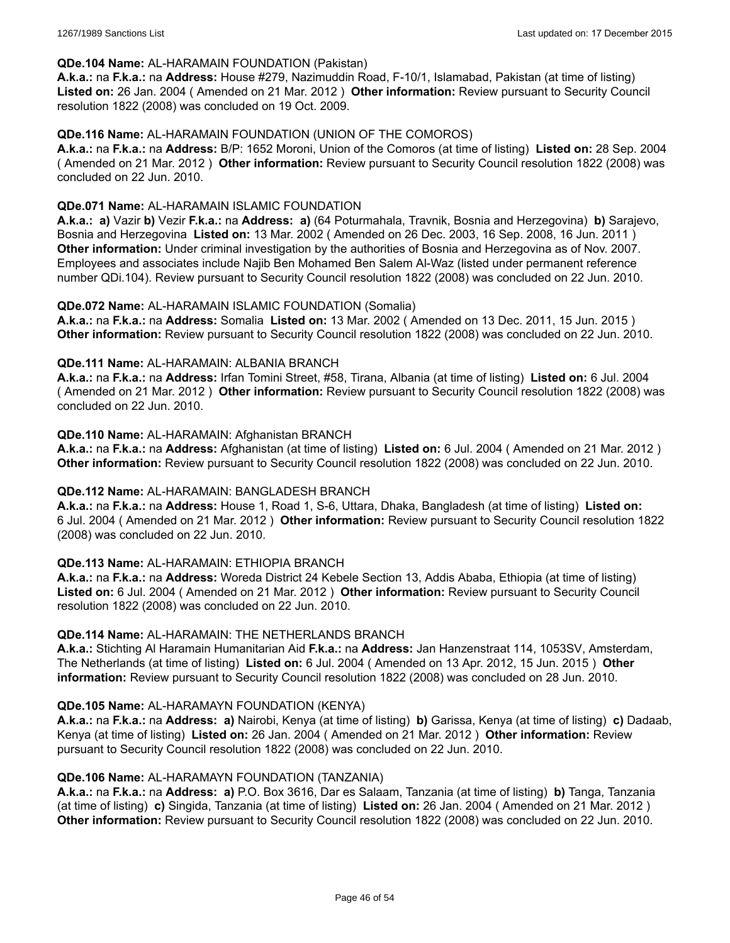#### **QDe.104 Name:** AL-HARAMAIN FOUNDATION (Pakistan)

**A.k.a.:** na **F.k.a.:** na **Address:** House #279, Nazimuddin Road, F-10/1, Islamabad, Pakistan (at time of listing) **Listed on:** 26 Jan. 2004 ( Amended on 21 Mar. 2012 ) **Other information:** Review pursuant to Security Council resolution 1822 (2008) was concluded on 19 Oct. 2009.

### **QDe.116 Name:** AL-HARAMAIN FOUNDATION (UNION OF THE COMOROS)

**A.k.a.:** na **F.k.a.:** na **Address:** B/P: 1652 Moroni, Union of the Comoros (at time of listing) **Listed on:** 28 Sep. 2004 ( Amended on 21 Mar. 2012 ) **Other information:** Review pursuant to Security Council resolution 1822 (2008) was concluded on 22 Jun. 2010.

### **QDe.071 Name:** AL-HARAMAIN ISLAMIC FOUNDATION

**A.k.a.: a)** Vazir **b)** Vezir **F.k.a.:** na **Address: a)** (64 Poturmahala, Travnik, Bosnia and Herzegovina) **b)** Sarajevo, Bosnia and Herzegovina **Listed on:** 13 Mar. 2002 ( Amended on 26 Dec. 2003, 16 Sep. 2008, 16 Jun. 2011 ) **Other information:** Under criminal investigation by the authorities of Bosnia and Herzegovina as of Nov. 2007. Employees and associates include Najib Ben Mohamed Ben Salem Al-Waz (listed under permanent reference number QDi.104). Review pursuant to Security Council resolution 1822 (2008) was concluded on 22 Jun. 2010.

### **QDe.072 Name:** AL-HARAMAIN ISLAMIC FOUNDATION (Somalia)

**A.k.a.:** na **F.k.a.:** na **Address:** Somalia **Listed on:** 13 Mar. 2002 ( Amended on 13 Dec. 2011, 15 Jun. 2015 ) **Other information:** Review pursuant to Security Council resolution 1822 (2008) was concluded on 22 Jun. 2010.

#### **QDe.111 Name:** AL-HARAMAIN: ALBANIA BRANCH

**A.k.a.:** na **F.k.a.:** na **Address:** Irfan Tomini Street, #58, Tirana, Albania (at time of listing) **Listed on:** 6 Jul. 2004 ( Amended on 21 Mar. 2012 ) **Other information:** Review pursuant to Security Council resolution 1822 (2008) was concluded on 22 Jun. 2010.

### **QDe.110 Name:** AL-HARAMAIN: Afghanistan BRANCH

**A.k.a.:** na **F.k.a.:** na **Address:** Afghanistan (at time of listing) **Listed on:** 6 Jul. 2004 ( Amended on 21 Mar. 2012 ) **Other information:** Review pursuant to Security Council resolution 1822 (2008) was concluded on 22 Jun. 2010.

#### **QDe.112 Name:** AL-HARAMAIN: BANGLADESH BRANCH

**A.k.a.:** na **F.k.a.:** na **Address:** House 1, Road 1, S-6, Uttara, Dhaka, Bangladesh (at time of listing) **Listed on:** 6 Jul. 2004 ( Amended on 21 Mar. 2012 ) **Other information:** Review pursuant to Security Council resolution 1822 (2008) was concluded on 22 Jun. 2010.

#### **QDe.113 Name:** AL-HARAMAIN: ETHIOPIA BRANCH

**A.k.a.:** na **F.k.a.:** na **Address:** Woreda District 24 Kebele Section 13, Addis Ababa, Ethiopia (at time of listing) **Listed on:** 6 Jul. 2004 ( Amended on 21 Mar. 2012 ) **Other information:** Review pursuant to Security Council resolution 1822 (2008) was concluded on 22 Jun. 2010.

#### **QDe.114 Name:** AL-HARAMAIN: THE NETHERLANDS BRANCH

**A.k.a.:** Stichting Al Haramain Humanitarian Aid **F.k.a.:** na **Address:** Jan Hanzenstraat 114, 1053SV, Amsterdam, The Netherlands (at time of listing) **Listed on:** 6 Jul. 2004 ( Amended on 13 Apr. 2012, 15 Jun. 2015 ) **Other information:** Review pursuant to Security Council resolution 1822 (2008) was concluded on 28 Jun. 2010.

#### **QDe.105 Name:** AL-HARAMAYN FOUNDATION (KENYA)

**A.k.a.:** na **F.k.a.:** na **Address: a)** Nairobi, Kenya (at time of listing) **b)** Garissa, Kenya (at time of listing) **c)** Dadaab, Kenya (at time of listing) **Listed on:** 26 Jan. 2004 ( Amended on 21 Mar. 2012 ) **Other information:** Review pursuant to Security Council resolution 1822 (2008) was concluded on 22 Jun. 2010.

#### **QDe.106 Name:** AL-HARAMAYN FOUNDATION (TANZANIA)

**A.k.a.:** na **F.k.a.:** na **Address: a)** P.O. Box 3616, Dar es Salaam, Tanzania (at time of listing) **b)** Tanga, Tanzania (at time of listing) **c)** Singida, Tanzania (at time of listing) **Listed on:** 26 Jan. 2004 ( Amended on 21 Mar. 2012 ) **Other information:** Review pursuant to Security Council resolution 1822 (2008) was concluded on 22 Jun. 2010.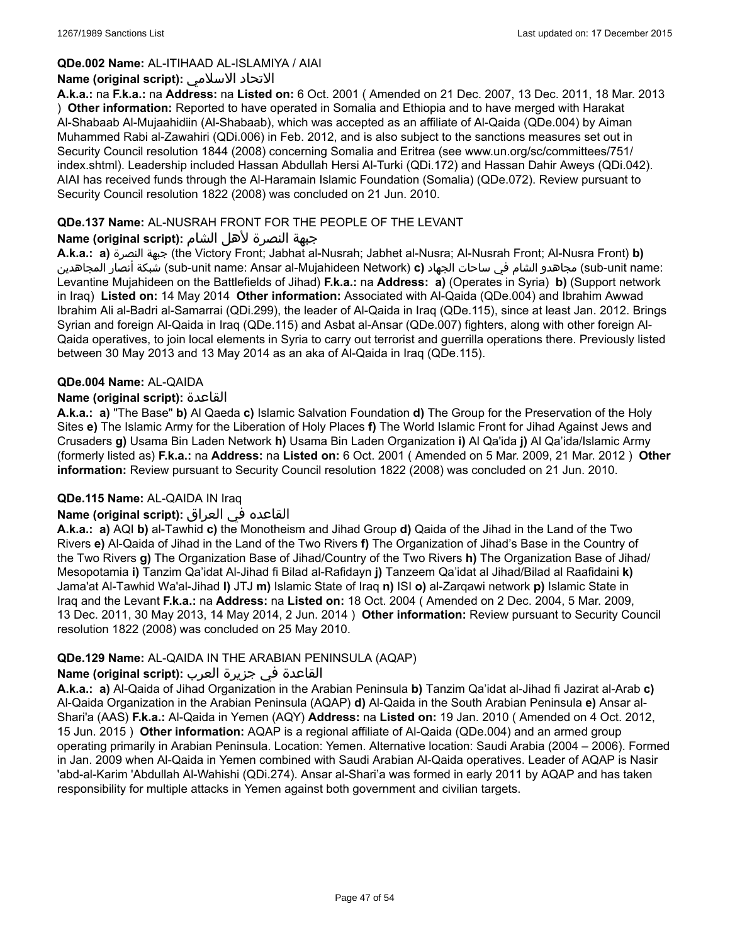### **QDe.002 Name:** AL-ITIHAAD AL-ISLAMIYA / AIAI

### **Name (original script):** الاسلامي الاتحاد

**A.k.a.:** na **F.k.a.:** na **Address:** na **Listed on:** 6 Oct. 2001 ( Amended on 21 Dec. 2007, 13 Dec. 2011, 18 Mar. 2013 ) **Other information:** Reported to have operated in Somalia and Ethiopia and to have merged with Harakat Al-Shabaab Al-Mujaahidiin (Al-Shabaab), which was accepted as an affiliate of Al-Qaida (QDe.004) by Aiman Muhammed Rabi al-Zawahiri (QDi.006) in Feb. 2012, and is also subject to the sanctions measures set out in Security Council resolution 1844 (2008) concerning Somalia and Eritrea (see www.un.org/sc/committees/751/ index.shtml). Leadership included Hassan Abdullah Hersi Al-Turki (QDi.172) and Hassan Dahir Aweys (QDi.042). AIAI has received funds through the Al-Haramain Islamic Foundation (Somalia) (QDe.072). Review pursuant to Security Council resolution 1822 (2008) was concluded on 21 Jun. 2010.

### **QDe.137 Name:** AL-NUSRAH FRONT FOR THE PEOPLE OF THE LEVANT

# جبهة النصرة لأهل الشام **:(script original (Name**

**A.k.a.: a)** النصرة جبهة) the Victory Front; Jabhat al-Nusrah; Jabhet al-Nusra; Al-Nusrah Front; Al-Nusra Front) **b)** المجاهدين أنصار شبكة) sub-unit name: Ansar al-Mujahideen Network) **c)** الجهاد ساحات في الشام مجاهدو) sub-unit name: Levantine Mujahideen on the Battlefields of Jihad) **F.k.a.:** na **Address: a)** (Operates in Syria) **b)** (Support network in Iraq) **Listed on:** 14 May 2014 **Other information:** Associated with Al-Qaida (QDe.004) and Ibrahim Awwad Ibrahim Ali al-Badri al-Samarrai (QDi.299), the leader of Al-Qaida in Iraq (QDe.115), since at least Jan. 2012. Brings Syrian and foreign Al-Qaida in Iraq (QDe.115) and Asbat al-Ansar (QDe.007) fighters, along with other foreign Al-Qaida operatives, to join local elements in Syria to carry out terrorist and guerrilla operations there. Previously listed between 30 May 2013 and 13 May 2014 as an aka of Al-Qaida in Iraq (QDe.115).

#### **QDe.004 Name:** AL-QAIDA

### **Name (original script):** القاعدة

**A.k.a.: a)** "The Base" **b)** Al Qaeda **c)** Islamic Salvation Foundation **d)** The Group for the Preservation of the Holy Sites **e)** The Islamic Army for the Liberation of Holy Places **f)** The World Islamic Front for Jihad Against Jews and Crusaders **g)** Usama Bin Laden Network **h)** Usama Bin Laden Organization **i)** Al Qa'ida **j)** Al Qa'ida/Islamic Army (formerly listed as) **F.k.a.:** na **Address:** na **Listed on:** 6 Oct. 2001 ( Amended on 5 Mar. 2009, 21 Mar. 2012 ) **Other information:** Review pursuant to Security Council resolution 1822 (2008) was concluded on 21 Jun. 2010.

#### **QDe.115 Name:** AL-QAIDA IN Iraq

# القاعده في العراق **:(script original (Name**

**A.k.a.: a)** AQI **b)** al-Tawhid **c)** the Monotheism and Jihad Group **d)** Qaida of the Jihad in the Land of the Two Rivers **e)** Al-Qaida of Jihad in the Land of the Two Rivers **f)** The Organization of Jihad's Base in the Country of the Two Rivers **g)** The Organization Base of Jihad/Country of the Two Rivers **h)** The Organization Base of Jihad/ Mesopotamia **i)** Tanzim Qa'idat Al-Jihad fi Bilad al-Rafidayn **j)** Tanzeem Qa'idat al Jihad/Bilad al Raafidaini **k)** Jama'at Al-Tawhid Wa'al-Jihad **l)** JTJ **m)** Islamic State of Iraq **n)** ISI **o)** al-Zarqawi network **p)** Islamic State in Iraq and the Levant **F.k.a.:** na **Address:** na **Listed on:** 18 Oct. 2004 ( Amended on 2 Dec. 2004, 5 Mar. 2009, 13 Dec. 2011, 30 May 2013, 14 May 2014, 2 Jun. 2014 ) **Other information:** Review pursuant to Security Council resolution 1822 (2008) was concluded on 25 May 2010.

# **QDe.129 Name:** AL-QAIDA IN THE ARABIAN PENINSULA (AQAP)

# القاعدة في جزيرة العرب **:(script original (Name**

**A.k.a.: a)** Al-Qaida of Jihad Organization in the Arabian Peninsula **b)** Tanzim Qa'idat al-Jihad fi Jazirat al-Arab **c)** Al-Qaida Organization in the Arabian Peninsula (AQAP) **d)** Al-Qaida in the South Arabian Peninsula **e)** Ansar al-Shari'a (AAS) **F.k.a.:** Al-Qaida in Yemen (AQY) **Address:** na **Listed on:** 19 Jan. 2010 ( Amended on 4 Oct. 2012, 15 Jun. 2015 ) **Other information:** AQAP is a regional affiliate of Al-Qaida (QDe.004) and an armed group operating primarily in Arabian Peninsula. Location: Yemen. Alternative location: Saudi Arabia (2004 – 2006). Formed in Jan. 2009 when Al-Qaida in Yemen combined with Saudi Arabian Al-Qaida operatives. Leader of AQAP is Nasir 'abd-al-Karim 'Abdullah Al-Wahishi (QDi.274). Ansar al-Shari'a was formed in early 2011 by AQAP and has taken responsibility for multiple attacks in Yemen against both government and civilian targets.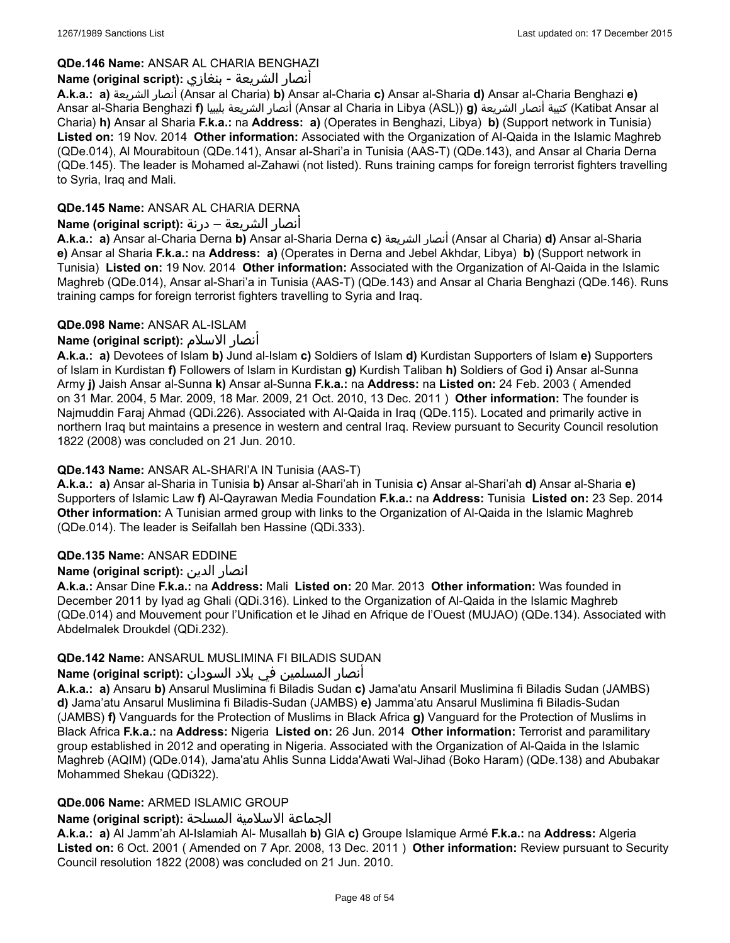# **QDe.146 Name:** ANSAR AL CHARIA BENGHAZI

# أنصار الشريعة - بنغازي **:(script original (Name**

**A.k.a.: a)** الشريعة أنصار) Ansar al Charia) **b)** Ansar al-Charia **c)** Ansar al-Sharia **d)** Ansar al-Charia Benghazi **e)** Ansar al-Sharia Benghazi **f)** بليبيا الشريعة أنصار) Ansar al Charia in Libya (ASL)) **g)** الشريعة أنصار كتيبة) Katibat Ansar al Charia) **h)** Ansar al Sharia **F.k.a.:** na **Address: a)** (Operates in Benghazi, Libya) **b)** (Support network in Tunisia) **Listed on:** 19 Nov. 2014 **Other information:** Associated with the Organization of Al-Qaida in the Islamic Maghreb (QDe.014), Al Mourabitoun (QDe.141), Ansar al-Shari'a in Tunisia (AAS-T) (QDe.143), and Ansar al Charia Derna (QDe.145). The leader is Mohamed al-Zahawi (not listed). Runs training camps for foreign terrorist fighters travelling to Syria, Iraq and Mali.

# **QDe.145 Name:** ANSAR AL CHARIA DERNA

# أنصار الشريعة – درنة **:(script original (Name**

**A.k.a.: a)** Ansar al-Charia Derna **b)** Ansar al-Sharia Derna **c)** الشريعة أنصار) Ansar al Charia) **d)** Ansar al-Sharia **e)** Ansar al Sharia **F.k.a.:** na **Address: a)** (Operates in Derna and Jebel Akhdar, Libya) **b)** (Support network in Tunisia) **Listed on:** 19 Nov. 2014 **Other information:** Associated with the Organization of Al-Qaida in the Islamic Maghreb (QDe.014), Ansar al-Shari'a in Tunisia (AAS-T) (QDe.143) and Ansar al Charia Benghazi (QDe.146). Runs training camps for foreign terrorist fighters travelling to Syria and Iraq.

# **QDe.098 Name:** ANSAR AL-ISLAM

# **Name (original script):** الاسلام أنصار

**A.k.a.: a)** Devotees of Islam **b)** Jund al-Islam **c)** Soldiers of Islam **d)** Kurdistan Supporters of Islam **e)** Supporters of Islam in Kurdistan **f)** Followers of Islam in Kurdistan **g)** Kurdish Taliban **h)** Soldiers of God **i)** Ansar al-Sunna Army **j)** Jaish Ansar al-Sunna **k)** Ansar al-Sunna **F.k.a.:** na **Address:** na **Listed on:** 24 Feb. 2003 ( Amended on 31 Mar. 2004, 5 Mar. 2009, 18 Mar. 2009, 21 Oct. 2010, 13 Dec. 2011 ) **Other information:** The founder is Najmuddin Faraj Ahmad (QDi.226). Associated with Al-Qaida in Iraq (QDe.115). Located and primarily active in northern Iraq but maintains a presence in western and central Iraq. Review pursuant to Security Council resolution 1822 (2008) was concluded on 21 Jun. 2010.

# **QDe.143 Name:** ANSAR AL-SHARI'A IN Tunisia (AAS-T)

**A.k.a.: a)** Ansar al-Sharia in Tunisia **b)** Ansar al-Shari'ah in Tunisia **c)** Ansar al-Shari'ah **d)** Ansar al-Sharia **e)** Supporters of Islamic Law **f)** Al-Qayrawan Media Foundation **F.k.a.:** na **Address:** Tunisia **Listed on:** 23 Sep. 2014 **Other information:** A Tunisian armed group with links to the Organization of Al-Qaida in the Islamic Maghreb (QDe.014). The leader is Seifallah ben Hassine (QDi.333).

# **QDe.135 Name:** ANSAR EDDINE

#### **Name (original script):** الدين انصار

**A.k.a.:** Ansar Dine **F.k.a.:** na **Address:** Mali **Listed on:** 20 Mar. 2013 **Other information:** Was founded in December 2011 by Iyad ag Ghali (QDi.316). Linked to the Organization of Al-Qaida in the Islamic Maghreb (QDe.014) and Mouvement pour l'Unification et le Jihad en Afrique de l'Ouest (MUJAO) (QDe.134). Associated with Abdelmalek Droukdel (QDi.232).

# **QDe.142 Name:** ANSARUL MUSLIMINA FI BILADIS SUDAN

# أنصار المسلمین في بلاد السودان **:(script original (Name**

**A.k.a.: a)** Ansaru **b)** Ansarul Muslimina fi Biladis Sudan **c)** Jama'atu Ansaril Muslimina fi Biladis Sudan (JAMBS) **d)** Jama'atu Ansarul Muslimina fi Biladis-Sudan (JAMBS) **e)** Jamma'atu Ansarul Muslimina fi Biladis-Sudan (JAMBS) **f)** Vanguards for the Protection of Muslims in Black Africa **g)** Vanguard for the Protection of Muslims in Black Africa **F.k.a.:** na **Address:** Nigeria **Listed on:** 26 Jun. 2014 **Other information:** Terrorist and paramilitary group established in 2012 and operating in Nigeria. Associated with the Organization of Al-Qaida in the Islamic Maghreb (AQIM) (QDe.014), Jama'atu Ahlis Sunna Lidda'Awati Wal-Jihad (Boko Haram) (QDe.138) and Abubakar Mohammed Shekau (QDi322).

# **QDe.006 Name:** ARMED ISLAMIC GROUP

# الجماعة الاسلامية المسلحة **:(script original (Name**

**A.k.a.: a)** Al Jamm'ah Al-Islamiah Al- Musallah **b)** GIA **c)** Groupe Islamique Armé **F.k.a.:** na **Address:** Algeria **Listed on:** 6 Oct. 2001 ( Amended on 7 Apr. 2008, 13 Dec. 2011 ) **Other information:** Review pursuant to Security Council resolution 1822 (2008) was concluded on 21 Jun. 2010.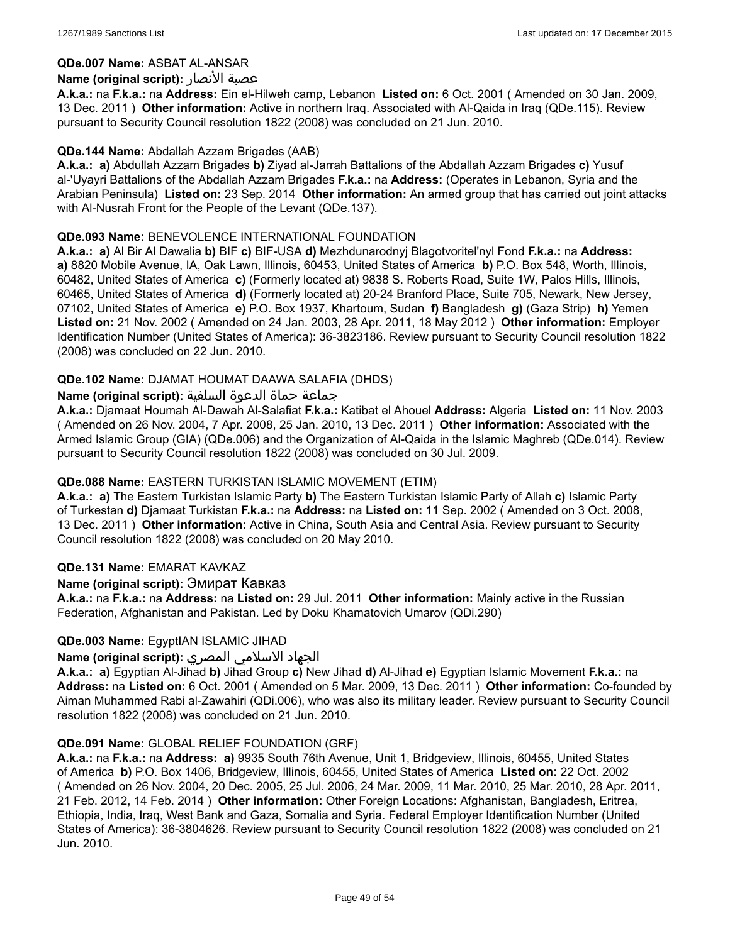### **QDe.007 Name:** ASBAT AL-ANSAR

### **Name (original script):** الأنصار عصبة

**A.k.a.:** na **F.k.a.:** na **Address:** Ein el-Hilweh camp, Lebanon **Listed on:** 6 Oct. 2001 ( Amended on 30 Jan. 2009, 13 Dec. 2011 ) **Other information:** Active in northern Iraq. Associated with Al-Qaida in Iraq (QDe.115). Review pursuant to Security Council resolution 1822 (2008) was concluded on 21 Jun. 2010.

#### **QDe.144 Name:** Abdallah Azzam Brigades (AAB)

**A.k.a.: a)** Abdullah Azzam Brigades **b)** Ziyad al-Jarrah Battalions of the Abdallah Azzam Brigades **c)** Yusuf al-'Uyayri Battalions of the Abdallah Azzam Brigades **F.k.a.:** na **Address:** (Operates in Lebanon, Syria and the Arabian Peninsula) **Listed on:** 23 Sep. 2014 **Other information:** An armed group that has carried out joint attacks with Al-Nusrah Front for the People of the Levant (QDe.137).

### **QDe.093 Name:** BENEVOLENCE INTERNATIONAL FOUNDATION

**A.k.a.: a)** Al Bir Al Dawalia **b)** BIF **c)** BIF-USA **d)** Mezhdunarodnyj Blagotvoritel'nyl Fond **F.k.a.:** na **Address: a)** 8820 Mobile Avenue, IA, Oak Lawn, Illinois, 60453, United States of America **b)** P.O. Box 548, Worth, Illinois, 60482, United States of America **c)** (Formerly located at) 9838 S. Roberts Road, Suite 1W, Palos Hills, Illinois, 60465, United States of America **d)** (Formerly located at) 20-24 Branford Place, Suite 705, Newark, New Jersey, 07102, United States of America **e)** P.O. Box 1937, Khartoum, Sudan **f)** Bangladesh **g)** (Gaza Strip) **h)** Yemen **Listed on:** 21 Nov. 2002 ( Amended on 24 Jan. 2003, 28 Apr. 2011, 18 May 2012 ) **Other information:** Employer Identification Number (United States of America): 36-3823186. Review pursuant to Security Council resolution 1822 (2008) was concluded on 22 Jun. 2010.

### **QDe.102 Name:** DJAMAT HOUMAT DAAWA SALAFIA (DHDS)

### جماعة حماة الدعوة السلفية **:(script original (Name**

**A.k.a.:** Djamaat Houmah Al-Dawah Al-Salafiat **F.k.a.:** Katibat el Ahouel **Address:** Algeria **Listed on:** 11 Nov. 2003 ( Amended on 26 Nov. 2004, 7 Apr. 2008, 25 Jan. 2010, 13 Dec. 2011 ) **Other information:** Associated with the Armed Islamic Group (GIA) (QDe.006) and the Organization of Al-Qaida in the Islamic Maghreb (QDe.014). Review pursuant to Security Council resolution 1822 (2008) was concluded on 30 Jul. 2009.

#### **QDe.088 Name:** EASTERN TURKISTAN ISLAMIC MOVEMENT (ETIM)

**A.k.a.: a)** The Eastern Turkistan Islamic Party **b)** The Eastern Turkistan Islamic Party of Allah **c)** Islamic Party of Turkestan **d)** Djamaat Turkistan **F.k.a.:** na **Address:** na **Listed on:** 11 Sep. 2002 ( Amended on 3 Oct. 2008, 13 Dec. 2011 ) **Other information:** Active in China, South Asia and Central Asia. Review pursuant to Security Council resolution 1822 (2008) was concluded on 20 May 2010.

#### **QDe.131 Name:** EMARAT KAVKAZ

### **Name (original script):** Эмират Кавказ

**A.k.a.:** na **F.k.a.:** na **Address:** na **Listed on:** 29 Jul. 2011 **Other information:** Mainly active in the Russian Federation, Afghanistan and Pakistan. Led by Doku Khamatovich Umarov (QDi.290)

#### **QDe.003 Name:** EgyptIAN ISLAMIC JIHAD

# الجهاد الاسلامي المصري **:(script original (Name**

**A.k.a.: a)** Egyptian Al-Jihad **b)** Jihad Group **c)** New Jihad **d)** Al-Jihad **e)** Egyptian Islamic Movement **F.k.a.:** na **Address:** na **Listed on:** 6 Oct. 2001 ( Amended on 5 Mar. 2009, 13 Dec. 2011 ) **Other information:** Co-founded by Aiman Muhammed Rabi al-Zawahiri (QDi.006), who was also its military leader. Review pursuant to Security Council resolution 1822 (2008) was concluded on 21 Jun. 2010.

#### **QDe.091 Name:** GLOBAL RELIEF FOUNDATION (GRF)

**A.k.a.:** na **F.k.a.:** na **Address: a)** 9935 South 76th Avenue, Unit 1, Bridgeview, Illinois, 60455, United States of America **b)** P.O. Box 1406, Bridgeview, Illinois, 60455, United States of America **Listed on:** 22 Oct. 2002 ( Amended on 26 Nov. 2004, 20 Dec. 2005, 25 Jul. 2006, 24 Mar. 2009, 11 Mar. 2010, 25 Mar. 2010, 28 Apr. 2011, 21 Feb. 2012, 14 Feb. 2014 ) **Other information:** Other Foreign Locations: Afghanistan, Bangladesh, Eritrea, Ethiopia, India, Iraq, West Bank and Gaza, Somalia and Syria. Federal Employer Identification Number (United States of America): 36-3804626. Review pursuant to Security Council resolution 1822 (2008) was concluded on 21 Jun. 2010.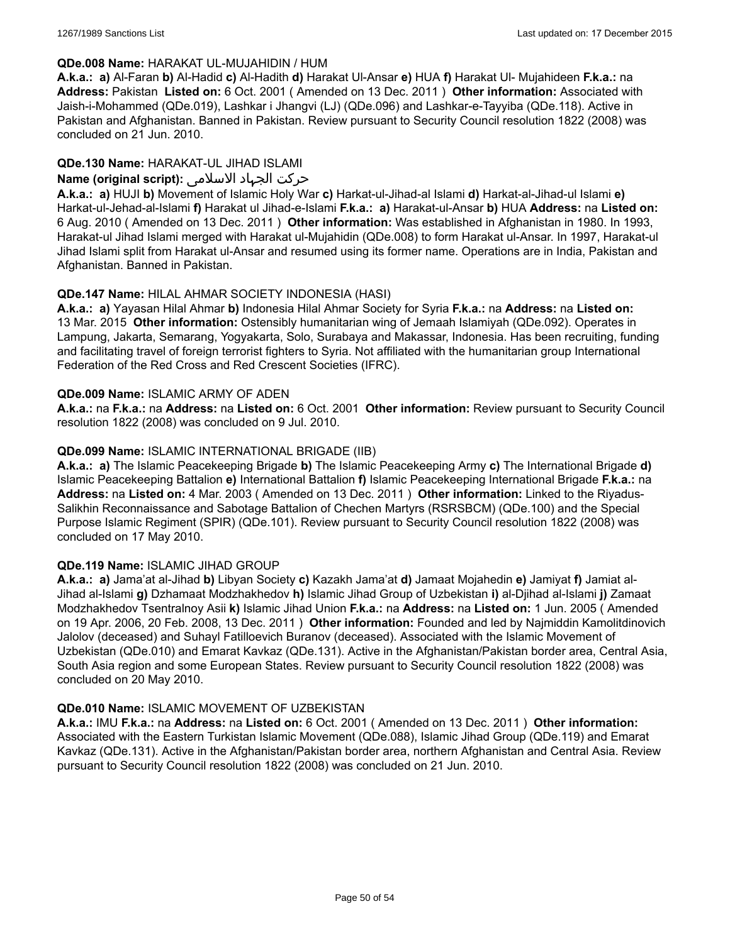### **QDe.008 Name:** HARAKAT UL-MUJAHIDIN / HUM

**A.k.a.: a)** Al-Faran **b)** Al-Hadid **c)** Al-Hadith **d)** Harakat Ul-Ansar **e)** HUA **f)** Harakat Ul- Mujahideen **F.k.a.:** na **Address:** Pakistan **Listed on:** 6 Oct. 2001 ( Amended on 13 Dec. 2011 ) **Other information:** Associated with Jaish-i-Mohammed (QDe.019), Lashkar i Jhangvi (LJ) (QDe.096) and Lashkar-e-Tayyiba (QDe.118). Active in Pakistan and Afghanistan. Banned in Pakistan. Review pursuant to Security Council resolution 1822 (2008) was concluded on 21 Jun. 2010.

# **QDe.130 Name:** HARAKAT-UL JIHAD ISLAMI

# حرکت الجہاد الاسلامی **:(script original (Name**

**A.k.a.: a)** HUJI **b)** Movement of Islamic Holy War **c)** Harkat-ul-Jihad-al Islami **d)** Harkat-al-Jihad-ul Islami **e)** Harkat-ul-Jehad-al-Islami **f)** Harakat ul Jihad-e-Islami **F.k.a.: a)** Harakat-ul-Ansar **b)** HUA **Address:** na **Listed on:** 6 Aug. 2010 ( Amended on 13 Dec. 2011 ) **Other information:** Was established in Afghanistan in 1980. In 1993, Harakat-ul Jihad Islami merged with Harakat ul-Mujahidin (QDe.008) to form Harakat ul-Ansar. In 1997, Harakat-ul Jihad Islami split from Harakat ul-Ansar and resumed using its former name. Operations are in India, Pakistan and Afghanistan. Banned in Pakistan.

# **QDe.147 Name:** HILAL AHMAR SOCIETY INDONESIA (HASI)

**A.k.a.: a)** Yayasan Hilal Ahmar **b)** Indonesia Hilal Ahmar Society for Syria **F.k.a.:** na **Address:** na **Listed on:** 13 Mar. 2015 **Other information:** Ostensibly humanitarian wing of Jemaah Islamiyah (QDe.092). Operates in Lampung, Jakarta, Semarang, Yogyakarta, Solo, Surabaya and Makassar, Indonesia. Has been recruiting, funding and facilitating travel of foreign terrorist fighters to Syria. Not affiliated with the humanitarian group International Federation of the Red Cross and Red Crescent Societies (IFRC).

### **QDe.009 Name:** ISLAMIC ARMY OF ADEN

**A.k.a.:** na **F.k.a.:** na **Address:** na **Listed on:** 6 Oct. 2001 **Other information:** Review pursuant to Security Council resolution 1822 (2008) was concluded on 9 Jul. 2010.

# **QDe.099 Name:** ISLAMIC INTERNATIONAL BRIGADE (IIB)

**A.k.a.: a)** The Islamic Peacekeeping Brigade **b)** The Islamic Peacekeeping Army **c)** The International Brigade **d)** Islamic Peacekeeping Battalion **e)** International Battalion **f)** Islamic Peacekeeping International Brigade **F.k.a.:** na **Address:** na **Listed on:** 4 Mar. 2003 ( Amended on 13 Dec. 2011 ) **Other information:** Linked to the Riyadus-Salikhin Reconnaissance and Sabotage Battalion of Chechen Martyrs (RSRSBCM) (QDe.100) and the Special Purpose Islamic Regiment (SPIR) (QDe.101). Review pursuant to Security Council resolution 1822 (2008) was concluded on 17 May 2010.

# **QDe.119 Name:** ISLAMIC JIHAD GROUP

**A.k.a.: a)** Jama'at al-Jihad **b)** Libyan Society **c)** Kazakh Jama'at **d)** Jamaat Mojahedin **e)** Jamiyat **f)** Jamiat al-Jihad al-Islami **g)** Dzhamaat Modzhakhedov **h)** Islamic Jihad Group of Uzbekistan **i)** al-Djihad al-Islami **j)** Zamaat Modzhakhedov Tsentralnoy Asii **k)** Islamic Jihad Union **F.k.a.:** na **Address:** na **Listed on:** 1 Jun. 2005 ( Amended on 19 Apr. 2006, 20 Feb. 2008, 13 Dec. 2011 ) **Other information:** Founded and led by Najmiddin Kamolitdinovich Jalolov (deceased) and Suhayl Fatilloevich Buranov (deceased). Associated with the Islamic Movement of Uzbekistan (QDe.010) and Emarat Kavkaz (QDe.131). Active in the Afghanistan/Pakistan border area, Central Asia, South Asia region and some European States. Review pursuant to Security Council resolution 1822 (2008) was concluded on 20 May 2010.

# **QDe.010 Name:** ISLAMIC MOVEMENT OF UZBEKISTAN

**A.k.a.:** IMU **F.k.a.:** na **Address:** na **Listed on:** 6 Oct. 2001 ( Amended on 13 Dec. 2011 ) **Other information:** Associated with the Eastern Turkistan Islamic Movement (QDe.088), Islamic Jihad Group (QDe.119) and Emarat Kavkaz (QDe.131). Active in the Afghanistan/Pakistan border area, northern Afghanistan and Central Asia. Review pursuant to Security Council resolution 1822 (2008) was concluded on 21 Jun. 2010.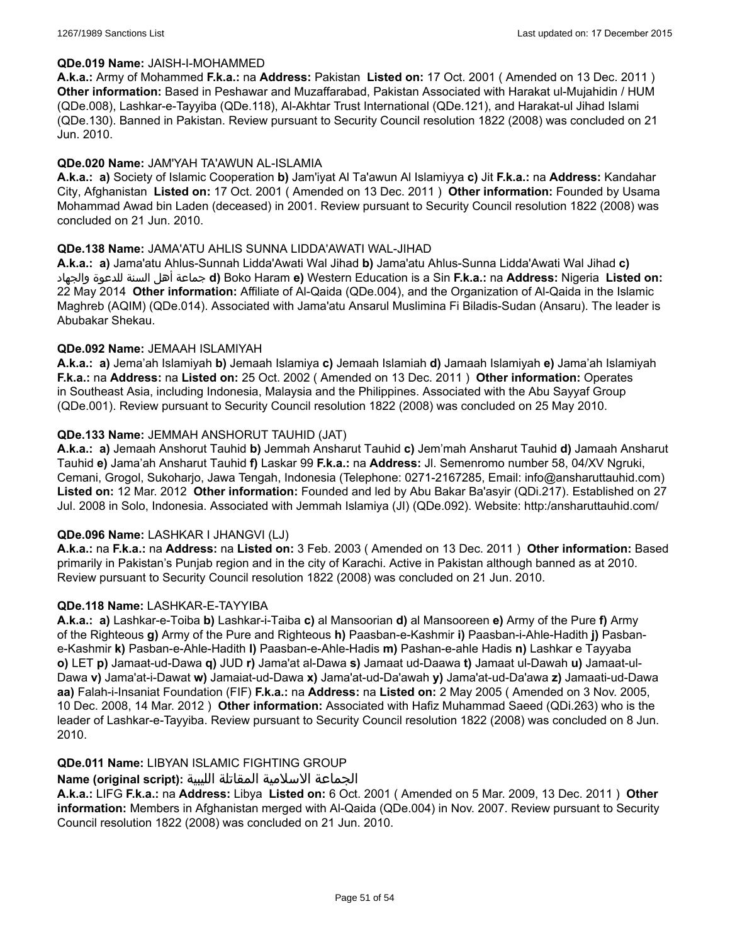#### **QDe.019 Name:** JAISH-I-MOHAMMED

**A.k.a.:** Army of Mohammed **F.k.a.:** na **Address:** Pakistan **Listed on:** 17 Oct. 2001 ( Amended on 13 Dec. 2011 ) **Other information:** Based in Peshawar and Muzaffarabad, Pakistan Associated with Harakat ul-Mujahidin / HUM (QDe.008), Lashkar-e-Tayyiba (QDe.118), Al-Akhtar Trust International (QDe.121), and Harakat-ul Jihad Islami (QDe.130). Banned in Pakistan. Review pursuant to Security Council resolution 1822 (2008) was concluded on 21 Jun. 2010.

### **QDe.020 Name:** JAM'YAH TA'AWUN AL-ISLAMIA

**A.k.a.: a)** Society of Islamic Cooperation **b)** Jam'iyat Al Ta'awun Al Islamiyya **c)** Jit **F.k.a.:** na **Address:** Kandahar City, Afghanistan **Listed on:** 17 Oct. 2001 ( Amended on 13 Dec. 2011 ) **Other information:** Founded by Usama Mohammad Awad bin Laden (deceased) in 2001. Review pursuant to Security Council resolution 1822 (2008) was concluded on 21 Jun. 2010.

### **QDe.138 Name:** JAMA'ATU AHLIS SUNNA LIDDA'AWATI WAL-JIHAD

**A.k.a.: a)** Jama'atu Ahlus-Sunnah Lidda'Awati Wal Jihad **b)** Jama'atu Ahlus-Sunna Lidda'Awati Wal Jihad **c)** والجهاد للدعوة السنة أهل جماعة **d)** Boko Haram **e)** Western Education is a Sin **F.k.a.:** na **Address:** Nigeria **Listed on:** 22 May 2014 **Other information:** Affiliate of Al-Qaida (QDe.004), and the Organization of Al-Qaida in the Islamic Maghreb (AQIM) (QDe.014). Associated with Jama'atu Ansarul Muslimina Fi Biladis-Sudan (Ansaru). The leader is Abubakar Shekau.

### **QDe.092 Name:** JEMAAH ISLAMIYAH

**A.k.a.: a)** Jema'ah Islamiyah **b)** Jemaah Islamiya **c)** Jemaah Islamiah **d)** Jamaah Islamiyah **e)** Jama'ah Islamiyah **F.k.a.:** na **Address:** na **Listed on:** 25 Oct. 2002 ( Amended on 13 Dec. 2011 ) **Other information:** Operates in Southeast Asia, including Indonesia, Malaysia and the Philippines. Associated with the Abu Sayyaf Group (QDe.001). Review pursuant to Security Council resolution 1822 (2008) was concluded on 25 May 2010.

### **QDe.133 Name:** JEMMAH ANSHORUT TAUHID (JAT)

**A.k.a.: a)** Jemaah Anshorut Tauhid **b)** Jemmah Ansharut Tauhid **c)** Jem'mah Ansharut Tauhid **d)** Jamaah Ansharut Tauhid **e)** Jama'ah Ansharut Tauhid **f)** Laskar 99 **F.k.a.:** na **Address:** Jl. Semenromo number 58, 04/XV Ngruki, Cemani, Grogol, Sukoharjo, Jawa Tengah, Indonesia (Telephone: 0271-2167285, Email: info@ansharuttauhid.com) **Listed on:** 12 Mar. 2012 **Other information:** Founded and led by Abu Bakar Ba'asyir (QDi.217). Established on 27 Jul. 2008 in Solo, Indonesia. Associated with Jemmah Islamiya (JI) (QDe.092). Website: http:/ansharuttauhid.com/

# **QDe.096 Name:** LASHKAR I JHANGVI (LJ)

**A.k.a.:** na **F.k.a.:** na **Address:** na **Listed on:** 3 Feb. 2003 ( Amended on 13 Dec. 2011 ) **Other information:** Based primarily in Pakistan's Punjab region and in the city of Karachi. Active in Pakistan although banned as at 2010. Review pursuant to Security Council resolution 1822 (2008) was concluded on 21 Jun. 2010.

#### **QDe.118 Name:** LASHKAR-E-TAYYIBA

**A.k.a.: a)** Lashkar-e-Toiba **b)** Lashkar-i-Taiba **c)** al Mansoorian **d)** al Mansooreen **e)** Army of the Pure **f)** Army of the Righteous **g)** Army of the Pure and Righteous **h)** Paasban-e-Kashmir **i)** Paasban-i-Ahle-Hadith **j)** Pasbane-Kashmir **k)** Pasban-e-Ahle-Hadith **l)** Paasban-e-Ahle-Hadis **m)** Pashan-e-ahle Hadis **n)** Lashkar e Tayyaba **o)** LET **p)** Jamaat-ud-Dawa **q)** JUD **r)** Jama'at al-Dawa **s)** Jamaat ud-Daawa **t)** Jamaat ul-Dawah **u)** Jamaat-ul-Dawa **v)** Jama'at-i-Dawat **w)** Jamaiat-ud-Dawa **x)** Jama'at-ud-Da'awah **y)** Jama'at-ud-Da'awa **z)** Jamaati-ud-Dawa **aa)** Falah-i-Insaniat Foundation (FIF) **F.k.a.:** na **Address:** na **Listed on:** 2 May 2005 ( Amended on 3 Nov. 2005, 10 Dec. 2008, 14 Mar. 2012 ) **Other information:** Associated with Hafiz Muhammad Saeed (QDi.263) who is the leader of Lashkar-e-Tayyiba. Review pursuant to Security Council resolution 1822 (2008) was concluded on 8 Jun. 2010.

# **QDe.011 Name:** LIBYAN ISLAMIC FIGHTING GROUP

# الجماعة الاسلامية المقاتلة الليبية **:(script original (Name**

**A.k.a.:** LIFG **F.k.a.:** na **Address:** Libya **Listed on:** 6 Oct. 2001 ( Amended on 5 Mar. 2009, 13 Dec. 2011 ) **Other information:** Members in Afghanistan merged with Al-Qaida (QDe.004) in Nov. 2007. Review pursuant to Security Council resolution 1822 (2008) was concluded on 21 Jun. 2010.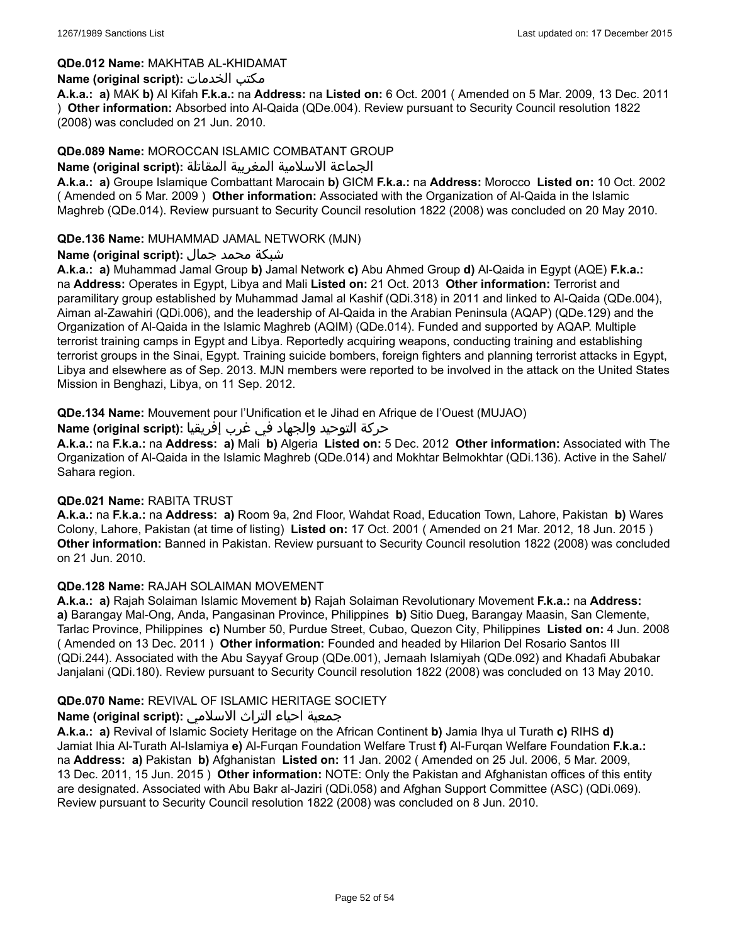### **QDe.012 Name:** MAKHTAB AL-KHIDAMAT

### **Name (original script):** الخدمات مكتب

**A.k.a.: a)** MAK **b)** Al Kifah **F.k.a.:** na **Address:** na **Listed on:** 6 Oct. 2001 ( Amended on 5 Mar. 2009, 13 Dec. 2011 ) **Other information:** Absorbed into Al-Qaida (QDe.004). Review pursuant to Security Council resolution 1822 (2008) was concluded on 21 Jun. 2010.

### **QDe.089 Name:** MOROCCAN ISLAMIC COMBATANT GROUP

#### الجماعة الاسلامية المغربية المقاتلة **:(script original (Name**

**A.k.a.: a)** Groupe Islamique Combattant Marocain **b)** GICM **F.k.a.:** na **Address:** Morocco **Listed on:** 10 Oct. 2002 ( Amended on 5 Mar. 2009 ) **Other information:** Associated with the Organization of Al-Qaida in the Islamic Maghreb (QDe.014). Review pursuant to Security Council resolution 1822 (2008) was concluded on 20 May 2010.

### **QDe.136 Name:** MUHAMMAD JAMAL NETWORK (MJN)

### شبكة محمد جمال **:(script original (Name**

**A.k.a.: a)** Muhammad Jamal Group **b)** Jamal Network **c)** Abu Ahmed Group **d)** Al-Qaida in Egypt (AQE) **F.k.a.:** na **Address:** Operates in Egypt, Libya and Mali **Listed on:** 21 Oct. 2013 **Other information:** Terrorist and paramilitary group established by Muhammad Jamal al Kashif (QDi.318) in 2011 and linked to Al-Qaida (QDe.004), Aiman al-Zawahiri (QDi.006), and the leadership of Al-Qaida in the Arabian Peninsula (AQAP) (QDe.129) and the Organization of Al-Qaida in the Islamic Maghreb (AQIM) (QDe.014). Funded and supported by AQAP. Multiple terrorist training camps in Egypt and Libya. Reportedly acquiring weapons, conducting training and establishing terrorist groups in the Sinai, Egypt. Training suicide bombers, foreign fighters and planning terrorist attacks in Egypt, Libya and elsewhere as of Sep. 2013. MJN members were reported to be involved in the attack on the United States Mission in Benghazi, Libya, on 11 Sep. 2012.

### **QDe.134 Name:** Mouvement pour l'Unification et le Jihad en Afrique de l'Ouest (MUJAO)

### حركة التوحيد والجهاد في غرب إفريقيا :Name (original script)

**A.k.a.:** na **F.k.a.:** na **Address: a)** Mali **b)** Algeria **Listed on:** 5 Dec. 2012 **Other information:** Associated with The Organization of Al-Qaida in the Islamic Maghreb (QDe.014) and Mokhtar Belmokhtar (QDi.136). Active in the Sahel/ Sahara region.

#### **QDe.021 Name:** RABITA TRUST

**A.k.a.:** na **F.k.a.:** na **Address: a)** Room 9a, 2nd Floor, Wahdat Road, Education Town, Lahore, Pakistan **b)** Wares Colony, Lahore, Pakistan (at time of listing) **Listed on:** 17 Oct. 2001 ( Amended on 21 Mar. 2012, 18 Jun. 2015 ) **Other information:** Banned in Pakistan. Review pursuant to Security Council resolution 1822 (2008) was concluded on 21 Jun. 2010.

#### **QDe.128 Name:** RAJAH SOLAIMAN MOVEMENT

**A.k.a.: a)** Rajah Solaiman Islamic Movement **b)** Rajah Solaiman Revolutionary Movement **F.k.a.:** na **Address: a)** Barangay Mal-Ong, Anda, Pangasinan Province, Philippines **b)** Sitio Dueg, Barangay Maasin, San Clemente, Tarlac Province, Philippines **c)** Number 50, Purdue Street, Cubao, Quezon City, Philippines **Listed on:** 4 Jun. 2008 ( Amended on 13 Dec. 2011 ) **Other information:** Founded and headed by Hilarion Del Rosario Santos III (QDi.244). Associated with the Abu Sayyaf Group (QDe.001), Jemaah Islamiyah (QDe.092) and Khadafi Abubakar Janjalani (QDi.180). Review pursuant to Security Council resolution 1822 (2008) was concluded on 13 May 2010.

# **QDe.070 Name:** REVIVAL OF ISLAMIC HERITAGE SOCIETY

# جمعية احياء التراث الاسلامي **:(script original (Name**

**A.k.a.: a)** Revival of Islamic Society Heritage on the African Continent **b)** Jamia Ihya ul Turath **c)** RIHS **d)** Jamiat Ihia Al-Turath Al-Islamiya **e)** Al-Furqan Foundation Welfare Trust **f)** Al-Furqan Welfare Foundation **F.k.a.:** na **Address: a)** Pakistan **b)** Afghanistan **Listed on:** 11 Jan. 2002 ( Amended on 25 Jul. 2006, 5 Mar. 2009, 13 Dec. 2011, 15 Jun. 2015 ) **Other information:** NOTE: Only the Pakistan and Afghanistan offices of this entity are designated. Associated with Abu Bakr al-Jaziri (QDi.058) and Afghan Support Committee (ASC) (QDi.069). Review pursuant to Security Council resolution 1822 (2008) was concluded on 8 Jun. 2010.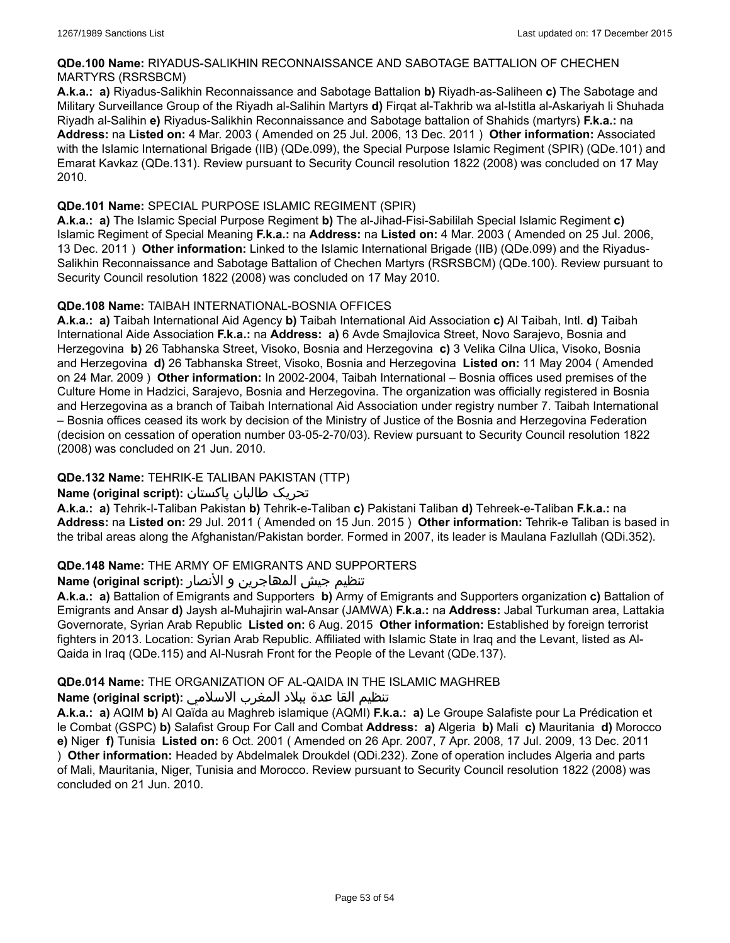### **QDe.100 Name:** RIYADUS-SALIKHIN RECONNAISSANCE AND SABOTAGE BATTALION OF CHECHEN MARTYRS (RSRSBCM)

**A.k.a.: a)** Riyadus-Salikhin Reconnaissance and Sabotage Battalion **b)** Riyadh-as-Saliheen **c)** The Sabotage and Military Surveillance Group of the Riyadh al-Salihin Martyrs **d)** Firqat al-Takhrib wa al-Istitla al-Askariyah li Shuhada Riyadh al-Salihin **e)** Riyadus-Salikhin Reconnaissance and Sabotage battalion of Shahids (martyrs) **F.k.a.:** na **Address:** na **Listed on:** 4 Mar. 2003 ( Amended on 25 Jul. 2006, 13 Dec. 2011 ) **Other information:** Associated with the Islamic International Brigade (IIB) (QDe.099), the Special Purpose Islamic Regiment (SPIR) (QDe.101) and Emarat Kavkaz (QDe.131). Review pursuant to Security Council resolution 1822 (2008) was concluded on 17 May 2010.

# **QDe.101 Name:** SPECIAL PURPOSE ISLAMIC REGIMENT (SPIR)

**A.k.a.: a)** The Islamic Special Purpose Regiment **b)** The al-Jihad-Fisi-Sabililah Special Islamic Regiment **c)** Islamic Regiment of Special Meaning **F.k.a.:** na **Address:** na **Listed on:** 4 Mar. 2003 ( Amended on 25 Jul. 2006, 13 Dec. 2011 ) **Other information:** Linked to the Islamic International Brigade (IIB) (QDe.099) and the Riyadus-Salikhin Reconnaissance and Sabotage Battalion of Chechen Martyrs (RSRSBCM) (QDe.100). Review pursuant to Security Council resolution 1822 (2008) was concluded on 17 May 2010.

# **QDe.108 Name:** TAIBAH INTERNATIONAL-BOSNIA OFFICES

**A.k.a.: a)** Taibah International Aid Agency **b)** Taibah International Aid Association **c)** Al Taibah, Intl. **d)** Taibah International Aide Association **F.k.a.:** na **Address: a)** 6 Avde Smajlovica Street, Novo Sarajevo, Bosnia and Herzegovina **b)** 26 Tabhanska Street, Visoko, Bosnia and Herzegovina **c)** 3 Velika Cilna Ulica, Visoko, Bosnia and Herzegovina **d)** 26 Tabhanska Street, Visoko, Bosnia and Herzegovina **Listed on:** 11 May 2004 ( Amended on 24 Mar. 2009 ) **Other information:** In 2002-2004, Taibah International – Bosnia offices used premises of the Culture Home in Hadzici, Sarajevo, Bosnia and Herzegovina. The organization was officially registered in Bosnia and Herzegovina as a branch of Taibah International Aid Association under registry number 7. Taibah International – Bosnia offices ceased its work by decision of the Ministry of Justice of the Bosnia and Herzegovina Federation (decision on cessation of operation number 03-05-2-70/03). Review pursuant to Security Council resolution 1822 (2008) was concluded on 21 Jun. 2010.

# **QDe.132 Name:** TEHRIK-E TALIBAN PAKISTAN (TTP)

# تحریک طالبان پاکستان **:(script original (Name**

**A.k.a.: a)** Tehrik-I-Taliban Pakistan **b)** Tehrik-e-Taliban **c)** Pakistani Taliban **d)** Tehreek-e-Taliban **F.k.a.:** na **Address:** na **Listed on:** 29 Jul. 2011 ( Amended on 15 Jun. 2015 ) **Other information:** Tehrik-e Taliban is based in the tribal areas along the Afghanistan/Pakistan border. Formed in 2007, its leader is Maulana Fazlullah (QDi.352).

# **QDe.148 Name:** THE ARMY OF EMIGRANTS AND SUPPORTERS

# تنظیم جیش المھاجرین و الأنصار **:(script original (Name**

**A.k.a.: a)** Battalion of Emigrants and Supporters **b)** Army of Emigrants and Supporters organization **c)** Battalion of Emigrants and Ansar **d)** Jaysh al-Muhajirin wal-Ansar (JAMWA) **F.k.a.:** na **Address:** Jabal Turkuman area, Lattakia Governorate, Syrian Arab Republic **Listed on:** 6 Aug. 2015 **Other information:** Established by foreign terrorist fighters in 2013. Location: Syrian Arab Republic. Affiliated with Islamic State in Iraq and the Levant, listed as Al-Qaida in Iraq (QDe.115) and AI-Nusrah Front for the People of the Levant (QDe.137).

# **QDe.014 Name:** THE ORGANIZATION OF AL-QAIDA IN THE ISLAMIC MAGHREB

# تنظيم القا عدة ببلاد المغرب الاسلامي **:(script original (Name**

**A.k.a.: a)** AQIM **b)** Al Qaïda au Maghreb islamique (AQMI) **F.k.a.: a)** Le Groupe Salafiste pour La Prédication et le Combat (GSPC) **b)** Salafist Group For Call and Combat **Address: a)** Algeria **b)** Mali **c)** Mauritania **d)** Morocco **e)** Niger **f)** Tunisia **Listed on:** 6 Oct. 2001 ( Amended on 26 Apr. 2007, 7 Apr. 2008, 17 Jul. 2009, 13 Dec. 2011 ) **Other information:** Headed by Abdelmalek Droukdel (QDi.232). Zone of operation includes Algeria and parts of Mali, Mauritania, Niger, Tunisia and Morocco. Review pursuant to Security Council resolution 1822 (2008) was concluded on 21 Jun. 2010.